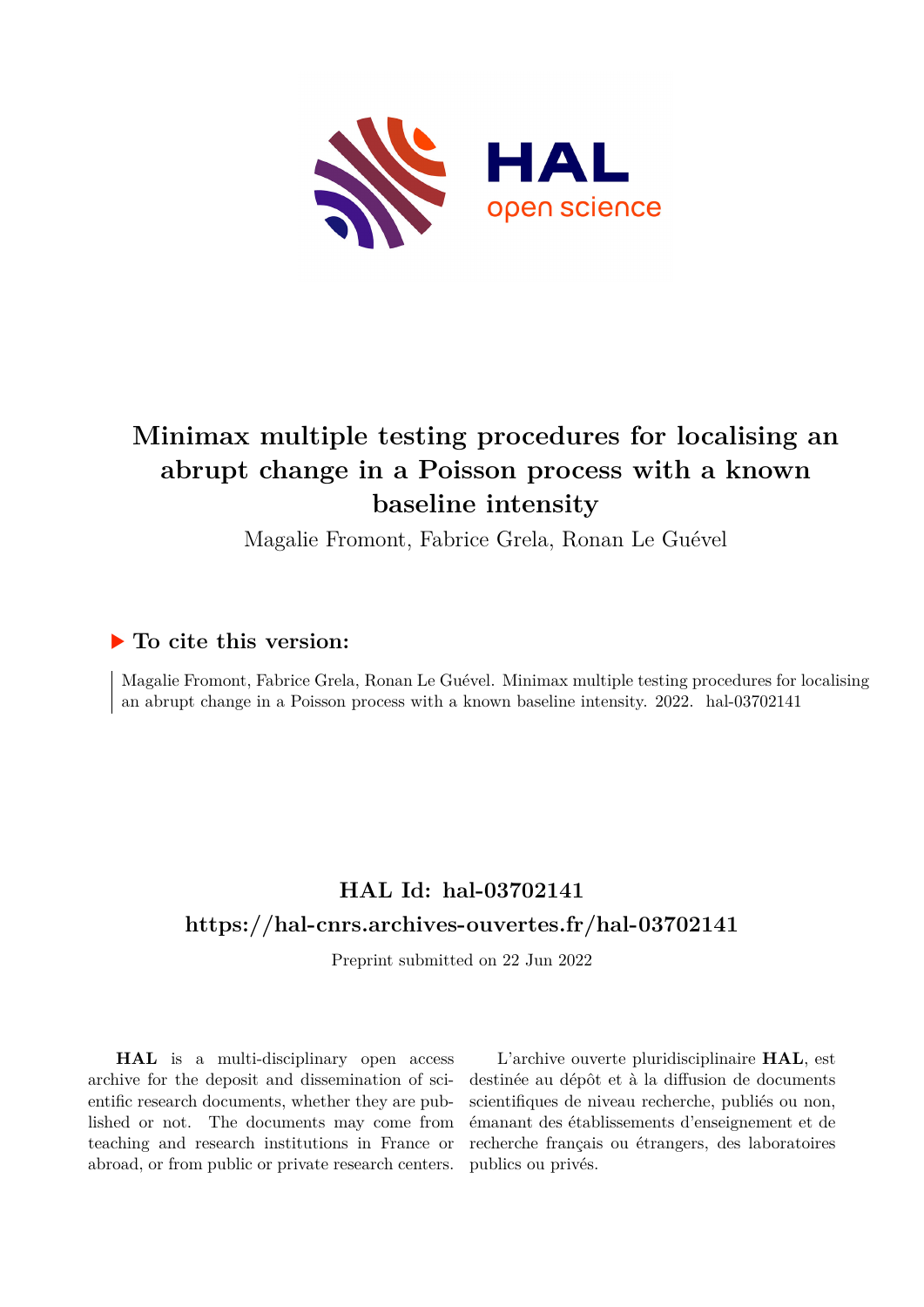

# **Minimax multiple testing procedures for localising an abrupt change in a Poisson process with a known baseline intensity**

Magalie Fromont, Fabrice Grela, Ronan Le Guével

## **To cite this version:**

Magalie Fromont, Fabrice Grela, Ronan Le Guével. Minimax multiple testing procedures for localising an abrupt change in a Poisson process with a known baseline intensity.  $2022$ . hal-03702141

## **HAL Id: hal-03702141 <https://hal-cnrs.archives-ouvertes.fr/hal-03702141>**

Preprint submitted on 22 Jun 2022

**HAL** is a multi-disciplinary open access archive for the deposit and dissemination of scientific research documents, whether they are published or not. The documents may come from teaching and research institutions in France or abroad, or from public or private research centers.

L'archive ouverte pluridisciplinaire **HAL**, est destinée au dépôt et à la diffusion de documents scientifiques de niveau recherche, publiés ou non, émanant des établissements d'enseignement et de recherche français ou étrangers, des laboratoires publics ou privés.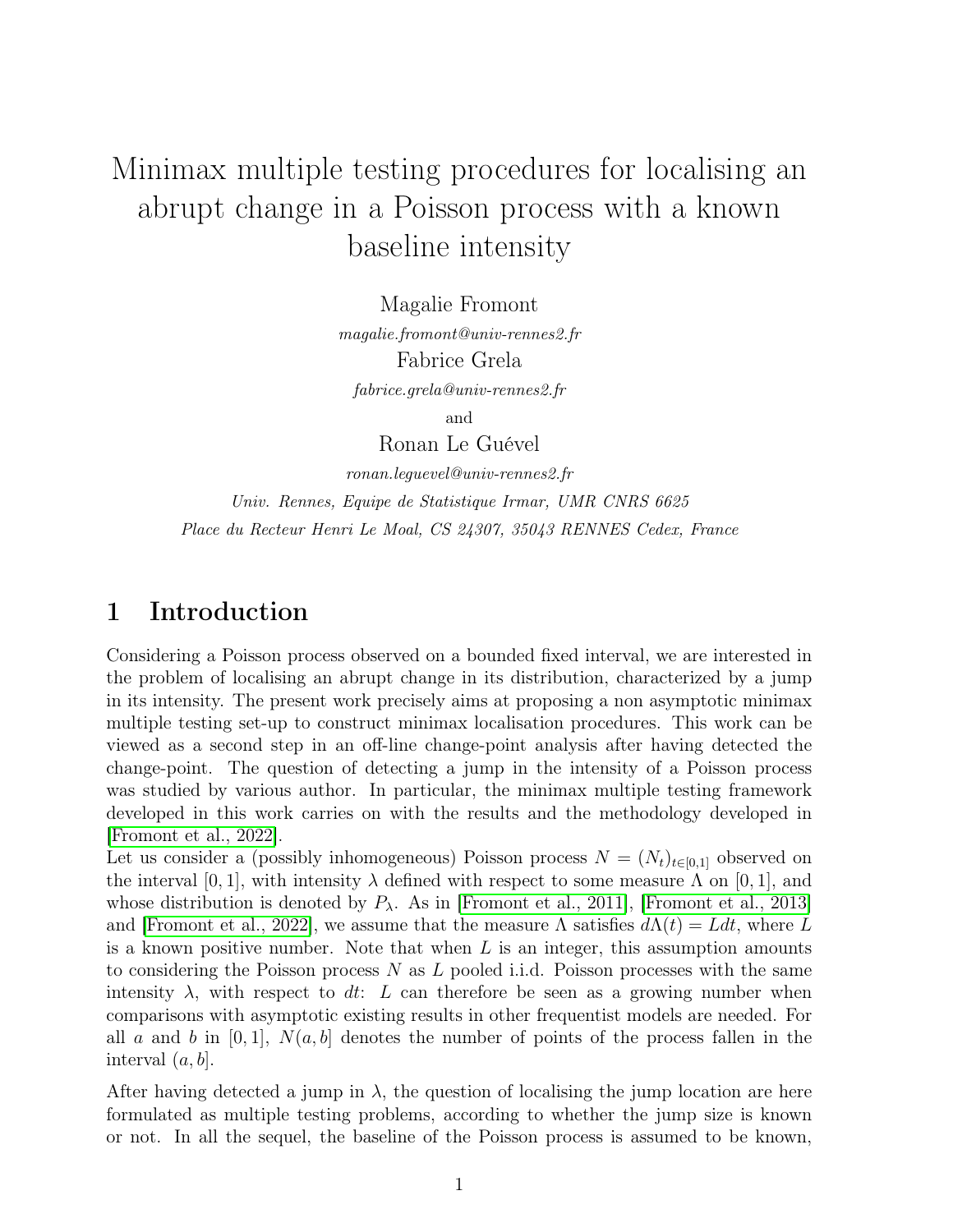# Minimax multiple testing procedures for localising an abrupt change in a Poisson process with a known baseline intensity

Magalie Fromont

magalie.fromont@univ-rennes2.fr Fabrice Grela fabrice.grela@univ-rennes2.fr

and

Ronan Le Guével

ronan.leguevel@univ-rennes2.fr Univ. Rennes, Equipe de Statistique Irmar, UMR CNRS 6625 Place du Recteur Henri Le Moal, CS 24307, 35043 RENNES Cedex, France

## 1 Introduction

Considering a Poisson process observed on a bounded fixed interval, we are interested in the problem of localising an abrupt change in its distribution, characterized by a jump in its intensity. The present work precisely aims at proposing a non asymptotic minimax multiple testing set-up to construct minimax localisation procedures. This work can be viewed as a second step in an off-line change-point analysis after having detected the change-point. The question of detecting a jump in the intensity of a Poisson process was studied by various author. In particular, the minimax multiple testing framework developed in this work carries on with the results and the methodology developed in [Fromont et al., 2022].

Let us consider a (possibly inhomogeneous) Poisson process  $N = (N_t)_{t \in [0,1]}$  observed on the interval [0, 1], with intensity  $\lambda$  defined with respect to some measure  $\Lambda$  on [0, 1], and whose distribution is denoted by  $P_\lambda$ . As in [Fromont et al., 2011], [Fromont et al., 2013] and [Fromont et al., 2022], we assume that the measure  $\Lambda$  satisfies  $d\Lambda(t) = Ldt$ , where L is a known positive number. Note that when  $L$  is an integer, this assumption amounts to considering the Poisson process  $N$  as  $L$  pooled i.i.d. Poisson processes with the same intensity  $\lambda$ , with respect to dt: L can therefore be seen as a growing number when comparisons with asymptotic existing results in other frequentist models are needed. For all a and b in  $[0, 1]$ ,  $N(a, b]$  denotes the number of points of the process fallen in the interval  $(a, b]$ .

After having detected a jump in  $\lambda$ , the question of localising the jump location are here formulated as multiple testing problems, according to whether the jump size is known or not. In all the sequel, the baseline of the Poisson process is assumed to be known,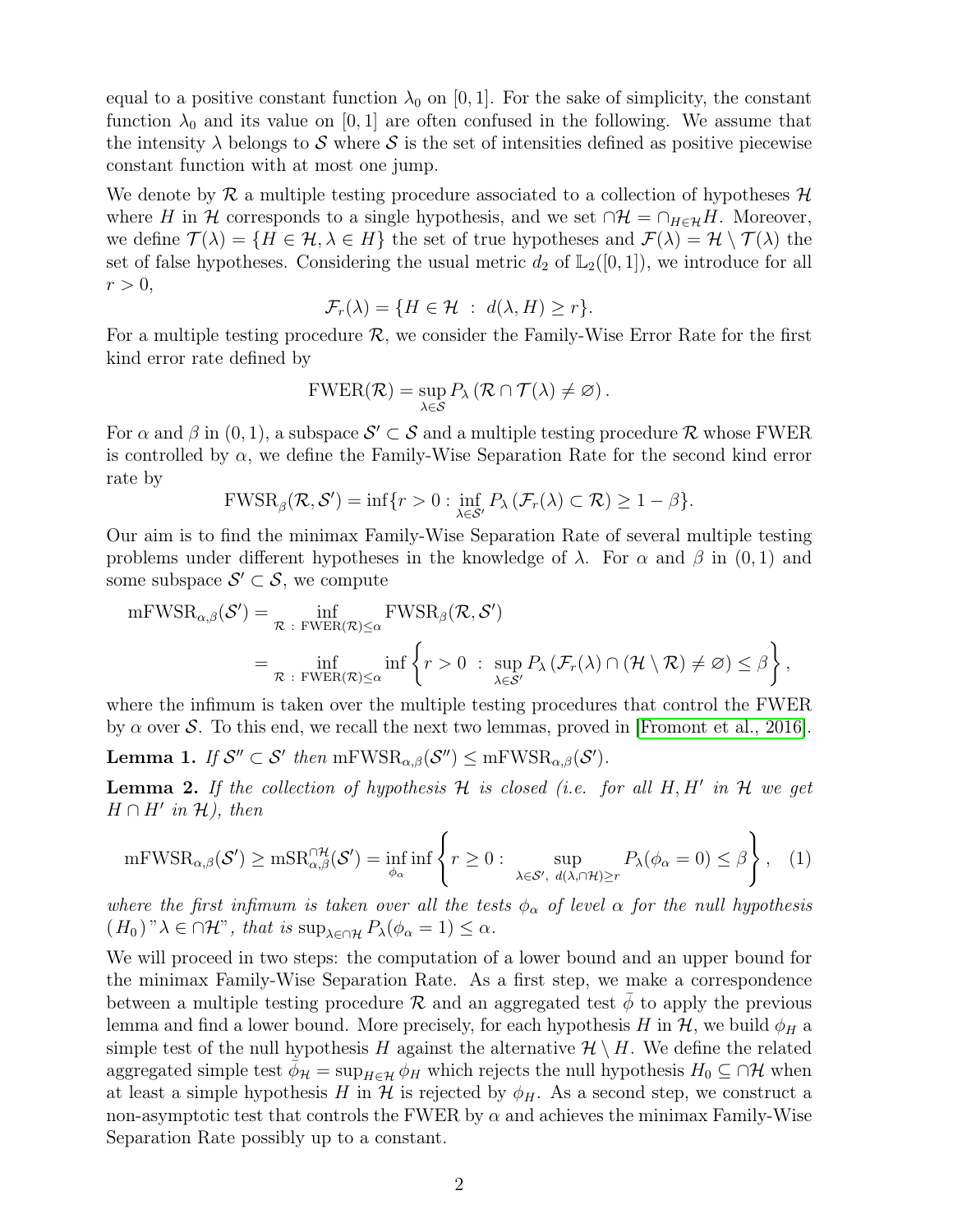equal to a positive constant function  $\lambda_0$  on [0, 1]. For the sake of simplicity, the constant function  $\lambda_0$  and its value on [0, 1] are often confused in the following. We assume that the intensity  $\lambda$  belongs to S where S is the set of intensities defined as positive piecewise constant function with at most one jump.

We denote by  $\mathcal R$  a multiple testing procedure associated to a collection of hypotheses  $\mathcal H$ where H in H corresponds to a single hypothesis, and we set  $\cap \mathcal{H} = \cap_{H \in \mathcal{H}} H$ . Moreover, we define  $\mathcal{T}(\lambda) = \{H \in \mathcal{H}, \lambda \in H\}$  the set of true hypotheses and  $\mathcal{F}(\lambda) = \mathcal{H} \setminus \mathcal{T}(\lambda)$  the set of false hypotheses. Considering the usual metric  $d_2$  of  $\mathbb{L}_2([0,1])$ , we introduce for all  $r > 0$ ,

$$
\mathcal{F}_r(\lambda) = \{ H \in \mathcal{H} \; : \; d(\lambda, H) \ge r \}.
$$

For a multiple testing procedure  $\mathcal{R}$ , we consider the Family-Wise Error Rate for the first kind error rate defined by

$$
FWER(\mathcal{R}) = \sup_{\lambda \in \mathcal{S}} P_{\lambda} (\mathcal{R} \cap \mathcal{T}(\lambda) \neq \varnothing).
$$

For  $\alpha$  and  $\beta$  in  $(0, 1)$ , a subspace  $\mathcal{S}' \subset \mathcal{S}$  and a multiple testing procedure  $\mathcal{R}$  whose FWER is controlled by  $\alpha$ , we define the Family-Wise Separation Rate for the second kind error rate by

$$
\text{FWSR}_{\beta}(\mathcal{R}, \mathcal{S}') = \inf \{ r > 0 : \inf_{\lambda \in \mathcal{S}'} P_{\lambda} (\mathcal{F}_r(\lambda) \subset \mathcal{R}) \ge 1 - \beta \}.
$$

Our aim is to find the minimax Family-Wise Separation Rate of several multiple testing problems under different hypotheses in the knowledge of  $\lambda$ . For  $\alpha$  and  $\beta$  in (0, 1) and some subspace  $\mathcal{S}' \subset \mathcal{S}$ , we compute

$$
\begin{split} \mathrm{mFWSR}_{\alpha,\beta}(\mathcal{S}') &= \inf_{\mathcal{R} \;:\; \mathrm{FWER}(\mathcal{R}) \leq \alpha} \mathrm{FWSR}_{\beta}(\mathcal{R}, \mathcal{S}') \\ &= \inf_{\mathcal{R} \;:\; \mathrm{FWER}(\mathcal{R}) \leq \alpha} \mathrm{inf} \left\{ r > 0 \;:\; \sup_{\lambda \in \mathcal{S}'} P_{\lambda} \left( \mathcal{F}_r(\lambda) \cap (\mathcal{H} \setminus \mathcal{R}) \neq \varnothing \right) \leq \beta \right\}, \end{split}
$$

where the infimum is taken over the multiple testing procedures that control the FWER by  $\alpha$  over S. To this end, we recall the next two lemmas, proved in [Fromont et al., 2016].

**Lemma 1.** If  $S'' \subset S'$  then  $mFWSR_{\alpha,\beta}(S'') \le mFWSR_{\alpha,\beta}(S')$ .

**Lemma 2.** If the collection of hypothesis  $H$  is closed (i.e. for all  $H, H'$  in  $H$  we get  $H \cap H'$  in  $\mathcal{H}$ ), then

$$
\mathrm{mFWSR}_{\alpha,\beta}(\mathcal{S}') \ge \mathrm{mSR}_{\alpha,\beta}^{\cap \mathcal{H}}(\mathcal{S}') = \inf_{\phi_{\alpha}} \mathrm{inf} \left\{ r \ge 0 : \sup_{\lambda \in \mathcal{S}', d(\lambda, \cap \mathcal{H}) \ge r} P_{\lambda}(\phi_{\alpha} = 0) \le \beta \right\}, \quad (1)
$$

where the first infimum is taken over all the tests  $\phi_{\alpha}$  of level  $\alpha$  for the null hypothesis  $(H_0 )$ " $\lambda \in \cap \mathcal{H}$ ", that is  $\sup_{\lambda \in \cap \mathcal{H}} P_{\lambda}(\phi_{\alpha} = 1) \leq \alpha$ .

We will proceed in two steps: the computation of a lower bound and an upper bound for the minimax Family-Wise Separation Rate. As a first step, we make a correspondence between a multiple testing procedure  $\mathcal R$  and an aggregated test  $\phi$  to apply the previous lemma and find a lower bound. More precisely, for each hypothesis H in  $\mathcal{H}$ , we build  $\phi_H$  a simple test of the null hypothesis H against the alternative  $\mathcal{H} \setminus H$ . We define the related aggregated simple test  $\phi_{\mathcal{H}} = \sup_{H \in \mathcal{H}} \phi_H$  which rejects the null hypothesis  $H_0 \subseteq \bigcap \mathcal{H}$  when at least a simple hypothesis H in  $\mathcal H$  is rejected by  $\phi_H$ . As a second step, we construct a non-asymptotic test that controls the FWER by  $\alpha$  and achieves the minimax Family-Wise Separation Rate possibly up to a constant.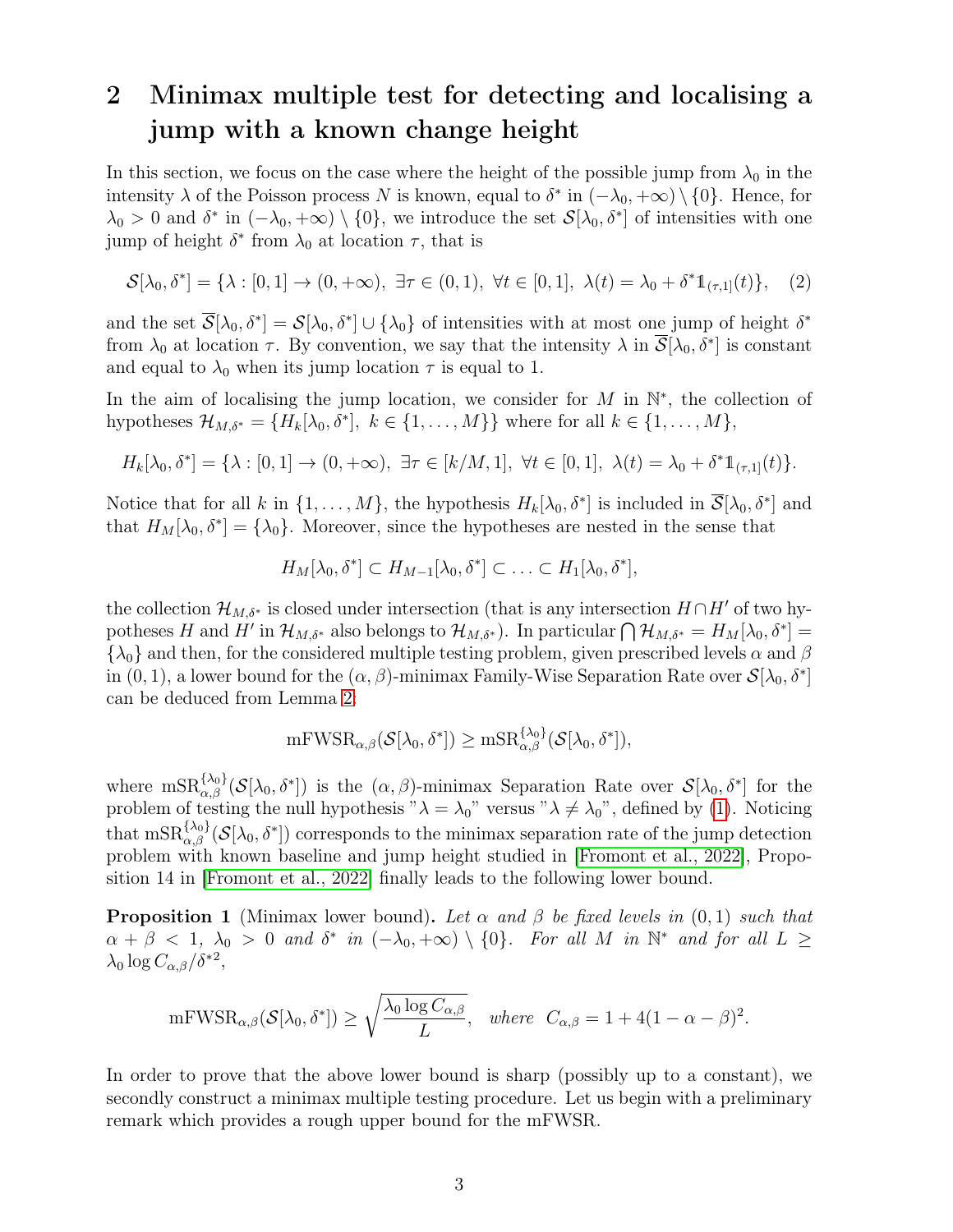# 2 Minimax multiple test for detecting and localising a jump with a known change height

In this section, we focus on the case where the height of the possible jump from  $\lambda_0$  in the intensity  $\lambda$  of the Poisson process N is known, equal to  $\delta^*$  in  $(-\lambda_0, +\infty) \setminus \{0\}$ . Hence, for  $\lambda_0 > 0$  and  $\delta^*$  in  $(-\lambda_0, +\infty) \setminus \{0\}$ , we introduce the set  $\mathcal{S}[\lambda_0, \delta^*]$  of intensities with one jump of height  $\delta^*$  from  $\lambda_0$  at location  $\tau$ , that is

$$
\mathcal{S}[\lambda_0, \delta^*] = \{ \lambda : [0, 1] \to (0, +\infty), \exists \tau \in (0, 1), \forall t \in [0, 1], \lambda(t) = \lambda_0 + \delta^* 1_{(\tau, 1]}(t) \}, \quad (2)
$$

and the set  $\overline{S}[\lambda_0, \delta^*] = S[\lambda_0, \delta^*] \cup \{\lambda_0\}$  of intensities with at most one jump of height  $\delta^*$ from  $\lambda_0$  at location  $\tau$ . By convention, we say that the intensity  $\lambda$  in  $\overline{S}[\lambda_0, \delta^*]$  is constant and equal to  $\lambda_0$  when its jump location  $\tau$  is equal to 1.

In the aim of localising the jump location, we consider for  $M$  in  $\mathbb{N}^*$ , the collection of hypotheses  $\mathcal{H}_{M,\delta^*} = \{H_k[\lambda_0, \delta^*], k \in \{1, ..., M\}\}\$  where for all  $k \in \{1, ..., M\},$ 

$$
H_k[\lambda_0, \delta^*] = \{\lambda : [0, 1] \to (0, +\infty), \exists \tau \in [k/M, 1], \forall t \in [0, 1], \lambda(t) = \lambda_0 + \delta^* 1\!\!1_{(\tau, 1]}(t)\}.
$$

Notice that for all k in  $\{1,\ldots,M\}$ , the hypothesis  $H_k[\lambda_0,\delta^*]$  is included in  $\overline{\mathcal{S}}[\lambda_0,\delta^*]$  and that  $H_M[\lambda_0, \delta^*] = {\lambda_0}$ . Moreover, since the hypotheses are nested in the sense that

$$
H_M[\lambda_0, \delta^*] \subset H_{M-1}[\lambda_0, \delta^*] \subset \ldots \subset H_1[\lambda_0, \delta^*],
$$

the collection  $\mathcal{H}_{M,\delta^*}$  is closed under intersection (that is any intersection  $H \cap H'$  of two hypotheses H and H' in  $\mathcal{H}_{M,\delta^*}$  also belongs to  $\mathcal{H}_{M,\delta^*}$ ). In particular  $\bigcap \mathcal{H}_{M,\delta^*} = H_M[\lambda_0, \delta^*] =$  ${\lambda_0}$  and then, for the considered multiple testing problem, given prescribed levels  $\alpha$  and  $\beta$ in  $(0, 1)$ , a lower bound for the  $(\alpha, \beta)$ -minimax Family-Wise Separation Rate over  $\mathcal{S}[\lambda_0, \delta^*]$ can be deduced from Lemma 2:

$$
\mathrm{mFWSR}_{\alpha,\beta}(\mathcal{S}[\lambda_0,\delta^*])\geq \mathrm{mSR}_{\alpha,\beta}^{\{\lambda_0\}}(\mathcal{S}[\lambda_0,\delta^*]),
$$

where  $\text{msR}_{\alpha,\beta}^{\{\lambda_0\}}(\mathcal{S}[\lambda_0,\delta^*])$  is the  $(\alpha,\beta)$ -minimax Separation Rate over  $\mathcal{S}[\lambda_0,\delta^*]$  for the problem of testing the null hypothesis " $\lambda = \lambda_0$ " versus " $\lambda \neq \lambda_0$ ", defined by (1). Noticing that  $\text{mSR}_{\alpha,\beta}^{\{\lambda_0\}}(\mathcal{S}[\lambda_0,\delta^*])$  corresponds to the minimax separation rate of the jump detection problem with known baseline and jump height studied in [Fromont et al., 2022], Proposition 14 in [Fromont et al., 2022] finally leads to the following lower bound.

**Proposition 1** (Minimax lower bound). Let  $\alpha$  and  $\beta$  be fixed levels in (0,1) such that  $\alpha + \beta < 1$ ,  $\lambda_0 > 0$  and  $\delta^*$  in  $(-\lambda_0, +\infty) \setminus \{0\}$ . For all M in  $\mathbb{N}^*$  and for all  $L \geq$  $\lambda_0 \log C_{\alpha,\beta} / \delta^{*2},$ 

$$
\mathrm{mFWSR}_{\alpha,\beta}(\mathcal{S}[\lambda_0,\delta^*]) \ge \sqrt{\frac{\lambda_0 \log C_{\alpha,\beta}}{L}}, \quad \text{where} \quad C_{\alpha,\beta} = 1 + 4(1-\alpha-\beta)^2.
$$

In order to prove that the above lower bound is sharp (possibly up to a constant), we secondly construct a minimax multiple testing procedure. Let us begin with a preliminary remark which provides a rough upper bound for the mFWSR.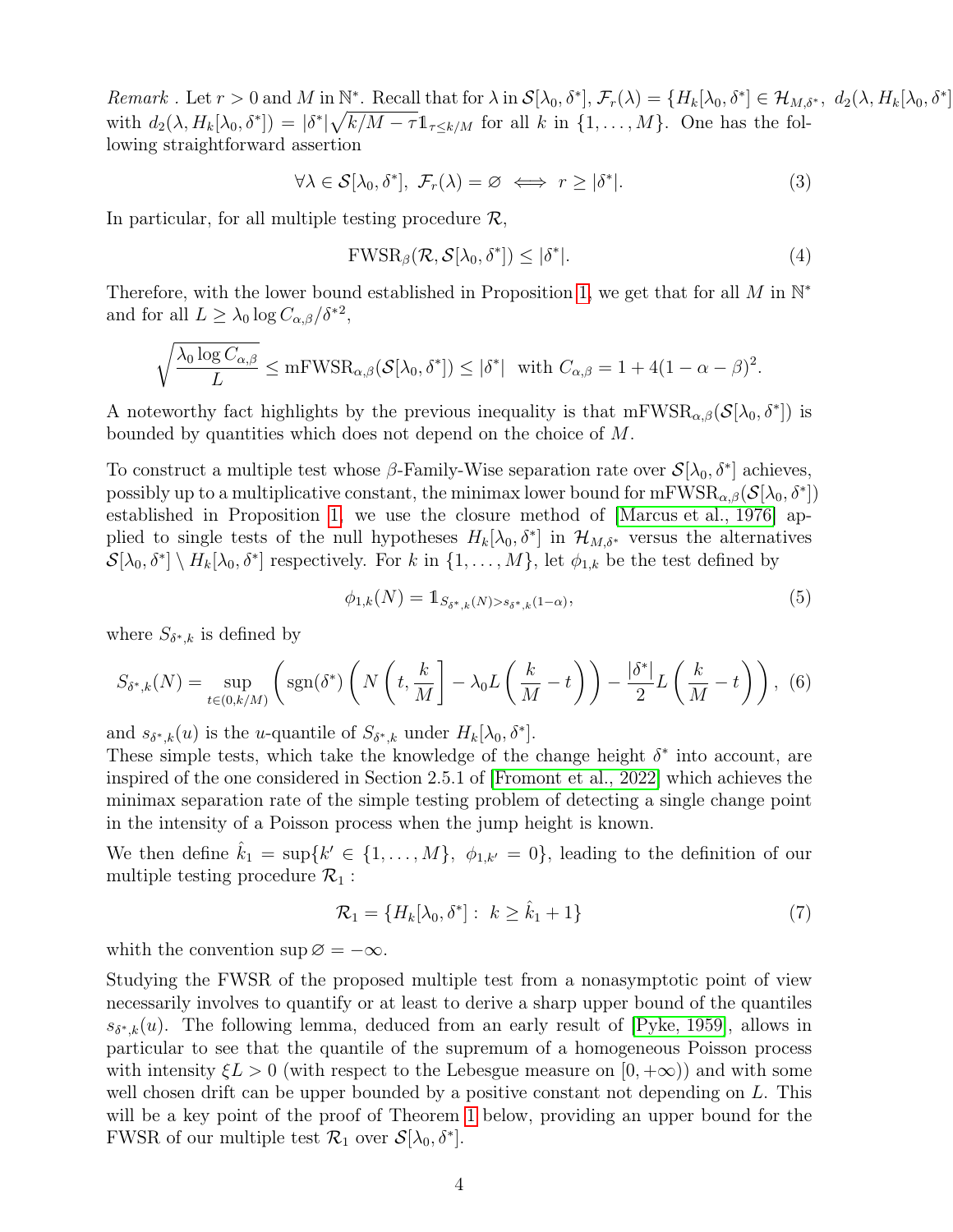Remark . Let  $r > 0$  and M in  $\mathbb{N}^*$ . Recall that for  $\lambda$  in  $\mathcal{S}[\lambda_0, \delta^*], \mathcal{F}_r(\lambda) = \{H_k[\lambda_0, \delta^*] \in \mathcal{H}_{M, \delta^*}, \ d_2(\lambda, H_k[\lambda_0, \delta^*])\}$ with  $d_2(\lambda, H_k[\lambda_0, \delta^*]) = |\delta^*| \sqrt{k/M - \tau} \mathbb{1}_{\tau \leq k/M}$  for all k in  $\{1, \ldots, M\}$ . One has the following straightforward assertion

$$
\forall \lambda \in \mathcal{S}[\lambda_0, \delta^*], \ \mathcal{F}_r(\lambda) = \varnothing \iff r \geq |\delta^*|.
$$
 (3)

In particular, for all multiple testing procedure  $\mathcal{R}$ ,

$$
\text{FWSR}_{\beta}(\mathcal{R}, \mathcal{S}[\lambda_0, \delta^*]) \leq |\delta^*|.
$$
 (4)

 $] % \centering % {\includegraphics[width=0.9\textwidth]{images/TransY.pdf}} \caption{The figure shows the results of the estimators in the image.} \label{fig:class} %$ 

Therefore, with the lower bound established in Proposition 1, we get that for all M in  $\mathbb{N}^*$ and for all  $L \geq \lambda_0 \log C_{\alpha,\beta} / \delta^{*2}$ ,

$$
\sqrt{\frac{\lambda_0 \log C_{\alpha,\beta}}{L}} \le \mathrm{mFWSR}_{\alpha,\beta}(\mathcal{S}[\lambda_0, \delta^*]) \le |\delta^*| \text{ with } C_{\alpha,\beta} = 1 + 4(1 - \alpha - \beta)^2.
$$

A noteworthy fact highlights by the previous inequality is that  $mFWSR_{\alpha,\beta}(S[\lambda_0, \delta^*])$  is bounded by quantities which does not depend on the choice of M.

To construct a multiple test whose  $\beta$ -Family-Wise separation rate over  $\mathcal{S}[\lambda_0, \delta^*]$  achieves, possibly up to a multiplicative constant, the minimax lower bound for  $mFWSR_{\alpha,\beta}(\mathcal{S}[\lambda_0, \delta^*])$ established in Proposition 1, we use the closure method of [Marcus et al., 1976] applied to single tests of the null hypotheses  $H_k[\lambda_0, \delta^*]$  in  $\mathcal{H}_{M,\delta^*}$  versus the alternatives  $\mathcal{S}[\lambda_0, \delta^*] \setminus H_k[\lambda_0, \delta^*]$  respectively. For k in  $\{1, \ldots, M\}$ , let  $\phi_{1,k}$  be the test defined by

$$
\phi_{1,k}(N) = 1_{S_{\delta^*,k}(N) > s_{\delta^*,k}(1-\alpha)},\tag{5}
$$

where  $S_{\delta^*,k}$  is defined by

$$
S_{\delta^*,k}(N) = \sup_{t \in (0,k/M)} \left( \text{sgn}(\delta^*) \left( N \left( t, \frac{k}{M} \right] - \lambda_0 L \left( \frac{k}{M} - t \right) \right) - \frac{|\delta^*|}{2} L \left( \frac{k}{M} - t \right) \right), \tag{6}
$$

and  $s_{\delta^*,k}(u)$  is the *u*-quantile of  $S_{\delta^*,k}$  under  $H_k[\lambda_0, \delta^*]$ .

These simple tests, which take the knowledge of the change height  $\delta^*$  into account, are inspired of the one considered in Section 2.5.1 of [Fromont et al., 2022] which achieves the minimax separation rate of the simple testing problem of detecting a single change point in the intensity of a Poisson process when the jump height is known.

We then define  $\hat{k}_1 = \sup\{k' \in \{1, ..., M\}, \phi_{1,k'} = 0\}$ , leading to the definition of our multiple testing procedure  $\mathcal{R}_1$ :

$$
\mathcal{R}_1 = \{H_k[\lambda_0, \delta^*]: k \ge \hat{k}_1 + 1\}
$$
\n(7)

whith the convention sup  $\varnothing = -\infty$ .

Studying the FWSR of the proposed multiple test from a nonasymptotic point of view necessarily involves to quantify or at least to derive a sharp upper bound of the quantiles  $s_{\delta^*,k}(u)$ . The following lemma, deduced from an early result of [Pyke, 1959], allows in particular to see that the quantile of the supremum of a homogeneous Poisson process with intensity  $\xi L > 0$  (with respect to the Lebesgue measure on  $[0, +\infty)$ ) and with some well chosen drift can be upper bounded by a positive constant not depending on  $L$ . This will be a key point of the proof of Theorem 1 below, providing an upper bound for the FWSR of our multiple test  $\mathcal{R}_1$  over  $\mathcal{S}[\lambda_0, \delta^*]$ .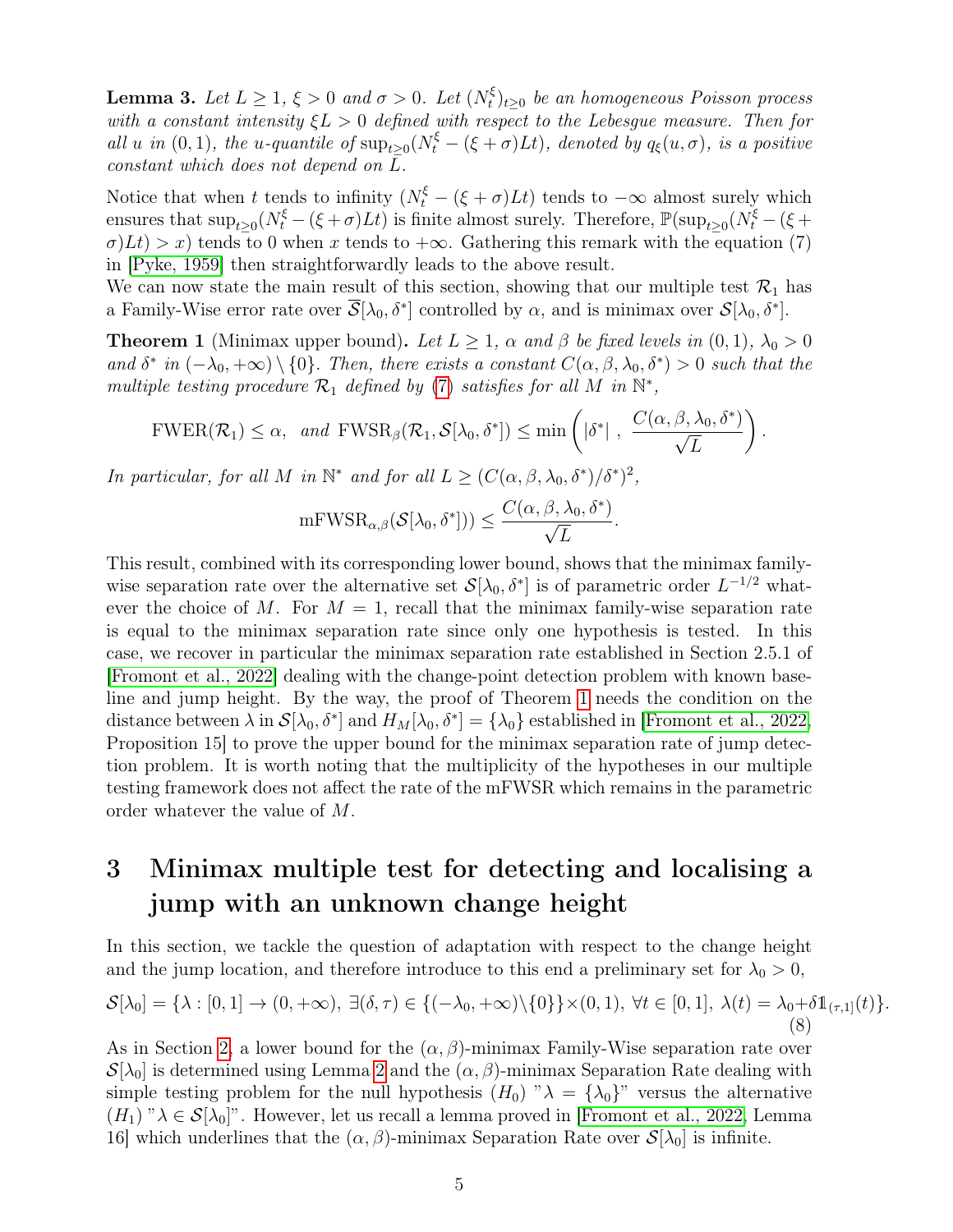**Lemma 3.** Let  $L \geq 1$ ,  $\xi > 0$  and  $\sigma > 0$ . Let  $(N_t^{\xi})$  $\mathcal{E}_t^{\xi})_{t\geq 0}$  be an homogeneous Poisson process with a constant intensity  $\xi L > 0$  defined with respect to the Lebesque measure. Then for all u in (0, 1), the u-quantile of  $\sup_{t\geq 0}(N_t^{\xi}-(\xi+\sigma)Lt)$ , denoted by  $q_{\xi}(u,\sigma)$ , is a positive constant which does not depend on  $\overline{L}$ .

Notice that when t tends to infinity  $(N_t^{\xi} - (\xi + \sigma)Lt)$  tends to  $-\infty$  almost surely which ensures that  $\sup_{t\geq 0}(N_t^{\xi}-(\xi+\sigma)Lt)$  is finite almost surely. Therefore,  $\mathbb{P}(\sup_{t\geq 0}(N_t^{\xi}-(\xi+\sigma)Lt))$  $\sigma$ )Lt) > x) tends to 0 when x tends to + $\infty$ . Gathering this remark with the equation (7) in [Pyke, 1959] then straightforwardly leads to the above result.

We can now state the main result of this section, showing that our multiple test  $\mathcal{R}_1$  has a Family-Wise error rate over  $\overline{\mathcal{S}}[\lambda_0, \delta^*]$  controlled by  $\alpha$ , and is minimax over  $\mathcal{S}[\lambda_0, \delta^*]$ .

**Theorem 1** (Minimax upper bound). Let  $L \geq 1$ ,  $\alpha$  and  $\beta$  be fixed levels in  $(0, 1)$ ,  $\lambda_0 > 0$ and  $\delta^*$  in  $(-\lambda_0, +\infty) \setminus \{0\}$ . Then, there exists a constant  $C(\alpha, \beta, \lambda_0, \delta^*) > 0$  such that the multiple testing procedure  $\mathcal{R}_1$  defined by (7) satisfies for all M in  $\mathbb{N}^*$ ,

$$
\text{FWER}(\mathcal{R}_1) \leq \alpha, \text{ and } \text{FWSR}_{\beta}(\mathcal{R}_1, \mathcal{S}[\lambda_0, \delta^*]) \leq \min\left(|\delta^*|, \frac{C(\alpha, \beta, \lambda_0, \delta^*)}{\sqrt{L}}\right)
$$

.

In particular, for all M in  $\mathbb{N}^*$  and for all  $L \geq (C(\alpha, \beta, \lambda_0, \delta^*)/\delta^*)^2$ ,

$$
\mathrm{mFWSR}_{\alpha,\beta}(\mathcal{S}[\lambda_0,\delta^*])) \leq \frac{C(\alpha,\beta,\lambda_0,\delta^*)}{\sqrt{L}}.
$$

This result, combined with its corresponding lower bound, shows that the minimax familywise separation rate over the alternative set  $\mathcal{S}[\lambda_0, \delta^*]$  is of parametric order  $L^{-1/2}$  whatever the choice of M. For  $M = 1$ , recall that the minimax family-wise separation rate is equal to the minimax separation rate since only one hypothesis is tested. In this case, we recover in particular the minimax separation rate established in Section 2.5.1 of [Fromont et al., 2022] dealing with the change-point detection problem with known baseline and jump height. By the way, the proof of Theorem 1 needs the condition on the distance between  $\lambda$  in  $\mathcal{S}[\lambda_0, \delta^*]$  and  $H_M[\lambda_0, \delta^*] = {\lambda_0}$  established in [Fromont et al., 2022, Proposition 15 to prove the upper bound for the minimax separation rate of jump detection problem. It is worth noting that the multiplicity of the hypotheses in our multiple testing framework does not affect the rate of the mFWSR which remains in the parametric order whatever the value of M.

# 3 Minimax multiple test for detecting and localising a jump with an unknown change height

In this section, we tackle the question of adaptation with respect to the change height and the jump location, and therefore introduce to this end a preliminary set for  $\lambda_0 > 0$ ,

$$
\mathcal{S}[\lambda_0] = \{\lambda : [0,1] \to (0,+\infty), \ \exists (\delta,\tau) \in \{(-\lambda_0,+\infty) \setminus \{0\}\} \times (0,1), \ \forall t \in [0,1], \ \lambda(t) = \lambda_0 + \delta \mathbb{1}_{(\tau,1]}(t)\}.
$$
\n(8)

As in Section 2, a lower bound for the  $(\alpha, \beta)$ -minimax Family-Wise separation rate over  $\mathcal{S}[\lambda_0]$  is determined using Lemma 2 and the  $(\alpha, \beta)$ -minimax Separation Rate dealing with simple testing problem for the null hypothesis  $(H_0)$  " $\lambda = {\lambda_0}$ " versus the alternative  $(H_1)$  " $\lambda \in \mathcal{S}[\lambda_0]$ ". However, let us recall a lemma proved in [Fromont et al., 2022, Lemma 16] which underlines that the  $(\alpha, \beta)$ -minimax Separation Rate over  $\mathcal{S}[\lambda_0]$  is infinite.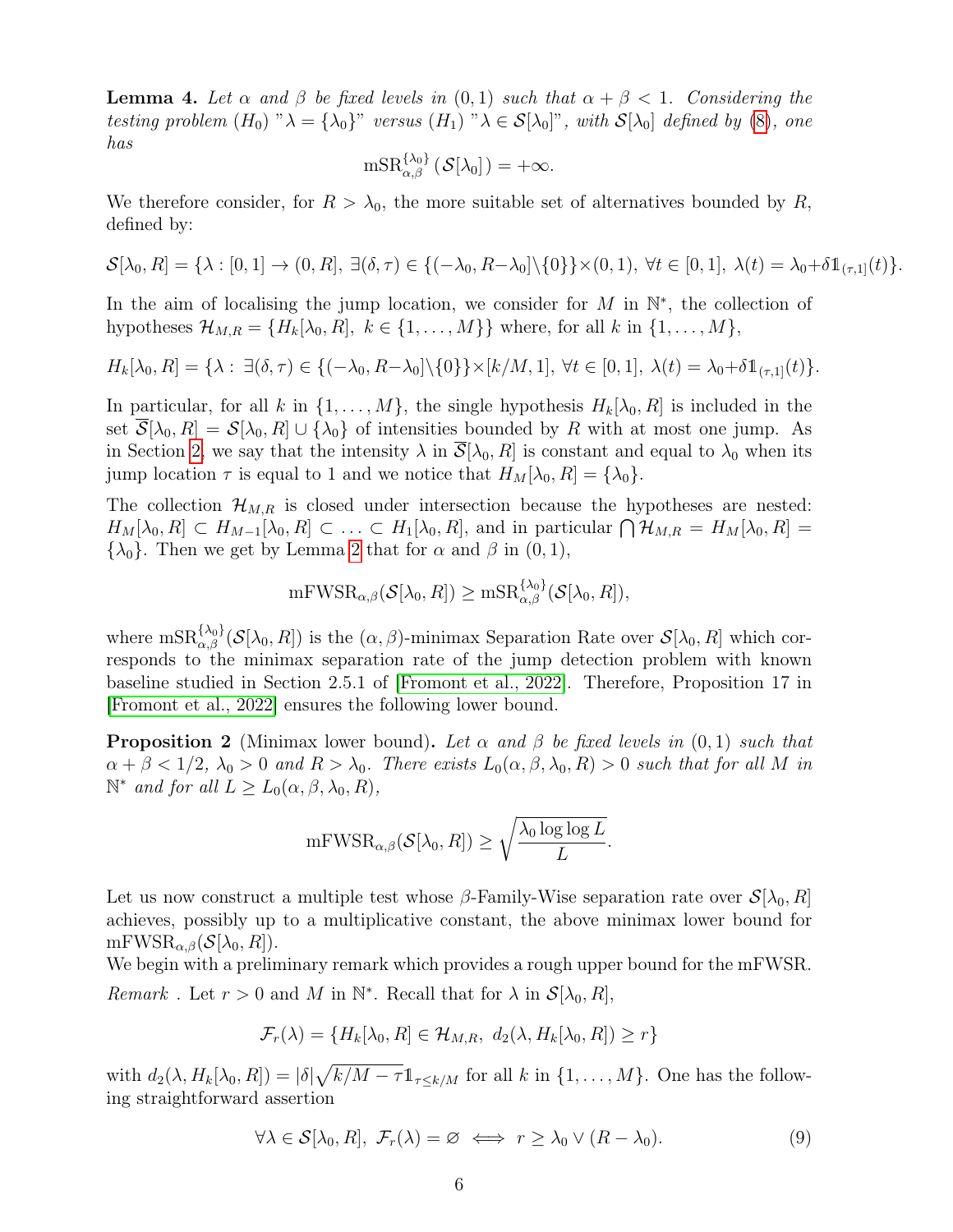**Lemma 4.** Let  $\alpha$  and  $\beta$  be fixed levels in  $(0,1)$  such that  $\alpha + \beta < 1$ . Considering the testing problem  $(H_0)$  " $\lambda = {\lambda_0}$ " versus  $(H_1)$  " $\lambda \in S[\lambda_0]$ ", with  $S[\lambda_0]$  defined by (8), one has

$$
\mathrm{mSR}_{\alpha,\beta}^{\{\lambda_0\}}\left(\mathcal{S}[\lambda_0]\right) = +\infty.
$$

We therefore consider, for  $R > \lambda_0$ , the more suitable set of alternatives bounded by R, defined by:

$$
\mathcal{S}[\lambda_0, R] = \{ \lambda : [0, 1] \to (0, R], \exists (\delta, \tau) \in \{ (-\lambda_0, R - \lambda_0] \setminus \{0\} \} \times (0, 1), \forall t \in [0, 1], \lambda(t) = \lambda_0 + \delta \mathbb{1}_{(\tau, 1]}(t) \}.
$$

In the aim of localising the jump location, we consider for  $M$  in  $\mathbb{N}^*$ , the collection of hypotheses  $\mathcal{H}_{M,R} = \{H_k[\lambda_0, R], k \in \{1, \ldots, M\}\}\$  where, for all k in  $\{1, \ldots, M\},\$ 

$$
H_k[\lambda_0, R] = \{\lambda : \exists (\delta, \tau) \in \{(-\lambda_0, R - \lambda_0] \setminus \{0\}\} \times [k/M, 1], \ \forall t \in [0, 1], \ \lambda(t) = \lambda_0 + \delta \mathbb{1}_{(\tau, 1]}(t)\}.
$$

In particular, for all k in  $\{1, \ldots, M\}$ , the single hypothesis  $H_k[\lambda_0, R]$  is included in the set  $S[\lambda_0, R] = S[\lambda_0, R] \cup {\lambda_0}$  of intensities bounded by R with at most one jump. As in Section 2, we say that the intensity  $\lambda$  in  $\overline{S}[\lambda_0, R]$  is constant and equal to  $\lambda_0$  when its jump location  $\tau$  is equal to 1 and we notice that  $H_M[\lambda_0, R] = {\lambda_0}.$ 

The collection  $\mathcal{H}_{M,R}$  is closed under intersection because the hypotheses are nested:  $H_M[\lambda_0, R] \subset H_{M-1}[\lambda_0, R] \subset \ldots \subset H_1[\lambda_0, R]$ , and in particular  $\bigcap \mathcal{H}_{M,R} = H_M[\lambda_0, R] =$  $\{\lambda_0\}$ . Then we get by Lemma 2 that for  $\alpha$  and  $\beta$  in  $(0, 1)$ ,

$$
\mathrm{mFWSR}_{\alpha,\beta}(\mathcal{S}[\lambda_0,R])\geq \mathrm{mSR}_{\alpha,\beta}^{\{\lambda_0\}}(\mathcal{S}[\lambda_0,R]),
$$

where  $\text{msR}_{\alpha,\beta}^{\{\lambda_0\}}(\mathcal{S}[\lambda_0, R])$  is the  $(\alpha, \beta)$ -minimax Separation Rate over  $\mathcal{S}[\lambda_0, R]$  which corresponds to the minimax separation rate of the jump detection problem with known baseline studied in Section 2.5.1 of [Fromont et al., 2022]. Therefore, Proposition 17 in [Fromont et al., 2022] ensures the following lower bound.

**Proposition 2** (Minimax lower bound). Let  $\alpha$  and  $\beta$  be fixed levels in  $(0, 1)$  such that  $\alpha + \beta < 1/2$ ,  $\lambda_0 > 0$  and  $R > \lambda_0$ . There exists  $L_0(\alpha, \beta, \lambda_0, R) > 0$  such that for all M in  $\mathbb{N}^*$  and for all  $L \geq L_0(\alpha, \beta, \lambda_0, R)$ ,

$$
\mathrm{mFWSR}_{\alpha,\beta}(\mathcal S[\lambda_0,R])\geq \sqrt{\frac{\lambda_0\log\log L}{L}}.
$$

Let us now construct a multiple test whose  $\beta$ -Family-Wise separation rate over  $\mathcal{S}[\lambda_0, R]$ achieves, possibly up to a multiplicative constant, the above minimax lower bound for  $mFWSR_{\alpha,\beta}(\mathcal{S}[\lambda_0,R]).$ 

We begin with a preliminary remark which provides a rough upper bound for the mFWSR. Remark. Let  $r > 0$  and M in  $\mathbb{N}^*$ . Recall that for  $\lambda$  in  $\mathcal{S}[\lambda_0, R]$ ,

$$
\mathcal{F}_r(\lambda) = \{H_k[\lambda_0, R] \in \mathcal{H}_{M,R}, d_2(\lambda, H_k[\lambda_0, R]) \ge r\}
$$

with  $d_2(\lambda, H_k[\lambda_0, R]) = |\delta| \sqrt{k/M - \tau} \mathbb{1}_{\tau \leq k/M}$  for all k in  $\{1, \dots, M\}$ . One has the following straightforward assertion

$$
\forall \lambda \in \mathcal{S}[\lambda_0, R], \ \mathcal{F}_r(\lambda) = \varnothing \iff r \ge \lambda_0 \lor (R - \lambda_0). \tag{9}
$$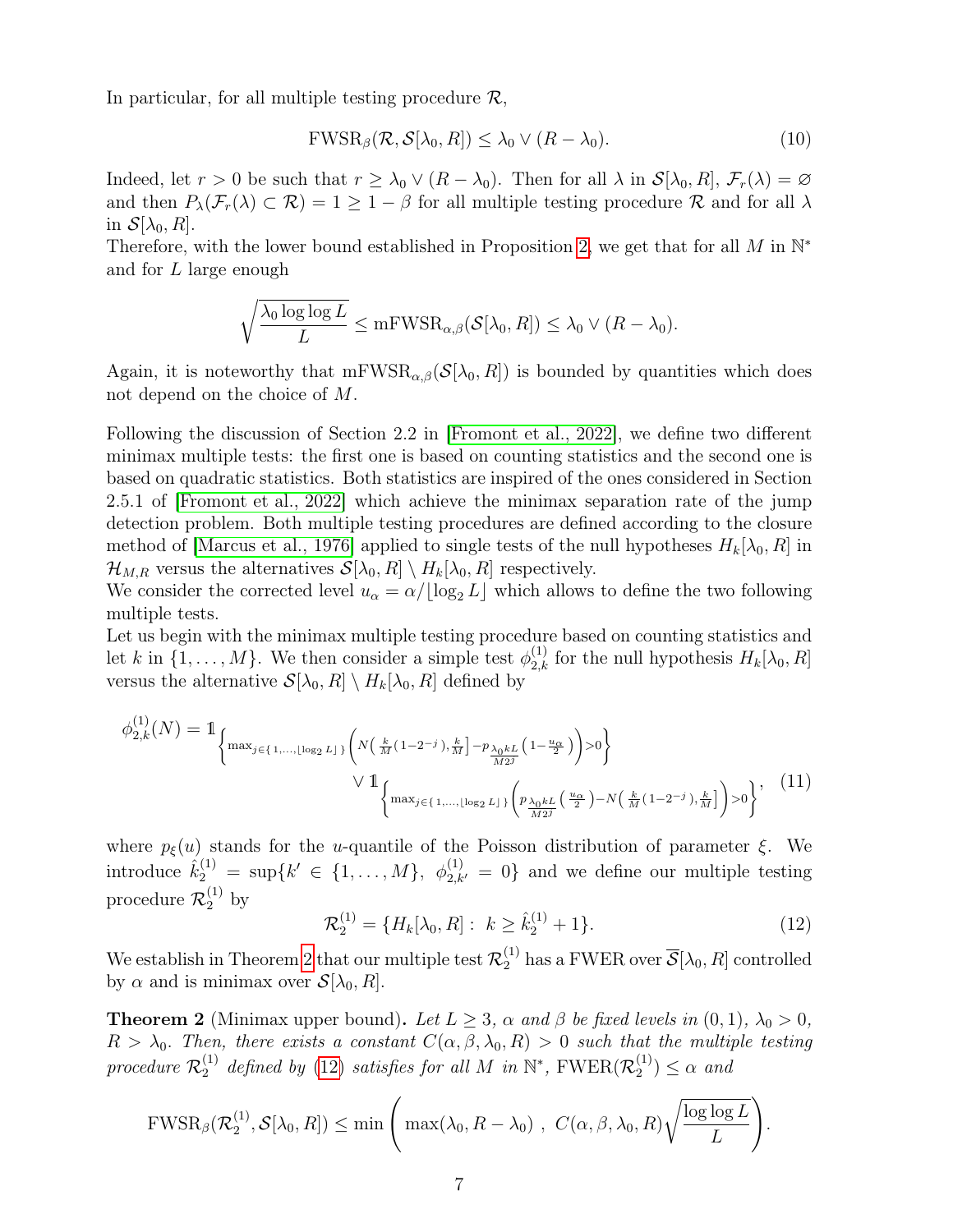In particular, for all multiple testing procedure  $\mathcal{R}$ ,

$$
\text{FWSR}_{\beta}(\mathcal{R}, \mathcal{S}[\lambda_0, R]) \le \lambda_0 \vee (R - \lambda_0). \tag{10}
$$

Indeed, let  $r > 0$  be such that  $r \geq \lambda_0 \vee (R - \lambda_0)$ . Then for all  $\lambda$  in  $\mathcal{S}[\lambda_0, R], \mathcal{F}_r(\lambda) = \emptyset$ and then  $P_{\lambda}(\mathcal{F}_r(\lambda) \subset \mathcal{R}) = 1 \geq 1 - \beta$  for all multiple testing procedure  $\mathcal R$  and for all  $\lambda$ in  $\mathcal{S}[\lambda_0, R]$ .

Therefore, with the lower bound established in Proposition 2, we get that for all M in  $\mathbb{N}^*$ and for L large enough

$$
\sqrt{\frac{\lambda_0 \log \log L}{L}} \leq \mathrm{mFWSR}_{\alpha,\beta}(\mathcal{S}[\lambda_0, R]) \leq \lambda_0 \vee (R - \lambda_0).
$$

Again, it is noteworthy that  $mFWSR_{\alpha,\beta}(S[\lambda_0, R])$  is bounded by quantities which does not depend on the choice of M.

Following the discussion of Section 2.2 in [Fromont et al., 2022], we define two different minimax multiple tests: the first one is based on counting statistics and the second one is based on quadratic statistics. Both statistics are inspired of the ones considered in Section 2.5.1 of [Fromont et al., 2022] which achieve the minimax separation rate of the jump detection problem. Both multiple testing procedures are defined according to the closure method of [Marcus et al., 1976] applied to single tests of the null hypotheses  $H_k[\lambda_0, R]$  in  $\mathcal{H}_{M,R}$  versus the alternatives  $\mathcal{S}[\lambda_0, R] \setminus H_k[\lambda_0, R]$  respectively.

We consider the corrected level  $u_{\alpha} = \alpha / \lfloor \log_2 L \rfloor$  which allows to define the two following multiple tests.

Let us begin with the minimax multiple testing procedure based on counting statistics and let k in  $\{1, \ldots, M\}$ . We then consider a simple test  $\phi_{2,k}^{(1)}$  for the null hypothesis  $H_k[\lambda_0, R]$ versus the alternative  $S[\lambda_0, R] \setminus H_k[\lambda_0, R]$  defined by

$$
\phi_{2,k}^{(1)}(N) = 1_{\left\{ \max_{j \in \{1, \ldots, \lfloor \log_2 L \rfloor\}} \left( N\left(\frac{k}{M}(1-2^{-j}), \frac{k}{M}\right] - p_{\frac{\lambda_0 k}{M2^j}}(1-\frac{u_{\alpha}}{2}) \right) > 0 \right\}} \vee 1_{\left\{ \max_{j \in \{1, \ldots, \lfloor \log_2 L \rfloor\}} \left( p_{\frac{\lambda_0 k}{M2^j}}\left(\frac{u_{\alpha}}{2}\right) - N\left(\frac{k}{M}(1-2^{-j}), \frac{k}{M}\right] \right) > 0 \right\}}, \quad (11)
$$

where  $p_{\xi}(u)$  stands for the u-quantile of the Poisson distribution of parameter  $\xi$ . We introduce  $\hat{k}_2^{(1)} = \sup \{k' \in \{1, ..., M\}, \phi_{2,k'}^{(1)} = 0\}$  and we define our multiple testing procedure  $\mathcal{R}_2^{(1)}$  by

$$
\mathcal{R}_2^{(1)} = \{H_k[\lambda_0, R]: k \ge \hat{k}_2^{(1)} + 1\}.
$$
 (12)

We establish in Theorem 2 that our multiple test  $\mathcal{R}_2^{(1)}$  has a FWER over  $\overline{\mathcal{S}}[\lambda_0,R]$  controlled by  $\alpha$  and is minimax over  $\mathcal{S}[\lambda_0, R]$ .

**Theorem 2** (Minimax upper bound). Let  $L \geq 3$ ,  $\alpha$  and  $\beta$  be fixed levels in  $(0, 1)$ ,  $\lambda_0 > 0$ ,  $R > \lambda_0$ . Then, there exists a constant  $C(\alpha, \beta, \lambda_0, R) > 0$  such that the multiple testing procedure  $\mathcal{R}_2^{(1)}$  defined by (12) satisfies for all M in  $\mathbb{N}^*$ ,  $\text{FWER}(\mathcal{R}_2^{(1)}$  $\binom{1}{2} \leq \alpha$  and

$$
\text{FWSR}_{\beta}(\mathcal{R}_2^{(1)},\mathcal{S}[\lambda_0,R]) \le \min\Bigg(\max(\lambda_0,R-\lambda_0)\;,\; C(\alpha,\beta,\lambda_0,R)\sqrt{\frac{\log\log L}{L}}\Bigg).
$$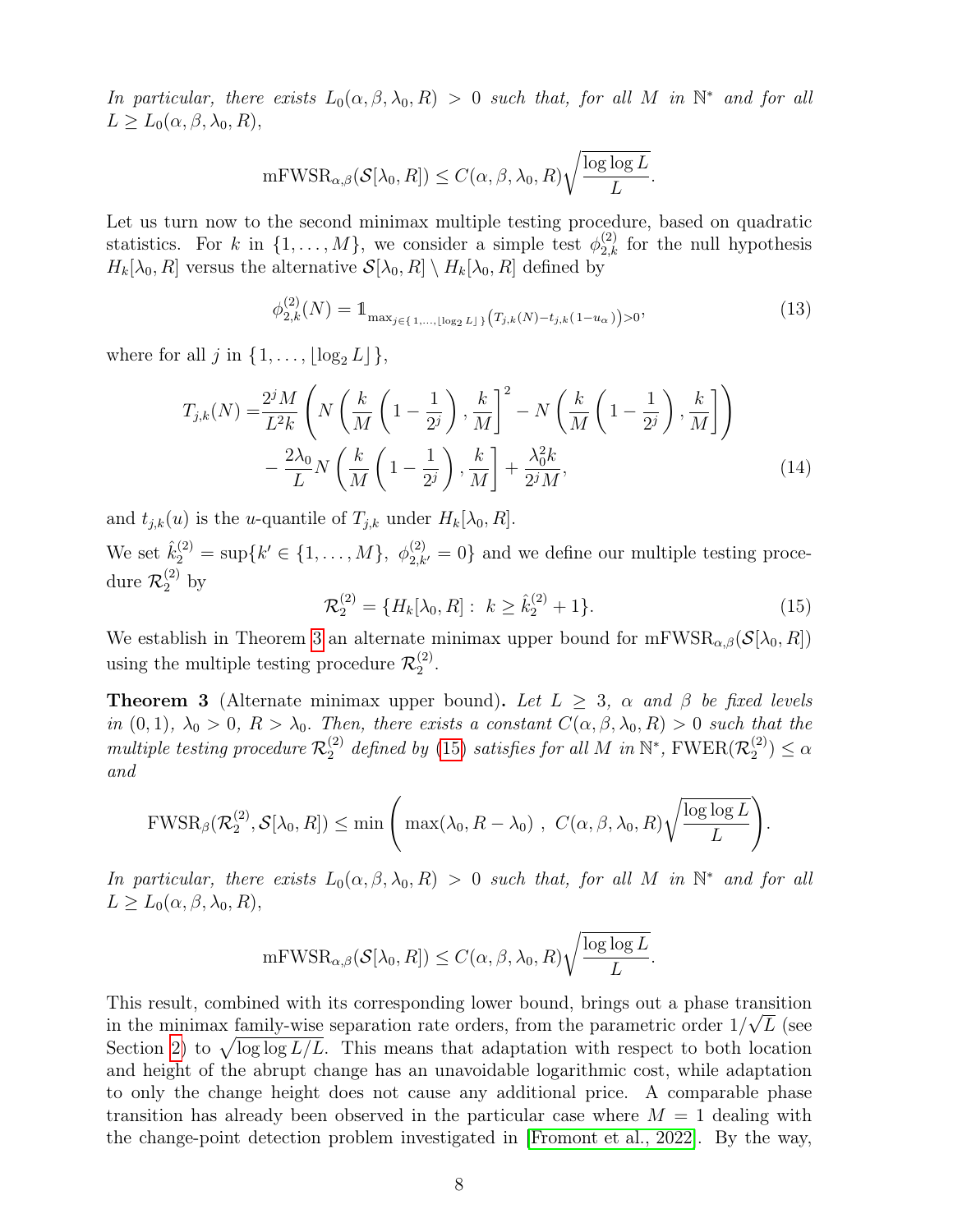In particular, there exists  $L_0(\alpha, \beta, \lambda_0, R) > 0$  such that, for all M in  $\mathbb{N}^*$  and for all  $L \geq L_0(\alpha, \beta, \lambda_0, R),$ 

$$
\mathrm{mFWSR}_{\alpha,\beta}(\mathcal{S}[\lambda_0,R]) \leq C(\alpha,\beta,\lambda_0,R)\sqrt{\frac{\log\log L}{L}}
$$

Let us turn now to the second minimax multiple testing procedure, based on quadratic statistics. For k in  $\{1,\ldots,M\}$ , we consider a simple test  $\phi_{2,k}^{(2)}$  for the null hypothesis  $H_k[\lambda_0, R]$  versus the alternative  $\mathcal{S}[\lambda_0, R] \setminus H_k[\lambda_0, R]$  defined by

$$
\phi_{2,k}^{(2)}(N) = \mathbb{1}_{\max_{j \in \{1,\ldots,\lfloor \log_2 L\rfloor\}} \left( T_{j,k}(N) - t_{j,k}(1 - u_\alpha) \right) > 0},\tag{13}
$$

.

where for all j in  $\{1, \ldots, \lfloor \log_2 L \rfloor\},\$ 

$$
T_{j,k}(N) = \frac{2^j M}{L^2 k} \left( N \left( \frac{k}{M} \left( 1 - \frac{1}{2^j} \right), \frac{k}{M} \right)^2 - N \left( \frac{k}{M} \left( 1 - \frac{1}{2^j} \right), \frac{k}{M} \right) \right) - \frac{2\lambda_0}{L} N \left( \frac{k}{M} \left( 1 - \frac{1}{2^j} \right), \frac{k}{M} \right] + \frac{\lambda_0^2 k}{2^j M},
$$
(14)

and  $t_{j,k}(u)$  is the u-quantile of  $T_{j,k}$  under  $H_k[\lambda_0, R]$ .

We set  $\hat{k}_2^{(2)} = \sup\{k' \in \{1, ..., M\}, \phi_{2,k'}^{(2)} = 0\}$  and we define our multiple testing procedure  $\mathcal{R}_2^{(2)}$  by

$$
\mathcal{R}_2^{(2)} = \{H_k[\lambda_0, R]: k \ge \hat{k}_2^{(2)} + 1\}.
$$
 (15)

.

We establish in Theorem 3 an alternate minimax upper bound for  $mFWSR_{\alpha,\beta}(\mathcal{S}[\lambda_0, R])$ using the multiple testing procedure  $\mathcal{R}_2^{(2)}$  $2^{(2)}$ .

**Theorem 3** (Alternate minimax upper bound). Let  $L \geq 3$ ,  $\alpha$  and  $\beta$  be fixed levels in (0, 1),  $\lambda_0 > 0$ ,  $R > \lambda_0$ . Then, there exists a constant  $C(\alpha, \beta, \lambda_0, R) > 0$  such that the multiple testing procedure  $\mathcal{R}_2^{(2)}$  defined by (15) satisfies for all M in  $\mathbb{N}^*$ , FWER( $\mathcal{R}_2^{(2)}$  $\binom{2}{2}$   $\leq \alpha$ and

$$
\text{FWSR}_{\beta}(\mathcal{R}_2^{(2)},\mathcal{S}[\lambda_0,R]) \le \min\left(\max(\lambda_0,R-\lambda_0), C(\alpha,\beta,\lambda_0,R)\sqrt{\frac{\log\log L}{L}}\right).
$$

In particular, there exists  $L_0(\alpha, \beta, \lambda_0, R) > 0$  such that, for all M in  $\mathbb{N}^*$  and for all  $L \ge L_0(\alpha, \beta, \lambda_0, R),$ 

$$
\mathrm{mFWSR}_{\alpha,\beta}(\mathcal{S}[\lambda_0,R]) \leq C(\alpha,\beta,\lambda_0,R)\sqrt{\frac{\log\log L}{L}}
$$

This result, combined with its corresponding lower bound, brings out a phase transition in the minimax family-wise separation rate orders, from the parametric order  $1/\sqrt{L}$  (see Section 2) to  $\sqrt{\log \log L/L}$ . This means that adaptation with respect to both location and height of the abrupt change has an unavoidable logarithmic cost, while adaptation to only the change height does not cause any additional price. A comparable phase transition has already been observed in the particular case where  $M = 1$  dealing with the change-point detection problem investigated in [Fromont et al., 2022]. By the way,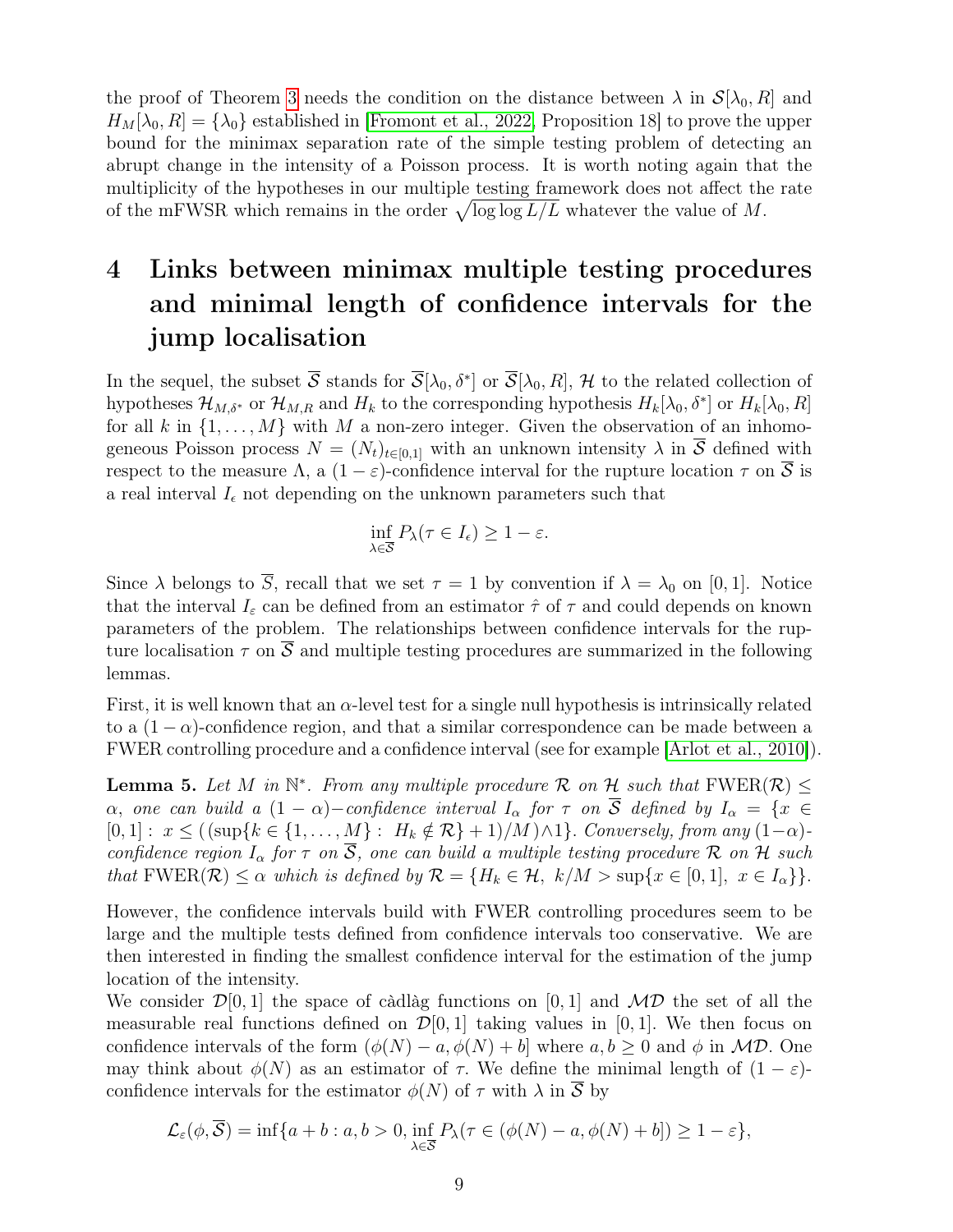the proof of Theorem 3 needs the condition on the distance between  $\lambda$  in  $\mathcal{S}[\lambda_0, R]$  and  $H_M[\lambda_0, R] = {\lambda_0}$  established in [Fromont et al., 2022, Proposition 18] to prove the upper bound for the minimax separation rate of the simple testing problem of detecting an abrupt change in the intensity of a Poisson process. It is worth noting again that the multiplicity of the hypotheses in our multiple testing framework does not affect the rate of the mFWSR which remains in the order  $\sqrt{\log \log L/L}$  whatever the value of M.

# 4 Links between minimax multiple testing procedures and minimal length of confidence intervals for the jump localisation

In the sequel, the subset  $\overline{S}$  stands for  $\overline{S}[\lambda_0, \delta^*]$  or  $\overline{S}[\lambda_0, R]$ , H to the related collection of hypotheses  $\mathcal{H}_{M,\delta^*}$  or  $\mathcal{H}_{M,R}$  and  $H_k$  to the corresponding hypothesis  $H_k[\lambda_0, \delta^*]$  or  $H_k[\lambda_0, R]$ for all k in  $\{1, \ldots, M\}$  with M a non-zero integer. Given the observation of an inhomogeneous Poisson process  $N = (N_t)_{t \in [0,1]}$  with an unknown intensity  $\lambda$  in  $\overline{S}$  defined with respect to the measure Λ, a  $(1 - \varepsilon)$ -confidence interval for the rupture location  $\tau$  on  $\overline{S}$  is a real interval  $I_{\epsilon}$  not depending on the unknown parameters such that

$$
\inf_{\lambda \in \overline{\mathcal{S}}} P_{\lambda}(\tau \in I_{\epsilon}) \geq 1 - \varepsilon.
$$

Since  $\lambda$  belongs to  $\overline{S}$ , recall that we set  $\tau = 1$  by convention if  $\lambda = \lambda_0$  on [0, 1]. Notice that the interval  $I_{\varepsilon}$  can be defined from an estimator  $\hat{\tau}$  of  $\tau$  and could depends on known parameters of the problem. The relationships between confidence intervals for the rupture localisation  $\tau$  on  $\overline{S}$  and multiple testing procedures are summarized in the following lemmas.

First, it is well known that an  $\alpha$ -level test for a single null hypothesis is intrinsically related to a  $(1 - \alpha)$ -confidence region, and that a similar correspondence can be made between a FWER controlling procedure and a confidence interval (see for example [Arlot et al., 2010]).

**Lemma 5.** Let M in  $\mathbb{N}^*$ . From any multiple procedure R on H such that  $\text{FWER}(\mathcal{R}) \leq$  $\alpha$ , one can build a  $(1 - \alpha)$ -confidence interval  $I_{\alpha}$  for  $\tau$  on  $\overline{S}$  defined by  $I_{\alpha} = \{x \in I\}$  $[0, 1] : x \leq ((\sup\{k \in \{1, ..., M\} : H_k \notin \mathcal{R}\} + 1)/M) \wedge 1\}.$  Conversely, from any  $(1-\alpha)$ confidence region  $I_{\alpha}$  for  $\tau$  on  $\overline{S}$ , one can build a multiple testing procedure R on H such that  $\text{FWER}(\mathcal{R}) \leq \alpha$  which is defined by  $\mathcal{R} = \{H_k \in \mathcal{H}, k/M > \sup\{x \in [0,1], x \in I_{\alpha}\}\}.$ 

However, the confidence intervals build with FWER controlling procedures seem to be large and the multiple tests defined from confidence intervals too conservative. We are then interested in finding the smallest confidence interval for the estimation of the jump location of the intensity.

We consider  $\mathcal{D}[0,1]$  the space of càdlàg functions on [0, 1] and  $\mathcal{MD}$  the set of all the measurable real functions defined on  $\mathcal{D}[0, 1]$  taking values in [0, 1]. We then focus on confidence intervals of the form  $(\phi(N) - a, \phi(N) + b]$  where  $a, b \ge 0$  and  $\phi$  in MD. One may think about  $\phi(N)$  as an estimator of  $\tau$ . We define the minimal length of  $(1 - \varepsilon)$ confidence intervals for the estimator  $\phi(N)$  of  $\tau$  with  $\lambda$  in  $\overline{S}$  by

$$
\mathcal{L}_{\varepsilon}(\phi,\overline{\mathcal{S}})=\inf\{a+b:a,b>0,\inf_{\lambda\in\overline{\mathcal{S}}}P_{\lambda}(\tau\in(\phi(N)-a,\phi(N)+b])\geq 1-\varepsilon\},\
$$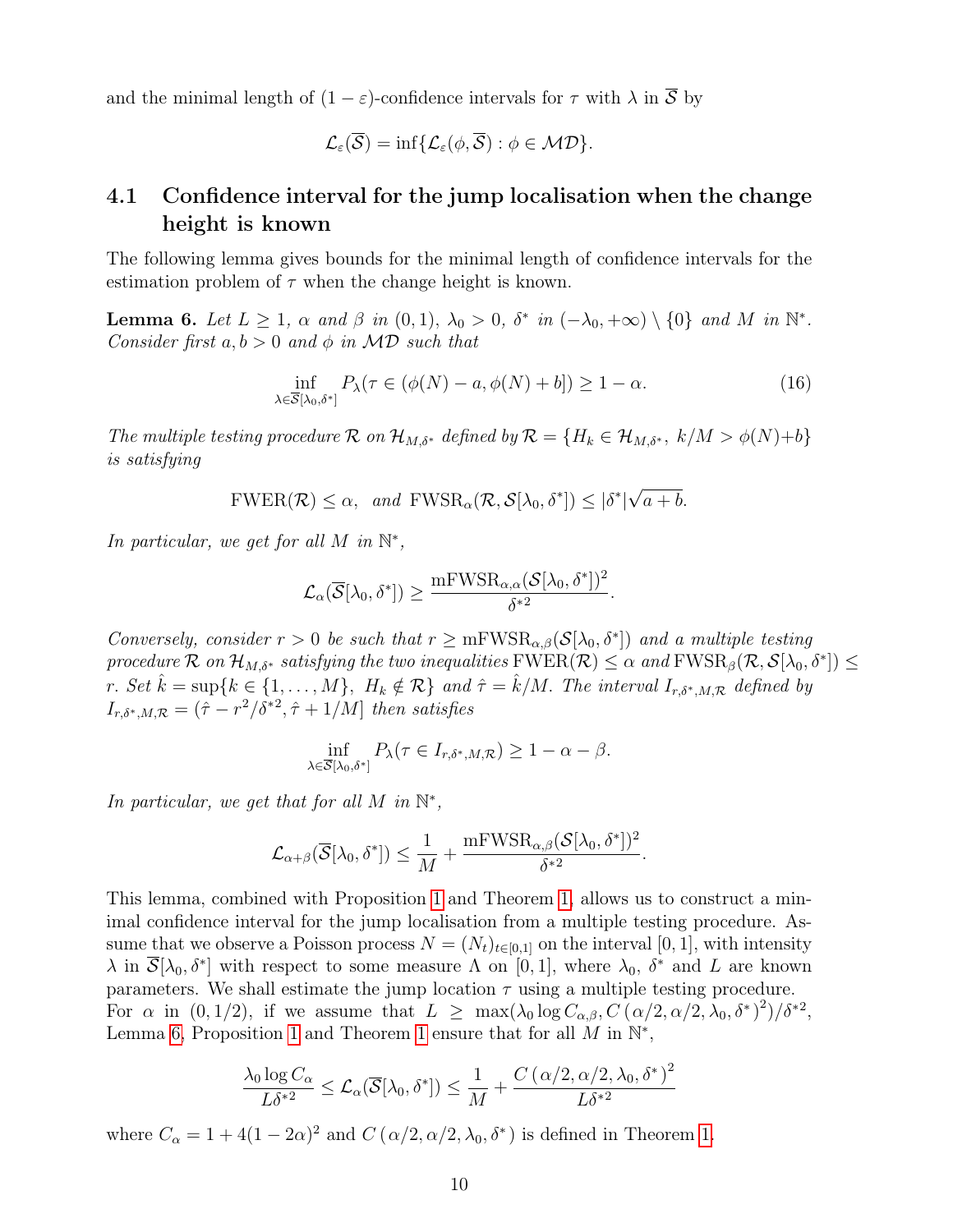and the minimal length of  $(1 - \varepsilon)$ -confidence intervals for  $\tau$  with  $\lambda$  in  $\overline{S}$  by

$$
\mathcal{L}_\varepsilon(\overline{\mathcal{S}})=\inf\{\mathcal{L}_\varepsilon(\phi,\overline{\mathcal{S}}):\phi\in \mathcal{MD}\}.
$$

## 4.1 Confidence interval for the jump localisation when the change height is known

The following lemma gives bounds for the minimal length of confidence intervals for the estimation problem of  $\tau$  when the change height is known.

**Lemma 6.** Let  $L \geq 1$ ,  $\alpha$  and  $\beta$  in  $(0, 1)$ ,  $\lambda_0 > 0$ ,  $\delta^*$  in  $(-\lambda_0, +\infty) \setminus \{0\}$  and M in  $\mathbb{N}^*$ . Consider first  $a, b > 0$  and  $\phi$  in MD such that

$$
\inf_{\lambda \in \overline{S}[\lambda_0, \delta^*]} P_{\lambda}(\tau \in (\phi(N) - a, \phi(N) + b]) \ge 1 - \alpha.
$$
 (16)

The multiple testing procedure  $\mathcal R$  on  $\mathcal H_{M,\delta^*}$  defined by  $\mathcal R = \{H_k \in \mathcal H_{M,\delta^*}, k/M > \phi(N)+b\}$ is satisfying

> $FWER(\mathcal{R}) \leq \alpha$ , and  $FWSR_{\alpha}(\mathcal{R}, \mathcal{S}[\lambda_0, \delta^*]) \leq |\delta^*|$ √  $a + b$ .

In particular, we get for all M in  $\mathbb{N}^*$ ,

$$
\mathcal{L}_{\alpha}(\overline{\mathcal{S}}[\lambda_0,\delta^*])\geq \frac{\mathrm{mFWSR}_{\alpha,\alpha}(\mathcal{S}[\lambda_0,\delta^*])^2}{\delta^{*2}}.
$$

Conversely, consider  $r > 0$  be such that  $r \ge mFWSR_{\alpha,\beta}(\mathcal{S}[\lambda_0, \delta^*])$  and a multiple testing procedure  $\mathcal R$  on  $\mathcal H_{M,\delta^*}$  satisfying the two inequalities  $\mathrm{FWER}(\mathcal R) \leq \alpha$  and  $\mathrm{FWSR}_\beta(\mathcal R,\mathcal S[\lambda_0,\delta^*]) \leq \alpha$ r. Set  $\hat{k} = \sup\{k \in \{1, ..., M\}, H_k \notin \mathcal{R}\}\$ and  $\hat{\tau} = \hat{k}/M$ . The interval  $I_{r,\delta^*,M,\mathcal{R}}$  defined by  $I_{r,\delta^*,M,\mathcal{R}} = (\hat{\tau} - r^2/\delta^{*2}, \hat{\tau} + 1/M]$  then satisfies

$$
\inf_{\lambda \in \overline{\mathcal{S}}[\lambda_0, \delta^*]} P_{\lambda}(\tau \in I_{r, \delta^*, M, \mathcal{R}}) \ge 1 - \alpha - \beta.
$$

In particular, we get that for all M in  $\mathbb{N}^*$ ,

$$
\mathcal{L}_{\alpha+\beta}(\overline{\mathcal{S}}[\lambda_0,\delta^*]) \leq \frac{1}{M} + \frac{mFWSR_{\alpha,\beta}(\mathcal{S}[\lambda_0,\delta^*])^2}{\delta^{*2}}.
$$

This lemma, combined with Proposition 1 and Theorem 1, allows us to construct a minimal confidence interval for the jump localisation from a multiple testing procedure. Assume that we observe a Poisson process  $N = (N_t)_{t \in [0,1]}$  on the interval [0, 1], with intensity  $\lambda$  in  $\overline{\mathcal{S}}[\lambda_0, \delta^*]$  with respect to some measure  $\Lambda$  on [0, 1], where  $\lambda_0$ ,  $\delta^*$  and L are known parameters. We shall estimate the jump location  $\tau$  using a multiple testing procedure. For  $\alpha$  in  $(0, 1/2)$ , if we assume that  $L \ge \max(\lambda_0 \log C_{\alpha, \beta}, C(\alpha/2, \alpha/2, \lambda_0, \delta^*)^2)/\delta^{*2}$ , Lemma 6, Proposition 1 and Theorem 1 ensure that for all  $\tilde{M}$  in  $\mathbb{N}^*$ ,

$$
\frac{\lambda_0 \log C_{\alpha}}{L\delta^{*2}} \leq \mathcal{L}_{\alpha}(\overline{\mathcal{S}}[\lambda_0, \delta^*]) \leq \frac{1}{M} + \frac{C(\alpha/2, \alpha/2, \lambda_0, \delta^*)^2}{L\delta^{*2}}
$$

where  $C_{\alpha} = 1 + 4(1 - 2\alpha)^2$  and  $C(\alpha/2, \alpha/2, \lambda_0, \delta^*)$  is defined in Theorem 1.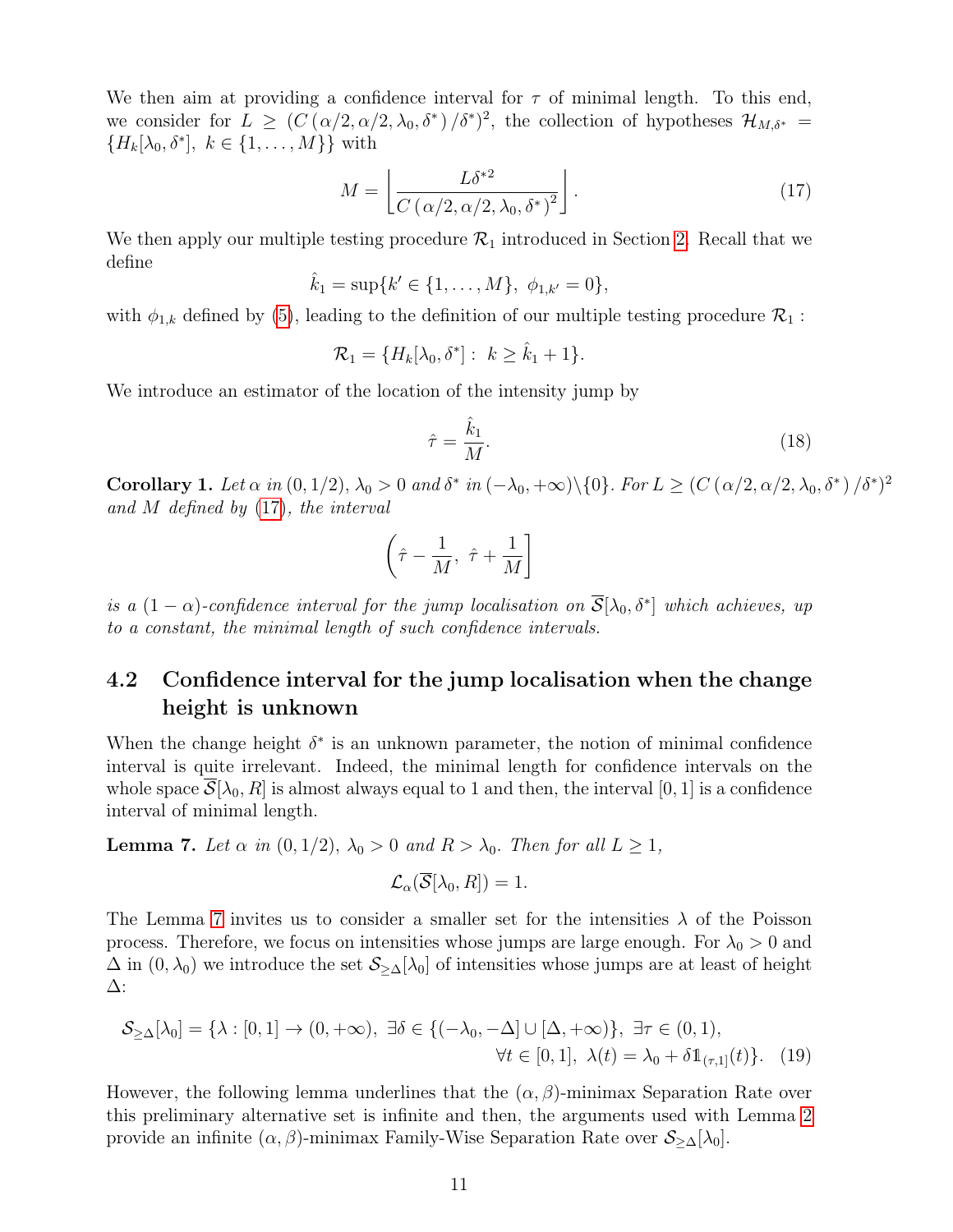We then aim at providing a confidence interval for  $\tau$  of minimal length. To this end, we consider for  $L \geq (C(\alpha/2, \alpha/2, \lambda_0, \delta^*)/\delta^*)^2$ , the collection of hypotheses  $\mathcal{H}_{M,\delta^*} =$  ${H_k[\lambda_0, \delta^*], k \in \{1, \ldots, M\}\}\$  with

$$
M = \left[ \frac{L\delta^{*2}}{C \left( \alpha/2, \alpha/2, \lambda_0, \delta^* \right)^2} \right]. \tag{17}
$$

We then apply our multiple testing procedure  $\mathcal{R}_1$  introduced in Section 2. Recall that we define

$$
\hat{k}_1 = \sup\{k' \in \{1, \ldots, M\}, \ \phi_{1,k'} = 0\},\
$$

with  $\phi_{1,k}$  defined by (5), leading to the definition of our multiple testing procedure  $\mathcal{R}_1$ :

$$
\mathcal{R}_1 = \{H_k[\lambda_0, \delta^*]: k \geq \hat{k}_1 + 1\}.
$$

We introduce an estimator of the location of the intensity jump by

$$
\hat{\tau} = \frac{\hat{k}_1}{M}.\tag{18}
$$

Corollary 1. Let  $\alpha$  in  $(0, 1/2)$ ,  $\lambda_0 > 0$  and  $\delta^*$  in  $(-\lambda_0, +\infty) \setminus \{0\}$ . For  $L \geq (C(\alpha/2, \alpha/2, \lambda_0, \delta^*)/\delta^*)^2$ and M defined by (17), the interval

$$
\left(\hat{\tau} - \frac{1}{M}, \ \hat{\tau} + \frac{1}{M}\right]
$$

is a  $(1 - \alpha)$ -confidence interval for the jump localisation on  $\overline{S}[\lambda_0, \delta^*]$  which achieves, up to a constant, the minimal length of such confidence intervals.

## 4.2 Confidence interval for the jump localisation when the change height is unknown

When the change height  $\delta^*$  is an unknown parameter, the notion of minimal confidence interval is quite irrelevant. Indeed, the minimal length for confidence intervals on the whole space  $\overline{\mathcal{S}}[\lambda_0, R]$  is almost always equal to 1 and then, the interval [0, 1] is a confidence interval of minimal length.

**Lemma 7.** Let  $\alpha$  in  $(0, 1/2)$ ,  $\lambda_0 > 0$  and  $R > \lambda_0$ . Then for all  $L \geq 1$ ,

$$
\mathcal{L}_{\alpha}(\overline{\mathcal{S}}[\lambda_0,R])=1.
$$

The Lemma 7 invites us to consider a smaller set for the intensities  $\lambda$  of the Poisson process. Therefore, we focus on intensities whose jumps are large enough. For  $\lambda_0 > 0$  and  $\Delta$  in  $(0, \lambda_0)$  we introduce the set  $\mathcal{S}_{\geq \Delta}[\lambda_0]$  of intensities whose jumps are at least of height ∆:

$$
\mathcal{S}_{\geq \Delta}[\lambda_0] = \{\lambda : [0, 1] \to (0, +\infty), \exists \delta \in \{(-\lambda_0, -\Delta] \cup [\Delta, +\infty)\}, \exists \tau \in (0, 1),
$$
  

$$
\forall t \in [0, 1], \lambda(t) = \lambda_0 + \delta \mathbb{1}_{(\tau, 1]}(t)\}. \tag{19}
$$

However, the following lemma underlines that the  $(\alpha, \beta)$ -minimax Separation Rate over this preliminary alternative set is infinite and then, the arguments used with Lemma 2 provide an infinite  $(\alpha, \beta)$ -minimax Family-Wise Separation Rate over  $\mathcal{S}_{\geq \Delta}[\lambda_0]$ .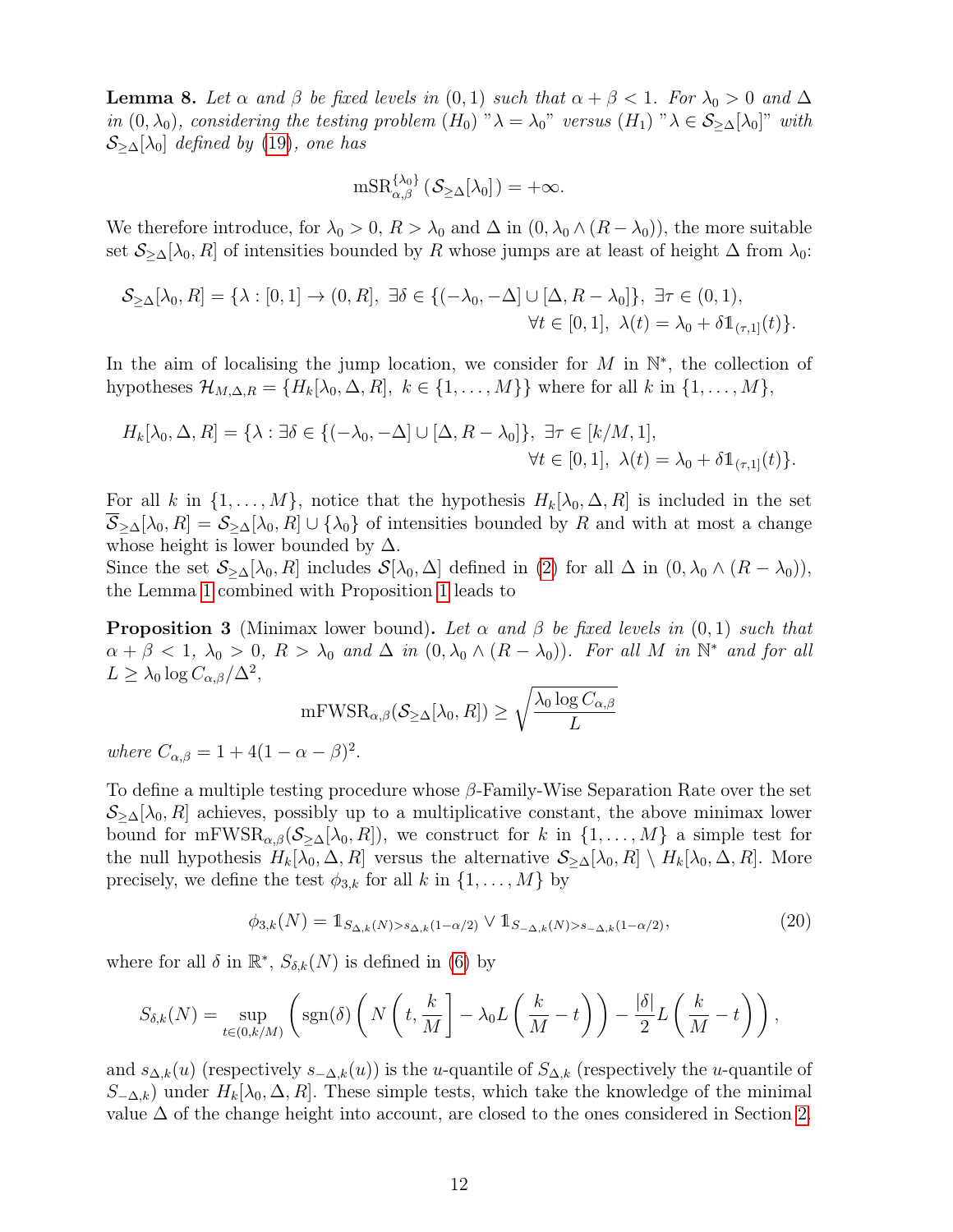**Lemma 8.** Let  $\alpha$  and  $\beta$  be fixed levels in  $(0,1)$  such that  $\alpha + \beta < 1$ . For  $\lambda_0 > 0$  and  $\Delta$ in  $(0, \lambda_0)$ , considering the testing problem  $(H_0)$  " $\lambda = \lambda_0$ " versus  $(H_1)$  " $\lambda \in S_{\geq \Delta}[\lambda_0]$ " with  $\mathcal{S}_{\geq \Delta}[\lambda_0]$  defined by (19), one has

$$
\mathrm{mSR}_{\alpha,\beta}^{\{\lambda_0\}}\left(\mathcal{S}_{\geq \Delta}[\lambda_0]\right) = +\infty.
$$

We therefore introduce, for  $\lambda_0 > 0$ ,  $R > \lambda_0$  and  $\Delta$  in  $(0, \lambda_0 \wedge (R - \lambda_0))$ , the more suitable set  $S_{\geq \Delta}[\lambda_0, R]$  of intensities bounded by R whose jumps are at least of height  $\Delta$  from  $\lambda_0$ :

$$
\mathcal{S}_{\geq \Delta}[\lambda_0, R] = \{\lambda : [0, 1] \to (0, R], \exists \delta \in \{(-\lambda_0, -\Delta] \cup [\Delta, R - \lambda_0] \}, \exists \tau \in (0, 1),
$$
  

$$
\forall t \in [0, 1], \lambda(t) = \lambda_0 + \delta \mathbb{1}_{(\tau, 1]}(t)\}.
$$

In the aim of localising the jump location, we consider for  $M$  in  $\mathbb{N}^*$ , the collection of hypotheses  $\mathcal{H}_{M,\Delta,R} = \{H_k[\lambda_0,\Delta,R], k \in \{1,\ldots,M\}\}\$  where for all k in  $\{1,\ldots,M\},\$ 

$$
H_k[\lambda_0, \Delta, R] = \{ \lambda : \exists \delta \in \{ (-\lambda_0, -\Delta] \cup [\Delta, R - \lambda_0] \}, \exists \tau \in [k/M, 1],
$$
  

$$
\forall t \in [0, 1], \lambda(t) = \lambda_0 + \delta \mathbb{1}_{(\tau, 1]}(t) \}.
$$

For all k in  $\{1,\ldots,M\}$ , notice that the hypothesis  $H_k[\lambda_0,\Delta,R]$  is included in the set  $\overline{S}_{\geq \Delta}[\lambda_0, R] = S_{\geq \Delta}[\lambda_0, R] \cup \{\lambda_0\}$  of intensities bounded by R and with at most a change whose height is lower bounded by  $\Delta$ .

Since the set  $S_{\geq \Delta}[\lambda_0, R]$  includes  $\mathcal{S}[\lambda_0, \Delta]$  defined in (2) for all  $\Delta$  in  $(0, \lambda_0 \wedge (R - \lambda_0)),$ the Lemma 1 combined with Proposition 1 leads to

**Proposition 3** (Minimax lower bound). Let  $\alpha$  and  $\beta$  be fixed levels in (0,1) such that  $\alpha + \beta < 1$ ,  $\lambda_0 > 0$ ,  $R > \lambda_0$  and  $\Delta$  in  $(0, \lambda_0 \wedge (R - \lambda_0))$ . For all M in  $\mathbb{N}^*$  and for all  $L \geq \lambda_0 \log C_{\alpha,\beta}/\Delta^2$ ,

$$
\mathrm{mFWSR}_{\alpha,\beta}(\mathcal S_{\geq \Delta}[\lambda_0,R]) \geq \sqrt{\frac{\lambda_0 \log C_{\alpha,\beta}}{L}}
$$

where  $C_{\alpha,\beta} = 1 + 4(1 - \alpha - \beta)^2$ .

To define a multiple testing procedure whose  $\beta$ -Family-Wise Separation Rate over the set  $S_{\geq \Delta}[\lambda_0, R]$  achieves, possibly up to a multiplicative constant, the above minimax lower bound for mFWSR<sub> $\alpha,\beta$ </sub>( $\mathcal{S}_{\geq \Delta}[\lambda_0, R]$ ), we construct for k in  $\{1,\ldots,M\}$  a simple test for the null hypothesis  $H_k[\lambda_0, \Delta, R]$  versus the alternative  $\mathcal{S}_{\geq \Delta}[\lambda_0, R] \setminus H_k[\lambda_0, \Delta, R]$ . More precisely, we define the test  $\phi_{3,k}$  for all k in  $\{1,\ldots,M\}$  by

$$
\phi_{3,k}(N) = 1_{S_{\Delta,k}(N) > s_{\Delta,k}(1-\alpha/2)} \vee 1_{S_{-\Delta,k}(N) > s_{-\Delta,k}(1-\alpha/2)},
$$
\n(20)

where for all  $\delta$  in  $\mathbb{R}^*, S_{\delta,k}(N)$  is defined in (6) by

$$
S_{\delta,k}(N) = \sup_{t \in (0,k/M)} \left( \text{sgn}(\delta) \left( N \left( t, \frac{k}{M} \right] - \lambda_0 L \left( \frac{k}{M} - t \right) \right) - \frac{|\delta|}{2} L \left( \frac{k}{M} - t \right) \right),
$$

and  $s_{\Delta,k}(u)$  (respectively  $s_{-\Delta,k}(u)$ ) is the u-quantile of  $S_{\Delta,k}$  (respectively the u-quantile of  $S_{-\Delta,k}$ ) under  $H_k[\lambda_0, \Delta, R]$ . These simple tests, which take the knowledge of the minimal value  $\Delta$  of the change height into account, are closed to the ones considered in Section 2.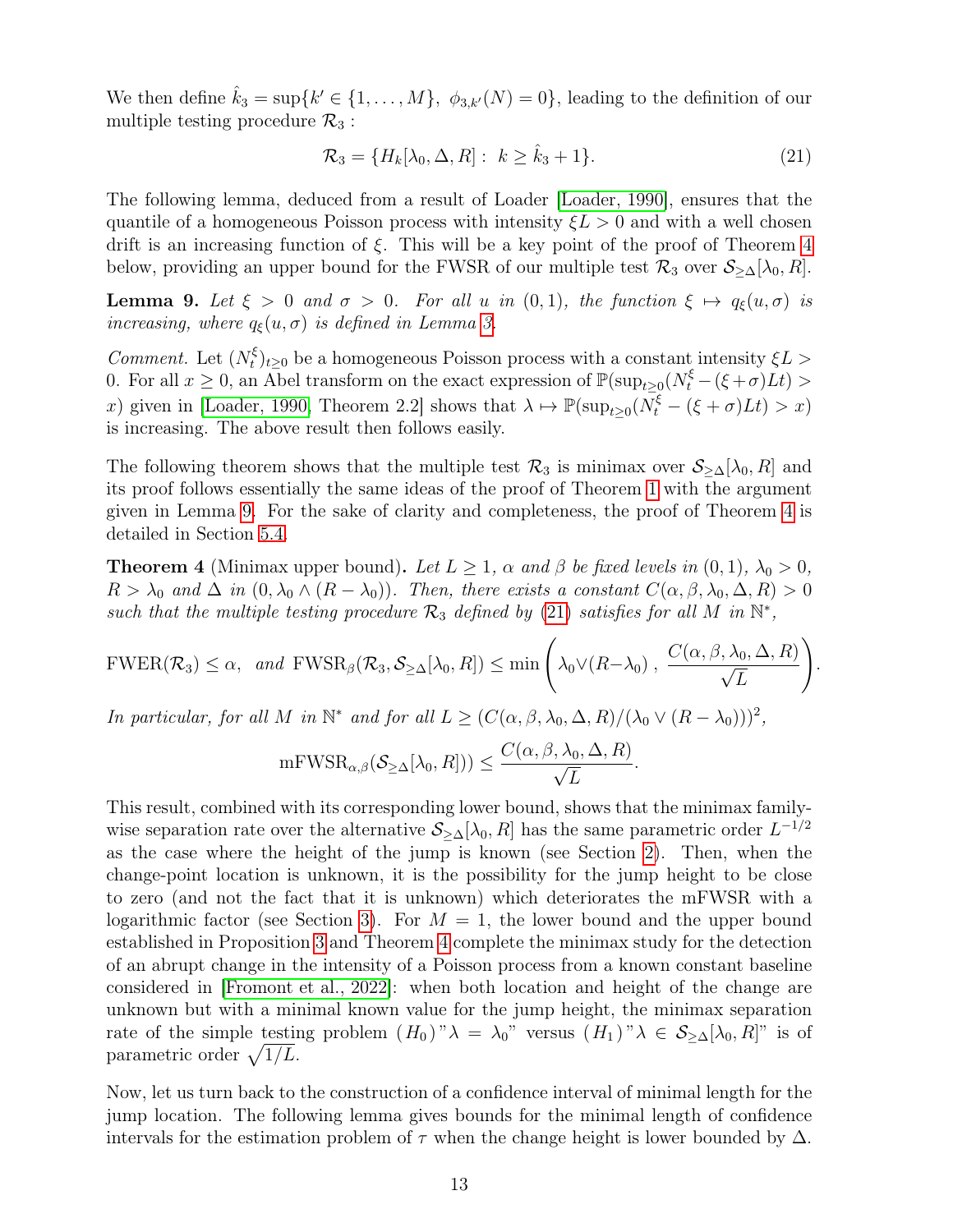We then define  $\hat{k}_3 = \sup\{k' \in \{1, ..., M\}, \phi_{3,k'}(N) = 0\}$ , leading to the definition of our multiple testing procedure  $\mathcal{R}_3$ :

$$
\mathcal{R}_3 = \{H_k[\lambda_0, \Delta, R]: k \ge \hat{k}_3 + 1\}.
$$
\n
$$
(21)
$$

The following lemma, deduced from a result of Loader [Loader, 1990], ensures that the quantile of a homogeneous Poisson process with intensity  $\xi L > 0$  and with a well chosen drift is an increasing function of  $\xi$ . This will be a key point of the proof of Theorem 4 below, providing an upper bound for the FWSR of our multiple test  $\mathcal{R}_3$  over  $\mathcal{S}_{\geq \Delta}[\lambda_0, R]$ .

**Lemma 9.** Let  $\xi > 0$  and  $\sigma > 0$ . For all u in  $(0,1)$ , the function  $\xi \mapsto q_{\xi}(u, \sigma)$  is increasing, where  $q_{\xi}(u, \sigma)$  is defined in Lemma 3.

Comment. Let  $(N_t^{\xi})$  $\mathcal{L}_{t}^{(k)}|_{t\geq0}$  be a homogeneous Poisson process with a constant intensity  $\xi L >$ 0. For all  $x \ge 0$ , an Abel transform on the exact expression of  $\mathbb{P}(\sup_{t\ge0}(N_t^{\xi}-(\xi+\sigma)Lt) >$ x) given in [Loader, 1990, Theorem 2.2] shows that  $\lambda \mapsto \mathbb{P}(\sup_{t\geq 0}(N_t^{\xi}-(\xi+\sigma)Lt)>x)$ is increasing. The above result then follows easily.

The following theorem shows that the multiple test  $\mathcal{R}_3$  is minimax over  $\mathcal{S}_{\geq \Delta}[\lambda_0, R]$  and its proof follows essentially the same ideas of the proof of Theorem 1 with the argument given in Lemma 9. For the sake of clarity and completeness, the proof of Theorem 4 is detailed in Section 5.4.

**Theorem 4** (Minimax upper bound). Let  $L \geq 1$ ,  $\alpha$  and  $\beta$  be fixed levels in  $(0, 1)$ ,  $\lambda_0 > 0$ ,  $R > \lambda_0$  and  $\Delta$  in  $(0, \lambda_0 \wedge (R - \lambda_0))$ . Then, there exists a constant  $C(\alpha, \beta, \lambda_0, \Delta, R) > 0$ such that the multiple testing procedure  $\mathcal{R}_3$  defined by (21) satisfies for all M in  $\mathbb{N}^*$ ,

$$
\text{FWER}(\mathcal{R}_3) \leq \alpha, \ \text{and} \ \text{FWSR}_{\beta}(\mathcal{R}_3, \mathcal{S}_{\geq \Delta}[\lambda_0, R]) \leq \min \left( \lambda_0 \vee (R - \lambda_0), \ \frac{C(\alpha, \beta, \lambda_0, \Delta, R)}{\sqrt{L}} \right).
$$

In particular, for all M in  $\mathbb{N}^*$  and for all  $L \geq (C(\alpha, \beta, \lambda_0, \Delta, R)/(\lambda_0 \vee (R - \lambda_0)))^2$ ,

$$
\mathrm{mFWSR}_{\alpha,\beta}(\mathcal S_{\geq \Delta}[\lambda_0,R])) \leq \frac{C(\alpha,\beta,\lambda_0,\Delta,R)}{\sqrt{L}}.
$$

This result, combined with its corresponding lower bound, shows that the minimax familywise separation rate over the alternative  $S_{\geq \Delta}[\lambda_0, R]$  has the same parametric order  $L^{-1/2}$ as the case where the height of the jump is known (see Section 2). Then, when the change-point location is unknown, it is the possibility for the jump height to be close to zero (and not the fact that it is unknown) which deteriorates the mFWSR with a logarithmic factor (see Section 3). For  $M = 1$ , the lower bound and the upper bound established in Proposition 3 and Theorem 4 complete the minimax study for the detection of an abrupt change in the intensity of a Poisson process from a known constant baseline considered in [Fromont et al., 2022]: when both location and height of the change are unknown but with a minimal known value for the jump height, the minimax separation rate of the simple testing problem  $(H_0)''\lambda = \lambda_0''$  versus  $(H_1)''\lambda \in S_{\geq \Delta}[\lambda_0, R]'$  is of parametric order  $\sqrt{1/L}$ .

Now, let us turn back to the construction of a confidence interval of minimal length for the jump location. The following lemma gives bounds for the minimal length of confidence intervals for the estimation problem of  $\tau$  when the change height is lower bounded by  $\Delta$ .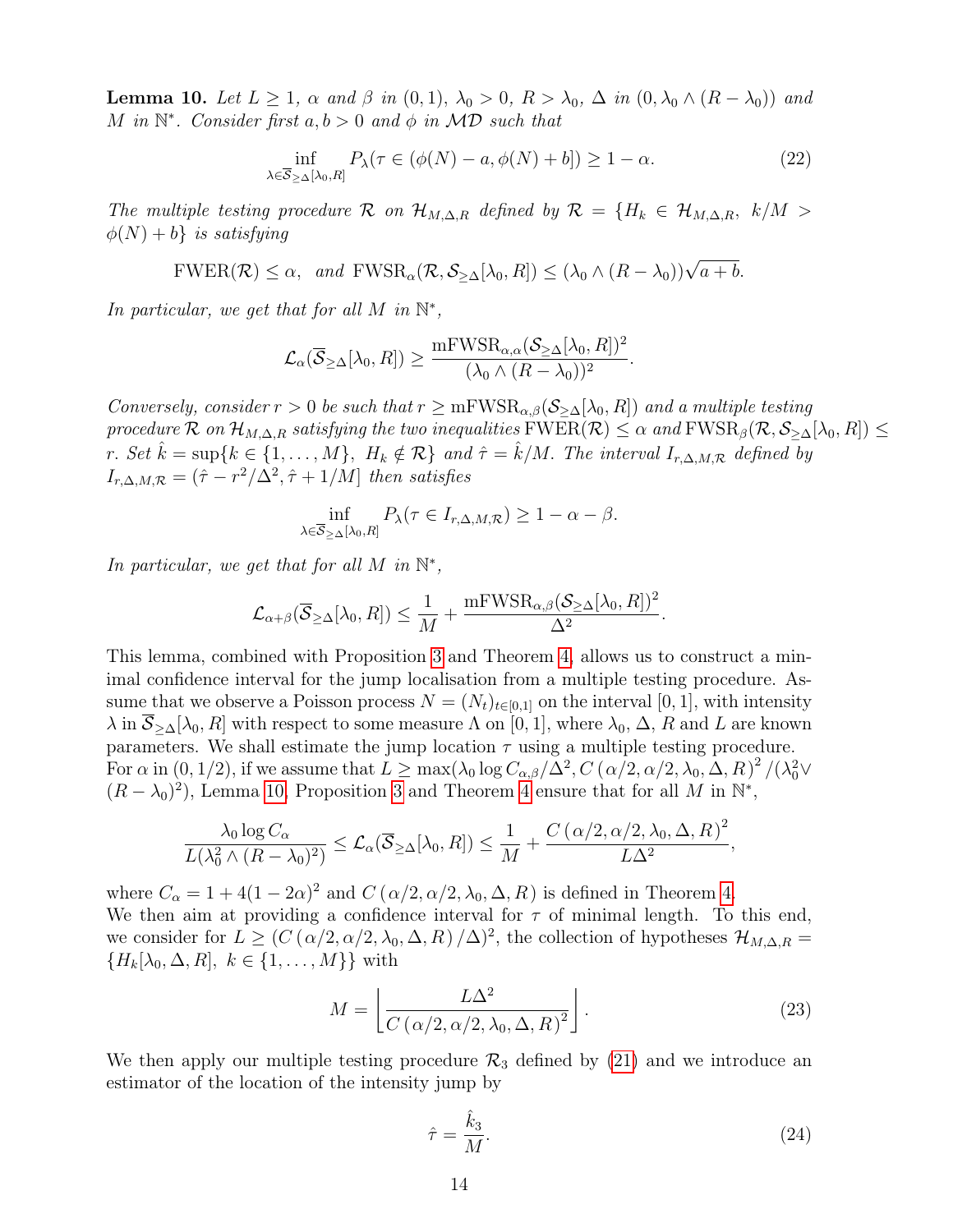**Lemma 10.** Let  $L \geq 1$ ,  $\alpha$  and  $\beta$  in  $(0,1)$ ,  $\lambda_0 > 0$ ,  $R > \lambda_0$ ,  $\Delta$  in  $(0, \lambda_0 \wedge (R - \lambda_0))$  and M in  $\mathbb{N}^*$ . Consider first  $a, b > 0$  and  $\phi$  in MD such that

$$
\inf_{\lambda \in \overline{\mathcal{S}}_{\geq \Delta}[\lambda_0, R]} P_{\lambda}(\tau \in (\phi(N) - a, \phi(N) + b]) \geq 1 - \alpha.
$$
 (22)

The multiple testing procedure R on  $\mathcal{H}_{M,\Delta,R}$  defined by  $\mathcal{R} = \{H_k \in \mathcal{H}_{M,\Delta,R}, k/M >$  $\phi(N) + b$  is satisfying

$$
FWER(\mathcal{R}) \le \alpha, \text{ and } FWSR_{\alpha}(\mathcal{R}, \mathcal{S}_{\ge \Delta}[\lambda_0, R]) \le (\lambda_0 \wedge (R - \lambda_0))\sqrt{a + b}.
$$

In particular, we get that for all M in  $\mathbb{N}^*$ ,

$$
\mathcal{L}_\alpha(\overline{\mathcal{S}}_{\geq \Delta}[\lambda_0, R]) \geq \frac{\mathrm{mFWSR}_{\alpha,\alpha}(\mathcal{S}_{\geq \Delta}[\lambda_0, R])^2}{(\lambda_0 \wedge (R - \lambda_0))^2}.
$$

Conversely, consider  $r > 0$  be such that  $r \ge mFWSR_{\alpha,\beta}(\mathcal{S}_{\ge \Delta}[\lambda_0,R])$  and a multiple testing procedure R on  $\mathcal{H}_{M,\Delta,R}$  satisfying the two inequalities  $\text{FWER}(\mathcal{R}) \leq \alpha$  and  $\text{FWSR}_{\beta}(\mathcal{R},\mathcal{S}_{\geq \Delta}[\lambda_0,R]) \leq$ r. Set  $\hat{k} = \sup\{k \in \{1, ..., M\}, H_k \notin \mathcal{R}\}\$ and  $\hat{\tau} = \hat{k}/M$ . The interval  $I_{r,\Delta,M,\mathcal{R}}$  defined by  $I_{r,\Delta,M,\mathcal{R}} = (\hat{\tau} - r^2/\Delta^2, \hat{\tau} + 1/M]$  then satisfies

$$
\inf_{\lambda \in \overline{\mathcal{S}}_{\geq \Delta}[\lambda_0, R]} P_{\lambda}(\tau \in I_{r, \Delta, M, \mathcal{R}}) \geq 1 - \alpha - \beta.
$$

In particular, we get that for all M in  $\mathbb{N}^*$ ,

$$
\mathcal{L}_{\alpha+\beta}(\overline{\mathcal{S}}_{\geq \Delta}[\lambda_0, R]) \leq \frac{1}{M} + \frac{mFWSR_{\alpha,\beta}(\mathcal{S}_{\geq \Delta}[\lambda_0, R])^2}{\Delta^2}.
$$

This lemma, combined with Proposition 3 and Theorem 4, allows us to construct a minimal confidence interval for the jump localisation from a multiple testing procedure. Assume that we observe a Poisson process  $N = (N_t)_{t \in [0,1]}$  on the interval [0, 1], with intensity  $\lambda$  in  $\overline{\mathcal{S}}_{\geq \Delta}[\lambda_0, R]$  with respect to some measure  $\Lambda$  on [0, 1], where  $\lambda_0$ ,  $\Delta$ ,  $R$  and  $L$  are known parameters. We shall estimate the jump location  $\tau$  using a multiple testing procedure. For  $\alpha$  in  $(0,1/2)$ , if we assume that  $L \ge \max(\lambda_0 \log C_{\alpha,\beta}/\Delta^2, C(\alpha/2, \alpha/2, \lambda_0, \Delta, R)^2/(\lambda_0^2 \vee$  $(R - \lambda_0)^2$ , Lemma 10, Proposition 3 and Theorem 4 ensure that for all M in  $\mathbb{N}^*$ ,

$$
\frac{\lambda_0 \log C_{\alpha}}{L(\lambda_0^2 \wedge (R - \lambda_0)^2)} \leq \mathcal{L}_{\alpha}(\overline{\mathcal{S}}_{\geq \Delta}[\lambda_0, R]) \leq \frac{1}{M} + \frac{C(\alpha/2, \alpha/2, \lambda_0, \Delta, R)^2}{L\Delta^2},
$$

where  $C_{\alpha} = 1 + 4(1 - 2\alpha)^2$  and  $C(\alpha/2, \alpha/2, \lambda_0, \Delta, R)$  is defined in Theorem 4. We then aim at providing a confidence interval for  $\tau$  of minimal length. To this end, we consider for  $L \geq (C(\alpha/2, \alpha/2, \lambda_0, \Delta, R)/\Delta)^2$ , the collection of hypotheses  $\mathcal{H}_{M,\Delta,R}$  ${H_k[\lambda_0, \Delta, R], k \in \{1, \ldots, M\}\}$  with

$$
M = \left[ \frac{L\Delta^2}{C \left( \alpha/2, \alpha/2, \lambda_0, \Delta, R \right)^2} \right]. \tag{23}
$$

We then apply our multiple testing procedure  $\mathcal{R}_3$  defined by (21) and we introduce an estimator of the location of the intensity jump by

$$
\hat{\tau} = \frac{\hat{k}_3}{M}.\tag{24}
$$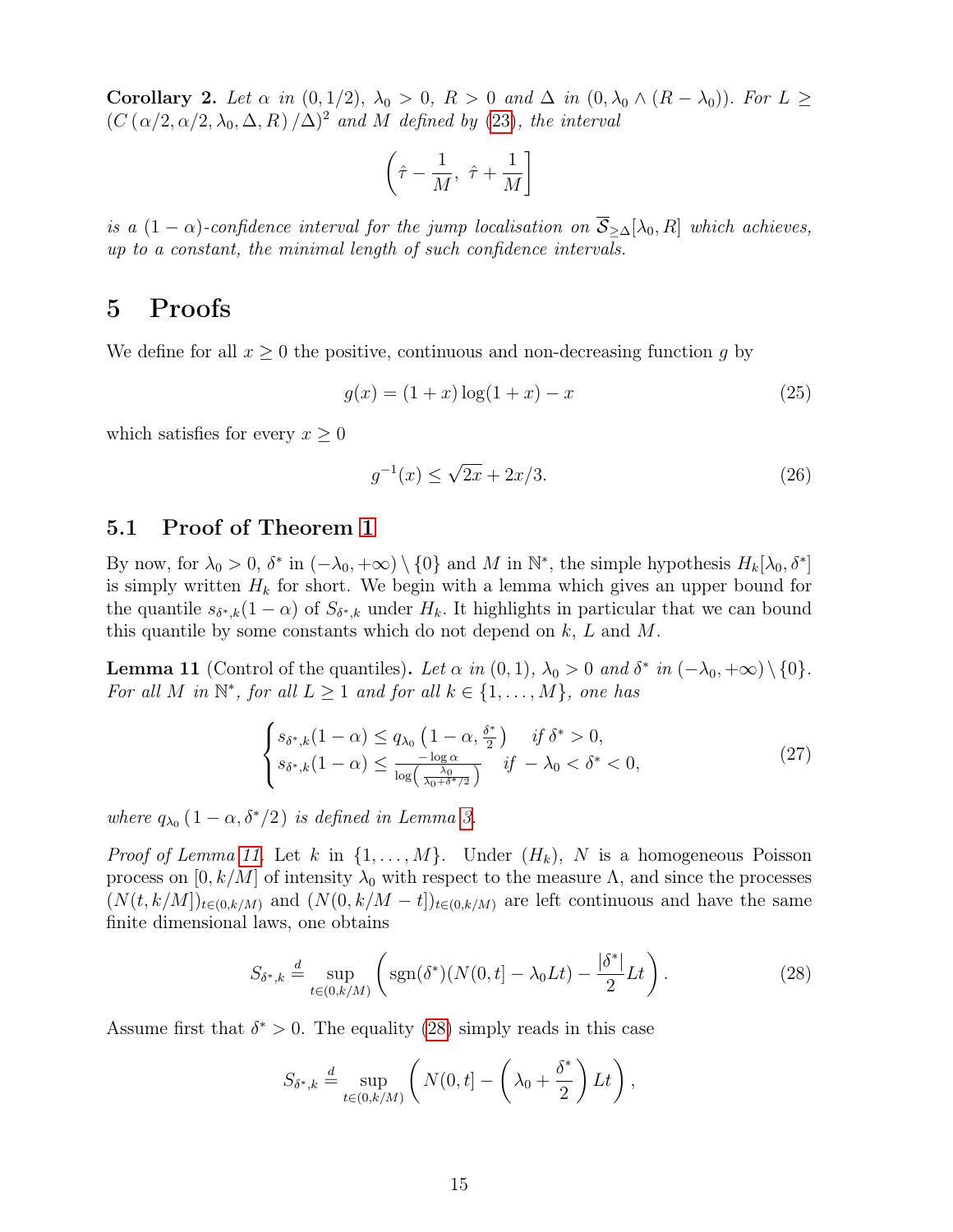Corollary 2. Let  $\alpha$  in  $(0, 1/2)$ ,  $\lambda_0 > 0$ ,  $R > 0$  and  $\Delta$  in  $(0, \lambda_0 \wedge (R - \lambda_0))$ . For  $L \geq$  $(C(\alpha/2, \alpha/2, \lambda_0, \Delta, R)/\Delta)^2$  and M defined by (23), the interval

$$
\left(\hat{\tau} - \frac{1}{M}, \ \hat{\tau} + \frac{1}{M}\right]
$$

is a  $(1 - \alpha)$ -confidence interval for the jump localisation on  $\overline{S}_{\geq \Delta}[\lambda_0, R]$  which achieves, up to a constant, the minimal length of such confidence intervals.

## 5 Proofs

We define for all  $x \geq 0$  the positive, continuous and non-decreasing function g by

$$
g(x) = (1+x)\log(1+x) - x \tag{25}
$$

which satisfies for every  $x \geq 0$ 

$$
g^{-1}(x) \le \sqrt{2x} + 2x/3. \tag{26}
$$

### 5.1 Proof of Theorem 1

By now, for  $\lambda_0 > 0$ ,  $\delta^*$  in  $(-\lambda_0, +\infty) \setminus \{0\}$  and M in  $\mathbb{N}^*$ , the simple hypothesis  $H_k[\lambda_0, \delta^*]$ is simply written  $H_k$  for short. We begin with a lemma which gives an upper bound for the quantile  $s_{\delta^*,k}(1-\alpha)$  of  $S_{\delta^*,k}$  under  $H_k$ . It highlights in particular that we can bound this quantile by some constants which do not depend on  $k, L$  and  $M$ .

**Lemma 11** (Control of the quantiles). Let  $\alpha$  in  $(0,1)$ ,  $\lambda_0 > 0$  and  $\delta^*$  in  $(-\lambda_0, +\infty) \setminus \{0\}$ . For all M in  $\mathbb{N}^*$ , for all  $L \geq 1$  and for all  $k \in \{1, ..., M\}$ , one has

$$
\begin{cases}\ns_{\delta^*,k}(1-\alpha) \le q_{\lambda_0} \left(1-\alpha, \frac{\delta^*}{2}\right) & \text{if } \delta^* > 0, \\
s_{\delta^*,k}(1-\alpha) \le \frac{-\log \alpha}{\log\left(\frac{\lambda_0}{\lambda_0 + \delta^* / 2}\right)} & \text{if } -\lambda_0 < \delta^* < 0,\n\end{cases} \tag{27}
$$

where  $q_{\lambda_0} (1 - \alpha, \delta^*/2)$  is defined in Lemma 3.

*Proof of Lemma 11.* Let k in  $\{1, \ldots, M\}$ . Under  $(H_k)$ , N is a homogeneous Poisson process on  $[0, k/M]$  of intensity  $\lambda_0$  with respect to the measure  $\Lambda$ , and since the processes  $(N(t, k/M])_{t\in(0, k/M)}$  and  $(N(0, k/M - t])_{t\in(0, k/M)}$  are left continuous and have the same finite dimensional laws, one obtains

$$
S_{\delta^*,k} \stackrel{d}{=} \sup_{t \in (0,k/M)} \left( \text{sgn}(\delta^*)(N(0,t] - \lambda_0 Lt) - \frac{|\delta^*|}{2} Lt) \right). \tag{28}
$$

Assume first that  $\delta^* > 0$ . The equality (28) simply reads in this case

$$
S_{\delta^*,k} \stackrel{d}{=} \sup_{t \in (0,k/M)} \left( N(0,t) - \left( \lambda_0 + \frac{\delta^*}{2} \right) Lt \right),
$$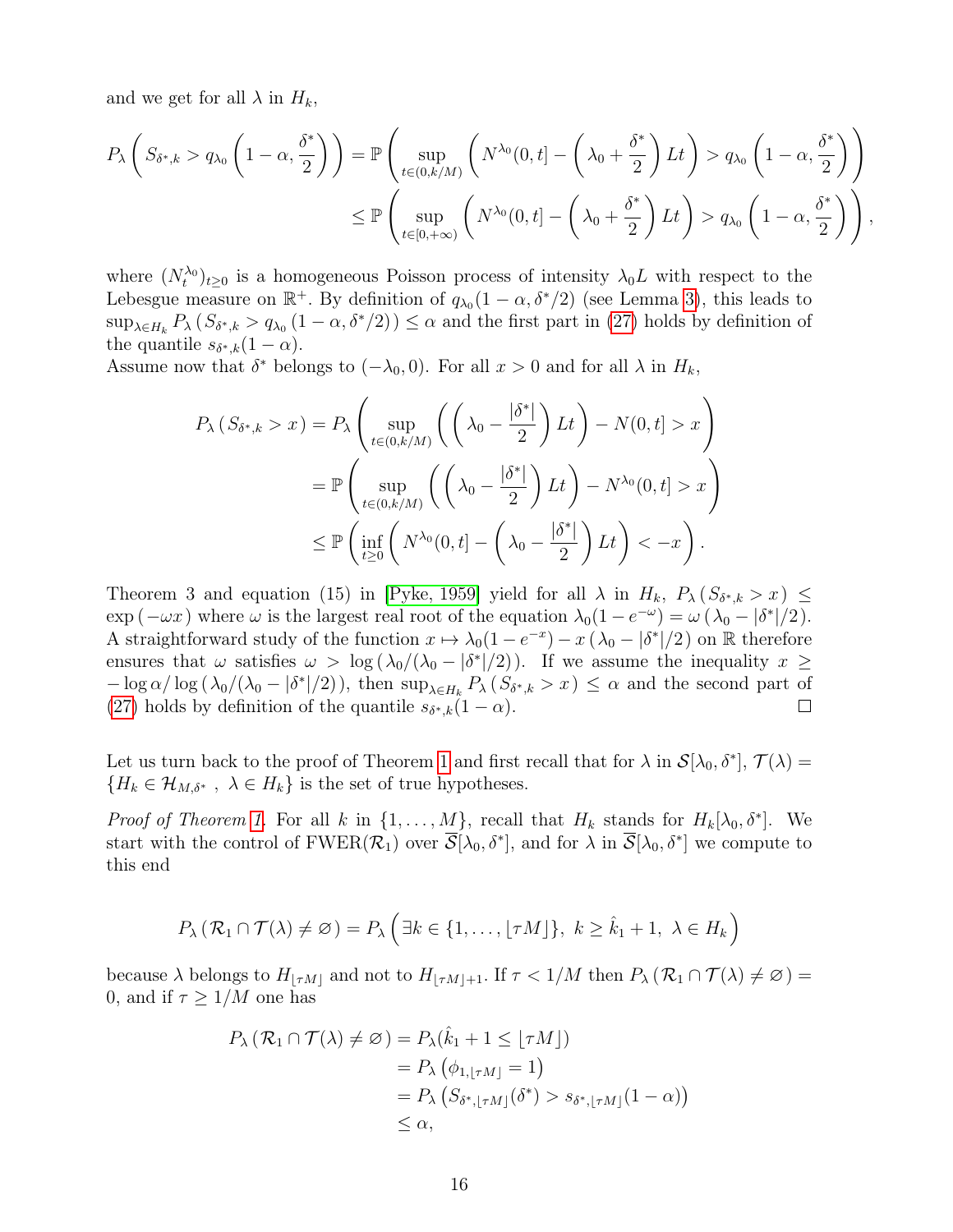and we get for all  $\lambda$  in  $H_k$ ,

$$
P_{\lambda}\left(S_{\delta^*,k} > q_{\lambda_0}\left(1-\alpha,\frac{\delta^*}{2}\right)\right) = \mathbb{P}\left(\sup_{t \in (0,k/M)} \left(N^{\lambda_0}(0,t) - \left(\lambda_0 + \frac{\delta^*}{2}\right)Lt\right) > q_{\lambda_0}\left(1-\alpha,\frac{\delta^*}{2}\right)\right)
$$
  

$$
\leq \mathbb{P}\left(\sup_{t \in [0,+\infty)} \left(N^{\lambda_0}(0,t) - \left(\lambda_0 + \frac{\delta^*}{2}\right)Lt\right) > q_{\lambda_0}\left(1-\alpha,\frac{\delta^*}{2}\right)\right),
$$

where  $(N_t^{\lambda_0})_{t\geq 0}$  is a homogeneous Poisson process of intensity  $\lambda_0 L$  with respect to the Lebesgue measure on  $\mathbb{R}^+$ . By definition of  $q_{\lambda_0}(1-\alpha,\delta^*/2)$  (see Lemma 3), this leads to  $\sup_{\lambda \in H_k} P_{\lambda} (S_{\delta^*,k} > q_{\lambda_0} (1-\alpha,\delta^*/2)) \leq \alpha$  and the first part in (27) holds by definition of the quantile  $s_{\delta^*,k}(1-\alpha)$ .

Assume now that  $\delta^*$  belongs to  $(-\lambda_0, 0)$ . For all  $x > 0$  and for all  $\lambda$  in  $H_k$ ,

$$
P_{\lambda} (S_{\delta^*,k} > x) = P_{\lambda} \left( \sup_{t \in (0,k/M)} \left( \left( \lambda_0 - \frac{|\delta^*|}{2} \right) Lt \right) - N(0,t] > x \right)
$$
  
= 
$$
\mathbb{P} \left( \sup_{t \in (0,k/M)} \left( \left( \lambda_0 - \frac{|\delta^*|}{2} \right) Lt \right) - N^{\lambda_0}(0,t] > x \right)
$$
  

$$
\leq \mathbb{P} \left( \inf_{t \geq 0} \left( N^{\lambda_0}(0,t) - \left( \lambda_0 - \frac{|\delta^*|}{2} \right) Lt \right) < -x \right).
$$

Theorem 3 and equation (15) in [Pyke, 1959] yield for all  $\lambda$  in  $H_k$ ,  $P_{\lambda} (S_{\delta^*,k} > x) \leq$  $\exp(-\omega x)$  where  $\omega$  is the largest real root of the equation  $\lambda_0(1 - e^{-\omega}) = \omega(\lambda_0 - |\delta^*|/2)$ . A straightforward study of the function  $x \mapsto \lambda_0(1 - e^{-x}) - x(\lambda_0 - |\delta^*|/2)$  on R therefore ensures that  $\omega$  satisfies  $\omega > \log(\lambda_0/(\lambda_0-|\delta^*|/2))$ . If we assume the inequality  $x \geq$  $-\log \alpha/\log (\lambda_0/(\lambda_0-|\delta^*|/2))$ , then  $\sup_{\lambda\in H_k} P_\lambda(S_{\delta^*,k}>x)\leq \alpha$  and the second part of (27) holds by definition of the quantile  $s_{\delta^*,k}(1-\alpha)$ .  $\Box$ 

Let us turn back to the proof of Theorem 1 and first recall that for  $\lambda$  in  $\mathcal{S}[\lambda_0, \delta^*], \mathcal{T}(\lambda) =$  ${H_k \in \mathcal{H}_{M,\delta^*}}$ ,  $\lambda \in H_k$  is the set of true hypotheses.

*Proof of Theorem 1.* For all k in  $\{1, \ldots, M\}$ , recall that  $H_k$  stands for  $H_k[\lambda_0, \delta^*]$ . We start with the control of  $FWER(\mathcal{R}_1)$  over  $\overline{\mathcal{S}}[\lambda_0, \delta^*]$ , and for  $\lambda$  in  $\overline{\mathcal{S}}[\lambda_0, \delta^*]$  we compute to this end

$$
P_{\lambda}(\mathcal{R}_1 \cap \mathcal{T}(\lambda) \neq \emptyset) = P_{\lambda} \left( \exists k \in \{1, \ldots, \lfloor \tau M \rfloor \}, k \geq \hat{k}_1 + 1, \lambda \in H_k \right)
$$

because  $\lambda$  belongs to  $H_{\lfloor \tau M\rfloor}$  and not to  $H_{\lfloor \tau M\rfloor+1}$ . If  $\tau < 1/M$  then  $P_{\lambda} (\mathcal{R}_1 \cap \mathcal{T}(\lambda) \neq \emptyset)$ 0, and if  $\tau \geq 1/M$  one has

$$
P_{\lambda} (\mathcal{R}_1 \cap \mathcal{T}(\lambda) \neq \emptyset) = P_{\lambda}(\hat{k}_1 + 1 \leq \lfloor \tau M \rfloor)
$$
  
=  $P_{\lambda} (\phi_{1, \lfloor \tau M \rfloor} = 1)$   
=  $P_{\lambda} (S_{\delta^*, \lfloor \tau M \rfloor}(\delta^*) > s_{\delta^*, \lfloor \tau M \rfloor} (1 - \alpha))$   
 $\leq \alpha,$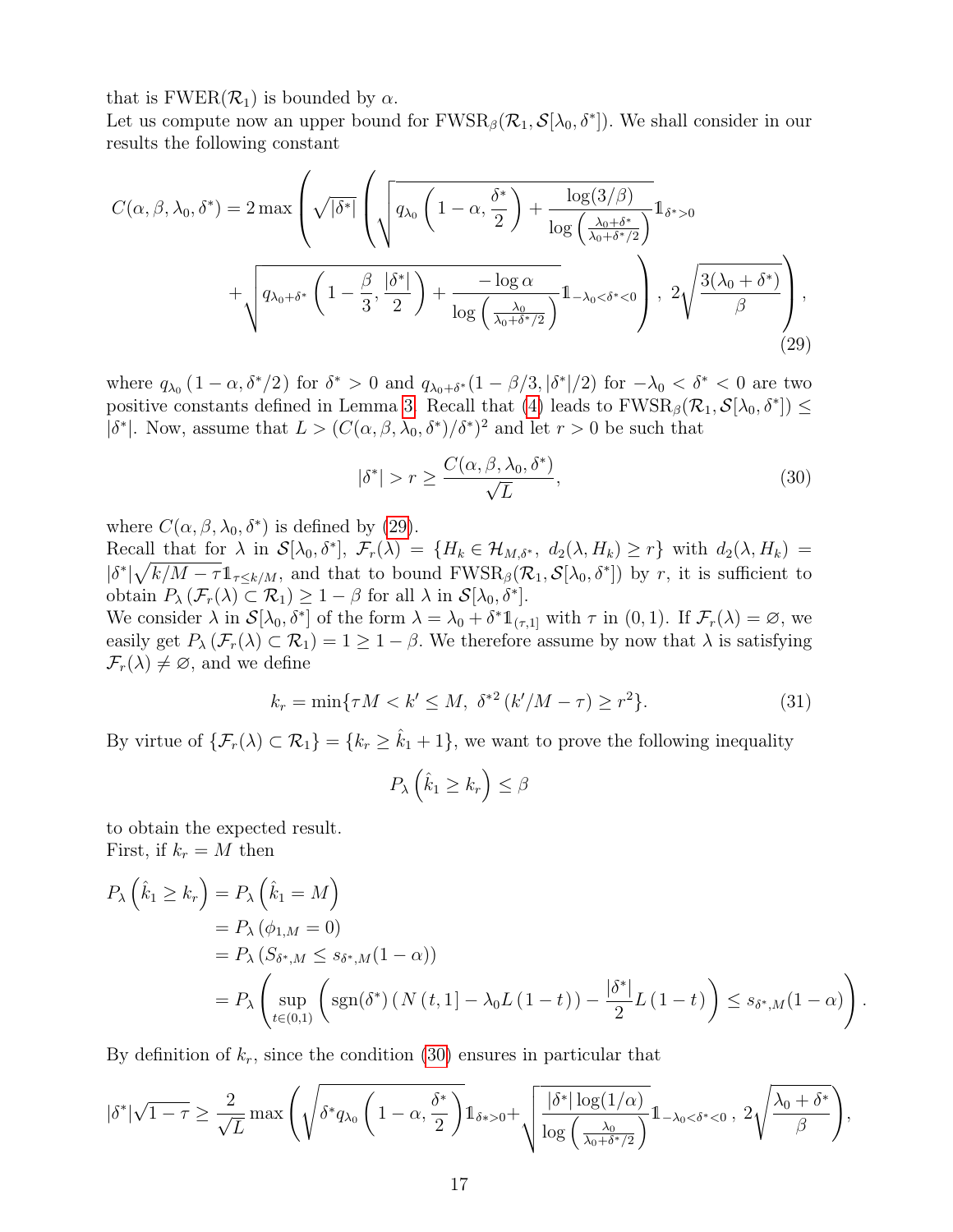that is  $FWER(\mathcal{R}_1)$  is bounded by  $\alpha$ .

Let us compute now an upper bound for  $FWSR_{\beta}(\mathcal{R}_1, \mathcal{S}[\lambda_0, \delta^*])$ . We shall consider in our results the following constant

$$
C(\alpha, \beta, \lambda_0, \delta^*) = 2 \max \left( \sqrt{|\delta^*|} \left( \sqrt{q_{\lambda_0} \left( 1 - \alpha, \frac{\delta^*}{2} \right) + \frac{\log(3/\beta)}{\log\left(\frac{\lambda_0 + \delta^*}{\lambda_0 + \delta^* / 2}\right)}} 1_{\delta^* > 0} \right) + \sqrt{q_{\lambda_0 + \delta^*} \left( 1 - \frac{\beta}{3}, \frac{|\delta^*|}{2} \right) + \frac{-\log \alpha}{\log\left(\frac{\lambda_0}{\lambda_0 + \delta^* / 2}\right)}} 1_{-\lambda_0 < \delta^* < 0} \right), \ 2 \sqrt{\frac{3(\lambda_0 + \delta^*)}{\beta}} \right), \tag{29}
$$

where  $q_{\lambda_0}$   $(1-\alpha, \delta^*/2)$  for  $\delta^* > 0$  and  $q_{\lambda_0+\delta^*}(1-\beta/3, |\delta^*|/2)$  for  $-\lambda_0 < \delta^* < 0$  are two positive constants defined in Lemma 3. Recall that (4) leads to  $FWSR_{\beta}(\mathcal{R}_1, \mathcal{S}[\lambda_0, \delta^*]) \leq$  $|\delta^*|$ . Now, assume that  $L > (C(\alpha, \beta, \lambda_0, \delta^*)/\delta^*)^2$  and let  $r > 0$  be such that

$$
|\delta^*| > r \ge \frac{C(\alpha, \beta, \lambda_0, \delta^*)}{\sqrt{L}},\tag{30}
$$

where  $C(\alpha, \beta, \lambda_0, \delta^*)$  is defined by (29).

Recall that for  $\lambda$  in  $\mathcal{S}[\lambda_0, \delta^*], \ \mathcal{F}_r(\lambda) = \{H_k \in \mathcal{H}_{M,\delta^*}, \ d_2(\lambda, H_k) \geq r\}$  with  $d_2(\lambda, H_k) =$  $|\delta^*| \sqrt{k/M-\tau} \mathbb{1}_{\tau \leq k/M}$ , and that to bound  $\text{FWSR}_{\beta}(\mathcal{R}_1, \mathcal{S}[\lambda_0, \delta^*)$  by r, it is sufficient to obtain  $P_{\lambda}(\mathcal{F}_r(\lambda) \subset \mathcal{R}_1) \geq 1 - \beta$  for all  $\lambda$  in  $\mathcal{S}[\lambda_0, \delta^*].$ 

We consider  $\lambda$  in  $\mathcal{S}[\lambda_0, \delta^*]$  of the form  $\lambda = \lambda_0 + \delta^* 1_{(\tau,1]}$  with  $\tau$  in  $(0,1)$ . If  $\mathcal{F}_r(\lambda) = \varnothing$ , we easily get  $P_{\lambda}(\mathcal{F}_r(\lambda) \subset \mathcal{R}_1) = 1 \geq 1 - \beta$ . We therefore assume by now that  $\lambda$  is satisfying  $\mathcal{F}_r(\lambda) \neq \emptyset$ , and we define

$$
k_r = \min\{\tau M < k' \le M, \ \delta^{*2} \left(\frac{k'}{M - \tau}\right) \ge r^2\}.\tag{31}
$$

By virtue of  $\{\mathcal{F}_r(\lambda) \subset \mathcal{R}_1\} = \{k_r \geq \hat{k}_1 + 1\}$ , we want to prove the following inequality

$$
P_{\lambda}\left(\hat{k}_1 \geq k_r\right) \leq \beta
$$

to obtain the expected result. First, if  $k_r = M$  then

$$
P_{\lambda} \left( \hat{k}_1 \ge k_r \right) = P_{\lambda} \left( \hat{k}_1 = M \right)
$$
  
=  $P_{\lambda} \left( \phi_{1,M} = 0 \right)$   
=  $P_{\lambda} \left( S_{\delta^*,M} \le s_{\delta^*,M} (1 - \alpha) \right)$   
=  $P_{\lambda} \left( \sup_{t \in (0,1)} \left( \text{sgn}(\delta^*) \left( N(t,1) - \lambda_0 L(1-t) \right) - \frac{|\delta^*|}{2} L(1-t) \right) \le s_{\delta^*,M} (1 - \alpha) \right).$ 

By definition of  $k_r$ , since the condition (30) ensures in particular that

$$
|\delta^*| \sqrt{1-\tau} \geq \frac{2}{\sqrt{L}} \max \left( \sqrt{\delta^* q_{\lambda_0} \left(1-\alpha,\frac{\delta^*}{2}\right)} 1_{\delta^* > 0} + \sqrt{\frac{|\delta^*| \log(1/\alpha)}{\log\left(\frac{\lambda_0}{\lambda_0+\delta^*}/2\right)}} 1_{-\lambda_0 < \delta^* < 0}, 2\sqrt{\frac{\lambda_0+\delta^*}{\beta}} \right),
$$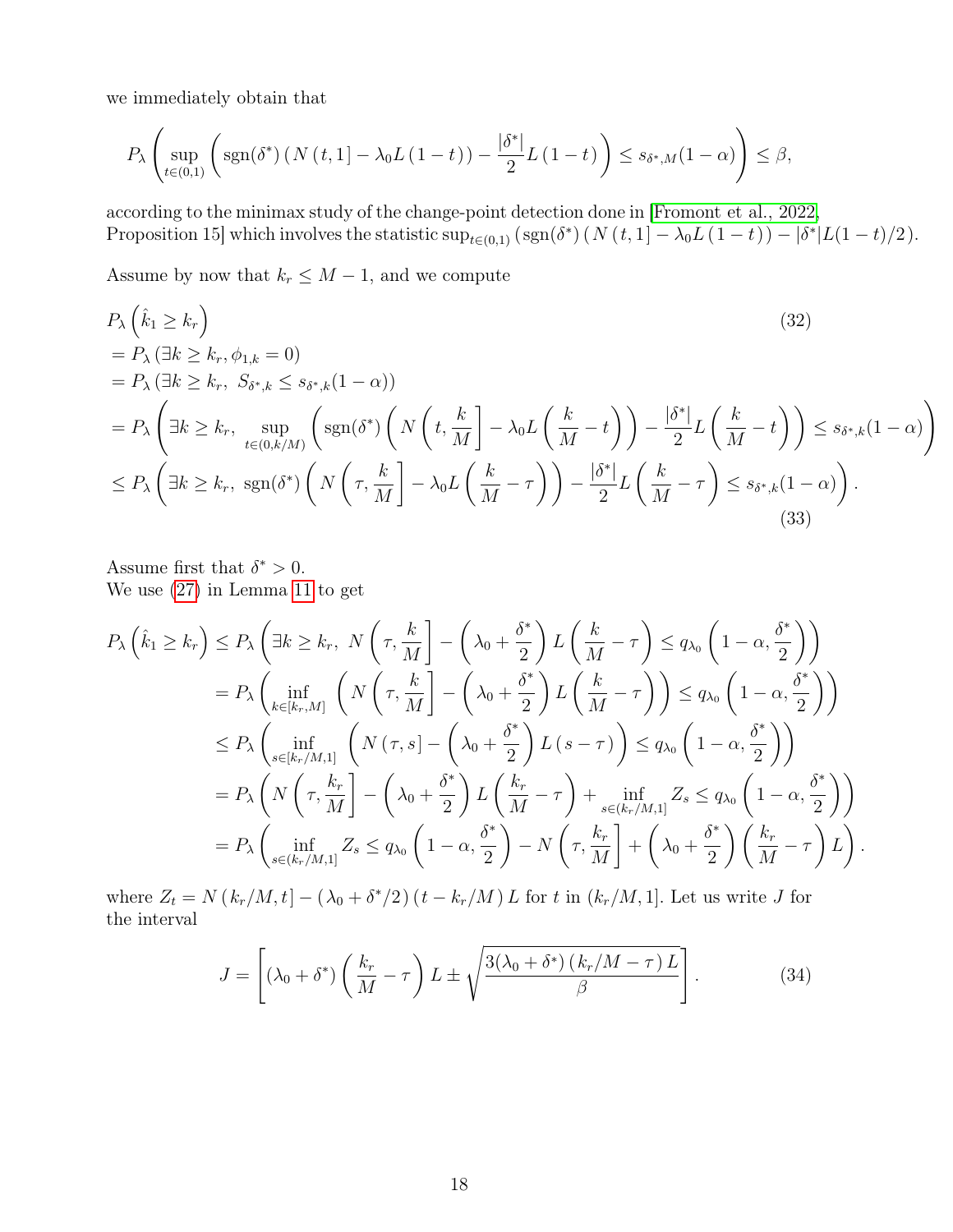we immediately obtain that

$$
P_{\lambda}\left(\sup_{t\in(0,1)}\left(\operatorname{sgn}(\delta^*)\left(N\left(t,1\right]-\lambda_0L\left(1-t\right)\right)-\frac{\left|\delta^*\right|}{2}L\left(1-t\right)\right)\leq s_{\delta^*,M}(1-\alpha)\right)\leq\beta,
$$

according to the minimax study of the change-point detection done in [Fromont et al., 2022, Proposition 15] which involves the statistic  $\sup_{t\in(0,1)} (\text{sgn}(\delta^*)(N(t,1)-\lambda_0L(1-t)) - |\delta^*|L(1-t)/2)$ .

Assume by now that  $k_r \leq M-1$ , and we compute

$$
P_{\lambda} \left( \hat{k}_{1} \geq k_{r} \right)
$$
\n
$$
= P_{\lambda} \left( \exists k \geq k_{r}, \phi_{1,k} = 0 \right)
$$
\n
$$
= P_{\lambda} \left( \exists k \geq k_{r}, S_{\delta^{*},k} \leq s_{\delta^{*},k} (1 - \alpha) \right)
$$
\n
$$
= P_{\lambda} \left( \exists k \geq k_{r}, \sup_{t \in (0,k/M)} \left( \text{sgn}(\delta^{*}) \left( N \left( t, \frac{k}{M} \right] - \lambda_{0} L \left( \frac{k}{M} - t \right) \right) - \frac{|\delta^{*}|}{2} L \left( \frac{k}{M} - t \right) \right) \leq s_{\delta^{*},k} (1 - \alpha) \right)
$$
\n
$$
\leq P_{\lambda} \left( \exists k \geq k_{r}, \text{ sgn}(\delta^{*}) \left( N \left( \tau, \frac{k}{M} \right] - \lambda_{0} L \left( \frac{k}{M} - \tau \right) \right) - \frac{|\delta^{*}|}{2} L \left( \frac{k}{M} - \tau \right) \leq s_{\delta^{*},k} (1 - \alpha) \right).
$$
\n(33)

Assume first that  $\delta^* > 0$ . We use (27) in Lemma 11 to get

$$
P_{\lambda}\left(\hat{k}_{1} \geq k_{r}\right) \leq P_{\lambda}\left(\exists k \geq k_{r}, N\left(\tau, \frac{k}{M}\right] - \left(\lambda_{0} + \frac{\delta^{*}}{2}\right) L\left(\frac{k}{M} - \tau\right) \leq q_{\lambda_{0}}\left(1 - \alpha, \frac{\delta^{*}}{2}\right)\right)
$$
  
\n
$$
= P_{\lambda}\left(\inf_{k \in [k_{r}, M]} \left(N\left(\tau, \frac{k}{M}\right] - \left(\lambda_{0} + \frac{\delta^{*}}{2}\right) L\left(\frac{k}{M} - \tau\right)\right) \leq q_{\lambda_{0}}\left(1 - \alpha, \frac{\delta^{*}}{2}\right)\right)
$$
  
\n
$$
\leq P_{\lambda}\left(\inf_{s \in [k_{r}/M, 1]} \left(N\left(\tau, s\right] - \left(\lambda_{0} + \frac{\delta^{*}}{2}\right) L\left(s - \tau\right)\right) \leq q_{\lambda_{0}}\left(1 - \alpha, \frac{\delta^{*}}{2}\right)\right)
$$
  
\n
$$
= P_{\lambda}\left(N\left(\tau, \frac{k_{r}}{M}\right) - \left(\lambda_{0} + \frac{\delta^{*}}{2}\right) L\left(\frac{k_{r}}{M} - \tau\right) + \inf_{s \in (k_{r}/M, 1]} Z_{s} \leq q_{\lambda_{0}}\left(1 - \alpha, \frac{\delta^{*}}{2}\right)\right)
$$
  
\n
$$
= P_{\lambda}\left(\inf_{s \in (k_{r}/M, 1]} Z_{s} \leq q_{\lambda_{0}}\left(1 - \alpha, \frac{\delta^{*}}{2}\right) - N\left(\tau, \frac{k_{r}}{M}\right) + \left(\lambda_{0} + \frac{\delta^{*}}{2}\right)\left(\frac{k_{r}}{M} - \tau\right)L\right).
$$

where  $Z_t = N(k_r/M, t) - (\lambda_0 + \delta^*/2)(t - k_r/M) L$  for t in  $(k_r/M, 1]$ . Let us write J for the interval

$$
J = \left[ (\lambda_0 + \delta^*) \left( \frac{k_r}{M} - \tau \right) L \pm \sqrt{\frac{3(\lambda_0 + \delta^*) (k_r/M - \tau) L}{\beta}} \right].
$$
 (34)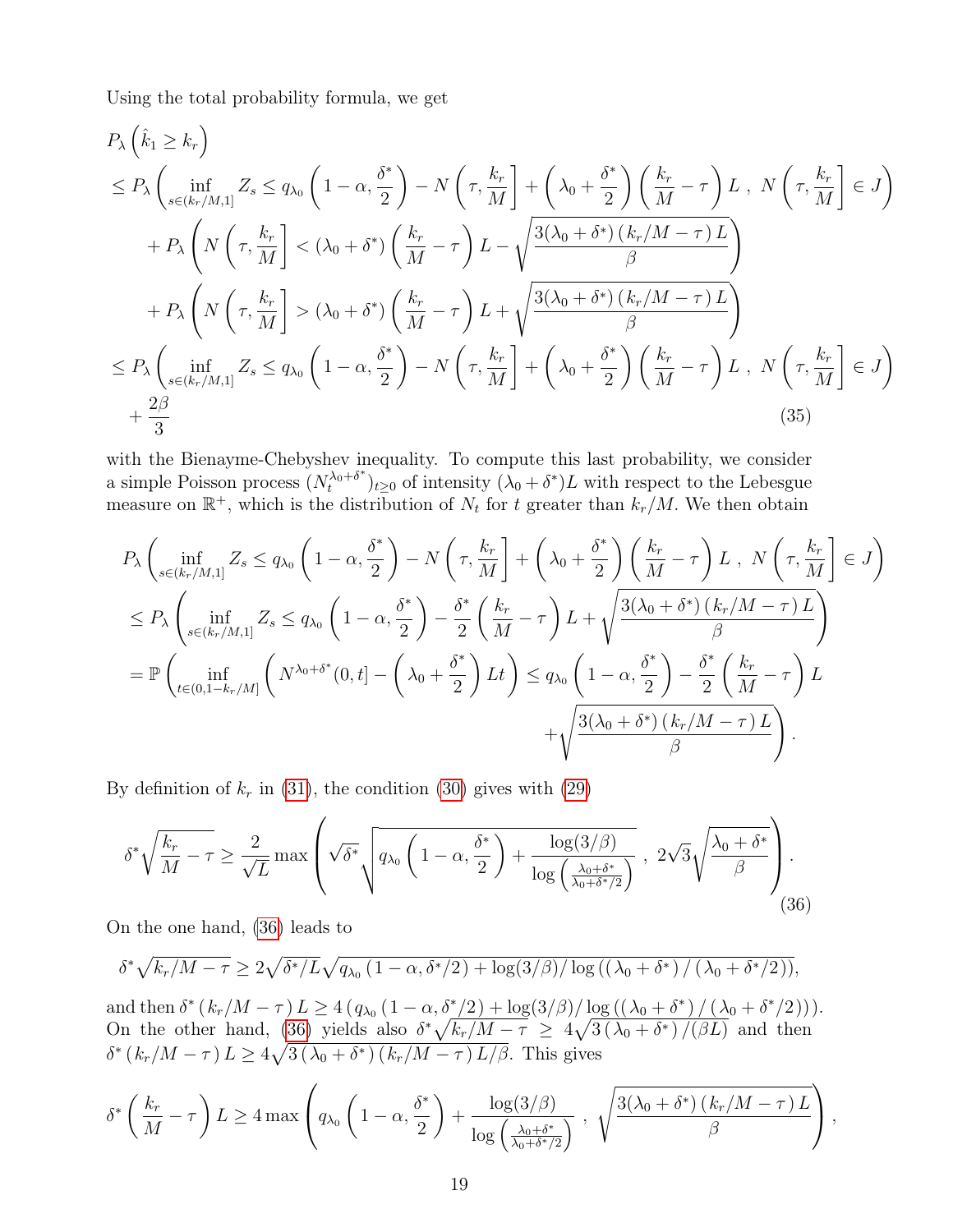Using the total probability formula, we get

$$
P_{\lambda} \left( \hat{k}_{1} \geq k_{r} \right)
$$
\n
$$
\leq P_{\lambda} \left( \inf_{s \in (k_{r}/M,1]} Z_{s} \leq q_{\lambda_{0}} \left( 1 - \alpha, \frac{\delta^{*}}{2} \right) - N \left( \tau, \frac{k_{r}}{M} \right] + \left( \lambda_{0} + \frac{\delta^{*}}{2} \right) \left( \frac{k_{r}}{M} - \tau \right) L, \ N \left( \tau, \frac{k_{r}}{M} \right] \in J \right)
$$
\n
$$
+ P_{\lambda} \left( N \left( \tau, \frac{k_{r}}{M} \right) < (\lambda_{0} + \delta^{*}) \left( \frac{k_{r}}{M} - \tau \right) L - \sqrt{\frac{3(\lambda_{0} + \delta^{*}) \left( k_{r}/M - \tau \right) L}{\beta}} \right)
$$
\n
$$
+ P_{\lambda} \left( N \left( \tau, \frac{k_{r}}{M} \right) > (\lambda_{0} + \delta^{*}) \left( \frac{k_{r}}{M} - \tau \right) L + \sqrt{\frac{3(\lambda_{0} + \delta^{*}) \left( k_{r}/M - \tau \right) L}{\beta}} \right)
$$
\n
$$
\leq P_{\lambda} \left( \inf_{s \in (k_{r}/M,1]} Z_{s} \leq q_{\lambda_{0}} \left( 1 - \alpha, \frac{\delta^{*}}{2} \right) - N \left( \tau, \frac{k_{r}}{M} \right] + \left( \lambda_{0} + \frac{\delta^{*}}{2} \right) \left( \frac{k_{r}}{M} - \tau \right) L, \ N \left( \tau, \frac{k_{r}}{M} \right] \in J \right)
$$
\n
$$
+ \frac{2\beta}{3} \tag{35}
$$

with the Bienayme-Chebyshev inequality. To compute this last probability, we consider a simple Poisson process  $(N_t^{\lambda_0+\delta^*})$  $(\lambda_0 + \delta^*)_{t \geq 0}$  of intensity  $(\lambda_0 + \delta^*)L$  with respect to the Lebesgue measure on  $\mathbb{R}^+$ , which is the distribution of  $N_t$  for t greater than  $k_r/M$ . We then obtain

$$
P_{\lambda} \left( \inf_{s \in (k_r/M,1]} Z_s \le q_{\lambda_0} \left( 1 - \alpha, \frac{\delta^*}{2} \right) - N \left( \tau, \frac{k_r}{M} \right] + \left( \lambda_0 + \frac{\delta^*}{2} \right) \left( \frac{k_r}{M} - \tau \right) L, N \left( \tau, \frac{k_r}{M} \right] \in J \right)
$$
  
\n
$$
\le P_{\lambda} \left( \inf_{s \in (k_r/M,1]} Z_s \le q_{\lambda_0} \left( 1 - \alpha, \frac{\delta^*}{2} \right) - \frac{\delta^*}{2} \left( \frac{k_r}{M} - \tau \right) L + \sqrt{\frac{3(\lambda_0 + \delta^*) \left( k_r/M - \tau \right) L}{\beta}} \right)
$$
  
\n
$$
= \mathbb{P} \left( \inf_{t \in (0,1-k_r/M]} \left( N^{\lambda_0 + \delta^*}(0, t) - \left( \lambda_0 + \frac{\delta^*}{2} \right) Lt \right) \le q_{\lambda_0} \left( 1 - \alpha, \frac{\delta^*}{2} \right) - \frac{\delta^*}{2} \left( \frac{k_r}{M} - \tau \right) L + \sqrt{\frac{3(\lambda_0 + \delta^*) \left( k_r/M - \tau \right) L}{\beta}} \right)
$$
  
\n
$$
+ \sqrt{\frac{3(\lambda_0 + \delta^*) \left( k_r/M - \tau \right) L}{\beta}}.
$$

By definition of  $k_r$  in (31), the condition (30) gives with (29)

$$
\delta^* \sqrt{\frac{k_r}{M} - \tau} \ge \frac{2}{\sqrt{L}} \max \left( \sqrt{\delta^*} \sqrt{q_{\lambda_0} \left( 1 - \alpha, \frac{\delta^*}{2} \right) + \frac{\log(3/\beta)}{\log\left(\frac{\lambda_0 + \delta^*}{\lambda_0 + \delta^* / 2}\right)}} \right), \ 2\sqrt{3} \sqrt{\frac{\lambda_0 + \delta^*}{\beta}} \right). \tag{36}
$$

On the one hand, (36) leads to

$$
\delta^* \sqrt{k_r/M-\tau} \ge 2\sqrt{\delta^*/L}\sqrt{q_{\lambda_0}(1-\alpha,\delta^*/2)+\log(3/\beta)/\log((\lambda_0+\delta^*)/(\lambda_0+\delta^*/2))},
$$

and then  $\delta^* (k_r/M - \tau) L \ge 4 (q_{\lambda_0} (1 - \alpha, \delta^*/2) + \log(3/\beta) / \log((\lambda_0 + \delta^*) / (\lambda_0 + \delta^*/2))).$ On the other hand, (36) yields also  $\delta^* \sqrt{k_r/M - \tau} \geq 4\sqrt{3(\lambda_0 + \delta^*)/(\beta L)}$  and then  $\delta^* (k_r/M - \tau) L \geq 4\sqrt{3(\lambda_0 + \delta^*) (k_r/M - \tau) L/\beta}$ . This gives

$$
\delta^* \left( \frac{k_r}{M} - \tau \right) L \ge 4 \max \left( q_{\lambda_0} \left( 1 - \alpha, \frac{\delta^*}{2} \right) + \frac{\log(3/\beta)}{\log \left( \frac{\lambda_0 + \delta^*}{\lambda_0 + \delta^* / 2} \right)} , \sqrt{\frac{3(\lambda_0 + \delta^*) (k_r/M - \tau) L}{\beta}} \right),
$$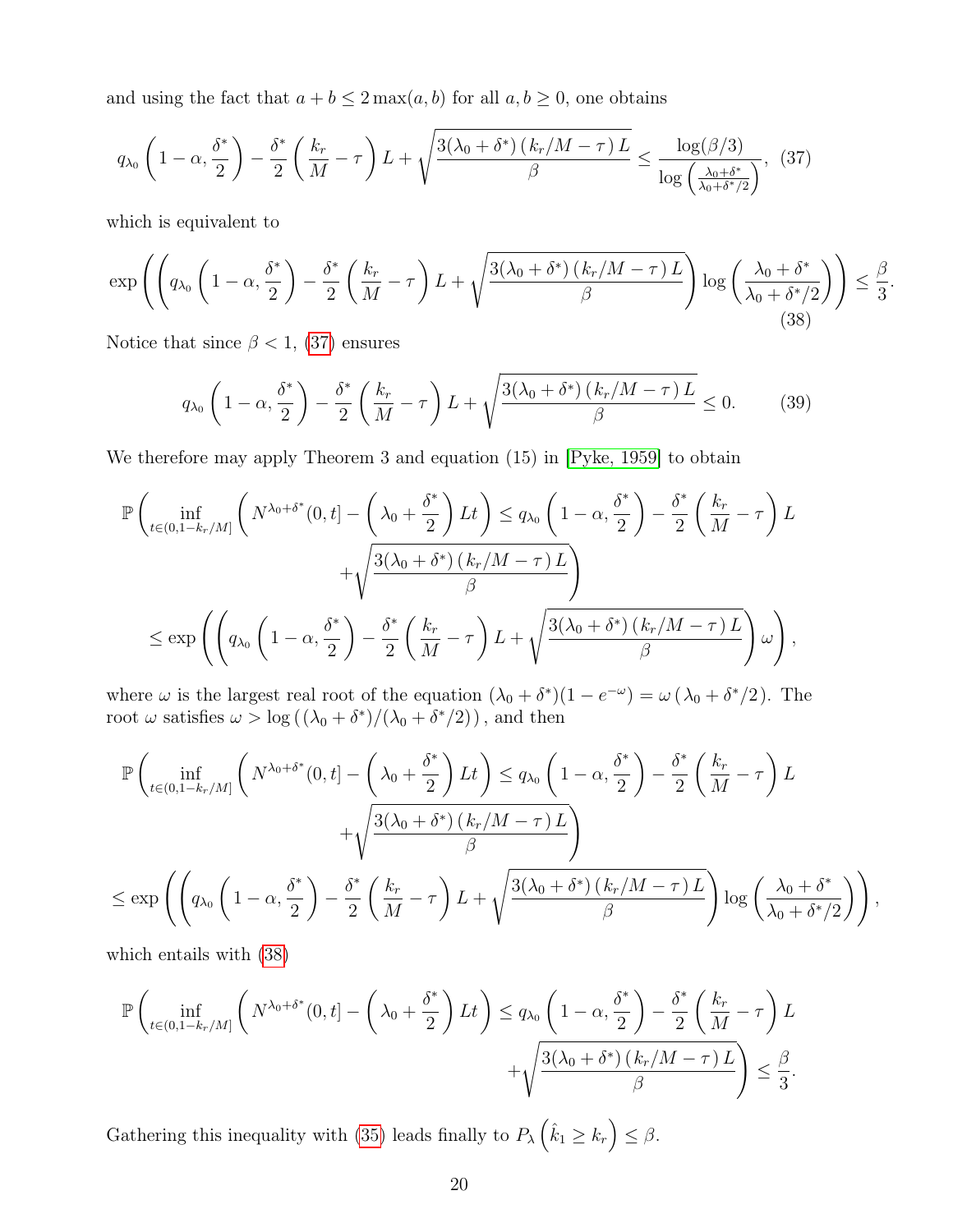and using the fact that  $a + b \leq 2 \max(a, b)$  for all  $a, b \geq 0$ , one obtains

$$
q_{\lambda_0} \left(1 - \alpha, \frac{\delta^*}{2}\right) - \frac{\delta^*}{2} \left(\frac{k_r}{M} - \tau\right) L + \sqrt{\frac{3(\lambda_0 + \delta^*) \left(k_r/M - \tau\right) L}{\beta}} \le \frac{\log(\beta/3)}{\log\left(\frac{\lambda_0 + \delta^*}{\lambda_0 + \delta^* / 2}\right)},
$$
(37)

which is equivalent to

$$
\exp\left(\left(q_{\lambda_0}\left(1-\alpha,\frac{\delta^*}{2}\right)-\frac{\delta^*}{2}\left(\frac{k_r}{M}-\tau\right)L+\sqrt{\frac{3(\lambda_0+\delta^*)(k_r/M-\tau)L}{\beta}}\right)\log\left(\frac{\lambda_0+\delta^*}{\lambda_0+\delta^*/2}\right)\right)\leq\frac{\beta}{3}
$$
(38)

.

Notice that since  $\beta$  < 1, (37) ensures

$$
q_{\lambda_0} \left(1 - \alpha, \frac{\delta^*}{2}\right) - \frac{\delta^*}{2} \left(\frac{k_r}{M} - \tau\right) L + \sqrt{\frac{3(\lambda_0 + \delta^*) \left(k_r/M - \tau\right) L}{\beta}} \le 0. \tag{39}
$$

We therefore may apply Theorem 3 and equation (15) in [Pyke, 1959] to obtain

$$
\mathbb{P}\left(\inf_{t\in(0,1-k_r/M]}\left(N^{\lambda_0+\delta^*}(0,t)-\left(\lambda_0+\frac{\delta^*}{2}\right)Lt\right)\leq q_{\lambda_0}\left(1-\alpha,\frac{\delta^*}{2}\right)-\frac{\delta^*}{2}\left(\frac{k_r}{M}-\tau\right)L+\sqrt{\frac{3(\lambda_0+\delta^*)(k_r/M-\tau)L}{\beta}}\right)\\
\leq \exp\left(\left(q_{\lambda_0}\left(1-\alpha,\frac{\delta^*}{2}\right)-\frac{\delta^*}{2}\left(\frac{k_r}{M}-\tau\right)L+\sqrt{\frac{3(\lambda_0+\delta^*)(k_r/M-\tau)L}{\beta}}\right)\omega\right),
$$

where  $\omega$  is the largest real root of the equation  $(\lambda_0 + \delta^*)(1 - e^{-\omega}) = \omega (\lambda_0 + \delta^*)/2$ . The root  $\omega$  satisfies  $\omega > \log((\lambda_0 + \delta^*)/(\lambda_0 + \delta^*/2))$ , and then

$$
\mathbb{P}\left(\inf_{t\in(0,1-k_r/M]}\left(N^{\lambda_0+\delta^*}(0,t)-\left(\lambda_0+\frac{\delta^*}{2}\right)Lt\right)\leq q_{\lambda_0}\left(1-\alpha,\frac{\delta^*}{2}\right)-\frac{\delta^*}{2}\left(\frac{k_r}{M}-\tau\right)L+\sqrt{\frac{3(\lambda_0+\delta^*)\left(k_r/M-\tau\right)L}{\beta}}\right)+\sqrt{\frac{3(\lambda_0+\delta^*)\left(k_r/M-\tau\right)L}{\beta}}\right)
$$

$$
\leq \exp\left(\left(q_{\lambda_0}\left(1-\alpha,\frac{\delta^*}{2}\right)-\frac{\delta^*}{2}\left(\frac{k_r}{M}-\tau\right)L+\sqrt{\frac{3(\lambda_0+\delta^*)\left(k_r/M-\tau\right)L}{\beta}}\right)\log\left(\frac{\lambda_0+\delta^*}{\lambda_0+\delta^*/2}\right)\right),
$$

which entails with (38)

$$
\mathbb{P}\left(\inf_{t\in(0,1-k_r/M]}\left(N^{\lambda_0+\delta^*}(0,t)-\left(\lambda_0+\frac{\delta^*}{2}\right)Lt\right)\leq q_{\lambda_0}\left(1-\alpha,\frac{\delta^*}{2}\right)-\frac{\delta^*}{2}\left(\frac{k_r}{M}-\tau\right)L+\sqrt{\frac{3(\lambda_0+\delta^*)(k_r/M-\tau)L}{\beta}}\right)\leq \frac{\beta}{3}.
$$

Gathering this inequality with (35) leads finally to  $P_{\lambda}(\hat{k}_1 \geq k_r) \leq \beta$ .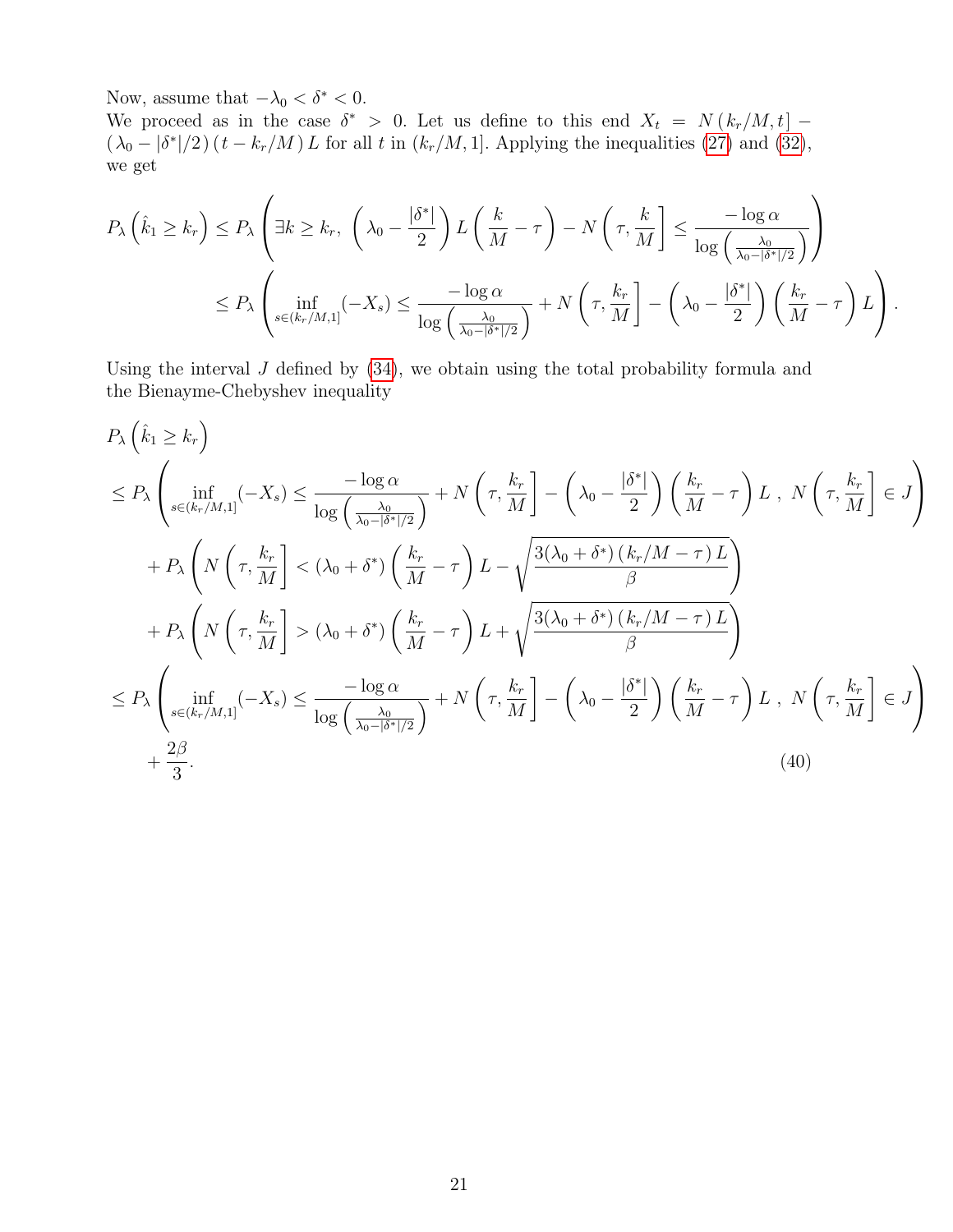Now, assume that  $-\lambda_0 < \delta^* < 0.$ 

We proceed as in the case  $\delta^* > 0$ . Let us define to this end  $X_t = N(k_r/M, t]$  –  $(\lambda_0 - |\delta^*|/2)(t - k_r/M) L$  for all t in  $(k_r/M, 1]$ . Applying the inequalities (27) and (32), we get

$$
P_{\lambda}\left(\hat{k}_1 \geq k_r\right) \leq P_{\lambda}\left(\exists k \geq k_r, \ \left(\lambda_0 - \frac{|\delta^*|}{2}\right) L\left(\frac{k}{M} - \tau\right) - N\left(\tau, \frac{k}{M}\right] \leq \frac{-\log \alpha}{\log\left(\frac{\lambda_0}{\lambda_0 - |\delta^*|/2}\right)}\right)
$$

$$
\leq P_{\lambda}\left(\inf_{s \in (k_r/M, 1]} (-X_s) \leq \frac{-\log \alpha}{\log\left(\frac{\lambda_0}{\lambda_0 - |\delta^*|/2}\right)} + N\left(\tau, \frac{k_r}{M}\right] - \left(\lambda_0 - \frac{|\delta^*|}{2}\right)\left(\frac{k_r}{M} - \tau\right)L\right).
$$

Using the interval  $J$  defined by  $(34)$ , we obtain using the total probability formula and the Bienayme-Chebyshev inequality

$$
P_{\lambda}\left(\hat{k}_{1} \geq k_{r}\right)
$$
\n
$$
\leq P_{\lambda}\left(\inf_{s \in (k_{r}/M,1]}(-X_{s}) \leq \frac{-\log \alpha}{\log\left(\frac{\lambda_{0}}{\lambda_{0}-|\delta^{*}||2}\right)} + N\left(\tau, \frac{k_{r}}{M}\right) - \left(\lambda_{0} - \frac{|\delta^{*}|}{2}\right)\left(\frac{k_{r}}{M} - \tau\right)L, N\left(\tau, \frac{k_{r}}{M}\right] \in J\right)
$$
\n
$$
+ P_{\lambda}\left(N\left(\tau, \frac{k_{r}}{M}\right) < (\lambda_{0} + \delta^{*})\left(\frac{k_{r}}{M} - \tau\right)L - \sqrt{\frac{3(\lambda_{0} + \delta^{*})\left(k_{r}/M - \tau\right)L}{\beta}}\right)
$$
\n
$$
+ P_{\lambda}\left(N\left(\tau, \frac{k_{r}}{M}\right) > (\lambda_{0} + \delta^{*})\left(\frac{k_{r}}{M} - \tau\right)L + \sqrt{\frac{3(\lambda_{0} + \delta^{*})\left(k_{r}/M - \tau\right)L}{\beta}}\right)
$$
\n
$$
\leq P_{\lambda}\left(\inf_{s \in (k_{r}/M,1]}(-X_{s}) \leq \frac{-\log \alpha}{\log\left(\frac{\lambda_{0}}{\lambda_{0} - |\delta^{*}||2}\right)} + N\left(\tau, \frac{k_{r}}{M}\right) - \left(\lambda_{0} - \frac{|\delta^{*}|}{2}\right)\left(\frac{k_{r}}{M} - \tau\right)L, N\left(\tau, \frac{k_{r}}{M}\right] \in J\right)
$$
\n
$$
+ \frac{2\beta}{3}.
$$
\n(40)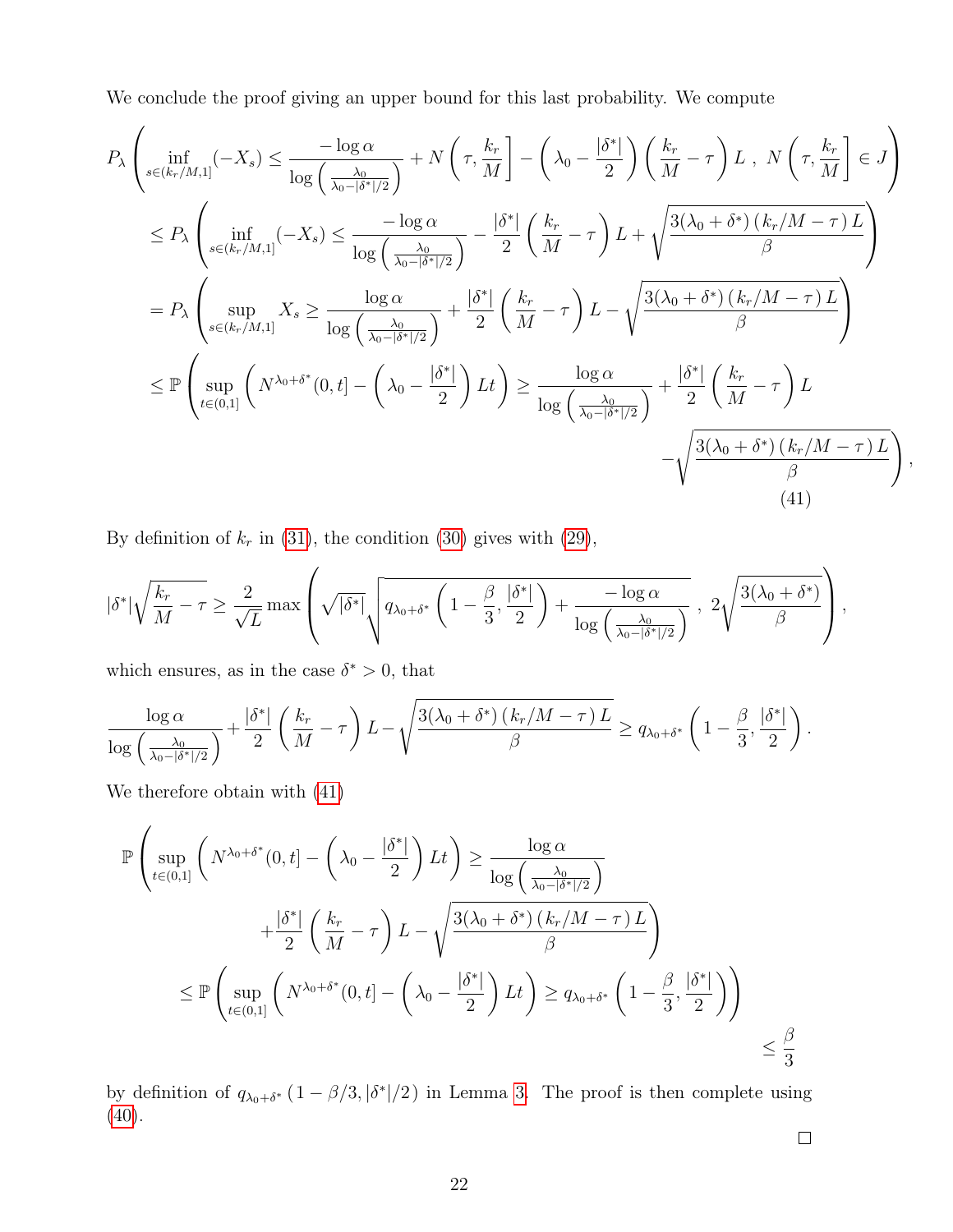We conclude the proof giving an upper bound for this last probability. We compute

$$
P_{\lambda} \left( \inf_{s \in (k_r/M,1]} (-X_s) \le \frac{-\log \alpha}{\log \left( \frac{\lambda_0}{\lambda_0 - |\delta^*|/2} \right)} + N \left( \tau, \frac{k_r}{M} \right] - \left( \lambda_0 - \frac{|\delta^*|}{2} \right) \left( \frac{k_r}{M} - \tau \right) L, N \left( \tau, \frac{k_r}{M} \right] \in J \right)
$$
  
\n
$$
\le P_{\lambda} \left( \inf_{s \in (k_r/M,1]} (-X_s) \le \frac{-\log \alpha}{\log \left( \frac{\lambda_0}{\lambda_0 - |\delta^*|/2} \right)} - \frac{|\delta^*|}{2} \left( \frac{k_r}{M} - \tau \right) L + \sqrt{\frac{3(\lambda_0 + \delta^*) \left( k_r/M - \tau \right) L}{\beta}} \right)
$$
  
\n
$$
= P_{\lambda} \left( \sup_{s \in (k_r/M,1]} X_s \ge \frac{\log \alpha}{\log \left( \frac{\lambda_0}{\lambda_0 - |\delta^*|/2} \right)} + \frac{|\delta^*|}{2} \left( \frac{k_r}{M} - \tau \right) L - \sqrt{\frac{3(\lambda_0 + \delta^*) \left( k_r/M - \tau \right) L}{\beta}} \right)
$$
  
\n
$$
\le \mathbb{P} \left( \sup_{t \in (0,1]} \left( N^{\lambda_0 + \delta^*} (0, t] - \left( \lambda_0 - \frac{|\delta^*|}{2} \right) Lt \right) \ge \frac{\log \alpha}{\log \left( \frac{\lambda_0}{\lambda_0 - |\delta^*|/2} \right)} + \frac{|\delta^*|}{2} \left( \frac{k_r}{M} - \tau \right) L - \sqrt{\frac{3(\lambda_0 + \delta^*) \left( k_r/M - \tau \right) L}{\beta}} \right)
$$
  
\n(41)

By definition of  $k_r$  in (31), the condition (30) gives with (29),

$$
|\delta^*| \sqrt{\frac{k_r}{M} - \tau} \ge \frac{2}{\sqrt{L}} \max \left( \sqrt{|\delta^*|} \sqrt{q_{\lambda_0 + \delta^*} \left(1 - \frac{\beta}{3}, \frac{|\delta^*|}{2}\right) + \frac{-\log \alpha}{\log \left(\frac{\lambda_0}{\lambda_0 - |\delta^*|/2}\right)}} \right), \quad 2 \sqrt{\frac{3(\lambda_0 + \delta^*)}{\beta}} \right),
$$

which ensures, as in the case  $\delta^* > 0$ , that

$$
\frac{\log \alpha}{\log \left(\frac{\lambda_0}{\lambda_0 - |\delta^*|/2}\right)} + \frac{|\delta^*|}{2} \left(\frac{k_r}{M} - \tau\right) L - \sqrt{\frac{3(\lambda_0 + \delta^*)(k_r/M - \tau)L}{\beta}} \ge q_{\lambda_0 + \delta^*} \left(1 - \frac{\beta}{3}, \frac{|\delta^*|}{2}\right).
$$

We therefore obtain with (41)

$$
\mathbb{P}\left(\sup_{t\in(0,1]}\left(N^{\lambda_0+\delta^*}(0,t)-\left(\lambda_0-\frac{|\delta^*|}{2}\right)Lt\right)\geq\frac{\log\alpha}{\log\left(\frac{\lambda_0}{\lambda_0-|\delta^*|/2}\right)}\right)
$$
  
 
$$
+\frac{|\delta^*|}{2}\left(\frac{k_r}{M}-\tau\right)L-\sqrt{\frac{3(\lambda_0+\delta^*)(k_r/M-\tau)L}{\beta}}\right)
$$
  
 
$$
\leq \mathbb{P}\left(\sup_{t\in(0,1]}\left(N^{\lambda_0+\delta^*}(0,t)-\left(\lambda_0-\frac{|\delta^*|}{2}\right)Lt\right)\geq q_{\lambda_0+\delta^*}\left(1-\frac{\beta}{3},\frac{|\delta^*|}{2}\right)\right)
$$
  
 
$$
\leq \frac{\beta}{3}
$$

by definition of  $q_{\lambda_0+\delta^*}(1-\beta/3,|\delta^*|/2)$  in Lemma 3. The proof is then complete using (40).

 $\Box$ 

,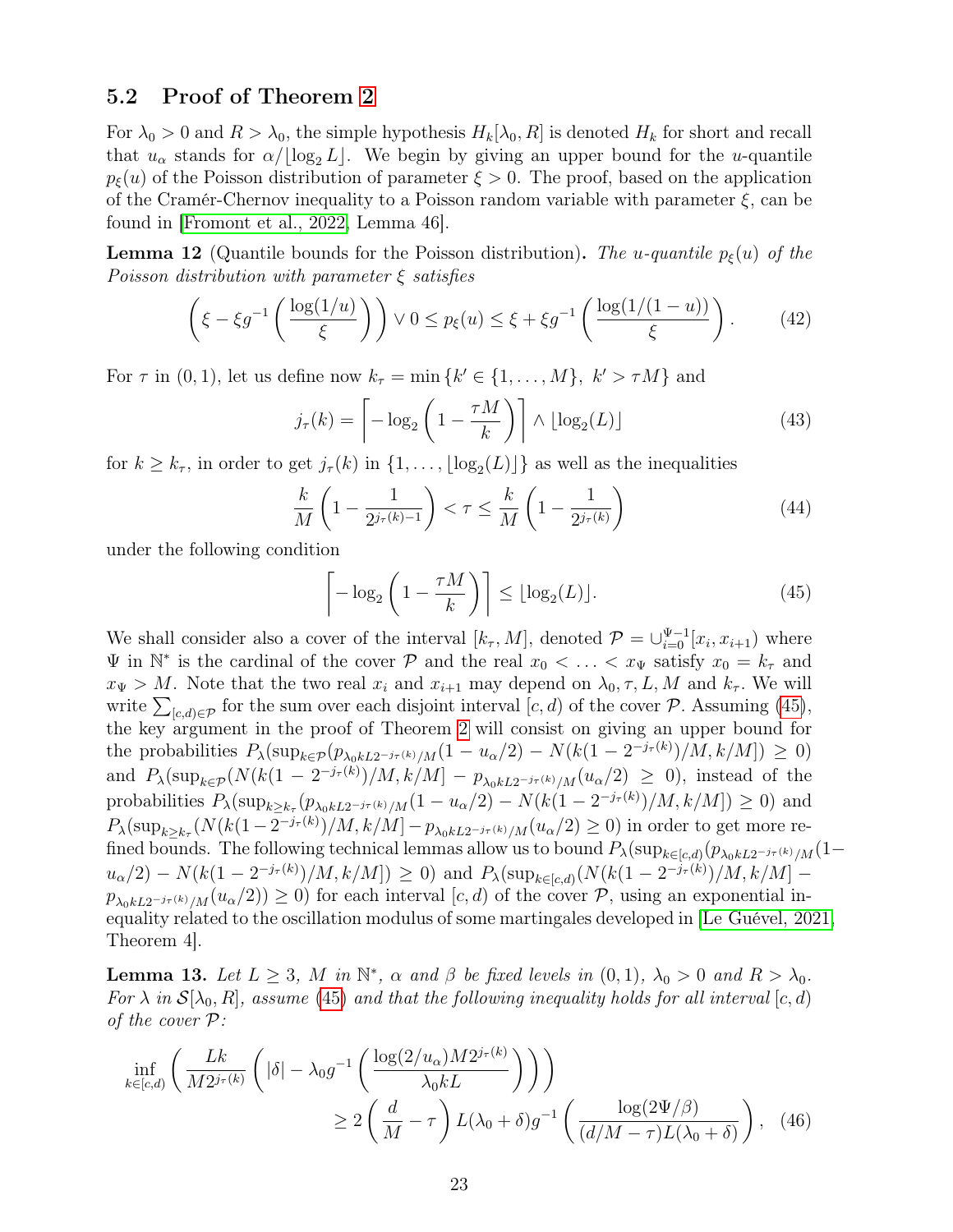### 5.2 Proof of Theorem 2

For  $\lambda_0 > 0$  and  $R > \lambda_0$ , the simple hypothesis  $H_k[\lambda_0, R]$  is denoted  $H_k$  for short and recall that  $u_{\alpha}$  stands for  $\alpha/|\log_2 L|$ . We begin by giving an upper bound for the u-quantile  $p_{\xi}(u)$  of the Poisson distribution of parameter  $\xi > 0$ . The proof, based on the application of the Cramér-Chernov inequality to a Poisson random variable with parameter  $\xi$ , can be found in [Fromont et al., 2022, Lemma 46].

**Lemma 12** (Quantile bounds for the Poisson distribution). The u-quantile  $p_{\xi}(u)$  of the Poisson distribution with parameter  $\xi$  satisfies

$$
\left(\xi - \xi g^{-1}\left(\frac{\log(1/u)}{\xi}\right)\right) \vee 0 \le p_{\xi}(u) \le \xi + \xi g^{-1}\left(\frac{\log(1/(1-u))}{\xi}\right). \tag{42}
$$

For  $\tau$  in  $(0, 1)$ , let us define now  $k_{\tau} = \min \{k' \in \{1, ..., M\}, k' > \tau M\}$  and

$$
j_{\tau}(k) = \left[ -\log_2\left(1 - \frac{\tau M}{k}\right) \right] \wedge \lfloor \log_2(L) \rfloor \tag{43}
$$

for  $k \geq k_{\tau}$ , in order to get  $j_{\tau}(k)$  in  $\{1, \ldots, \lfloor \log_2(L) \rfloor\}$  as well as the inequalities

$$
\frac{k}{M}\left(1-\frac{1}{2^{j_{\tau}(k)-1}}\right) < \tau \leq \frac{k}{M}\left(1-\frac{1}{2^{j_{\tau}(k)}}\right) \tag{44}
$$

under the following condition

$$
\left\lceil -\log_2\left(1 - \frac{\tau M}{k}\right) \right\rceil \le \lfloor \log_2(L) \rfloor. \tag{45}
$$

We shall consider also a cover of the interval  $[k_{\tau}, M]$ , denoted  $\mathcal{P} = \cup_{i=0}^{\Psi-1}[x_i, x_{i+1})$  where  $\Psi$  in  $\mathbb{N}^*$  is the cardinal of the cover  $\mathcal P$  and the real  $x_0 < \ldots < x_{\Psi}$  satisfy  $x_0 = k_{\tau}$  and  $x_{\Psi} > M$ . Note that the two real  $x_i$  and  $x_{i+1}$  may depend on  $\lambda_0, \tau, L, M$  and  $k_{\tau}$ . We will write  $\sum_{[c,d)\in\mathcal{P}}$  for the sum over each disjoint interval  $[c,d)$  of the cover  $\mathcal{P}$ . Assuming (45), the key argument in the proof of Theorem 2 will consist on giving an upper bound for the probabilities  $P_{\lambda}(\sup_{k \in \mathcal{P}}(p_{\lambda_0 k L 2^{-j_{\tau}(k)}/M}(1 - u_{\alpha}/2) - N(k(1 - 2^{-j_{\tau}(k)})/M, k/M]) \geq 0)$ and  $P_{\lambda}(\sup_{k\in\mathcal{P}}(N(k(1-2^{-j_{\tau}(k)})/M, k/M]-p_{\lambda_0kL2^{-j_{\tau}(k)}/M}(u_{\alpha}/2))\geq 0)$ , instead of the probabilities  $P_{\lambda}(\sup_{k \geq k_{\tau}} (p_{\lambda_0 k L 2^{-j_{\tau}(k)}/M}(1 - u_{\alpha}/2) - N(k(1 - 2^{-j_{\tau}(k)})/M, k/M]) \geq 0)$  and  $P_{\lambda}(\sup_{k\geq k_{\tau}}(N(k(1-2^{-j_{\tau}(k)})/M, k/M]-p_{\lambda_0kL2^{-j_{\tau}(k)}/M}(u_{\alpha}/2)\geq 0)$  in order to get more refined bounds. The following technical lemmas allow us to bound  $P_{\lambda}(\sup_{k\in [c,d)}(p_{\lambda_0kL2^{-j_{\tau}(k)}/M}(1-p_{\lambda_0kL2})$  $u_{\alpha}/2$ ) –  $N(k(1-2^{-j_{\tau}(k)})/M, k/M]$ )  $\geq 0$ ) and  $P_{\lambda}(\sup_{k \in [c,d)} (N(k(1-2^{-j_{\tau}(k)})/M, k/M]$  $p_{\lambda_0kL2^{-j_{\tau}(k)}/M}(u_{\alpha}/2)) \geq 0$  for each interval [c, d) of the cover P, using an exponential inequality related to the oscillation modulus of some martingales developed in [Le Guével, 2021, Theorem 4].

**Lemma 13.** Let  $L \geq 3$ , M in  $\mathbb{N}^*$ ,  $\alpha$  and  $\beta$  be fixed levels in  $(0,1)$ ,  $\lambda_0 > 0$  and  $R > \lambda_0$ . For  $\lambda$  in  $\mathcal{S}[\lambda_0, R]$ , assume (45) and that the following inequality holds for all interval  $[c, d)$ of the cover P:

$$
\inf_{k \in [c,d)} \left( \frac{Lk}{M 2^{j_{\tau}(k)}} \left( |\delta| - \lambda_0 g^{-1} \left( \frac{\log(2/u_{\alpha}) M 2^{j_{\tau}(k)}}{\lambda_0 k L} \right) \right) \right)
$$
\n
$$
\geq 2 \left( \frac{d}{M} - \tau \right) L(\lambda_0 + \delta) g^{-1} \left( \frac{\log(2\Psi/\beta)}{(d/M - \tau) L(\lambda_0 + \delta)} \right), \quad (46)
$$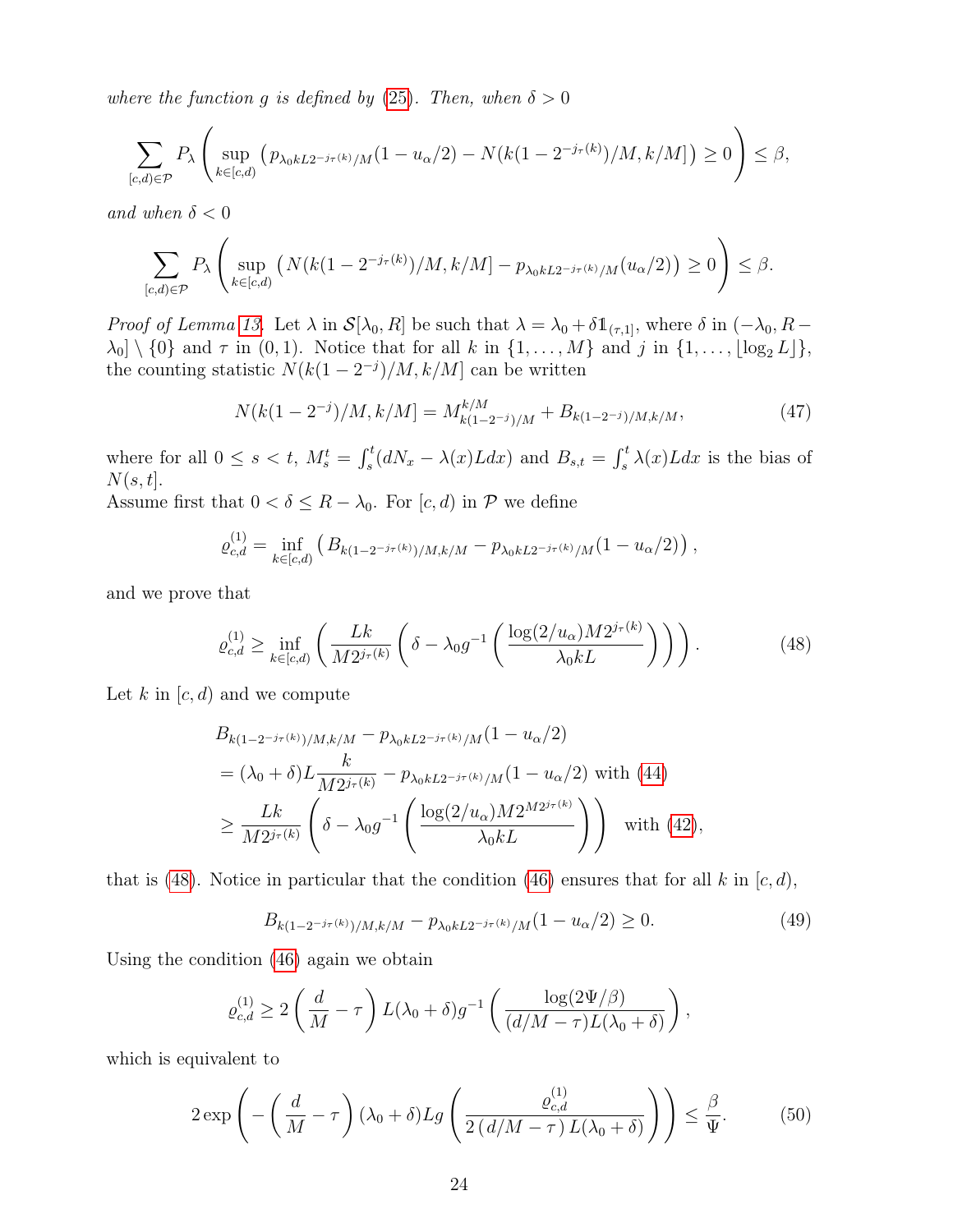where the function g is defined by (25). Then, when  $\delta > 0$ 

$$
\sum_{[c,d)\in\mathcal{P}} P_{\lambda}\left(\sup_{k\in[c,d)} \left(p_{\lambda_0 k L 2^{-j_{\tau}(k)}/M}(1-u_{\alpha}/2) - N(k(1-2^{-j_{\tau}(k)})/M, k/M]\right) \ge 0\right) \le \beta,
$$

and when  $\delta < 0$ 

$$
\sum_{[c,d)\in\mathcal{P}} P_{\lambda}\left(\sup_{k\in[c,d)} \left(N(k(1-2^{-j_{\tau}(k)})/M,k/M] - p_{\lambda_0kL2^{-j_{\tau}(k)}/M}(u_{\alpha}/2)\right) \ge 0\right) \le \beta.
$$

*Proof of Lemma 13.* Let  $\lambda$  in  $\mathcal{S}[\lambda_0, R]$  be such that  $\lambda = \lambda_0 + \delta \mathbb{1}_{(\tau,1]}$ , where  $\delta$  in  $(-\lambda_0, R \lambda_0$  \ {0} and  $\tau$  in (0, 1). Notice that for all k in {1,..., M} and j in {1,...,  $\lfloor \log_2 L \rfloor$ }, the counting statistic  $N(k(1-2^{-j})/M, k/M]$  can be written

$$
N(k(1-2^{-j})/M, k/M] = M_{k(1-2^{-j})/M}^{k/M} + B_{k(1-2^{-j})/M, k/M},
$$
\n(47)

where for all  $0 \le s < t$ ,  $M_s^t = \int_s^t (dN_x - \lambda(x)Ldx)$  and  $B_{s,t} = \int_s^t \lambda(x)Ldx$  is the bias of  $N(s,t].$ 

Assume first that  $0 < \delta \leq R - \lambda_0$ . For  $[c, d)$  in P we define

$$
\varrho_{c,d}^{(1)} = \inf_{k \in [c,d)} \left( B_{k(1-2^{-j\tau(k)})/M, k/M} - p_{\lambda_0 k L 2^{-j\tau(k)}/M} (1 - u_\alpha/2) \right),
$$

and we prove that

$$
\varrho_{c,d}^{(1)} \ge \inf_{k \in [c,d)} \left( \frac{Lk}{M 2^{j_{\tau}(k)}} \left( \delta - \lambda_0 g^{-1} \left( \frac{\log(2/u_{\alpha}) M 2^{j_{\tau}(k)}}{\lambda_0 k L} \right) \right) \right). \tag{48}
$$

Let k in  $[c, d)$  and we compute

$$
B_{k(1-2^{-j_{\tau}(k)})/M, k/M} - p_{\lambda_0 k L 2^{-j_{\tau}(k)}/M}(1 - u_{\alpha}/2)
$$
  
=  $(\lambda_0 + \delta) L \frac{k}{M 2^{j_{\tau}(k)}} - p_{\lambda_0 k L 2^{-j_{\tau}(k)}/M}(1 - u_{\alpha}/2)$  with (44)  

$$
\geq \frac{Lk}{M 2^{j_{\tau}(k)}} \left( \delta - \lambda_0 g^{-1} \left( \frac{\log(2/u_{\alpha}) M 2^{M 2^{j_{\tau}(k)}}}{\lambda_0 k L} \right) \right)
$$
 with (42),

that is (48). Notice in particular that the condition (46) ensures that for all k in  $[c, d)$ ,

$$
B_{k(1-2^{-j_{\tau}(k)})/M,k/M} - p_{\lambda_0kL2^{-j_{\tau}(k)}/M}(1 - u_{\alpha}/2) \ge 0.
$$
 (49)

Using the condition (46) again we obtain

$$
\varrho_{c,d}^{(1)} \ge 2\left(\frac{d}{M}-\tau\right)L(\lambda_0+\delta)g^{-1}\left(\frac{\log(2\Psi/\beta)}{(d/M-\tau)L(\lambda_0+\delta)}\right),
$$

which is equivalent to

$$
2\exp\left(-\left(\frac{d}{M}-\tau\right)(\lambda_0+\delta)Lg\left(\frac{\varrho_{c,d}^{(1)}}{2\left(d/M-\tau\right)L(\lambda_0+\delta)}\right)\right)\leq\frac{\beta}{\Psi}.\tag{50}
$$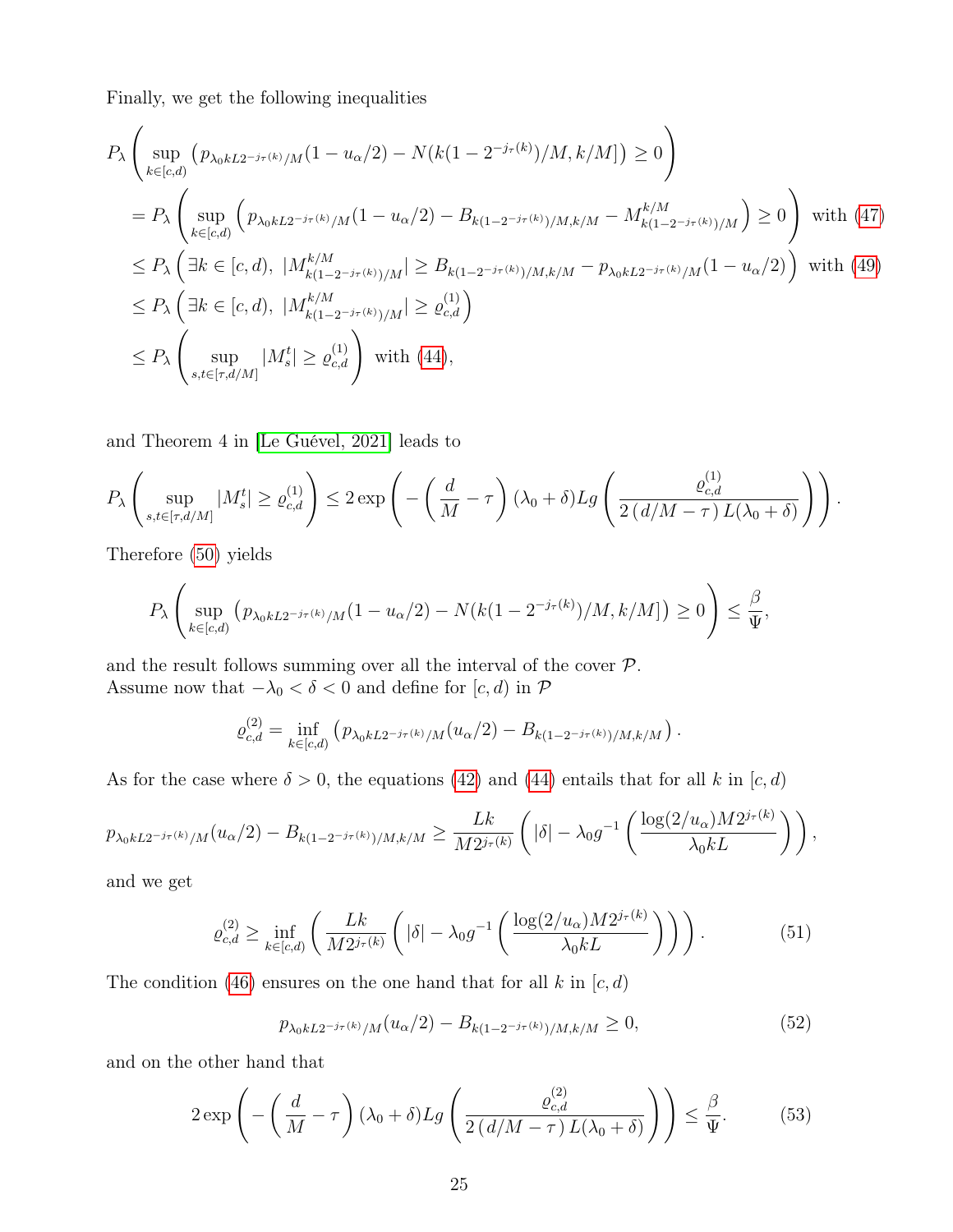Finally, we get the following inequalities

$$
P_{\lambda} \left( \sup_{k \in [c,d)} (p_{\lambda_0 k L 2^{-j\tau(k)}/M} (1 - u_{\alpha}/2) - N(k(1 - 2^{-j\tau(k)})/M, k/M]) \ge 0 \right)
$$
  
\n
$$
= P_{\lambda} \left( \sup_{k \in [c,d)} (p_{\lambda_0 k L 2^{-j\tau(k)}/M} (1 - u_{\alpha}/2) - B_{k(1 - 2^{-j\tau(k)})/M, k/M} - M_{k(1 - 2^{-j\tau(k)})/M}^{k/M}) \ge 0 \right) \text{ with (47)}
$$
  
\n
$$
\le P_{\lambda} \left( \exists k \in [c,d), |M_{k(1 - 2^{-j\tau(k)})/M}^{k/M} | \ge B_{k(1 - 2^{-j\tau(k)})/M, k/M} - p_{\lambda_0 k L 2^{-j\tau(k)}/M} (1 - u_{\alpha}/2) \right) \text{ with (49)}
$$
  
\n
$$
\le P_{\lambda} \left( \exists k \in [c,d), |M_{k(1 - 2^{-j\tau(k)})/M}^{k/M} | \ge \varrho_{c,d}^{(1)} \right)
$$
  
\n
$$
\le P_{\lambda} \left( \sup_{s,t \in [\tau, d/M]} |M_s^t| \ge \varrho_{c,d}^{(1)} \right) \text{ with (44)},
$$

and Theorem 4 in [Le Guével, 2021] leads to

$$
P_{\lambda}\left(\sup_{s,t\in[\tau,d/M]}|M_s^t|\geq\varrho_{c,d}^{(1)}\right)\leq 2\exp\left(-\left(\frac{d}{M}-\tau\right)(\lambda_0+\delta)Lg\left(\frac{\varrho_{c,d}^{(1)}}{2(d/M-\tau)L(\lambda_0+\delta)}\right)\right).
$$

Therefore (50) yields

$$
P_{\lambda}\left(\sup_{k\in[c,d)}\left(p_{\lambda_0kL2^{-j_{\tau}(k)}/M}(1-u_{\alpha}/2)-N(k(1-2^{-j_{\tau}(k)})/M,k/M]\right)\geq 0\right)\leq \frac{\beta}{\Psi},
$$

and the result follows summing over all the interval of the cover  $P$ . Assume now that  $-\lambda_0 < \delta < 0$  and define for  $[c, d)$  in  $\mathcal P$ 

$$
\varrho_{c,d}^{(2)} = \inf_{k \in [c,d)} \left( p_{\lambda_0 k L 2^{-j_{\tau}(k)}/M} (u_\alpha/2) - B_{k(1-2^{-j_{\tau}(k)})/M, k/M} \right).
$$

As for the case where  $\delta > 0$ , the equations (42) and (44) entails that for all k in [c, d)

$$
p_{\lambda_0 k L 2^{-j_{\tau}(k)}/M}(u_{\alpha}/2) - B_{k(1-2^{-j_{\tau}(k)})/M, k/M} \geq \frac{Lk}{M 2^{j_{\tau}(k)}} \left( |\delta| - \lambda_0 g^{-1} \left( \frac{\log(2/u_{\alpha}) M 2^{j_{\tau}(k)}}{\lambda_0 k L} \right) \right),
$$

and we get

$$
\varrho_{c,d}^{(2)} \ge \inf_{k \in [c,d)} \left( \frac{Lk}{M 2^{j_{\tau}(k)}} \left( |\delta| - \lambda_0 g^{-1} \left( \frac{\log(2/u_{\alpha}) M 2^{j_{\tau}(k)}}{\lambda_0 k L} \right) \right) \right). \tag{51}
$$

The condition (46) ensures on the one hand that for all k in  $[c, d)$ 

$$
p_{\lambda_0 k L 2^{-j\tau(k)}/M}(u_\alpha/2) - B_{k(1-2^{-j\tau(k)})/M, k/M} \ge 0,
$$
\n(52)

and on the other hand that

$$
2\exp\left(-\left(\frac{d}{M}-\tau\right)(\lambda_0+\delta)Lg\left(\frac{\varrho_{c,d}^{(2)}}{2\left(d/M-\tau\right)L(\lambda_0+\delta)}\right)\right)\leq\frac{\beta}{\Psi}.\tag{53}
$$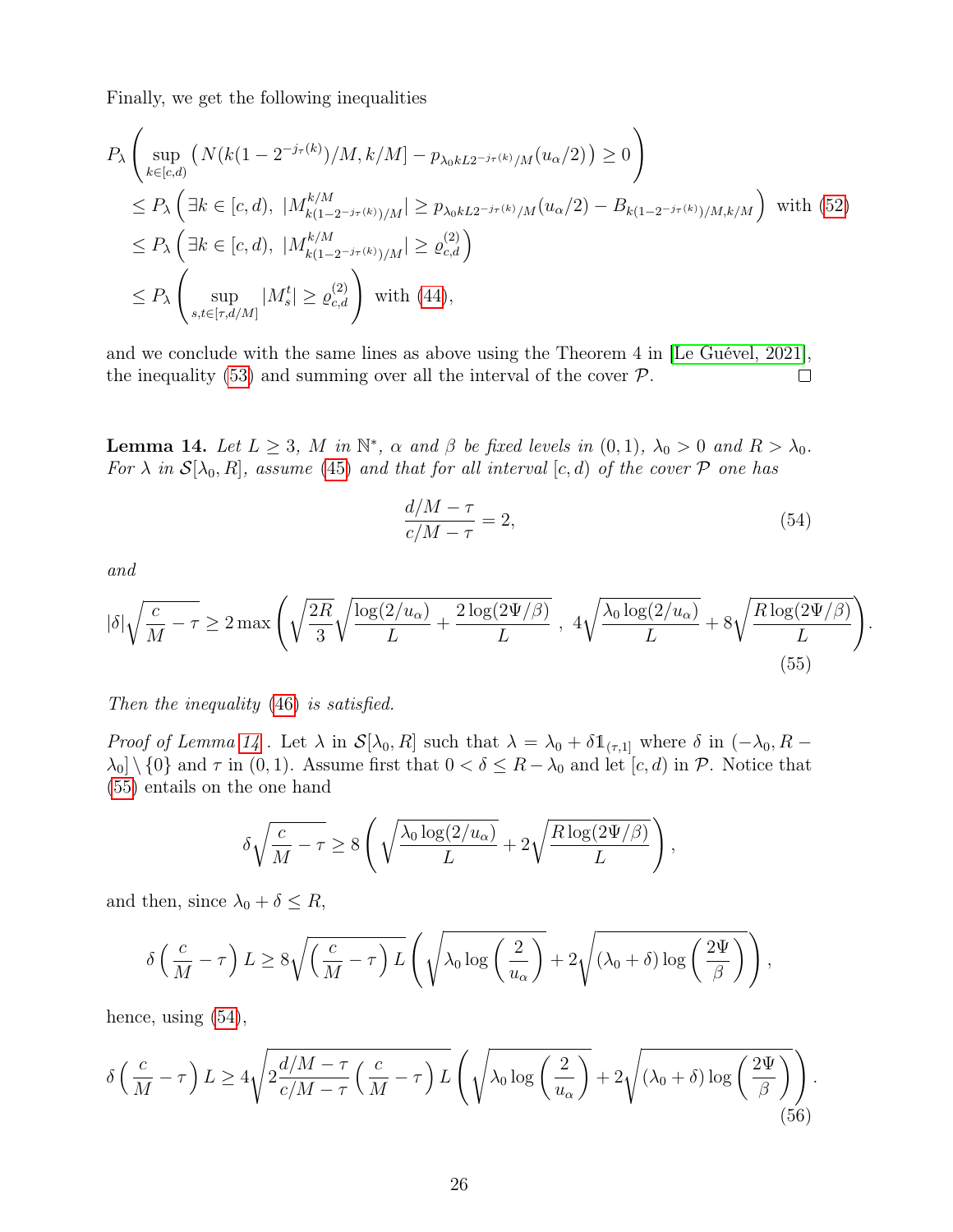Finally, we get the following inequalities

$$
P_{\lambda} \left( \sup_{k \in [c,d)} \left( N(k(1 - 2^{-j_{\tau}(k)})/M, k/M] - p_{\lambda_0 k L 2^{-j_{\tau}(k)}/M}(u_{\alpha}/2) \right) \ge 0 \right)
$$
  
\n
$$
\le P_{\lambda} \left( \exists k \in [c,d), \ |M_{k(1-2^{-j_{\tau}(k)})/M}^{k/M} | \ge p_{\lambda_0 k L 2^{-j_{\tau}(k)}/M}(u_{\alpha}/2) - B_{k(1-2^{-j_{\tau}(k)})/M, k/M} \right) \text{ with (52)}
$$
  
\n
$$
\le P_{\lambda} \left( \exists k \in [c,d), \ |M_{k(1-2^{-j_{\tau}(k)})/M}^{k/M} | \ge \varrho_{c,d}^{(2)} \right)
$$
  
\n
$$
\le P_{\lambda} \left( \sup_{s,t \in [\tau, d/M]} |M_s^t| \ge \varrho_{c,d}^{(2)} \right) \text{ with (44)},
$$

and we conclude with the same lines as above using the Theorem 4 in [Le Guével, 2021], the inequality (53) and summing over all the interval of the cover  $P$ .  $\Box$ 

**Lemma 14.** Let  $L \geq 3$ , M in  $\mathbb{N}^*$ ,  $\alpha$  and  $\beta$  be fixed levels in  $(0,1)$ ,  $\lambda_0 > 0$  and  $R > \lambda_0$ . For  $\lambda$  in  $\mathcal{S}[\lambda_0, R]$ , assume (45) and that for all interval  $[c, d)$  of the cover  $\mathcal P$  one has

$$
\frac{d/M - \tau}{c/M - \tau} = 2,\tag{54}
$$

.

and

$$
|\delta| \sqrt{\frac{c}{M} - \tau} \ge 2 \max \left( \sqrt{\frac{2R}{3}} \sqrt{\frac{\log(2/u_{\alpha})}{L} + \frac{2 \log(2\Psi/\beta)}{L}} \right), \ 4 \sqrt{\frac{\lambda_0 \log(2/u_{\alpha})}{L}} + 8 \sqrt{\frac{R \log(2\Psi/\beta)}{L}} \right)
$$
\n(55)

Then the inequality (46) is satisfied.

*Proof of Lemma 14*. Let  $\lambda$  in  $\mathcal{S}[\lambda_0, R]$  such that  $\lambda = \lambda_0 + \delta \mathbb{1}_{\{\tau,1\}}$  where  $\delta$  in  $(-\lambda_0, R \lambda_0 \setminus \{0\}$  and  $\tau$  in  $(0, 1)$ . Assume first that  $0 < \delta \leq R - \lambda_0$  and let  $[c, d)$  in  $\mathcal{P}$ . Notice that (55) entails on the one hand

$$
\delta \sqrt{\frac{c}{M} - \tau} \ge 8 \left( \sqrt{\frac{\lambda_0 \log(2/u_0)}{L}} + 2 \sqrt{\frac{R \log(2 \Psi/\beta)}{L}} \right),
$$

and then, since  $\lambda_0 + \delta \leq R$ ,

$$
\delta\left(\frac{c}{M}-\tau\right)L \ge 8\sqrt{\left(\frac{c}{M}-\tau\right)L}\left(\sqrt{\lambda_0\log\left(\frac{2}{u_\alpha}\right)}+2\sqrt{(\lambda_0+\delta)\log\left(\frac{2\Psi}{\beta}\right)}\right),
$$

hence, using  $(54)$ ,

$$
\delta\left(\frac{c}{M}-\tau\right)L \ge 4\sqrt{2\frac{d/M-\tau}{c/M-\tau}\left(\frac{c}{M}-\tau\right)L}\left(\sqrt{\lambda_0\log\left(\frac{2}{u_\alpha}\right)}+2\sqrt{(\lambda_0+\delta)\log\left(\frac{2\Psi}{\beta}\right)}\right).
$$
\n(56)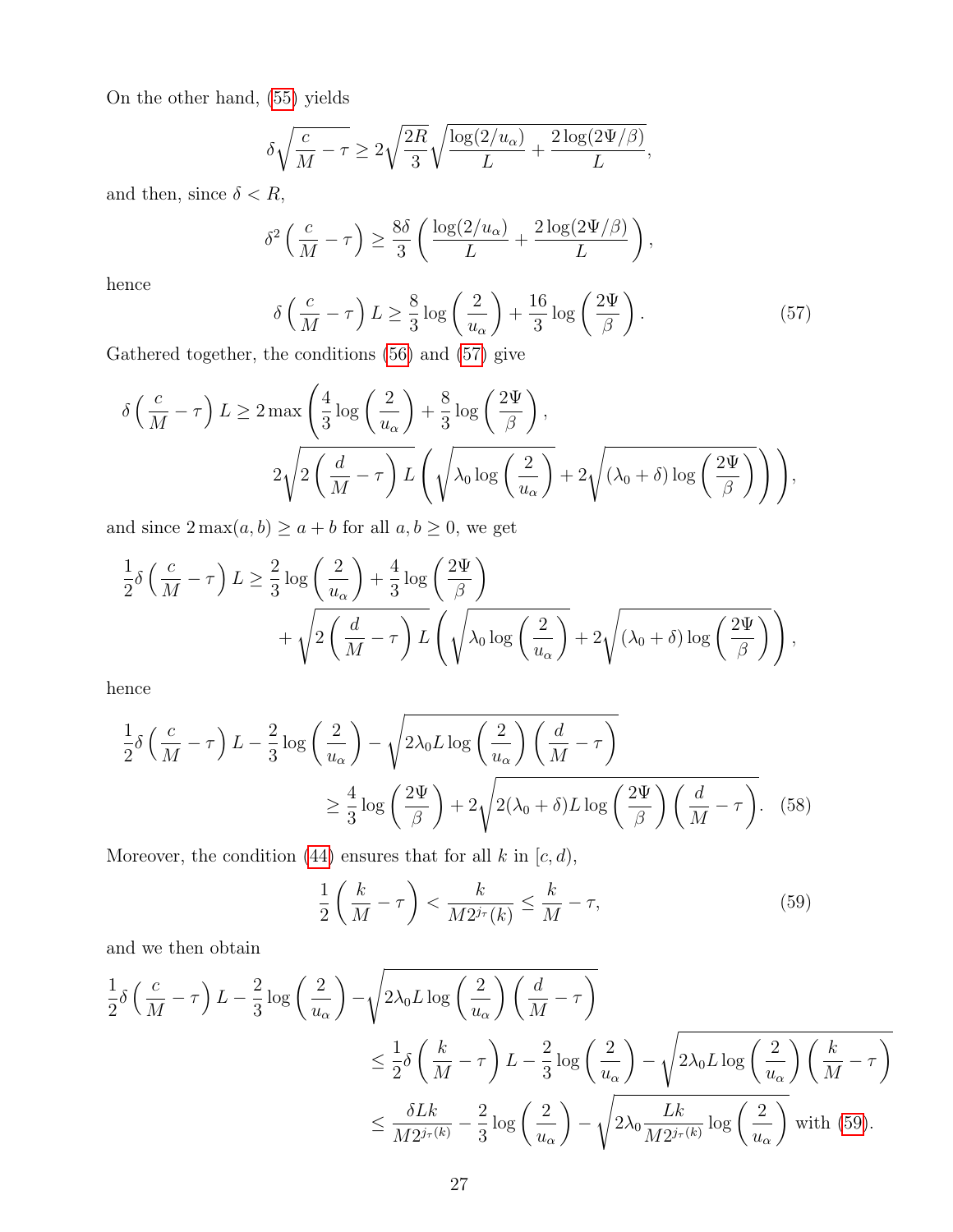On the other hand, (55) yields

$$
\delta\sqrt{\frac{c}{M}-\tau}\geq 2\sqrt{\frac{2R}{3}}\sqrt{\frac{\log(2/u_{\alpha})}{L}+\frac{2\log(2\Psi/\beta)}{L}},
$$

and then, since  $\delta < R,$ 

$$
\delta^2 \left( \frac{c}{M} - \tau \right) \ge \frac{8\delta}{3} \left( \frac{\log(2/u_\alpha)}{L} + \frac{2\log(2\Psi/\beta)}{L} \right),
$$

hence

$$
\delta\left(\frac{c}{M} - \tau\right) L \ge \frac{8}{3} \log\left(\frac{2}{u_{\alpha}}\right) + \frac{16}{3} \log\left(\frac{2\Psi}{\beta}\right). \tag{57}
$$

Gathered together, the conditions (56) and (57) give

$$
\delta\left(\frac{c}{M}-\tau\right)L \ge 2\max\left(\frac{4}{3}\log\left(\frac{2}{u_{\alpha}}\right)+\frac{8}{3}\log\left(\frac{2\Psi}{\beta}\right),\right)
$$

$$
2\sqrt{2\left(\frac{d}{M}-\tau\right)L}\left(\sqrt{\lambda_0\log\left(\frac{2}{u_{\alpha}}\right)}+2\sqrt{(\lambda_0+\delta)\log\left(\frac{2\Psi}{\beta}\right)}\right)\right),
$$

and since  $2 \max(a, b) \ge a + b$  for all  $a, b \ge 0$ , we get

$$
\frac{1}{2}\delta\left(\frac{c}{M}-\tau\right)L \ge \frac{2}{3}\log\left(\frac{2}{u_{\alpha}}\right) + \frac{4}{3}\log\left(\frac{2\Psi}{\beta}\right) + \sqrt{2\left(\frac{d}{M}-\tau\right)L\left(\sqrt{\lambda_0\log\left(\frac{2}{u_{\alpha}}\right)} + 2\sqrt{(\lambda_0+\delta)\log\left(\frac{2\Psi}{\beta}\right)}\right)},
$$

hence

$$
\frac{1}{2}\delta\left(\frac{c}{M}-\tau\right)L - \frac{2}{3}\log\left(\frac{2}{u_{\alpha}}\right) - \sqrt{2\lambda_0 L \log\left(\frac{2}{u_{\alpha}}\right)\left(\frac{d}{M}-\tau\right)}
$$
\n
$$
\geq \frac{4}{3}\log\left(\frac{2\Psi}{\beta}\right) + 2\sqrt{2(\lambda_0+\delta)L \log\left(\frac{2\Psi}{\beta}\right)\left(\frac{d}{M}-\tau\right)}.
$$
\n(58)

Moreover, the condition (44) ensures that for all  $k$  in  $[c, d)$ ,

$$
\frac{1}{2}\left(\frac{k}{M}-\tau\right) < \frac{k}{M2^{j\tau}(k)} \le \frac{k}{M}-\tau,\tag{59}
$$

and we then obtain

$$
\frac{1}{2}\delta\left(\frac{c}{M}-\tau\right)L - \frac{2}{3}\log\left(\frac{2}{u_{\alpha}}\right) - \sqrt{2\lambda_0 L \log\left(\frac{2}{u_{\alpha}}\right)\left(\frac{d}{M}-\tau\right)}
$$
\n
$$
\leq \frac{1}{2}\delta\left(\frac{k}{M}-\tau\right)L - \frac{2}{3}\log\left(\frac{2}{u_{\alpha}}\right) - \sqrt{2\lambda_0 L \log\left(\frac{2}{u_{\alpha}}\right)\left(\frac{k}{M}-\tau\right)}
$$
\n
$$
\leq \frac{\delta Lk}{M2^{j_{\tau}(k)}} - \frac{2}{3}\log\left(\frac{2}{u_{\alpha}}\right) - \sqrt{2\lambda_0 \frac{Lk}{M2^{j_{\tau}(k)}}\log\left(\frac{2}{u_{\alpha}}\right)} \text{ with (59).}
$$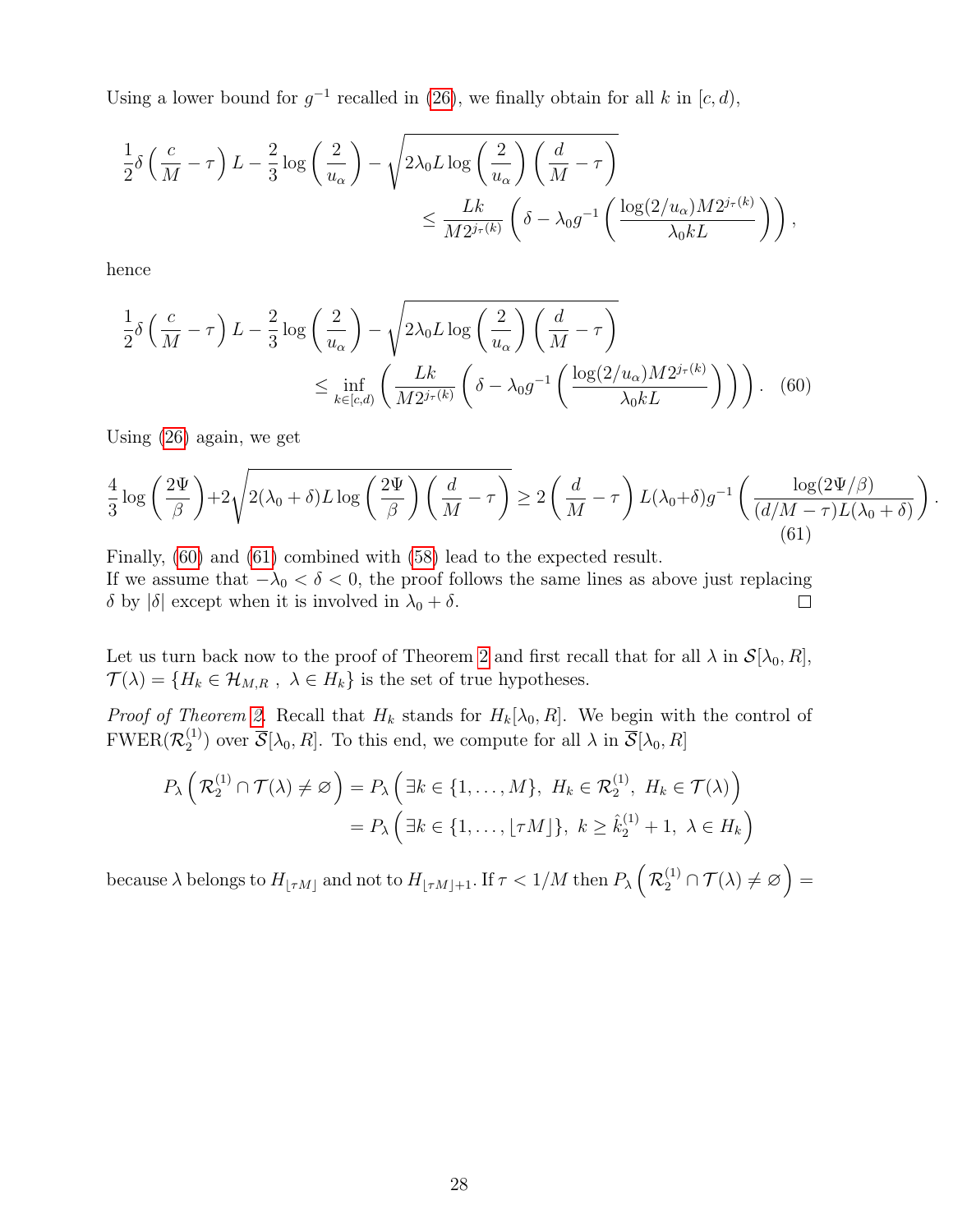Using a lower bound for  $g^{-1}$  recalled in (26), we finally obtain for all k in [c, d),

$$
\frac{1}{2}\delta\left(\frac{c}{M}-\tau\right)L - \frac{2}{3}\log\left(\frac{2}{u_{\alpha}}\right) - \sqrt{2\lambda_0 L \log\left(\frac{2}{u_{\alpha}}\right)\left(\frac{d}{M}-\tau\right)}
$$

$$
\leq \frac{Lk}{M2^{j_{\tau}(k)}}\left(\delta - \lambda_0 g^{-1}\left(\frac{\log(2/u_{\alpha})M2^{j_{\tau}(k)}}{\lambda_0 kL}\right)\right),
$$

hence

$$
\frac{1}{2}\delta\left(\frac{c}{M}-\tau\right)L - \frac{2}{3}\log\left(\frac{2}{u_{\alpha}}\right) - \sqrt{2\lambda_0 L \log\left(\frac{2}{u_{\alpha}}\right)\left(\frac{d}{M}-\tau\right)}
$$
\n
$$
\leq \inf_{k \in [c,d)} \left(\frac{Lk}{M2^{j_{\tau}(k)}}\left(\delta - \lambda_0 g^{-1}\left(\frac{\log(2/u_{\alpha})M2^{j_{\tau}(k)}}{\lambda_0 kL}\right)\right)\right). \quad (60)
$$

Using (26) again, we get

$$
\frac{4}{3}\log\left(\frac{2\Psi}{\beta}\right) + 2\sqrt{2(\lambda_0+\delta)L\log\left(\frac{2\Psi}{\beta}\right)\left(\frac{d}{M}-\tau\right)} \ge 2\left(\frac{d}{M}-\tau\right)L(\lambda_0+\delta)g^{-1}\left(\frac{\log(2\Psi/\beta)}{(d/M-\tau)L(\lambda_0+\delta)}\right).
$$
\n(61)

Finally, (60) and (61) combined with (58) lead to the expected result. If we assume that  $-\lambda_0 < \delta < 0$ , the proof follows the same lines as above just replacing δ by  $|\delta|$  except when it is involved in  $\lambda_0 + \delta$ .  $\Box$ 

Let us turn back now to the proof of Theorem 2 and first recall that for all  $\lambda$  in  $\mathcal{S}[\lambda_0, R]$ ,  $\mathcal{T}(\lambda) = \{H_k \in \mathcal{H}_{M,R} , \lambda \in H_k \}$  is the set of true hypotheses.

*Proof of Theorem 2.* Recall that  $H_k$  stands for  $H_k[\lambda_0, R]$ . We begin with the control of  $\mathrm{FWER}(\mathcal{R}^{(1)}_2$  $\mathcal{Z}_{2}^{(1)}$  over  $\mathcal{S}[\lambda_0, R]$ . To this end, we compute for all  $\lambda$  in  $\mathcal{S}[\lambda_0, R]$ 

$$
P_{\lambda}\left(\mathcal{R}_{2}^{(1)}\cap\mathcal{T}(\lambda)\neq\varnothing\right)=P_{\lambda}\left(\exists k\in\{1,\ldots,M\},\ H_{k}\in\mathcal{R}_{2}^{(1)},\ H_{k}\in\mathcal{T}(\lambda)\right)
$$

$$
=P_{\lambda}\left(\exists k\in\{1,\ldots,\lfloor\tau M\rfloor\},\ k\geq\hat{k}_{2}^{(1)}+1,\ \lambda\in H_{k}\right)
$$

because  $\lambda$  belongs to  $H_{\lfloor \tau M\rfloor}$  and not to  $H_{\lfloor \tau M\rfloor+1}.$  If  $\tau < 1/M$  then  $P_{\lambda}\left(\mathcal{R}_2^{(1)}\cap\mathcal{T}(\lambda)\neq\varnothing\right)=$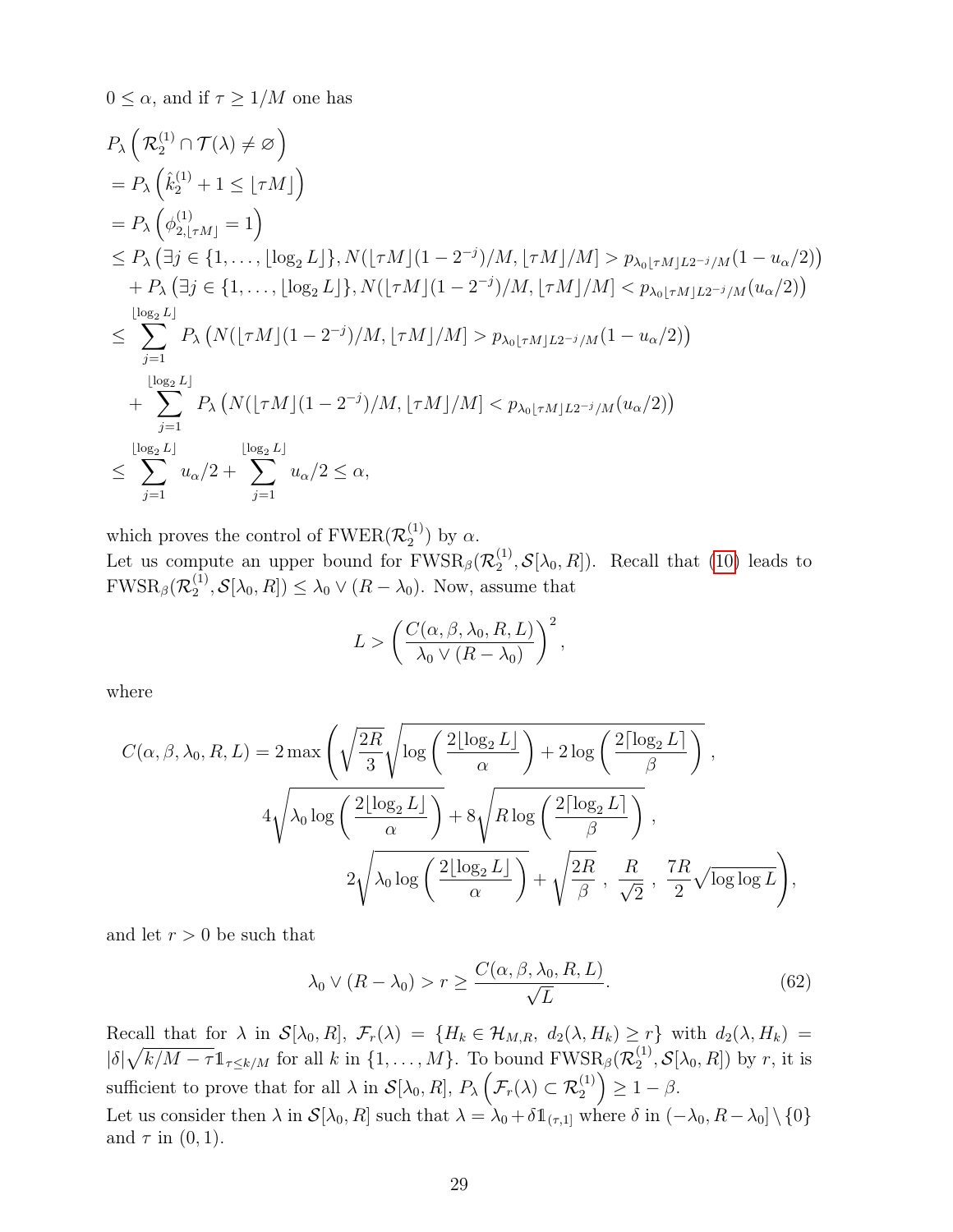$0 \leq \alpha$ , and if  $\tau \geq 1/M$  one has

$$
P_{\lambda} \left( \mathcal{R}_{2}^{(1)} \cap \mathcal{T}(\lambda) \neq \varnothing \right)
$$
  
\n
$$
= P_{\lambda} \left( \hat{k}_{2}^{(1)} + 1 \leq \lfloor \tau M \rfloor \right)
$$
  
\n
$$
= P_{\lambda} \left( \phi_{2, \lfloor \tau M \rfloor}^{(1)} = 1 \right)
$$
  
\n
$$
\leq P_{\lambda} \left( \exists j \in \{1, ..., \lfloor \log_{2} L \rfloor\}, N(\lfloor \tau M \rfloor (1 - 2^{-j})/M, \lfloor \tau M \rfloor / M] > p_{\lambda_{0} \lfloor \tau M \rfloor L 2^{-j}/M} (1 - u_{\alpha}/2))
$$
  
\n
$$
+ P_{\lambda} \left( \exists j \in \{1, ..., \lfloor \log_{2} L \rfloor\}, N(\lfloor \tau M \rfloor (1 - 2^{-j})/M, \lfloor \tau M \rfloor / M] < p_{\lambda_{0} \lfloor \tau M \rfloor L 2^{-j}/M} (u_{\alpha}/2)) \right)
$$
  
\n
$$
\leq \sum_{j=1}^{\lfloor \log_{2} L \rfloor} P_{\lambda} \left( N(\lfloor \tau M \rfloor (1 - 2^{-j})/M, \lfloor \tau M \rfloor / M] > p_{\lambda_{0} \lfloor \tau M \rfloor L 2^{-j}/M} (1 - u_{\alpha}/2) \right)
$$
  
\n
$$
+ \sum_{j=1}^{\lfloor \log_{2} L \rfloor} P_{\lambda} \left( N(\lfloor \tau M \rfloor (1 - 2^{-j})/M, \lfloor \tau M \rfloor / M] < p_{\lambda_{0} \lfloor \tau M \rfloor L 2^{-j}/M} (u_{\alpha}/2) \right)
$$
  
\n
$$
\leq \sum_{j=1}^{\lfloor \log_{2} L \rfloor} u_{\alpha}/2 + \sum_{j=1}^{\lfloor \log_{2} L \rfloor} u_{\alpha}/2 \leq \alpha,
$$

which proves the control of  $\mathrm{FWER}(\mathcal{R}_2^{(1)})$  $\binom{1}{2}$  by  $\alpha$ .

Let us compute an upper bound for  $FWSR_{\beta}(\mathcal{R}^{(1)}_2)$  $\mathcal{L}_2^{(1)}, \mathcal{S}[\lambda_0, R]$ . Recall that (10) leads to  $\mathrm{FWSR}_{\beta}(\mathcal{R}^{(1)}_2$  $\mathcal{L}_2^{(1)}, \mathcal{S}[\lambda_0, R]) \leq \lambda_0 \vee (R - \lambda_0)$ . Now, assume that

$$
L > \left(\frac{C(\alpha, \beta, \lambda_0, R, L)}{\lambda_0 \vee (R - \lambda_0)}\right)^2,
$$

where

$$
C(\alpha, \beta, \lambda_0, R, L) = 2 \max \left( \sqrt{\frac{2R}{3}} \sqrt{\log \left( \frac{2 \lfloor \log_2 L \rfloor}{\alpha} \right) + 2 \log \left( \frac{2 \lceil \log_2 L \rceil}{\beta} \right)} \right),
$$
  

$$
4 \sqrt{\lambda_0 \log \left( \frac{2 \lfloor \log_2 L \rfloor}{\alpha} \right) + 8 \sqrt{R \log \left( \frac{2 \lceil \log_2 L \rceil}{\beta} \right)}},
$$
  

$$
2 \sqrt{\lambda_0 \log \left( \frac{2 \lfloor \log_2 L \rfloor}{\alpha} \right)} + \sqrt{\frac{2R}{\beta}}, \frac{R}{\sqrt{2}}, \frac{7R}{2} \sqrt{\log \log L}} \right),
$$

and let  $r > 0$  be such that

$$
\lambda_0 \vee (R - \lambda_0) > r \ge \frac{C(\alpha, \beta, \lambda_0, R, L)}{\sqrt{L}}.\tag{62}
$$

Recall that for  $\lambda$  in  $\mathcal{S}[\lambda_0, R], \mathcal{F}_r(\lambda) = \{H_k \in \mathcal{H}_{M,R}, d_2(\lambda, H_k) \geq r\}$  with  $d_2(\lambda, H_k) =$  $|\delta|\sqrt{k/M-\tau}\mathbb{1}_{\tau\leq k/M}$  for all k in  $\{1,\ldots,M\}$ . To bound  $\text{FWSR}_{\beta}(\mathcal{R}_2^{(1)})$  $\mathcal{E}_2^{(1)}, \mathcal{S}[\lambda_0, R]$  by r, it is sufficient to prove that for all  $\lambda$  in  $\mathcal{S}[\lambda_0, R]$ ,  $P_{\lambda}(\mathcal{F}_r(\lambda) \subset \mathcal{R}_2^{(1)}) \geq 1 - \beta$ . Let us consider then  $\lambda$  in  $\mathcal{S}[\lambda_0, R]$  such that  $\lambda = \lambda_0 + \delta \mathbb{1}_{(\tau,1]}$  where  $\delta$  in  $(-\lambda_0, R - \lambda_0] \setminus \{0\}$ and  $\tau$  in  $(0, 1)$ .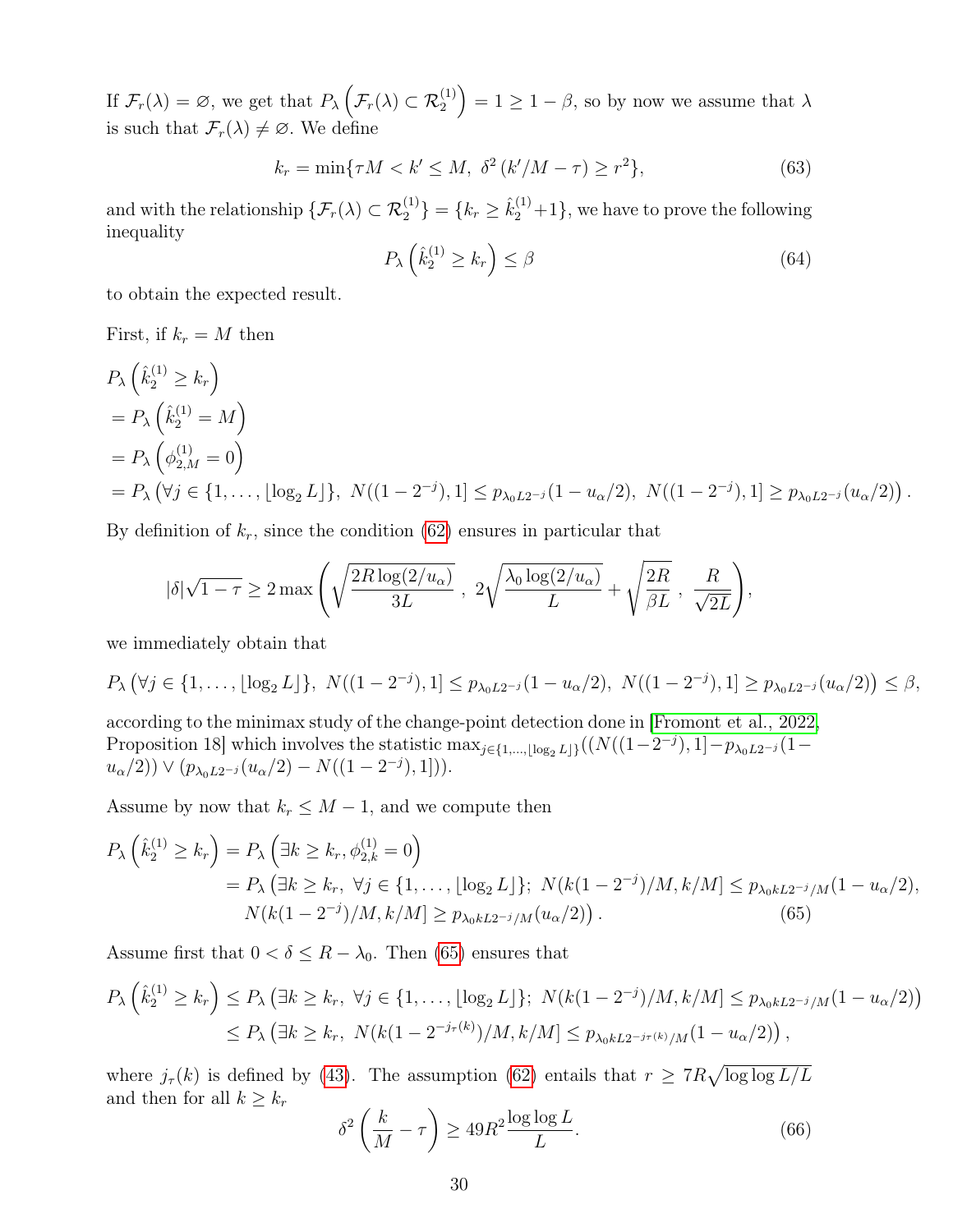If  $\mathcal{F}_r(\lambda) = \varnothing$ , we get that  $P_\lambda \left( \mathcal{F}_r(\lambda) \subset \mathcal{R}_2^{(1)} \right) = 1 \geq 1 - \beta$ , so by now we assume that  $\lambda$ is such that  $\mathcal{F}_r(\lambda) \neq \emptyset$ . We define

$$
k_r = \min\{\tau M < k' \le M, \ \delta^2 \left(\frac{k'}{M - \tau}\right) \ge r^2\},\tag{63}
$$

and with the relationship  $\{\mathcal{F}_r(\lambda) \subset \mathcal{R}_2^{(1)}\} = \{k_r \geq \hat{k}_2^{(1)} + 1\}$ , we have to prove the following inequality

$$
P_{\lambda}\left(\hat{k}_2^{(1)} \ge k_r\right) \le \beta \tag{64}
$$

.

to obtain the expected result.

First, if  $k_r = M$  then

$$
P_{\lambda} \left( \hat{k}_{2}^{(1)} \geq k_{r} \right)
$$
  
=  $P_{\lambda} \left( \hat{k}_{2}^{(1)} = M \right)$   
=  $P_{\lambda} \left( \phi_{2,M}^{(1)} = 0 \right)$   
=  $P_{\lambda} \left( \forall j \in \{1, ..., \lfloor \log_{2} L \rfloor \}, N((1 - 2^{-j}), 1] \leq p_{\lambda_{0} L 2^{-j}} (1 - u_{\alpha}/2), N((1 - 2^{-j}), 1] \geq p_{\lambda_{0} L 2^{-j}} (u_{\alpha}/2))$ 

By definition of  $k_r$ , since the condition (62) ensures in particular that

$$
|\delta|\sqrt{1-\tau}\geq 2\max\Bigg(\sqrt{\frac{2R\log(2/u_{\alpha})}{3L}}\ ,\ 2\sqrt{\frac{\lambda_0\log(2/u_{\alpha})}{L}}+\sqrt{\frac{2R}{\beta L}}\ ,\ \frac{R}{\sqrt{2L}}\Bigg),
$$

we immediately obtain that

$$
P_{\lambda}\left(\forall j \in \{1,\ldots,\lfloor \log_2 L \rfloor\}, N((1-2^{-j}),1] \leq p_{\lambda_0 L 2^{-j}}(1-u_{\alpha}/2), N((1-2^{-j}),1] \geq p_{\lambda_0 L 2^{-j}}(u_{\alpha}/2)\right) \leq \beta,
$$

according to the minimax study of the change-point detection done in [Fromont et al., 2022, Proposition 18] which involves the statistic  $\max_{j \in \{1,\ldots,\lfloor \log_2 L\rfloor\}}((N((1-2^{-j}),1]-p_{\lambda_0 L2^{-j}}(1-\frac{1}{2})$  $u_{\alpha}/2$ ))  $\vee (p_{\lambda_0 L2^{-j}}(u_{\alpha}/2) - N((1 - 2^{-j}), 1]).$ 

Assume by now that  $k_r \leq M-1$ , and we compute then

$$
P_{\lambda}\left(\hat{k}_{2}^{(1)} \geq k_{r}\right) = P_{\lambda}\left(\exists k \geq k_{r}, \phi_{2,k}^{(1)} = 0\right)
$$
  
=  $P_{\lambda}\left(\exists k \geq k_{r}, \forall j \in \{1, ..., \lfloor \log_{2} L \rfloor\}; N(k(1 - 2^{-j})/M, k/M] \leq p_{\lambda_{0}kL2^{-j}/M}(1 - u_{\alpha}/2),$   
 $N(k(1 - 2^{-j})/M, k/M] \geq p_{\lambda_{0}kL2^{-j}/M}(u_{\alpha}/2)).$  (65)

Assume first that  $0 < \delta \leq R - \lambda_0$ . Then (65) ensures that

$$
P_{\lambda}\left(\hat{k}_{2}^{(1)} \geq k_{r}\right) \leq P_{\lambda}\left(\exists k \geq k_{r}, \ \forall j \in \{1, \ldots, \lfloor \log_{2} L \rfloor\}; \ N(k(1 - 2^{-j})/M, k/M] \leq p_{\lambda_{0}kL2^{-j}/M}(1 - u_{\alpha}/2)\right) \leq P_{\lambda}\left(\exists k \geq k_{r}, \ N(k(1 - 2^{-j_{\tau}(k)})/M, k/M] \leq p_{\lambda_{0}kL2^{-j_{\tau}(k)}/M}(1 - u_{\alpha}/2)\right),
$$

where  $j_{\tau}(k)$  is defined by (43). The assumption (62) entails that  $r \geq 7R\sqrt{\log \log L/L}$ and then for all  $k \geq k_r$ 

$$
\delta^2 \left( \frac{k}{M} - \tau \right) \ge 49R^2 \frac{\log \log L}{L}.\tag{66}
$$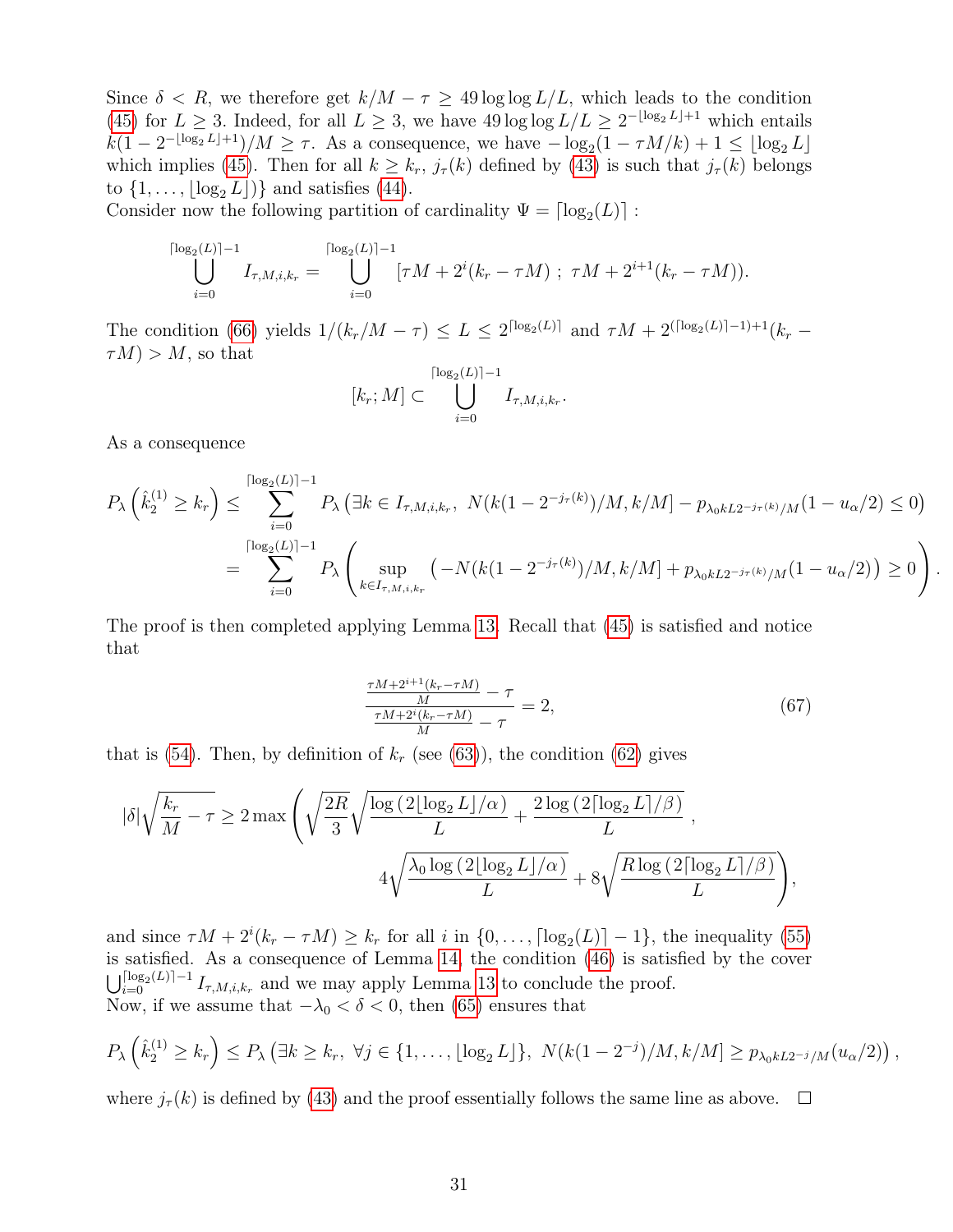Since  $\delta < R$ , we therefore get  $k/M - \tau \geq 49 \log \log L/L$ , which leads to the condition (45) for  $L \geq 3$ . Indeed, for all  $L \geq 3$ , we have  $49 \log \log L/L \geq 2^{-\lfloor \log_2 L \rfloor + 1}$  which entails  $k(1-2^{-\lfloor \log_2 L \rfloor + 1})/M \geq \tau$ . As a consequence, we have  $-\log_2(1 - \tau M/k) + 1 \leq \lfloor \log_2 L \rfloor$ which implies (45). Then for all  $k \geq k_r$ ,  $j_\tau(k)$  defined by (43) is such that  $j_\tau(k)$  belongs to  $\{1, \ldots, |\log_2 L|\}\$  and satisfies (44).

Consider now the following partition of cardinality  $\Psi = \lceil \log_2(L) \rceil$ :

$$
\bigcup_{i=0}^{\lceil \log_2(L) \rceil - 1} I_{\tau, M, i, k_r} = \bigcup_{i=0}^{\lceil \log_2(L) \rceil - 1} [\tau M + 2^i (k_r - \tau M) ; \ \tau M + 2^{i+1} (k_r - \tau M)).
$$

The condition (66) yields  $1/(k_r/M-\tau) \leq L \leq 2^{\lceil \log_2(L) \rceil}$  and  $\tau M + 2^{\lceil \log_2(L) \rceil -1 + 1}(k_r - \tau)$  $\tau(M) > M$ , so that

$$
[k_r; M] \subset \bigcup_{i=0}^{\lceil \log_2(L) \rceil - 1} I_{\tau, M, i, k_r}.
$$

As a consequence

$$
P_{\lambda}\left(\hat{k}_{2}^{(1)} \geq k_{r}\right) \leq \sum_{i=0}^{\lceil \log_{2}(L) \rceil - 1} P_{\lambda}\left(\exists k \in I_{\tau,M,i,k_{r}}, \ N(k(1 - 2^{-j_{\tau}(k)})/M, k/M] - p_{\lambda_{0}kL2^{-j_{\tau}(k)}/M}(1 - u_{\alpha}/2) \leq 0\right)
$$
  
= 
$$
\sum_{i=0}^{\lceil \log_{2}(L) \rceil - 1} P_{\lambda}\left(\sup_{k \in I_{\tau,M,i,k_{r}}} \left(-N(k(1 - 2^{-j_{\tau}(k)})/M, k/M] + p_{\lambda_{0}kL2^{-j_{\tau}(k)}/M}(1 - u_{\alpha}/2)\right) \geq 0\right).
$$

The proof is then completed applying Lemma 13. Recall that (45) is satisfied and notice that

$$
\frac{\frac{\tau M + 2^{i+1}(k_r - \tau M)}{M} - \tau}{\frac{\tau M + 2^i(k_r - \tau M)}{M} - \tau} = 2,
$$
\n(67)

that is (54). Then, by definition of  $k_r$  (see (63)), the condition (62) gives

$$
|\delta| \sqrt{\frac{k_r}{M} - \tau} \ge 2 \max \left( \sqrt{\frac{2R}{3}} \sqrt{\frac{\log(2[\log_2 L]/\alpha)}{L} + \frac{2 \log(2[\log_2 L]/\beta)}{L}} \right),
$$
  

$$
4 \sqrt{\frac{\lambda_0 \log(2[\log_2 L]/\alpha)}{L}} + 8 \sqrt{\frac{R \log(2[\log_2 L]/\beta)}{L}} \right),
$$

and since  $\tau M + 2^{i}(k_r - \tau M) \geq k_r$  for all i in  $\{0, \ldots, \lceil \log_2(L) \rceil - 1\}$ , the inequality (55) is satisfied. As a consequence of Lemma 14, the condition (46) is satisfied by the cover  $\bigcup_{i=0}^{\lceil \log_2(L) \rceil-1} I_{\tau,M,i,k_r}$  and we may apply Lemma 13 to conclude the proof. Now, if we assume that  $-\lambda_0 < \delta < 0$ , then (65) ensures that

$$
P_{\lambda}\left(\hat{k}_{2}^{(1)} \geq k_{r}\right) \leq P_{\lambda}\left(\exists k \geq k_{r}, \ \forall j \in \{1,\ldots,\lfloor \log_{2} L \rfloor\}, \ N(k(1-2^{-j})/M,k/M] \geq p_{\lambda_{0}kL2^{-j}/M}(u_{\alpha}/2)\right),
$$

where  $j_{\tau}(k)$  is defined by (43) and the proof essentially follows the same line as above.  $\square$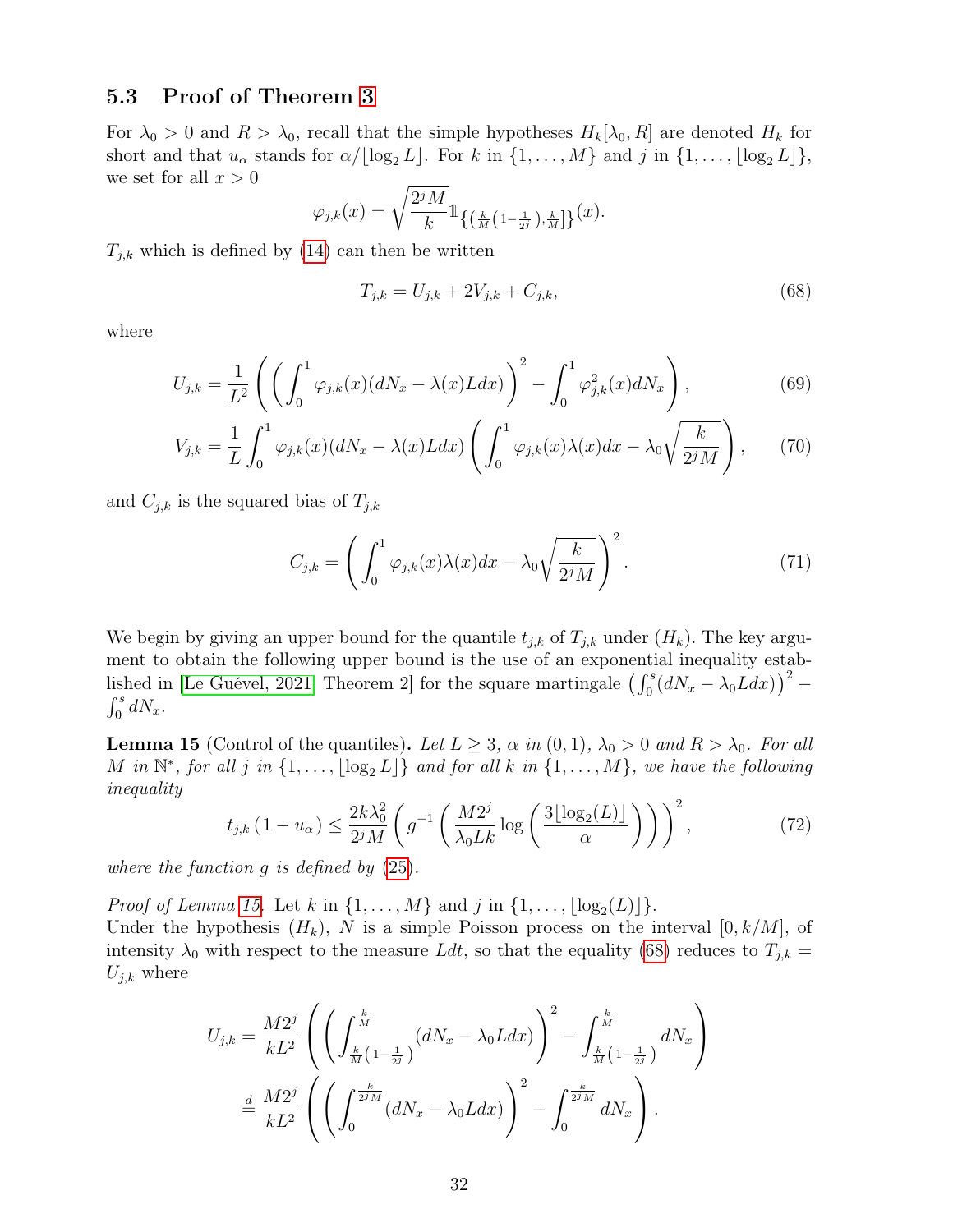### 5.3 Proof of Theorem 3

For  $\lambda_0 > 0$  and  $R > \lambda_0$ , recall that the simple hypotheses  $H_k[\lambda_0, R]$  are denoted  $H_k$  for short and that  $u_{\alpha}$  stands for  $\alpha/[\log_2 L]$ . For k in  $\{1, \ldots, M\}$  and j in  $\{1, \ldots, \lfloor \log_2 L \rfloor\},$ we set for all  $x > 0$ 

$$
\varphi_{j,k}(x) = \sqrt{\frac{2^j M}{k}} 1_{\{(\frac{k}{M}(1-\frac{1}{2^j}),\frac{k}{M}]\}}(x).
$$

 $T_{j,k}$  which is defined by (14) can then be written

$$
T_{j,k} = U_{j,k} + 2V_{j,k} + C_{j,k},\tag{68}
$$

where

$$
U_{j,k} = \frac{1}{L^2} \left( \left( \int_0^1 \varphi_{j,k}(x) (dN_x - \lambda(x)L dx) \right)^2 - \int_0^1 \varphi_{j,k}^2(x) dN_x \right),\tag{69}
$$

$$
V_{j,k} = \frac{1}{L} \int_0^1 \varphi_{j,k}(x) (dN_x - \lambda(x)L dx) \left( \int_0^1 \varphi_{j,k}(x) \lambda(x) dx - \lambda_0 \sqrt{\frac{k}{2^j M}} \right), \tag{70}
$$

and  $C_{j,k}$  is the squared bias of  $T_{j,k}$ 

$$
C_{j,k} = \left(\int_0^1 \varphi_{j,k}(x)\lambda(x)dx - \lambda_0\sqrt{\frac{k}{2^jM}}\right)^2.
$$
 (71)

We begin by giving an upper bound for the quantile  $t_{j,k}$  of  $T_{j,k}$  under  $(H_k)$ . The key argument to obtain the following upper bound is the use of an exponential inequality established in [Le Guével, 2021, Theorem 2] for the square martingale  $\left(\int_0^s (dN_x - \lambda_0 L dx)\right)^2$  –  $\int_0^s dN_x.$ 

**Lemma 15** (Control of the quantiles). Let  $L \geq 3$ ,  $\alpha$  in  $(0, 1)$ ,  $\lambda_0 > 0$  and  $R > \lambda_0$ . For all M in  $\mathbb{N}^*$ , for all j in  $\{1,\ldots,\lfloor \log_2 L \rfloor\}$  and for all k in  $\{1,\ldots,M\}$ , we have the following inequality

$$
t_{j,k} \left(1 - u_{\alpha}\right) \le \frac{2k\lambda_0^2}{2^j M} \left(g^{-1}\left(\frac{M2^j}{\lambda_0 L k} \log\left(\frac{3\lfloor \log_2(L) \rfloor}{\alpha}\right)\right)\right)^2,\tag{72}
$$

where the function g is defined by (25).

*Proof of Lemma 15.* Let  $k$  in  $\{1, \ldots, M\}$  and  $j$  in  $\{1, \ldots, \lfloor \log_2(L) \rfloor\}$ .

Under the hypothesis  $(H_k)$ , N is a simple Poisson process on the interval  $[0, k/M]$ , of intensity  $\lambda_0$  with respect to the measure Ldt, so that the equality (68) reduces to  $T_{j,k}$  =  $U_{j,k}$  where

$$
U_{j,k} = \frac{M2^j}{kL^2} \left( \left( \int_{\frac{k}{M} (1 - \frac{1}{2^j})}^{\frac{k}{M}} (dN_x - \lambda_0 L dx) \right)^2 - \int_{\frac{k}{M} (1 - \frac{1}{2^j})}^{\frac{k}{M}} dN_x \right)
$$
  

$$
\stackrel{d}{=} \frac{M2^j}{kL^2} \left( \left( \int_0^{\frac{k}{2^j M}} (dN_x - \lambda_0 L dx) \right)^2 - \int_0^{\frac{k}{2^j M}} dN_x \right).
$$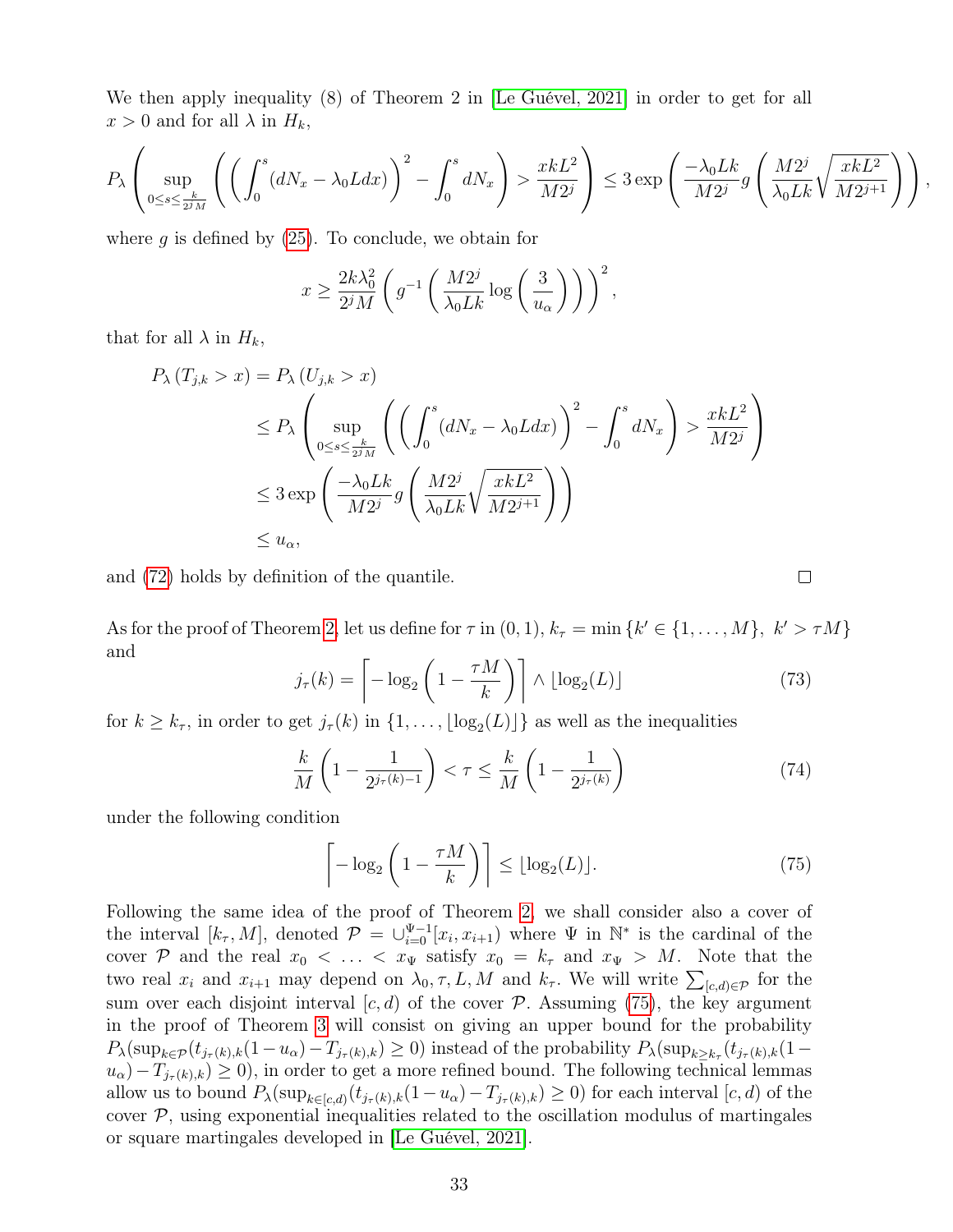We then apply inequality (8) of Theorem 2 in [Le Guével, 2021] in order to get for all  $x > 0$  and for all  $\lambda$  in  $H_k$ ,

$$
P_{\lambda}\left(\sup_{0\leq s\leq \frac{k}{2^jM}}\left(\left(\int_0^s (dN_x-\lambda_0Ldx)\right)^2-\int_0^s dN_x\right)>\frac{xkL^2}{M2^j}\right)\leq 3\exp\left(\frac{-\lambda_0Lk}{M2^j}g\left(\frac{M2^j}{\lambda_0Lk}\sqrt{\frac{xkL^2}{M2^{j+1}}}\right)\right),
$$

where  $g$  is defined by  $(25)$ . To conclude, we obtain for

$$
x \ge \frac{2k\lambda_0^2}{2^jM} \left( g^{-1} \left( \frac{M2^j}{\lambda_0 Lk} \log \left( \frac{3}{u_\alpha} \right) \right) \right)^2,
$$

that for all  $\lambda$  in  $H_k$ ,

$$
P_{\lambda}(T_{j,k} > x) = P_{\lambda}(U_{j,k} > x)
$$
  
\n
$$
\leq P_{\lambda} \left( \sup_{0 \leq s \leq \frac{k}{2^{j}M}} \left( \left( \int_{0}^{s} (dN_{x} - \lambda_{0}Ldx) \right)^{2} - \int_{0}^{s} dN_{x} \right) > \frac{xkL^{2}}{M2^{j}}
$$
  
\n
$$
\leq 3 \exp \left( \frac{-\lambda_{0}Lk}{M2^{j}} g \left( \frac{M2^{j}}{\lambda_{0}Lk} \sqrt{\frac{xkL^{2}}{M2^{j+1}}} \right) \right)
$$
  
\n
$$
\leq u_{\alpha},
$$

and (72) holds by definition of the quantile.

As for the proof of Theorem 2, let us define for  $\tau$  in  $(0,1)$ ,  $k_{\tau} = \min \{k' \in \{1, ..., M\}, k' > \tau M\}$ and

$$
j_{\tau}(k) = \left[ -\log_2\left(1 - \frac{\tau M}{k}\right) \right] \wedge \lfloor \log_2(L) \rfloor \tag{73}
$$

 $\Box$ 

for  $k \geq k_{\tau}$ , in order to get  $j_{\tau}(k)$  in  $\{1, \ldots, \lfloor \log_2(L) \rfloor\}$  as well as the inequalities

$$
\frac{k}{M}\left(1-\frac{1}{2^{j_{\tau}(k)-1}}\right) < \tau \leq \frac{k}{M}\left(1-\frac{1}{2^{j_{\tau}(k)}}\right) \tag{74}
$$

under the following condition

$$
\left\lceil -\log_2\left(1 - \frac{\tau M}{k}\right) \right\rceil \le \lfloor \log_2(L) \rfloor. \tag{75}
$$

Following the same idea of the proof of Theorem 2, we shall consider also a cover of the interval  $[k_{\tau}, M]$ , denoted  $\mathcal{P} = \bigcup_{i=0}^{\Psi-1}[x_i, x_{i+1}]$  where  $\Psi$  in  $\mathbb{N}^*$  is the cardinal of the cover P and the real  $x_0 < \ldots < x_{\Psi}$  satisfy  $x_0 = k_{\tau}$  and  $x_{\Psi} > M$ . Note that the two real  $x_i$  and  $x_{i+1}$  may depend on  $\lambda_0, \tau, L, M$  and  $k_{\tau}$ . We will write  $\sum_{[c,d)\in\mathcal{P}}$  for the sum over each disjoint interval  $[c, d)$  of the cover  $\mathcal P$ . Assuming (75), the key argument in the proof of Theorem 3 will consist on giving an upper bound for the probability  $P_{\lambda}(\sup_{k \in \mathcal{P}} (t_{j_{\tau}(k),k}(1-u_{\alpha})-T_{j_{\tau}(k),k}) \geq 0)$  instead of the probability  $P_{\lambda}(\sup_{k \geq k_{\tau}} (t_{j_{\tau}(k),k}(1-u_{\alpha})-T_{j_{\tau}(k),k}))$  $u_{\alpha}$ ) –  $T_{j_{\tau}(k),k}$ ) ≥ 0), in order to get a more refined bound. The following technical lemmas allow us to bound  $P_{\lambda}(\sup_{k \in [c,d)} (t_{j_{\tau}(k),k}(1-u_{\alpha})-T_{j_{\tau}(k),k}) \geq 0)$  for each interval  $[c,d)$  of the cover  $P$ , using exponential inequalities related to the oscillation modulus of martingales or square martingales developed in [Le Guével, 2021].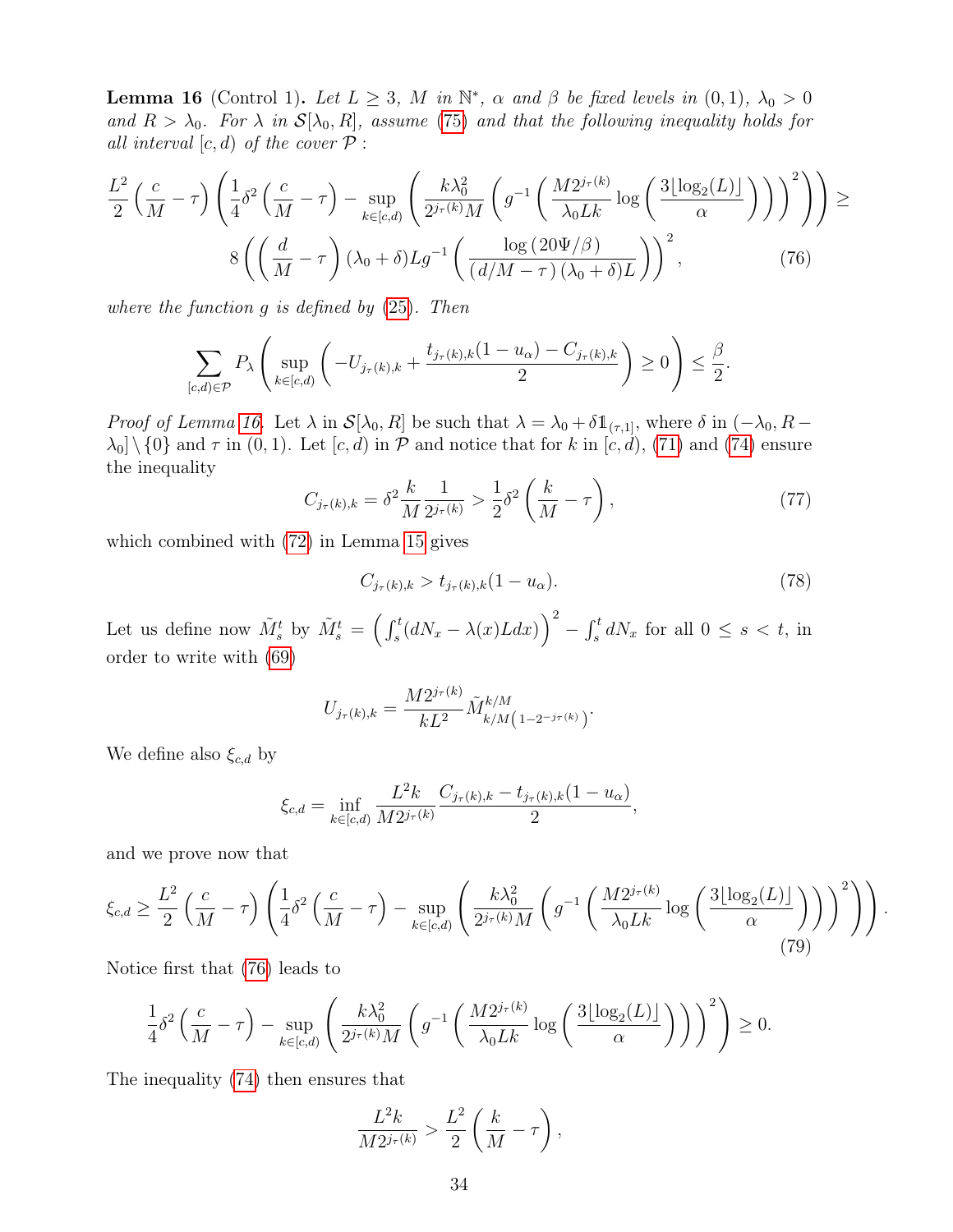**Lemma 16** (Control 1). Let  $L \geq 3$ , M in  $\mathbb{N}^*$ ,  $\alpha$  and  $\beta$  be fixed levels in  $(0,1)$ ,  $\lambda_0 > 0$ and  $R > \lambda_0$ . For  $\lambda$  in  $\mathcal{S}[\lambda_0, R]$ , assume (75) and that the following inequality holds for all interval  $[c, d)$  of the cover  $P$  :

$$
\frac{L^2}{2} \left( \frac{c}{M} - \tau \right) \left( \frac{1}{4} \delta^2 \left( \frac{c}{M} - \tau \right) - \sup_{k \in [c,d]} \left( \frac{k \lambda_0^2}{2^{j_\tau(k)} M} \left( g^{-1} \left( \frac{M 2^{j_\tau(k)}}{\lambda_0 L k} \log \left( \frac{3 \lfloor \log_2(L) \rfloor}{\alpha} \right) \right) \right)^2 \right) \ge
$$

$$
8 \left( \left( \frac{d}{M} - \tau \right) (\lambda_0 + \delta) L g^{-1} \left( \frac{\log \left( 20 \Psi / \beta \right)}{\left( d / M - \tau \right) (\lambda_0 + \delta) L} \right)^2, \tag{76}
$$

where the function g is defined by (25). Then

$$
\sum_{[c,d)\in\mathcal{P}} P_{\lambda}\left(\sup_{k\in[c,d)}\left(-U_{j_{\tau}(k),k}+\frac{t_{j_{\tau}(k),k}(1-u_{\alpha})-C_{j_{\tau}(k),k}}{2}\right)\geq 0\right)\leq \frac{\beta}{2}.
$$

*Proof of Lemma 16.* Let  $\lambda$  in  $\mathcal{S}[\lambda_0, R]$  be such that  $\lambda = \lambda_0 + \delta \mathbb{1}_{(\tau,1]},$  where  $\delta$  in  $(-\lambda_0, R \lambda_0$  \ {0} and  $\tau$  in (0, 1). Let  $[c, d)$  in  $\mathcal P$  and notice that for k in  $[c, d)$ , (71) and (74) ensure the inequality

$$
C_{j_{\tau}(k),k} = \delta^2 \frac{k}{M} \frac{1}{2^{j_{\tau}(k)}} > \frac{1}{2} \delta^2 \left( \frac{k}{M} - \tau \right),\tag{77}
$$

which combined with (72) in Lemma 15 gives

$$
C_{j_{\tau}(k),k} > t_{j_{\tau}(k),k}(1 - u_{\alpha}).
$$
\n(78)

Let us define now  $\tilde{M}_s^t$  by  $\tilde{M}_s^t = \left(\int_s^t (dN_x - \lambda(x)Ldx)\right)^2 - \int_s^t dN_x$  for all  $0 \le s < t$ , in order to write with (69)

$$
U_{j_{\tau}(k),k} = \frac{M 2^{j_{\tau}(k)}}{k L^2} \tilde{M}_{k/M}^{k/M} (1 - 2^{-j_{\tau}(k)})
$$

We define also  $\xi_{c,d}$  by

$$
\xi_{c,d} = \inf_{k \in [c,d)} \frac{L^2 k}{M 2^{j_{\tau}(k)}} \frac{C_{j_{\tau}(k),k} - t_{j_{\tau}(k),k} (1 - u_{\alpha})}{2},
$$

and we prove now that

$$
\xi_{c,d} \ge \frac{L^2}{2} \left( \frac{c}{M} - \tau \right) \left( \frac{1}{4} \delta^2 \left( \frac{c}{M} - \tau \right) - \sup_{k \in [c,d)} \left( \frac{k \lambda_0^2}{2^{j\tau(k)} M} \left( g^{-1} \left( \frac{M 2^{j\tau(k)}}{\lambda_0 L k} \log \left( \frac{3 \lfloor \log_2(L) \rfloor}{\alpha} \right) \right) \right)^2 \right) \right). \tag{79}
$$

Notice first that (76) leads to

$$
\frac{1}{4}\delta^2\left(\frac{c}{M}-\tau\right)-\sup_{k\in[c,d)}\left(\frac{k\lambda_0^2}{2^{j_\tau(k)}M}\left(g^{-1}\left(\frac{M2^{j_\tau(k)}}{\lambda_0 Lk}\log\left(\frac{3\lfloor\log_2(L)\rfloor}{\alpha}\right)\right)\right)^2\right)\geq 0.
$$

The inequality (74) then ensures that

$$
\frac{L^2k}{M2^{j_{\tau}(k)}} > \frac{L^2}{2}\left(\frac{k}{M}-\tau\right),\,
$$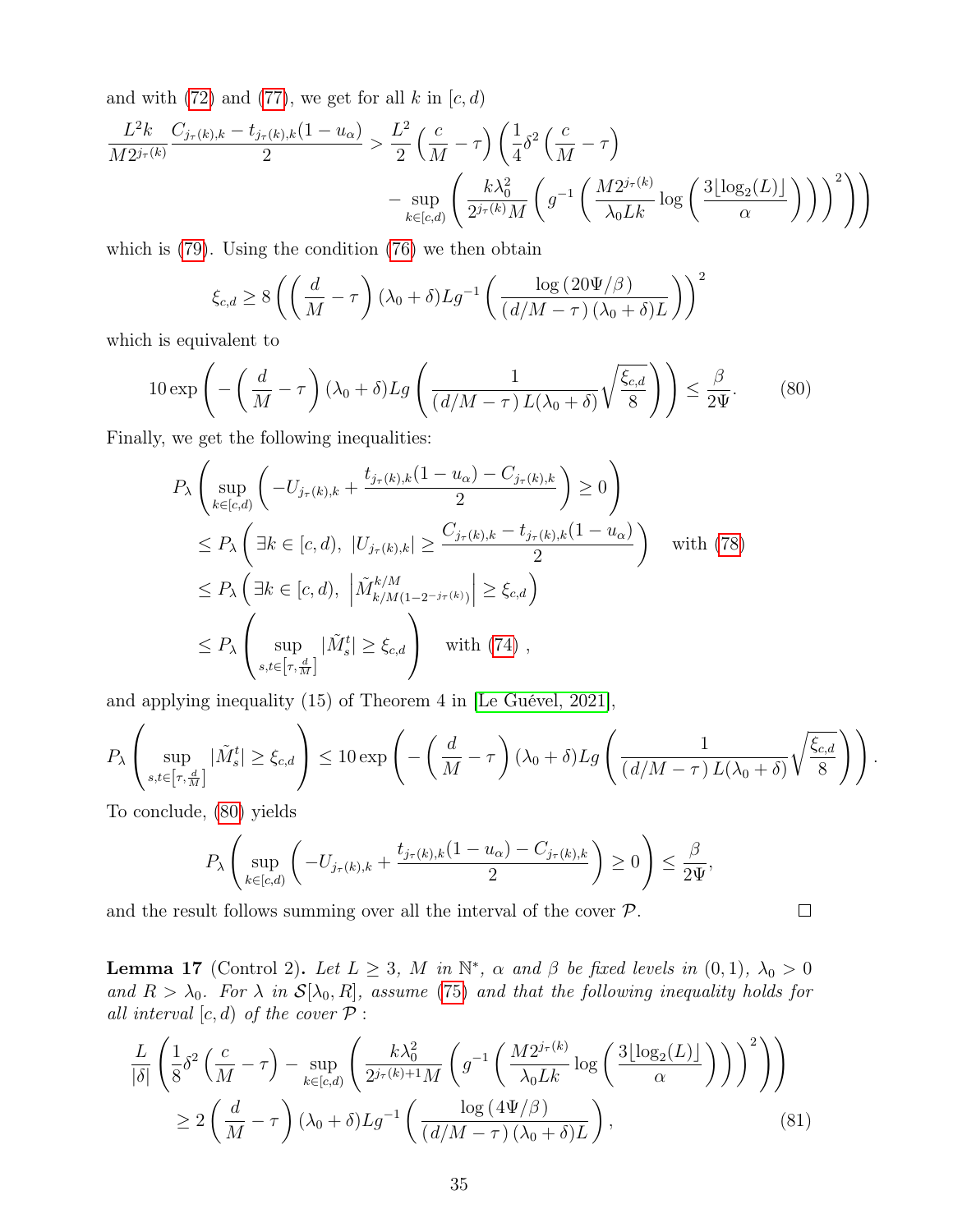and with  $(72)$  and  $(77)$ , we get for all k in  $[c, d)$ 

$$
\frac{L^2 k}{M 2^{j_{\tau}(k)}} \frac{C_{j_{\tau}(k),k} - t_{j_{\tau}(k),k}(1 - u_{\alpha})}{2} > \frac{L^2}{2} \left(\frac{c}{M} - \tau\right) \left(\frac{1}{4} \delta^2 \left(\frac{c}{M} - \tau\right) - \sup_{k \in [c,d)} \left(\frac{k\lambda_0^2}{2^{j_{\tau}(k)}M} \left(g^{-1} \left(\frac{M 2^{j_{\tau}(k)}}{\lambda_0 L k} \log\left(\frac{3\lfloor \log_2(L) \rfloor}{\alpha}\right)\right)\right)^2\right)\right)
$$

which is  $(79)$ . Using the condition  $(76)$  we then obtain

$$
\xi_{c,d} \ge 8\left( \left( \frac{d}{M} - \tau \right) (\lambda_0 + \delta) L g^{-1} \left( \frac{\log (20\Psi/\beta)}{(d/M - \tau)(\lambda_0 + \delta)L} \right) \right)^2
$$

which is equivalent to

$$
10 \exp\left(-\left(\frac{d}{M} - \tau\right)(\lambda_0 + \delta) Lg\left(\frac{1}{(d/M - \tau)L(\lambda_0 + \delta)}\sqrt{\frac{\xi_{c,d}}{8}}\right)\right) \le \frac{\beta}{2\Psi}.\tag{80}
$$

Finally, we get the following inequalities:

$$
P_{\lambda} \left( \sup_{k \in [c,d]} \left( -U_{j_{\tau}(k),k} + \frac{t_{j_{\tau}(k),k}(1 - u_{\alpha}) - C_{j_{\tau}(k),k}}{2} \right) \ge 0 \right)
$$
  
\n
$$
\le P_{\lambda} \left( \exists k \in [c,d), |U_{j_{\tau}(k),k}| \ge \frac{C_{j_{\tau}(k),k} - t_{j_{\tau}(k),k}(1 - u_{\alpha})}{2} \right) \text{ with (78)}
$$
  
\n
$$
\le P_{\lambda} \left( \exists k \in [c,d), \left| \tilde{M}_{k/M(1 - 2^{-j_{\tau}(k)})}^{k/M} \right| \ge \xi_{c,d} \right)
$$
  
\n
$$
\le P_{\lambda} \left( \sup_{s,t \in [\tau, \frac{d}{M}]} |\tilde{M}_{s}^{t}| \ge \xi_{c,d} \right) \text{ with (74)},
$$

and applying inequality (15) of Theorem 4 in [Le Guével, 2021],

$$
P_{\lambda}\left(\sup_{s,t\in\left[\tau,\frac{d}{M}\right]}\vert \tilde{M}_{s}^{t}\vert\geq\xi_{c,d}\right)\leq10\exp\left(-\left(\frac{d}{M}-\tau\right)(\lambda_{0}+\delta)Lg\left(\frac{1}{(d/M-\tau)L(\lambda_{0}+\delta)}\sqrt{\frac{\xi_{c,d}}{8}}\right)\right).
$$

 $\Box$ 

To conclude, (80) yields

$$
P_{\lambda}\left(\sup_{k\in[c,d)}\left(-U_{j_{\tau}(k),k}+\frac{t_{j_{\tau}(k),k}(1-u_{\alpha})-C_{j_{\tau}(k),k}}{2}\right)\geq 0\right)\leq \frac{\beta}{2\Psi},
$$

and the result follows summing over all the interval of the cover  $P$ .

**Lemma 17** (Control 2). Let  $L \geq 3$ , M in  $\mathbb{N}^*$ ,  $\alpha$  and  $\beta$  be fixed levels in  $(0,1)$ ,  $\lambda_0 > 0$ and  $R > \lambda_0$ . For  $\lambda$  in  $\mathcal{S}[\lambda_0, R]$ , assume (75) and that the following inequality holds for all interval  $[c, d)$  of the cover  $P$  :

$$
\frac{L}{|\delta|} \left( \frac{1}{8} \delta^2 \left( \frac{c}{M} - \tau \right) - \sup_{k \in [c,d)} \left( \frac{k \lambda_0^2}{2^{j_\tau(k)+1} M} \left( g^{-1} \left( \frac{M 2^{j_\tau(k)}}{\lambda_0 L k} \log \left( \frac{3 \lfloor \log_2(L) \rfloor}{\alpha} \right) \right) \right)^2 \right) \right)
$$
  
\n
$$
\geq 2 \left( \frac{d}{M} - \tau \right) (\lambda_0 + \delta) L g^{-1} \left( \frac{\log \left( 4 \Psi / \beta \right)}{\left( d / M - \tau \right) (\lambda_0 + \delta) L} \right),
$$
\n(81)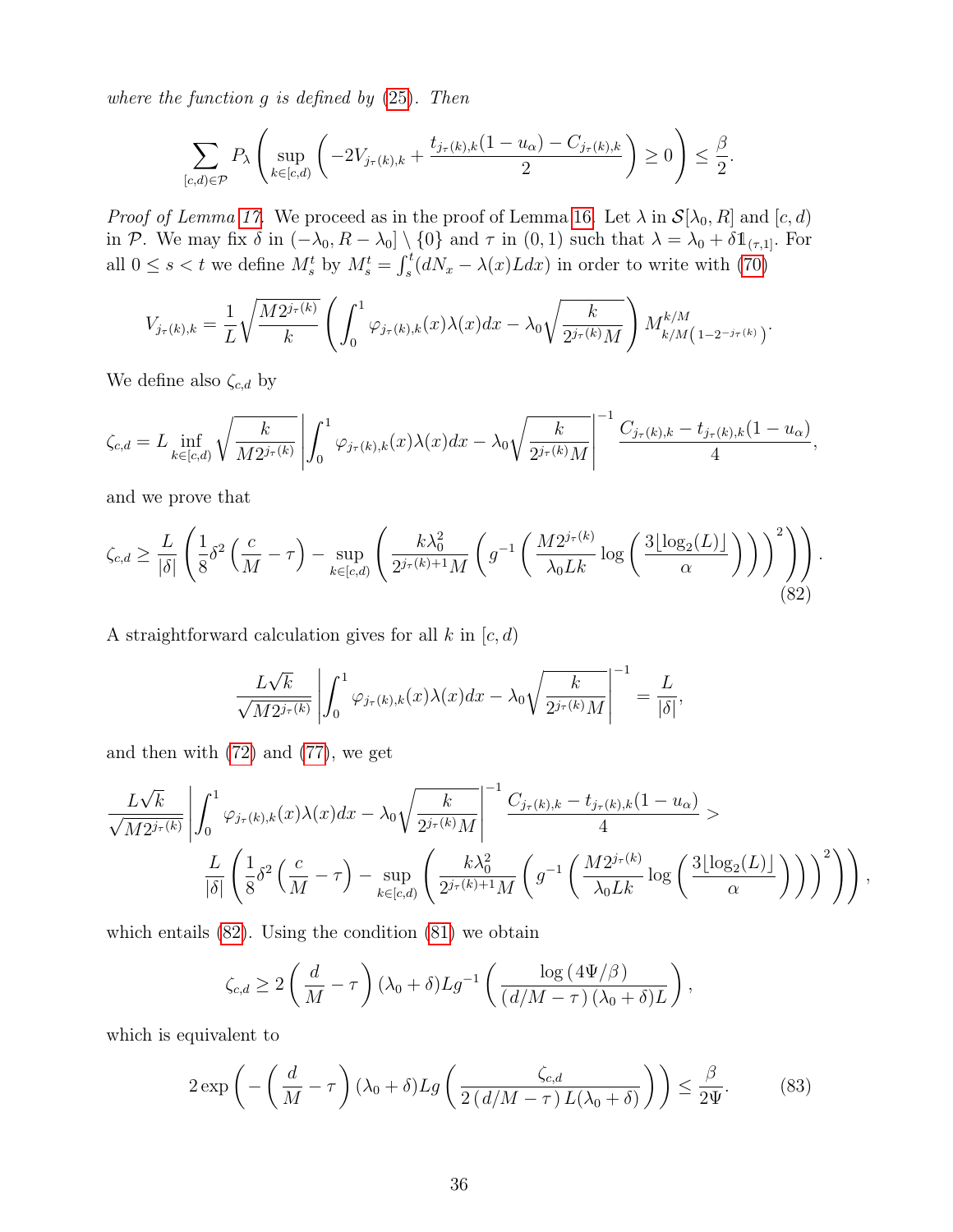where the function  $g$  is defined by  $(25)$ . Then

$$
\sum_{[c,d)\in\mathcal{P}} P_{\lambda}\left(\sup_{k\in[c,d)}\left(-2V_{j_{\tau}(k),k}+\frac{t_{j_{\tau}(k),k}(1-u_{\alpha})-C_{j_{\tau}(k),k}}{2}\right)\geq 0\right)\leq \frac{\beta}{2}.
$$

*Proof of Lemma 17.* We proceed as in the proof of Lemma 16. Let  $\lambda$  in  $\mathcal{S}[\lambda_0, R]$  and  $[c, d)$ in P. We may fix  $\delta$  in  $(-\lambda_0, R - \lambda_0] \setminus \{0\}$  and  $\tau$  in  $(0, 1)$  such that  $\lambda = \lambda_0 + \delta \mathbb{1}_{(\tau,1]}$ . For all  $0 \le s < t$  we define  $M_s^t$  by  $M_s^t = \int_s^t (dN_x - \lambda(x)Ldx)$  in order to write with (70)

$$
V_{j_{\tau}(k),k} = \frac{1}{L} \sqrt{\frac{M 2^{j_{\tau}(k)}}{k}} \left( \int_0^1 \varphi_{j_{\tau}(k),k}(x) \lambda(x) dx - \lambda_0 \sqrt{\frac{k}{2^{j_{\tau}(k)} M}} \right) M_{k/M}^{k/M} (1 - 2^{-j_{\tau}(k)})
$$

We define also  $\zeta_{c,d}$  by

$$
\zeta_{c,d} = L \inf_{k \in [c,d)} \sqrt{\frac{k}{M 2^{j_{\tau}(k)}}} \left| \int_0^1 \varphi_{j_{\tau}(k),k}(x) \lambda(x) dx - \lambda_0 \sqrt{\frac{k}{2^{j_{\tau}(k)}M}} \right|^{-1} \frac{C_{j_{\tau}(k),k} - t_{j_{\tau}(k),k}(1 - u_{\alpha})}{4},
$$

and we prove that

$$
\zeta_{c,d} \ge \frac{L}{|\delta|} \left( \frac{1}{8} \delta^2 \left( \frac{c}{M} - \tau \right) - \sup_{k \in [c,d)} \left( \frac{k \lambda_0^2}{2^{j_\tau(k)+1} M} \left( g^{-1} \left( \frac{M 2^{j_\tau(k)}}{\lambda_0 L k} \log \left( \frac{3 \lfloor \log_2(L) \rfloor}{\alpha} \right) \right) \right)^2 \right) \right). \tag{82}
$$

A straightforward calculation gives for all  $k$  in  $[c, d)$ 

$$
\frac{L\sqrt{k}}{\sqrt{M2^{j_{\tau}(k)}}} \left| \int_0^1 \varphi_{j_{\tau}(k),k}(x)\lambda(x)dx - \lambda_0 \sqrt{\frac{k}{2^{j_{\tau}(k)}M}} \right|^{-1} = \frac{L}{|\delta|},
$$

and then with (72) and (77), we get

$$
\frac{L\sqrt{k}}{\sqrt{M2^{j_{\tau}(k)}}}\left|\int_{0}^{1}\varphi_{j_{\tau}(k),k}(x)\lambda(x)dx-\lambda_{0}\sqrt{\frac{k}{2^{j_{\tau}(k)}M}}\right|^{-1}\frac{C_{j_{\tau}(k),k}-t_{j_{\tau}(k),k}(1-u_{\alpha})}{4}>\frac{L}{|\delta|}\left(\frac{1}{8}\delta^{2}\left(\frac{c}{M}-\tau\right)-\sup_{k\in[c,d)}\left(\frac{k\lambda_{0}^{2}}{2^{j_{\tau}(k)+1}M}\left(g^{-1}\left(\frac{M2^{j_{\tau}(k)}}{\lambda_{0}Lk}\log\left(\frac{3\lfloor\log_{2}(L)\rfloor}{\alpha}\right)\right)\right)^{2}\right)\right),
$$

which entails (82). Using the condition (81) we obtain

$$
\zeta_{c,d} \ge 2\left(\frac{d}{M}-\tau\right)(\lambda_0+\delta)Lg^{-1}\left(\frac{\log\left(4\Psi/\beta\right)}{(d/M-\tau)\left(\lambda_0+\delta\right)L}\right),\,
$$

which is equivalent to

$$
2\exp\left(-\left(\frac{d}{M}-\tau\right)(\lambda_0+\delta)Lg\left(\frac{\zeta_{c,d}}{2\left(d/M-\tau\right)L(\lambda_0+\delta)}\right)\right)\leq \frac{\beta}{2\Psi}.\tag{83}
$$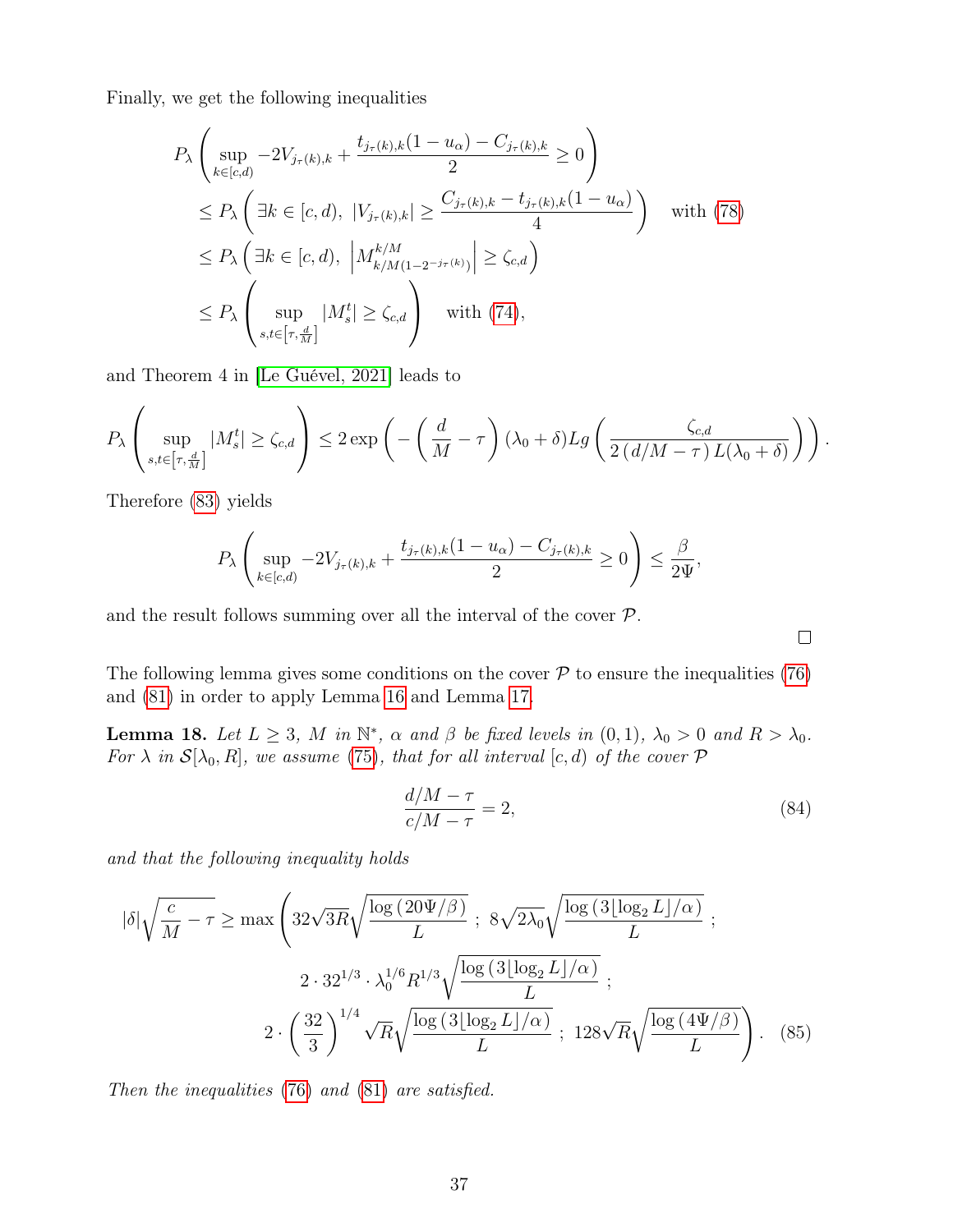Finally, we get the following inequalities

$$
P_{\lambda} \left( \sup_{k \in [c,d)} -2V_{j_{\tau}(k),k} + \frac{t_{j_{\tau}(k),k}(1 - u_{\alpha}) - C_{j_{\tau}(k),k}}{2} \ge 0 \right)
$$
  
\n
$$
\le P_{\lambda} \left( \exists k \in [c,d), |V_{j_{\tau}(k),k}| \ge \frac{C_{j_{\tau}(k),k} - t_{j_{\tau}(k),k}(1 - u_{\alpha})}{4} \right) \text{ with (78)}
$$
  
\n
$$
\le P_{\lambda} \left( \exists k \in [c,d), |M_{k/M(1 - 2^{-j_{\tau}(k)})}^{k/M} | \ge \zeta_{c,d} \right)
$$
  
\n
$$
\le P_{\lambda} \left( \sup_{s,t \in [\tau, \frac{d}{M}]} |M_s^t| \ge \zeta_{c,d} \right) \text{ with (74)},
$$

and Theorem 4 in [Le Guével, 2021] leads to

$$
P_{\lambda}\left(\sup_{s,t\in\left[\tau,\frac{d}{M}\right]}|M_s^t|\geq\zeta_{c,d}\right)\leq 2\exp\left(-\left(\frac{d}{M}-\tau\right)(\lambda_0+\delta)Lg\left(\frac{\zeta_{c,d}}{2\left(d/M-\tau\right)L(\lambda_0+\delta)}\right)\right).
$$

Therefore (83) yields

$$
P_{\lambda} \left( \sup_{k \in [c,d)} -2V_{j_{\tau}(k),k} + \frac{t_{j_{\tau}(k),k}(1 - u_{\alpha}) - C_{j_{\tau}(k),k}}{2} \ge 0 \right) \le \frac{\beta}{2\Psi},
$$

and the result follows summing over all the interval of the cover  $P$ .

The following lemma gives some conditions on the cover  $P$  to ensure the inequalities (76) and (81) in order to apply Lemma 16 and Lemma 17.

**Lemma 18.** Let  $L \geq 3$ , M in  $\mathbb{N}^*$ ,  $\alpha$  and  $\beta$  be fixed levels in  $(0,1)$ ,  $\lambda_0 > 0$  and  $R > \lambda_0$ . For  $\lambda$  in  $\mathcal{S}[\lambda_0, R]$ , we assume (75), that for all interval  $[c, d)$  of the cover  $\mathcal P$ 

$$
\frac{d/M - \tau}{c/M - \tau} = 2,\tag{84}
$$

 $\Box$ 

and that the following inequality holds

$$
|\delta| \sqrt{\frac{c}{M} - \tau} \ge \max \left( 32\sqrt{3R} \sqrt{\frac{\log (20\Psi/\beta)}{L}} \; ; \; 8\sqrt{2\lambda_0} \sqrt{\frac{\log (3[\log_2 L]/\alpha)}{L}} \; ; \; 2 \cdot 32^{1/3} \cdot \lambda_0^{1/6} R^{1/3} \sqrt{\frac{\log (3[\log_2 L]/\alpha)}{L}} \; ; \; 2 \cdot \left( \frac{32}{3} \right)^{1/4} \sqrt{R} \sqrt{\frac{\log (3[\log_2 L]/\alpha)}{L}} \; ; \; 128\sqrt{R} \sqrt{\frac{\log (4\Psi/\beta)}{L}} \right). \tag{85}
$$

Then the inequalities (76) and (81) are satisfied.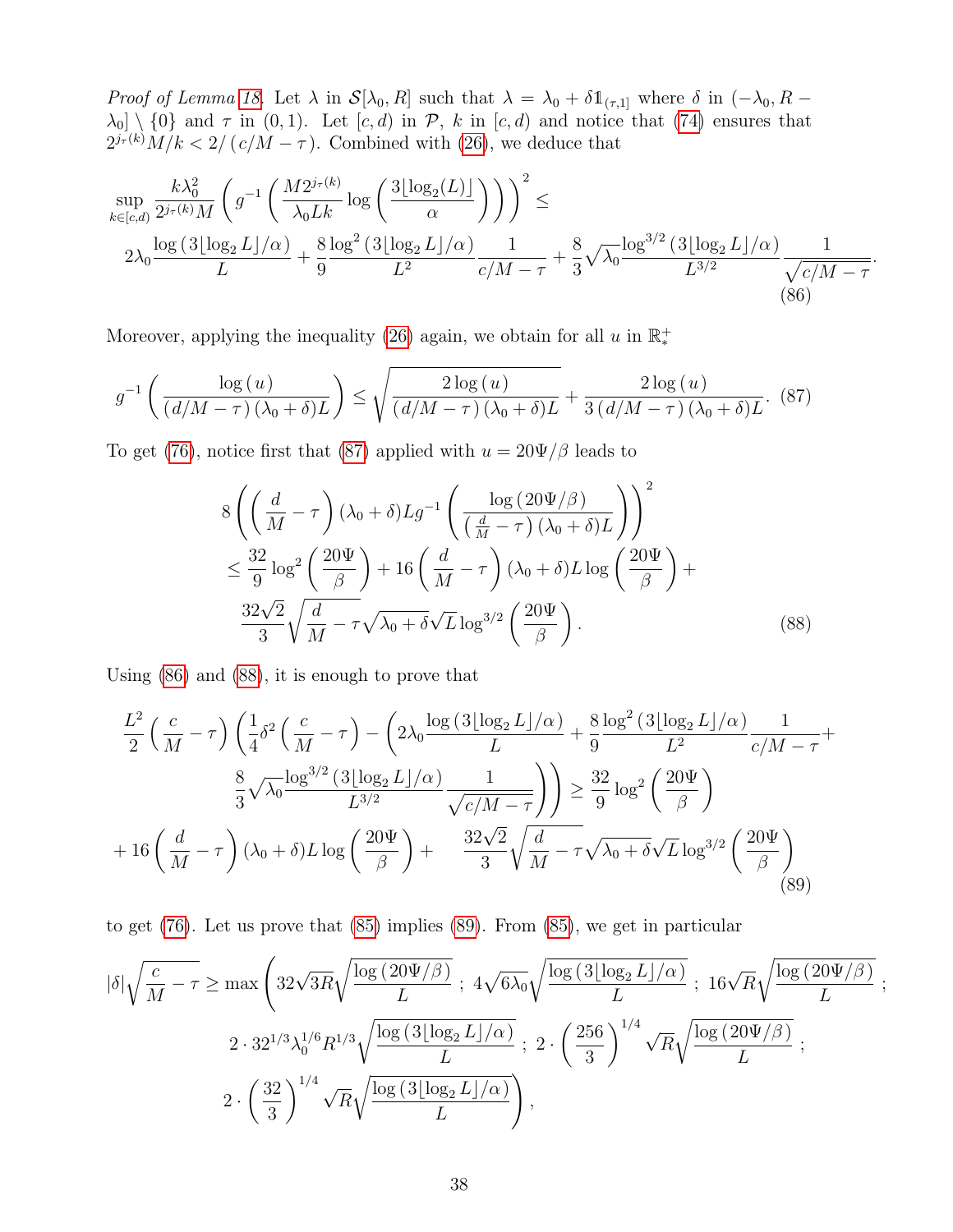*Proof of Lemma 18.* Let  $\lambda$  in  $\mathcal{S}[\lambda_0, R]$  such that  $\lambda = \lambda_0 + \delta \mathbb{1}_{(\tau,1]}$  where  $\delta$  in  $(-\lambda_0, R \lambda_0$  \ {0} and  $\tau$  in (0, 1). Let  $[c, d)$  in  $\mathcal{P}, k$  in  $[c, d)$  and notice that (74) ensures that  $2^{j_{\tau}(k)}M/k < 2/(c/M-\tau)$ . Combined with (26), we deduce that

$$
\sup_{k \in [c,d)} \frac{k\lambda_0^2}{2^{j_\tau(k)}M} \left( g^{-1} \left( \frac{M2^{j_\tau(k)}}{\lambda_0 L k} \log \left( \frac{3\lfloor \log_2(L) \rfloor}{\alpha} \right) \right) \right)^2 \le
$$
  
 
$$
2\lambda_0 \frac{\log \left( 3\lfloor \log_2 L \rfloor/\alpha \right)}{L} + \frac{8}{9} \frac{\log^2 \left( 3\lfloor \log_2 L \rfloor/\alpha \right)}{L^2} \frac{1}{c/M - \tau} + \frac{8}{3} \sqrt{\lambda_0} \frac{\log^{3/2} \left( 3\lfloor \log_2 L \rfloor/\alpha \right)}{L^{3/2}} \frac{1}{\sqrt{c/M - \tau}}
$$
  
(86)

.

Moreover, applying the inequality (26) again, we obtain for all  $u$  in  $\mathbb{R}^+_*$ 

$$
g^{-1}\left(\frac{\log(u)}{(d/M-\tau)(\lambda_0+\delta)L}\right) \le \sqrt{\frac{2\log(u)}{(d/M-\tau)(\lambda_0+\delta)L}} + \frac{2\log(u)}{3(d/M-\tau)(\lambda_0+\delta)L}.\tag{87}
$$

To get (76), notice first that (87) applied with  $u = 20\Psi/\beta$  leads to

$$
8\left(\left(\frac{d}{M}-\tau\right)(\lambda_0+\delta)Lg^{-1}\left(\frac{\log\left(20\Psi/\beta\right)}{\left(\frac{d}{M}-\tau\right)(\lambda_0+\delta)L}\right)\right)^2
$$
  

$$
\leq \frac{32}{9}\log^2\left(\frac{20\Psi}{\beta}\right)+16\left(\frac{d}{M}-\tau\right)(\lambda_0+\delta)L\log\left(\frac{20\Psi}{\beta}\right)+
$$
  

$$
\frac{32\sqrt{2}}{3}\sqrt{\frac{d}{M}-\tau}\sqrt{\lambda_0+\delta}\sqrt{L}\log^{3/2}\left(\frac{20\Psi}{\beta}\right).
$$
 (88)

Using (86) and (88), it is enough to prove that

$$
\frac{L^2}{2}\left(\frac{c}{M}-\tau\right)\left(\frac{1}{4}\delta^2\left(\frac{c}{M}-\tau\right)-\left(2\lambda_0\frac{\log\left(3\lfloor\log_2 L\rfloor/\alpha\right)}{L}+\frac{8}{9}\frac{\log^2\left(3\lfloor\log_2 L\rfloor/\alpha\right)}{L^2}\frac{1}{c/M-\tau}+\frac{8}{3}\sqrt{\lambda_0\frac{\log^{3/2}\left(3\lfloor\log_2 L\rfloor/\alpha\right)}{L^{3/2}}\frac{1}{\sqrt{c/M-\tau}}}\right)\right)\geq \frac{32}{9}\log^2\left(\frac{20\Psi}{\beta}\right)
$$

$$
+16\left(\frac{d}{M}-\tau\right)(\lambda_0+\delta)L\log\left(\frac{20\Psi}{\beta}\right)+\frac{32\sqrt{2}}{3}\sqrt{\frac{d}{M}-\tau}\sqrt{\lambda_0+\delta}\sqrt{L}\log^{3/2}\left(\frac{20\Psi}{\beta}\right)
$$
(89)

to get (76). Let us prove that (85) implies (89). From (85), we get in particular

$$
|\delta| \sqrt{\frac{c}{M} - \tau} \ge \max \left( 32\sqrt{3R} \sqrt{\frac{\log (20\Psi/\beta)}{L}} \; ; \; 4\sqrt{6\lambda_0} \sqrt{\frac{\log (3[\log_2 L]/\alpha)}{L}} \; ; \; 16\sqrt{R} \sqrt{\frac{\log (20\Psi/\beta)}{L}} \; ;
$$
  

$$
2 \cdot 32^{1/3} \lambda_0^{1/6} R^{1/3} \sqrt{\frac{\log (3[\log_2 L]/\alpha)}{L}} \; ; \; 2 \cdot \left( \frac{256}{3} \right)^{1/4} \sqrt{R} \sqrt{\frac{\log (20\Psi/\beta)}{L}} \; ;
$$
  

$$
2 \cdot \left( \frac{32}{3} \right)^{1/4} \sqrt{R} \sqrt{\frac{\log (3[\log_2 L]/\alpha)}{L}} \right),
$$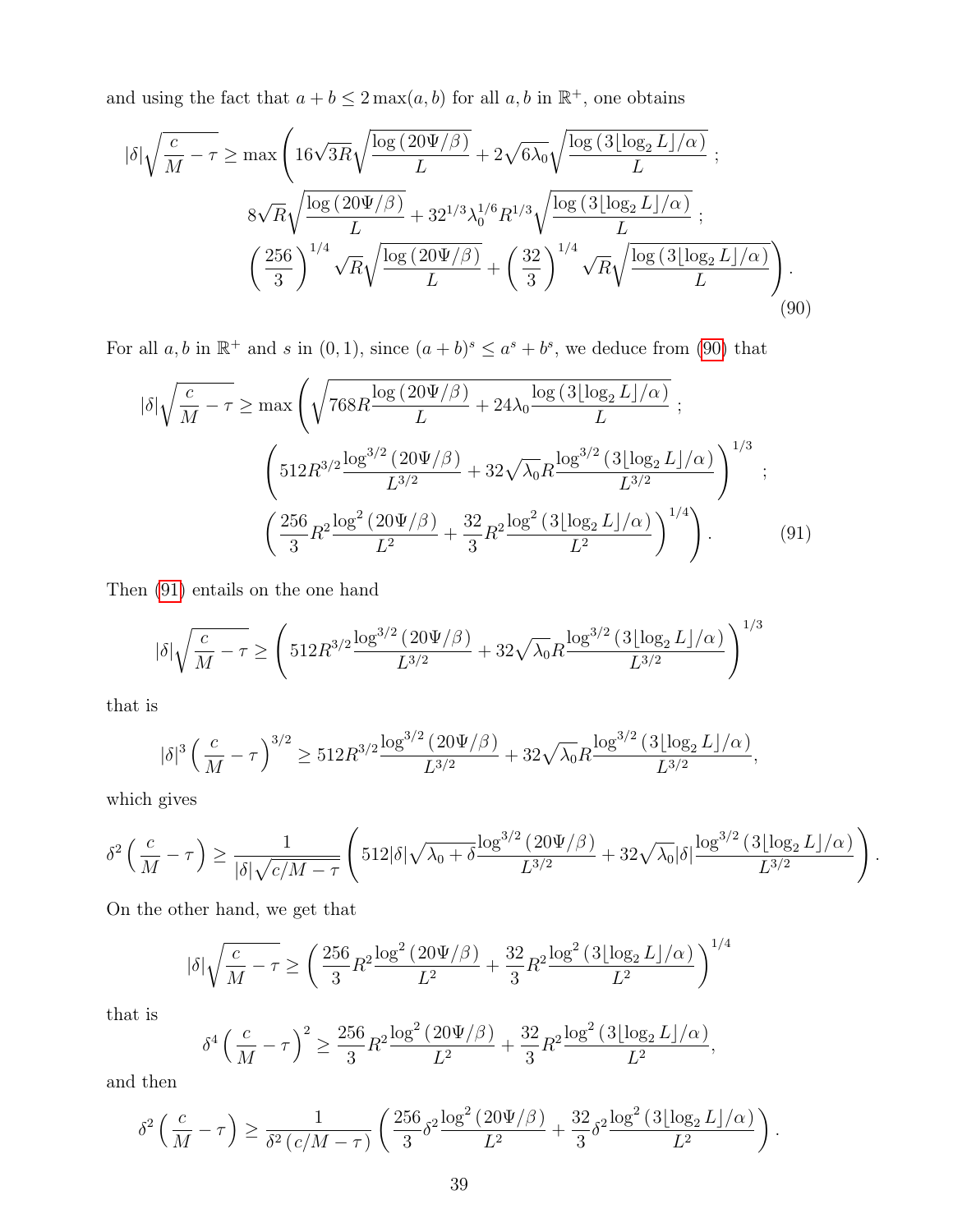and using the fact that  $a + b \leq 2 \max(a, b)$  for all  $a, b$  in  $\mathbb{R}^+$ , one obtains

$$
|\delta| \sqrt{\frac{c}{M} - \tau} \ge \max \left( 16\sqrt{3R} \sqrt{\frac{\log (20\Psi/\beta)}{L}} + 2\sqrt{6\lambda_0} \sqrt{\frac{\log (3\lfloor \log_2 L \rfloor/\alpha)}{L}} \right) ;
$$
  
8 $\sqrt{R} \sqrt{\frac{\log (20\Psi/\beta)}{L}} + 32^{1/3} \lambda_0^{1/6} R^{1/3} \sqrt{\frac{\log (3\lfloor \log_2 L \rfloor/\alpha)}{L}} \right) ;$   
 $\left( \frac{256}{3} \right)^{1/4} \sqrt{R} \sqrt{\frac{\log (20\Psi/\beta)}{L}} + \left( \frac{32}{3} \right)^{1/4} \sqrt{R} \sqrt{\frac{\log (3\lfloor \log_2 L \rfloor/\alpha)}{L}} \right) .$  (90)

For all  $a, b$  in  $\mathbb{R}^+$  and s in  $(0, 1)$ , since  $(a + b)^s \le a^s + b^s$ , we deduce from (90) that

$$
|\delta| \sqrt{\frac{c}{M} - \tau} \ge \max \left( \sqrt{768R \frac{\log (20\Psi/\beta)}{L} + 24\lambda_0 \frac{\log (3[\log_2 L]/\alpha)}{L}} \right);
$$
  

$$
\left( 512R^{3/2} \frac{\log^{3/2} (20\Psi/\beta)}{L^{3/2}} + 32\sqrt{\lambda_0} R \frac{\log^{3/2} (3[\log_2 L]/\alpha)}{L^{3/2}} \right)^{1/3};
$$
  

$$
\left( \frac{256}{3}R^2 \frac{\log^2 (20\Psi/\beta)}{L^2} + \frac{32}{3}R^2 \frac{\log^2 (3[\log_2 L]/\alpha)}{L^2} \right)^{1/4}.
$$
 (91)

Then (91) entails on the one hand

$$
|\delta| \sqrt{\frac{c}{M} - \tau} \ge \left( 512R^{3/2} \frac{\log^{3/2} (20\Psi/\beta)}{L^{3/2}} + 32\sqrt{\lambda_0} R \frac{\log^{3/2} (3\lfloor \log_2 L \rfloor/\alpha)}{L^{3/2}} \right)^{1/3}
$$

that is

$$
|\delta|^3 \left(\frac{c}{M}-\tau\right)^{3/2} \geq 512 R^{3/2} \frac{\log^{3/2}\left(20 \Psi / \beta\right)}{L^{3/2}} + 32 \sqrt{\lambda_0} R \frac{\log^{3/2}\left(3 \lfloor \log_2 L \rfloor / \alpha\right)}{L^{3/2}},
$$

which gives

$$
\delta^2\left(\frac{c}{M}-\tau\right) \ge \frac{1}{|\delta|\sqrt{c/M-\tau}} \left(512|\delta|\sqrt{\lambda_0+\delta}\frac{\log^{3/2}\left(20\Psi/\beta\right)}{L^{3/2}}+32\sqrt{\lambda_0}|\delta|\frac{\log^{3/2}\left(3\lfloor\log_2L\rfloor/\alpha\right)}{L^{3/2}}\right).
$$

On the other hand, we get that

$$
|\delta| \sqrt{\frac{c}{M} - \tau} \geq \left( \frac{256}{3} R^2 \frac{\log^2{(20 \Psi/\beta)}}{L^2} + \frac{32}{3} R^2 \frac{\log^2{(3 \lfloor \log_2 L \rfloor/\alpha)}}{L^2} \right)^{1/4}
$$

that is

$$
\delta^4 \left( \frac{c}{M} - \tau \right)^2 \ge \frac{256}{3} R^2 \frac{\log^2(20 \Psi/\beta)}{L^2} + \frac{32}{3} R^2 \frac{\log^2(3 \lfloor \log_2 L \rfloor/\alpha)}{L^2},
$$

and then

$$
\delta^2 \left( \frac{c}{M} - \tau \right) \ge \frac{1}{\delta^2 \left( c/M - \tau \right)} \left( \frac{256}{3} \delta^2 \frac{\log^2(20\Psi/\beta)}{L^2} + \frac{32}{3} \delta^2 \frac{\log^2(3[\log_2 L]/\alpha)}{L^2} \right).
$$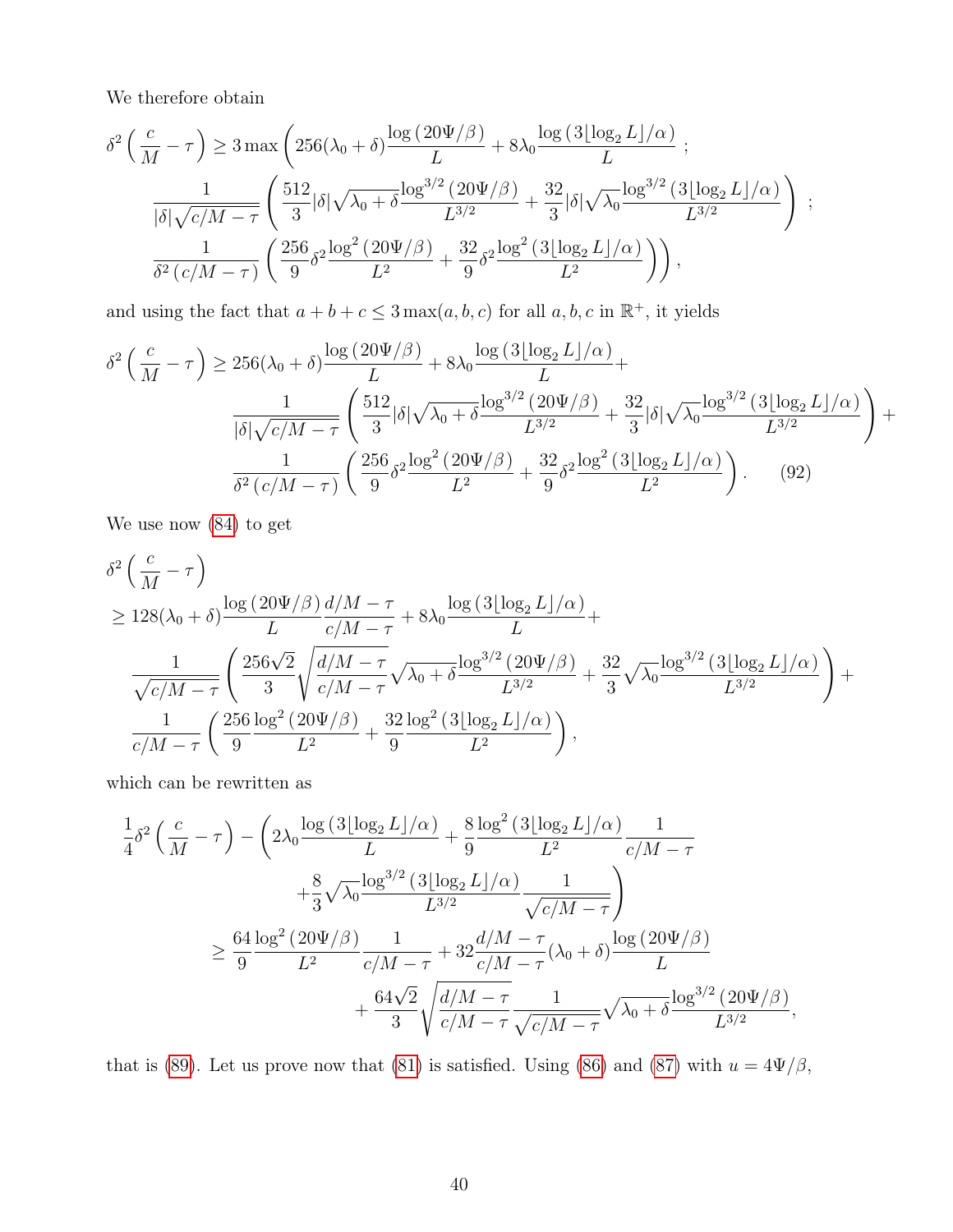We therefore obtain

$$
\delta^2 \left( \frac{c}{M} - \tau \right) \ge 3 \max \left( 256(\lambda_0 + \delta) \frac{\log (20\Psi/\beta)}{L} + 8\lambda_0 \frac{\log (3\lfloor \log_2 L \rfloor/\alpha)}{L} \right);
$$
  

$$
\frac{1}{|\delta|\sqrt{c/M - \tau}} \left( \frac{512}{3} |\delta|\sqrt{\lambda_0 + \delta} \frac{\log^{3/2} (20\Psi/\beta)}{L^{3/2}} + \frac{32}{3} |\delta|\sqrt{\lambda_0} \frac{\log^{3/2} (3\lfloor \log_2 L \rfloor/\alpha)}{L^{3/2}} \right);
$$
  

$$
\frac{1}{\delta^2 (c/M - \tau)} \left( \frac{256}{9} \delta^2 \frac{\log^2 (20\Psi/\beta)}{L^2} + \frac{32}{9} \delta^2 \frac{\log^2 (3\lfloor \log_2 L \rfloor/\alpha)}{L^2} \right) \Big),
$$

and using the fact that  $a + b + c \leq 3 \max(a, b, c)$  for all  $a, b, c$  in  $\mathbb{R}^+$ , it yields

$$
\delta^{2}\left(\frac{c}{M}-\tau\right) \geq 256(\lambda_{0}+\delta)\frac{\log(20\Psi/\beta)}{L}+8\lambda_{0}\frac{\log(3[\log_{2}L]/\alpha)}{L}+\frac{1}{|\delta|\sqrt{c/M-\tau}}\left(\frac{512}{3}|\delta|\sqrt{\lambda_{0}+\delta}\frac{\log^{3/2}(20\Psi/\beta)}{L^{3/2}}+\frac{32}{3}|\delta|\sqrt{\lambda_{0}}\frac{\log^{3/2}(3[\log_{2}L]/\alpha)}{L^{3/2}}\right)+\frac{1}{\delta^{2}(c/M-\tau)}\left(\frac{256}{9}\delta^{2}\frac{\log^{2}(20\Psi/\beta)}{L^{2}}+\frac{32}{9}\delta^{2}\frac{\log^{2}(3[\log_{2}L]/\alpha)}{L^{2}}\right). (92)
$$

We use now (84) to get

$$
\delta^2 \left( \frac{c}{M} - \tau \right)
$$
\n
$$
\geq 128(\lambda_0 + \delta) \frac{\log (20\Psi/\beta)}{L} \frac{d/M - \tau}{c/M - \tau} + 8\lambda_0 \frac{\log (3[\log_2 L]/\alpha)}{L} + \frac{1}{\sqrt{c/M - \tau}} \left( \frac{256\sqrt{2}}{3} \sqrt{\frac{d/M - \tau}{c/M - \tau}} \sqrt{\lambda_0 + \delta} \frac{\log^{3/2} (20\Psi/\beta)}{L^{3/2}} + \frac{32}{3} \sqrt{\lambda_0} \frac{\log^{3/2} (3[\log_2 L]/\alpha)}{L^{3/2}} \right) + \frac{1}{c/M - \tau} \left( \frac{256}{9} \frac{\log^2 (20\Psi/\beta)}{L^2} + \frac{32}{9} \frac{\log^2 (3[\log_2 L]/\alpha)}{L^2} \right),
$$

which can be rewritten as

$$
\frac{1}{4}\delta^2 \left(\frac{c}{M}-\tau\right) - \left(2\lambda_0 \frac{\log (3[\log_2 L]/\alpha)}{L} + \frac{8}{9} \frac{\log^2 (3[\log_2 L]/\alpha)}{L^2} \frac{1}{c/M-\tau} + \frac{8}{3}\sqrt{\lambda_0} \frac{\log^{3/2} (3[\log_2 L]/\alpha)}{L^{3/2}} \frac{1}{\sqrt{c/M-\tau}}\right)
$$
  

$$
\geq \frac{64}{9} \frac{\log^2 (20\Psi/\beta)}{L^2} \frac{1}{c/M-\tau} + 32 \frac{d/M-\tau}{c/M-\tau} (\lambda_0+\delta) \frac{\log (20\Psi/\beta)}{L} + \frac{64\sqrt{2}}{3}\sqrt{\frac{d/M-\tau}{c/M-\tau}} \frac{1}{\sqrt{c/M-\tau}} \sqrt{\lambda_0+\delta} \frac{\log^{3/2} (20\Psi/\beta)}{L^{3/2}},
$$

that is (89). Let us prove now that (81) is satisfied. Using (86) and (87) with  $u = 4\Psi/\beta$ ,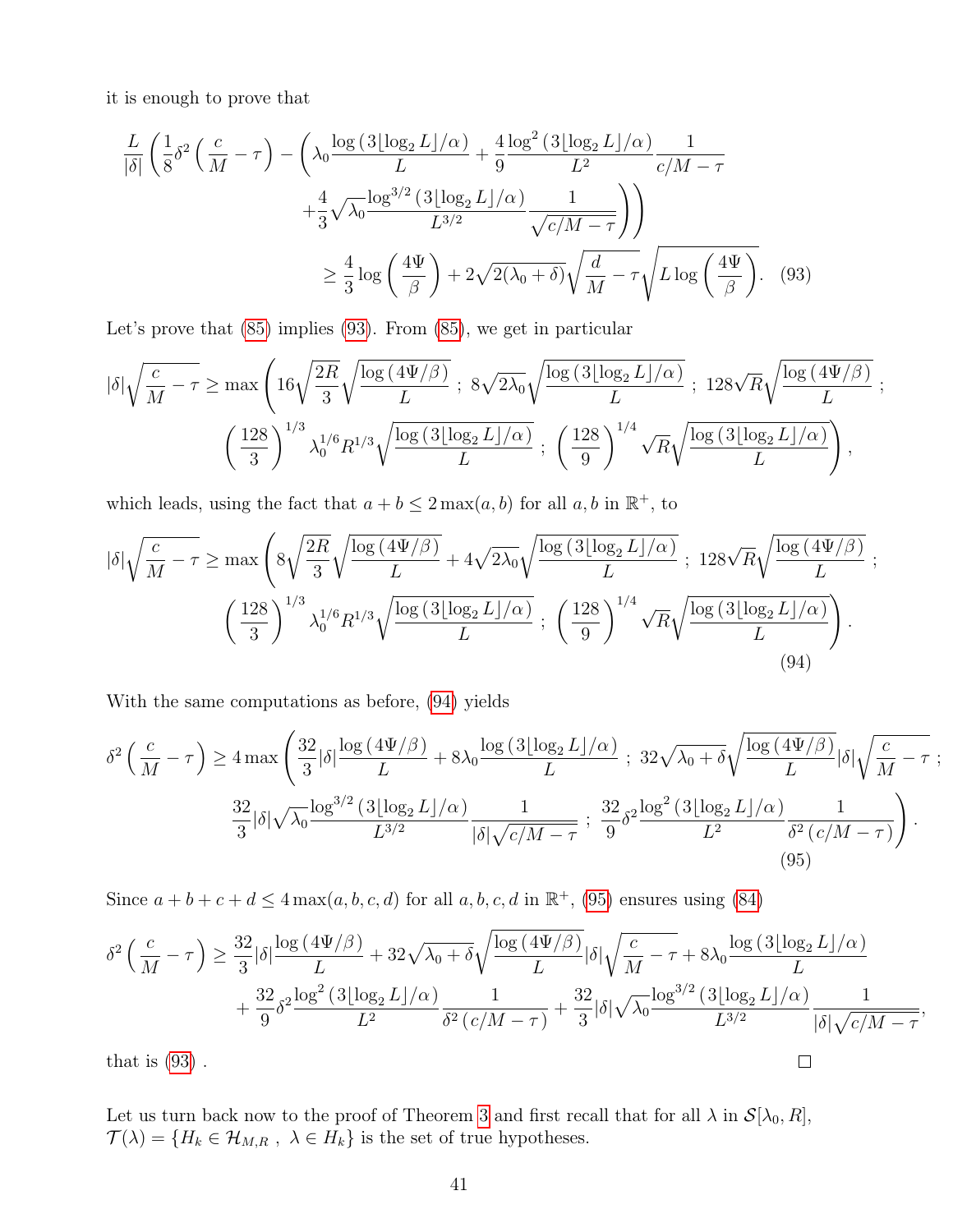it is enough to prove that

$$
\frac{L}{|\delta|} \left( \frac{1}{8} \delta^2 \left( \frac{c}{M} - \tau \right) - \left( \lambda_0 \frac{\log \left( 3 \lfloor \log_2 L \rfloor / \alpha \right)}{L} + \frac{4}{9} \frac{\log^2 \left( 3 \lfloor \log_2 L \rfloor / \alpha \right)}{L^2} \frac{1}{c/M - \tau} + \frac{4}{3} \sqrt{\lambda_0} \frac{\log^{3/2} \left( 3 \lfloor \log_2 L \rfloor / \alpha \right)}{L^{3/2}} \frac{1}{\sqrt{c/M - \tau}} \right) \right) \ge \frac{4}{3} \log \left( \frac{4\Psi}{\beta} \right) + 2\sqrt{2(\lambda_0 + \delta)} \sqrt{\frac{d}{M} - \tau} \sqrt{L \log \left( \frac{4\Psi}{\beta} \right)}.
$$
 (93)

Let's prove that (85) implies (93). From (85), we get in particular

$$
|\delta| \sqrt{\frac{c}{M} - \tau} \ge \max \left( 16 \sqrt{\frac{2R}{3}} \sqrt{\frac{\log (4\Psi/\beta)}{L}} \; ; \; 8 \sqrt{2\lambda_0} \sqrt{\frac{\log (3\lfloor \log_2 L \rfloor/\alpha)}{L}} \; ; \; 128 \sqrt{R} \sqrt{\frac{\log (4\Psi/\beta)}{L}} \; ; \; \frac{\left( \frac{128}{3} \right)^{1/3} \lambda_0^{1/6} R^{1/3} \sqrt{\frac{\log (3\lfloor \log_2 L \rfloor/\alpha)}{L}} \; ; \; \left( \frac{128}{9} \right)^{1/4} \sqrt{R} \sqrt{\frac{\log (3\lfloor \log_2 L \rfloor/\alpha)}{L}} \right),
$$

which leads, using the fact that  $a + b \leq 2 \max(a, b)$  for all  $a, b$  in  $\mathbb{R}^+$ , to

$$
|\delta| \sqrt{\frac{c}{M} - \tau} \ge \max \left( 8 \sqrt{\frac{2R}{3}} \sqrt{\frac{\log (4\Psi/\beta)}{L}} + 4 \sqrt{2\lambda_0} \sqrt{\frac{\log (3[\log_2 L]/\alpha)}{L}} \right); 128 \sqrt{R} \sqrt{\frac{\log (4\Psi/\beta)}{L}} ;
$$
  

$$
\left( \frac{128}{3} \right)^{1/3} \lambda_0^{1/6} R^{1/3} \sqrt{\frac{\log (3[\log_2 L]/\alpha)}{L}} ; \left( \frac{128}{9} \right)^{1/4} \sqrt{R} \sqrt{\frac{\log (3[\log_2 L]/\alpha)}{L}} \right).
$$
(94)

With the same computations as before, (94) yields

$$
\delta^2 \left( \frac{c}{M} - \tau \right) \ge 4 \max \left( \frac{32}{3} |\delta| \frac{\log \left( 4\Psi/\beta \right)}{L} + 8\lambda_0 \frac{\log \left( 3\lfloor \log_2 L \rfloor/\alpha \right)}{L} \right); \ 32\sqrt{\lambda_0 + \delta} \sqrt{\frac{\log \left( 4\Psi/\beta \right)}{L}} |\delta| \sqrt{\frac{c}{M} - \tau};
$$
  

$$
\frac{32}{3} |\delta| \sqrt{\lambda_0} \frac{\log^{3/2} \left( 3\lfloor \log_2 L \rfloor/\alpha \right)}{L^{3/2}} \frac{1}{|\delta| \sqrt{c/M - \tau}} ; \ \frac{32}{9} \delta^2 \frac{\log^2 \left( 3\lfloor \log_2 L \rfloor/\alpha \right)}{L^2} \frac{1}{\delta^2 \left( c/M - \tau \right)} \right).
$$
  
(95)

Since  $a+b+c+d \leq 4 \max(a, b, c, d)$  for all  $a, b, c, d$  in  $\mathbb{R}^+$ , (95) ensures using (84)

$$
\delta^2 \left( \frac{c}{M} - \tau \right) \ge \frac{32}{3} |\delta| \frac{\log \left( 4\Psi/\beta \right)}{L} + 32\sqrt{\lambda_0 + \delta} \sqrt{\frac{\log \left( 4\Psi/\beta \right)}{L}} |\delta| \sqrt{\frac{c}{M} - \tau} + 8\lambda_0 \frac{\log \left( 3\lfloor \log_2 L \rfloor/\alpha \right)}{L}
$$

$$
+ \frac{32}{9} \delta^2 \frac{\log^2 \left( 3\lfloor \log_2 L \rfloor/\alpha \right)}{L^2} \frac{1}{\delta^2 \left( c/M - \tau \right)} + \frac{32}{3} |\delta| \sqrt{\lambda_0} \frac{\log^{3/2} \left( 3\lfloor \log_2 L \rfloor/\alpha \right)}{L^{3/2}} \frac{1}{|\delta| \sqrt{c/M - \tau}},
$$
that is (93).

that is  $(93)$ .

Let us turn back now to the proof of Theorem 3 and first recall that for all  $\lambda$  in  $\mathcal{S}[\lambda_0, R]$ ,  $\mathcal{T}(\lambda)=\{H_k\in\mathcal{H}_{M,R}$  ,  $\;\lambda\in H_k\}$  is the set of true hypotheses.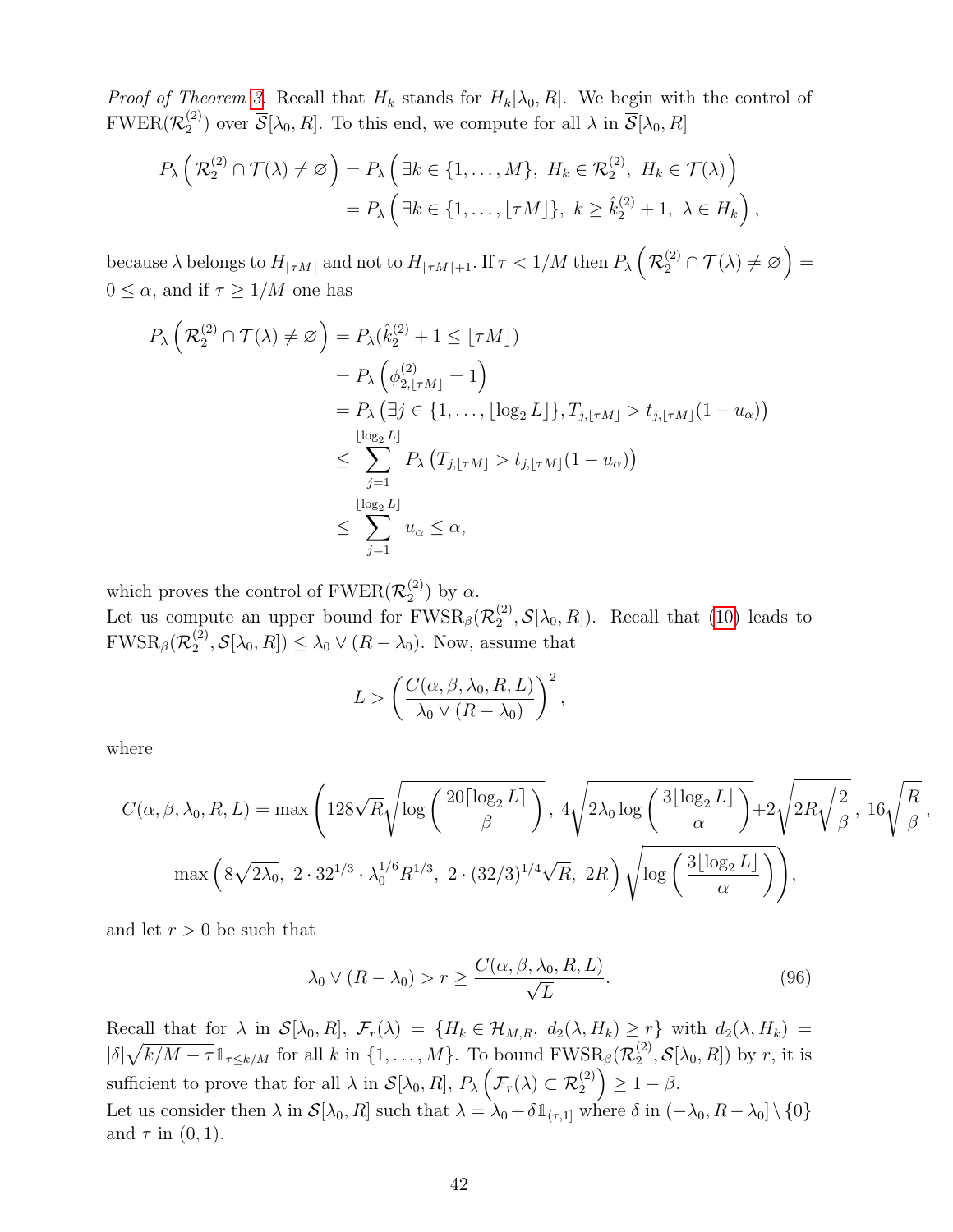*Proof of Theorem 3.* Recall that  $H_k$  stands for  $H_k[\lambda_0, R]$ . We begin with the control of  $\mathrm{FWER}(\mathcal{R}^{(2)}_2$ <sup>(2)</sup>) over  $\overline{\mathcal{S}}[\lambda_0, R]$ . To this end, we compute for all  $\lambda$  in  $\overline{\mathcal{S}}[\lambda_0, R]$ 

$$
P_{\lambda}\left(\mathcal{R}_{2}^{(2)}\cap\mathcal{T}(\lambda)\neq\varnothing\right)=P_{\lambda}\left(\exists k\in\{1,\ldots,M\},\ H_{k}\in\mathcal{R}_{2}^{(2)},\ H_{k}\in\mathcal{T}(\lambda)\right)
$$

$$
=P_{\lambda}\left(\exists k\in\{1,\ldots,\lfloor\tau M\rfloor\},\ k\geq\hat{k}_{2}^{(2)}+1,\ \lambda\in H_{k}\right),
$$

because  $\lambda$  belongs to  $H_{\lfloor \tau M\rfloor}$  and not to  $H_{\lfloor \tau M\rfloor+1}.$  If  $\tau < 1/M$  then  $P_{\lambda}\left(\mathcal{R}_2^{(2)}\cap\mathcal{T}(\lambda)\neq\varnothing\right)=$  $0 \leq \alpha$ , and if  $\tau \geq 1/M$  one has

$$
P_{\lambda}\left(\mathcal{R}_{2}^{(2)} \cap \mathcal{T}(\lambda) \neq \varnothing\right) = P_{\lambda}(\hat{k}_{2}^{(2)} + 1 \leq \lfloor \tau M \rfloor)
$$
  
\n
$$
= P_{\lambda}\left(\phi_{2, \lfloor \tau M \rfloor}^{(2)} = 1\right)
$$
  
\n
$$
= P_{\lambda}\left(\exists j \in \{1, ..., \lfloor \log_{2} L \rfloor\}, T_{j, \lfloor \tau M \rfloor} > t_{j, \lfloor \tau M \rfloor}(1 - u_{\alpha})\right)
$$
  
\n
$$
\leq \sum_{j=1}^{\lfloor \log_{2} L \rfloor} P_{\lambda}\left(T_{j, \lfloor \tau M \rfloor} > t_{j, \lfloor \tau M \rfloor}(1 - u_{\alpha})\right)
$$
  
\n
$$
\leq \sum_{j=1}^{\lfloor \log_{2} L \rfloor} u_{\alpha} \leq \alpha,
$$

which proves the control of  $\text{FWER}(\mathcal{R}_2^{(2)})$  $\binom{2}{2}$  by  $\alpha$ .

Let us compute an upper bound for  $FWSR_{\beta}(\mathcal{R}_2^{(2)})$  $\mathcal{L}_2^{(2)}, \mathcal{S}[\lambda_0, R]$ . Recall that (10) leads to  $\text{FWSR}_\beta(\mathcal{R}_2^{(2)}$  $\mathcal{L}_2^{(2)}, \mathcal{S}[\lambda_0, R] \leq \lambda_0 \vee (R - \lambda_0)$ . Now, assume that

$$
L > \left(\frac{C(\alpha, \beta, \lambda_0, R, L)}{\lambda_0 \vee (R - \lambda_0)}\right)^2,
$$

where

$$
C(\alpha, \beta, \lambda_0, R, L) = \max\left(128\sqrt{R}\sqrt{\log\left(\frac{20\lceil \log_2 L \rceil}{\beta}\right)}, 4\sqrt{2\lambda_0 \log\left(\frac{3\lfloor \log_2 L \rfloor}{\alpha}\right)} + 2\sqrt{2R\sqrt{\frac{2}{\beta}}}, 16\sqrt{\frac{R}{\beta}}
$$

$$
\max\left(8\sqrt{2\lambda_0}, 2\cdot 32^{1/3}\cdot \lambda_0^{1/6}R^{1/3}, 2\cdot (32/3)^{1/4}\sqrt{R}, 2R\right)\sqrt{\log\left(\frac{3\lfloor \log_2 L \rfloor}{\alpha}\right)}\right),
$$

and let  $r > 0$  be such that

$$
\lambda_0 \vee (R - \lambda_0) > r \ge \frac{C(\alpha, \beta, \lambda_0, R, L)}{\sqrt{L}}.\tag{96}
$$

,

Recall that for  $\lambda$  in  $\mathcal{S}[\lambda_0, R], \mathcal{F}_r(\lambda) = \{H_k \in \mathcal{H}_{M,R}, d_2(\lambda, H_k) \geq r\}$  with  $d_2(\lambda, H_k) =$  $|\delta|\sqrt{k/M-\tau}\mathbb{1}_{\tau\leq k/M}$  for all k in  $\{1,\ldots,M\}$ . To bound  $\text{FWSR}_{\beta}(\mathcal{R}_2^{(2)})$  $\mathcal{E}_2^{(2)}, \mathcal{S}[\lambda_0, R]$  by r, it is sufficient to prove that for all  $\lambda$  in  $\mathcal{S}[\lambda_0, R]$ ,  $P_{\lambda}(\mathcal{F}_r(\lambda) \subset \mathcal{R}_2^{(2)}) \geq 1 - \beta$ . Let us consider then  $\lambda$  in  $\mathcal{S}[\lambda_0, R]$  such that  $\lambda = \lambda_0 + \delta \mathbb{1}_{(\tau,1]}$  where  $\delta$  in  $(-\lambda_0, R - \lambda_0] \setminus \{0\}$ and  $\tau$  in  $(0, 1)$ .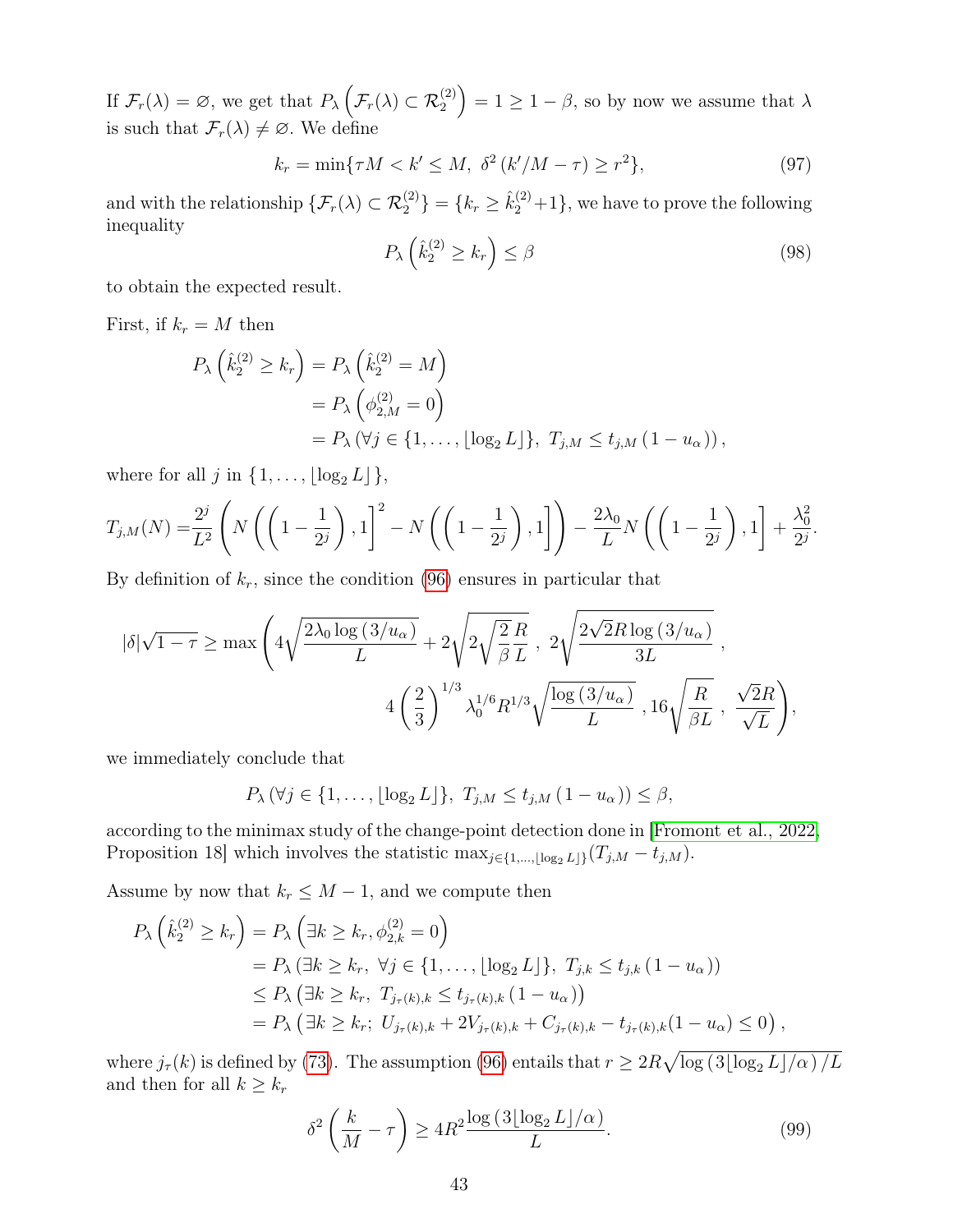If  $\mathcal{F}_r(\lambda) = \varnothing$ , we get that  $P_\lambda \left( \mathcal{F}_r(\lambda) \subset \mathcal{R}_2^{(2)} \right) = 1 \geq 1 - \beta$ , so by now we assume that  $\lambda$ is such that  $\mathcal{F}_r(\lambda) \neq \emptyset$ . We define

$$
k_r = \min\{\tau M < k' \le M, \ \delta^2 \left(\frac{k'}{M - \tau}\right) \ge r^2\},\tag{97}
$$

and with the relationship  $\{\mathcal{F}_r(\lambda) \subset \mathcal{R}_2^{(2)}\} = \{k_r \geq \hat{k}_2^{(2)} + 1\}$ , we have to prove the following inequality

$$
P_{\lambda}\left(\hat{k}_2^{(2)} \ge k_r\right) \le \beta \tag{98}
$$

to obtain the expected result.

First, if  $k_r = M$  then

$$
P_{\lambda}\left(\hat{k}_{2}^{(2)} \geq k_{r}\right) = P_{\lambda}\left(\hat{k}_{2}^{(2)} = M\right)
$$
  
=  $P_{\lambda}\left(\phi_{2,M}^{(2)} = 0\right)$   
=  $P_{\lambda}\left(\forall j \in \{1, ..., \lfloor \log_{2} L \rfloor\}, T_{j,M} \leq t_{j,M} (1 - u_{\alpha})\right),$ 

where for all j in  $\{1, \ldots, \lfloor \log_2 L \rfloor \},\$ 

$$
T_{j,M}(N) = \frac{2^j}{L^2} \left( N\left( \left(1 - \frac{1}{2^j}\right), 1 \right)^2 - N\left( \left(1 - \frac{1}{2^j}\right), 1 \right) \right) - \frac{2\lambda_0}{L} N\left( \left(1 - \frac{1}{2^j}\right), 1 \right) + \frac{\lambda_0^2}{2^j}.
$$

By definition of  $k_r$ , since the condition (96) ensures in particular that

$$
\begin{aligned} |\delta|\sqrt{1-\tau} &\geq \max\Bigg(4\sqrt{\frac{2\lambda_0\log\left(3/u_\alpha\right)}{L}}+2\sqrt{2\sqrt{\frac{2}{\beta}\frac{R}{L}}}\;,\;2\sqrt{\frac{2\sqrt{2}R\log\left(3/u_\alpha\right)}{3L}}\;,\notag\\ &\qquad \qquad 4\left(\frac{2}{3}\right)^{1/3}\lambda_0^{1/6}R^{1/3}\sqrt{\frac{\log\left(3/u_\alpha\right)}{L}}\;,\,16\sqrt{\frac{R}{\beta L}}\;,\;\frac{\sqrt{2}R}{\sqrt{L}}\Bigg), \end{aligned}
$$

we immediately conclude that

$$
P_{\lambda}(\forall j \in \{1,\ldots,\lfloor \log_2 L \rfloor\},\ T_{j,M} \leq t_{j,M} (1-u_{\alpha})) \leq \beta,
$$

according to the minimax study of the change-point detection done in [Fromont et al., 2022, Proposition 18] which involves the statistic  $\max_{j\in\{1,\ldots,\lfloor \log_2 L\rfloor\}}(T_{j,M} - t_{j,M}).$ 

Assume by now that  $k_r \leq M-1$ , and we compute then

$$
P_{\lambda} \left( \hat{k}_{2}^{(2)} \geq k_{r} \right) = P_{\lambda} \left( \exists k \geq k_{r}, \phi_{2,k}^{(2)} = 0 \right)
$$
  
=  $P_{\lambda} \left( \exists k \geq k_{r}, \ \forall j \in \{1, ..., \lfloor \log_{2} L \rfloor \}, \ T_{j,k} \leq t_{j,k} \left( 1 - u_{\alpha} \right) \right)$   
 $\leq P_{\lambda} \left( \exists k \geq k_{r}, \ T_{j_{\tau}(k),k} \leq t_{j_{\tau}(k),k} \left( 1 - u_{\alpha} \right) \right)$   
=  $P_{\lambda} \left( \exists k \geq k_{r}; \ U_{j_{\tau}(k),k} + 2V_{j_{\tau}(k),k} + C_{j_{\tau}(k),k} - t_{j_{\tau}(k),k} \left( 1 - u_{\alpha} \right) \leq 0 \right),$ 

where  $j_{\tau}(k)$  is defined by (73). The assumption (96) entails that  $r \geq 2R\sqrt{\log(3\lfloor \log_2 L\rfloor/\alpha)/L}$ and then for all  $k \geq k_r$ 

$$
\delta^2 \left( \frac{k}{M} - \tau \right) \ge 4R^2 \frac{\log \left( 3 \lfloor \log_2 L \rfloor / \alpha \right)}{L}.
$$
\n(99)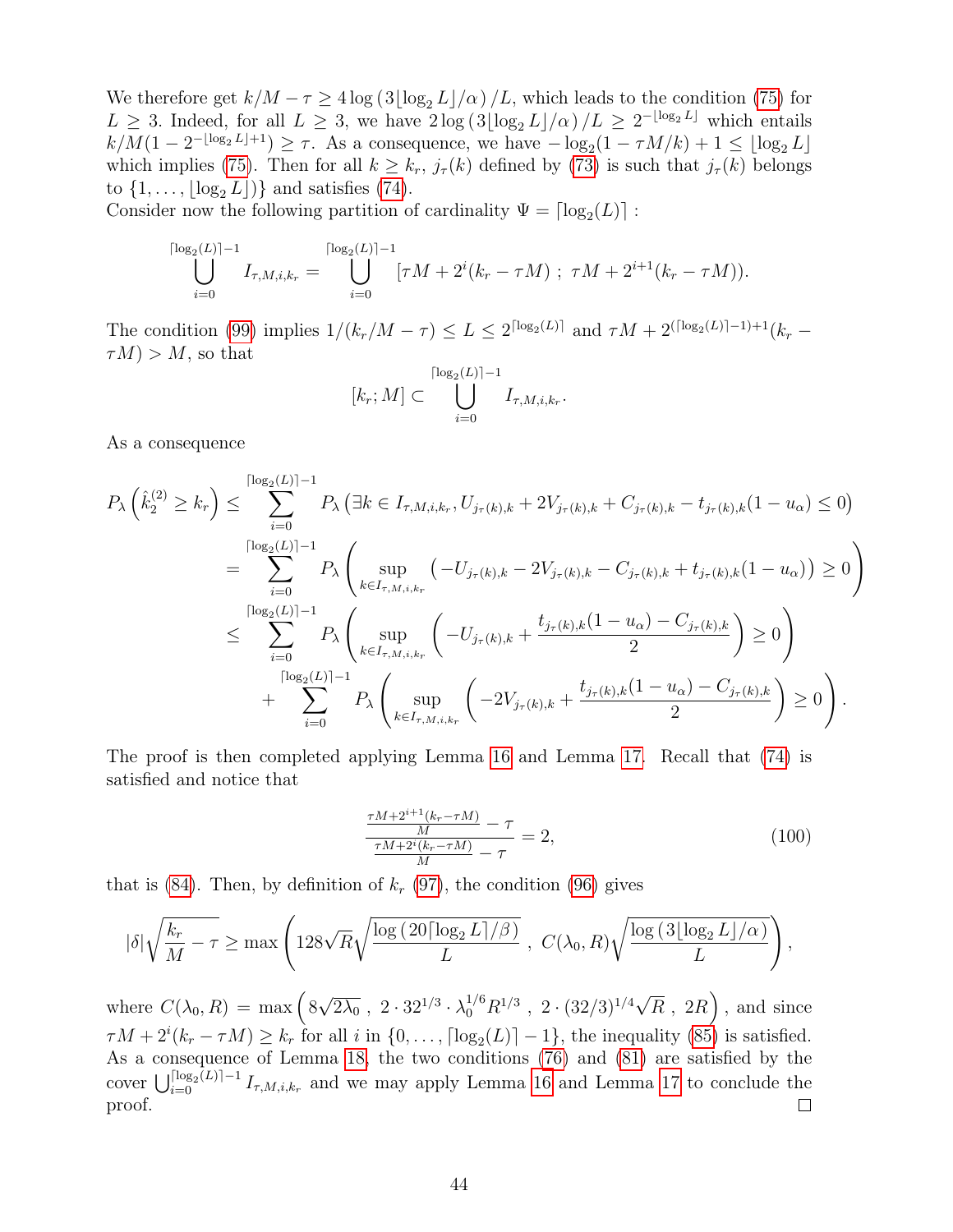We therefore get  $k/M - \tau \ge 4 \log (3 \lfloor \log_2 L \rfloor / \alpha) /L$ , which leads to the condition (75) for  $L \geq 3$ . Indeed, for all  $L \geq 3$ , we have  $2\log(3\lfloor \log_2 L \rfloor/\alpha)/L \geq 2^{-\lfloor \log_2 L \rfloor}$  which entails  $k/M(1-2^{-\lfloor \log_2 L \rfloor+1}) \geq \tau$ . As a consequence, we have  $-\log_2(1-\tau M/k) + 1 \leq \lfloor \log_2 L \rfloor$ which implies (75). Then for all  $k \geq k_r$ ,  $j_\tau(k)$  defined by (73) is such that  $j_\tau(k)$  belongs to  $\{1, \ldots, |\log_2 L|\}$  and satisfies (74).

Consider now the following partition of cardinality  $\Psi = \lceil \log_2(L) \rceil$ :

$$
\bigcup_{i=0}^{\lceil \log_2(L) \rceil - 1} I_{\tau, M, i, k_r} = \bigcup_{i=0}^{\lceil \log_2(L) \rceil - 1} [\tau M + 2^i (k_r - \tau M) ; \ \tau M + 2^{i+1} (k_r - \tau M)).
$$

The condition (99) implies  $1/(k_r/M - \tau) \le L \le 2^{\lceil \log_2(L) \rceil}$  and  $\tau M + 2^{\lceil \log_2(L) \rceil - 1} + 1$  $\tau(M) > M$ , so that

$$
[k_r; M] \subset \bigcup_{i=0}^{\lceil \log_2(L) \rceil - 1} I_{\tau, M, i, k_r}.
$$

As a consequence

$$
P_{\lambda}\left(\hat{k}_{2}^{(2)} \geq k_{r}\right) \leq \sum_{i=0}^{\lceil \log_{2}(L) \rceil - 1} P_{\lambda}\left(\exists k \in I_{\tau,M,i,k_{r}}, U_{j_{\tau}(k),k} + 2V_{j_{\tau}(k),k} + C_{j_{\tau}(k),k} - t_{j_{\tau}(k),k}(1 - u_{\alpha}) \leq 0\right)
$$
  
\n
$$
= \sum_{i=0}^{\lceil \log_{2}(L) \rceil - 1} P_{\lambda}\left(\sup_{k \in I_{\tau,M,i,k_{r}}} \left(-U_{j_{\tau}(k),k} - 2V_{j_{\tau}(k),k} - C_{j_{\tau}(k),k} + t_{j_{\tau}(k),k}(1 - u_{\alpha})\right) \geq 0\right)
$$
  
\n
$$
\leq \sum_{i=0}^{\lceil \log_{2}(L) \rceil - 1} P_{\lambda}\left(\sup_{k \in I_{\tau,M,i,k_{r}}} \left(-U_{j_{\tau}(k),k} + \frac{t_{j_{\tau}(k),k}(1 - u_{\alpha}) - C_{j_{\tau}(k),k}}{2}\right) \geq 0\right)
$$
  
\n
$$
+ \sum_{i=0}^{\lceil \log_{2}(L) \rceil - 1} P_{\lambda}\left(\sup_{k \in I_{\tau,M,i,k_{r}}} \left(-2V_{j_{\tau}(k),k} + \frac{t_{j_{\tau}(k),k}(1 - u_{\alpha}) - C_{j_{\tau}(k),k}}{2}\right) \geq 0\right).
$$

The proof is then completed applying Lemma 16 and Lemma 17. Recall that (74) is satisfied and notice that

$$
\frac{\frac{\tau M + 2^{i+1}(k_r - \tau M)}{M} - \tau}{\frac{\tau M + 2^i(k_r - \tau M)}{M} - \tau} = 2,
$$
\n(100)

that is  $(84)$ . Then, by definition of  $k_r$   $(97)$ , the condition  $(96)$  gives

$$
|\delta| \sqrt{\frac{k_r}{M} - \tau} \ge \max \left( 128 \sqrt{R} \sqrt{\frac{\log \left( 20 \lceil \log_2 L \rceil / \beta \right)}{L}} \right), \ C(\lambda_0, R) \sqrt{\frac{\log \left( 3 \lfloor \log_2 L \rfloor / \alpha \right)}{L}} \right),
$$

√ √ where  $C(\lambda_0, R) = \max (8)$  $\overline{R}$ , 2R), and since  $\overline{2\lambda_0}$  ,  $2\cdot 32^{1/3} \cdot \lambda_0^{1/6} R^{1/3}$  ,  $2\cdot (32/3)^{1/4}$  $\tau M + 2^{i}(k_r - \tau M) \geq k_r$  for all i in  $\{0, \ldots, \lceil \log_2(L) \rceil - 1\}$ , the inequality (85) is satisfied. As a consequence of Lemma 18, the two conditions (76) and (81) are satisfied by the cover  $\bigcup_{i=0}^{\lceil \log_2(L) \rceil-1} I_{\tau,M,i,k_r}$  and we may apply Lemma 16 and Lemma 17 to conclude the proof.  $\Box$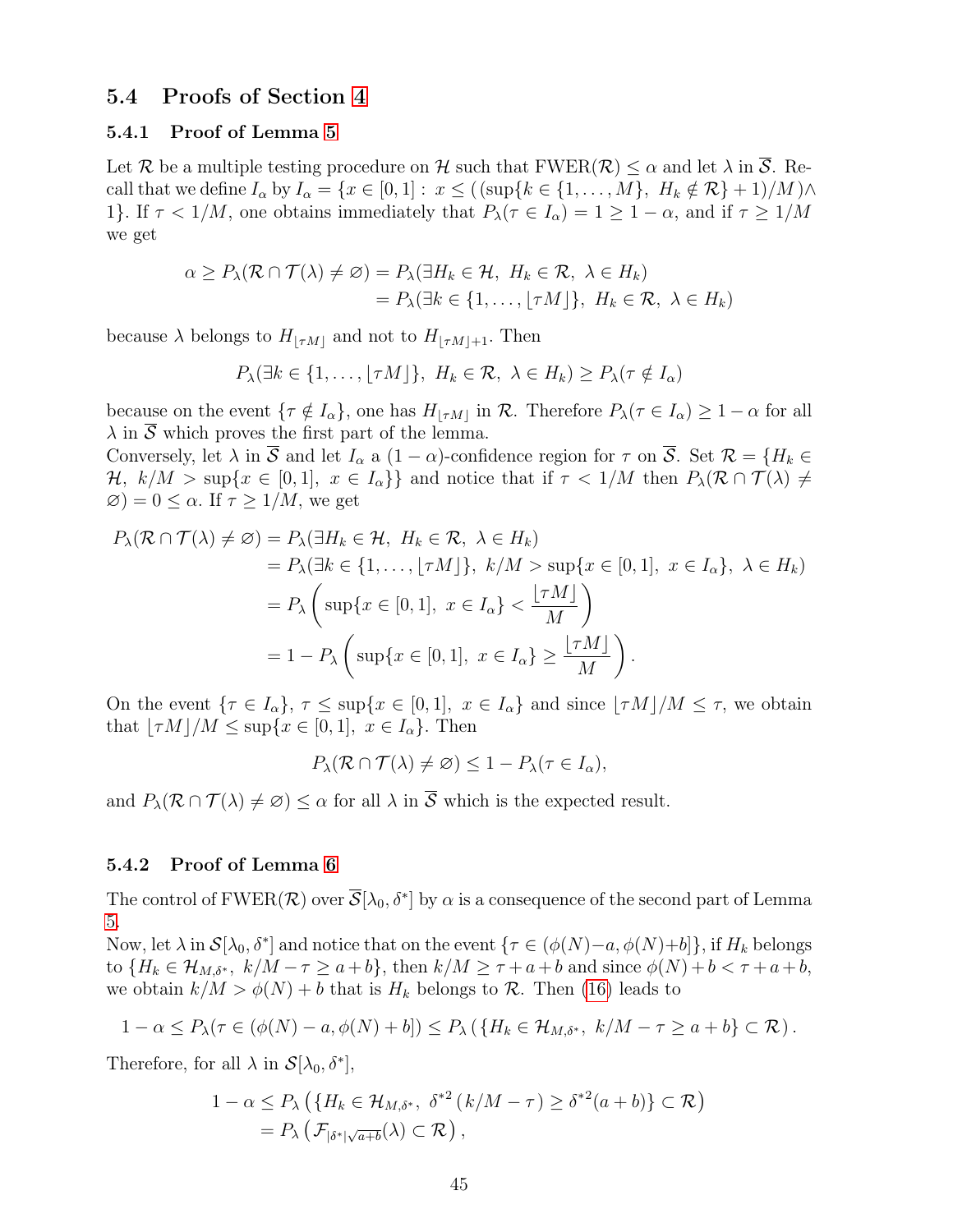### 5.4 Proofs of Section 4

### 5.4.1 Proof of Lemma 5

Let R be a multiple testing procedure on H such that  $FWER(\mathcal{R}) \leq \alpha$  and let  $\lambda$  in  $\overline{S}$ . Recall that we define  $I_{\alpha}$  by  $I_{\alpha} = \{x \in [0,1]: x \leq ((\sup\{k \in \{1,\ldots,M\}, H_k \notin \mathcal{R}\}+1)/M) \wedge$ 1}. If  $\tau < 1/M$ , one obtains immediately that  $P_{\lambda}(\tau \in I_{\alpha}) = 1 \geq 1 - \alpha$ , and if  $\tau \geq 1/M$ we get

$$
\alpha \ge P_{\lambda}(\mathcal{R} \cap \mathcal{T}(\lambda) \neq \emptyset) = P_{\lambda}(\exists H_k \in \mathcal{H}, H_k \in \mathcal{R}, \lambda \in H_k)
$$
  
=  $P_{\lambda}(\exists k \in \{1, ..., \lfloor \tau M \rfloor\}, H_k \in \mathcal{R}, \lambda \in H_k)$ 

because  $\lambda$  belongs to  $H_{\lfloor \tau M \rfloor}$  and not to  $H_{\lfloor \tau M \rfloor+1}$ . Then

$$
P_{\lambda}(\exists k \in \{1, \ldots, \lfloor \tau M \rfloor\}, H_k \in \mathcal{R}, \lambda \in H_k) \ge P_{\lambda}(\tau \notin I_{\alpha})
$$

because on the event  $\{\tau \notin I_{\alpha}\}\)$ , one has  $H_{|\tau M|}$  in R. Therefore  $P_{\lambda}(\tau \in I_{\alpha}) \geq 1 - \alpha$  for all  $\lambda$  in  $\overline{S}$  which proves the first part of the lemma.

Conversely, let  $\lambda$  in S and let  $I_{\alpha}$  a  $(1-\alpha)$ -confidence region for  $\tau$  on S. Set  $\mathcal{R} = \{H_k \in$  $\mathcal{H}, k/M > \sup\{x \in [0,1], x \in I_{\alpha}\}\$ and notice that if  $\tau < 1/M$  then  $P_{\lambda}(\mathcal{R} \cap \mathcal{T}(\lambda) \neq 0)$  $\varnothing$ ) = 0  $\leq \alpha$ . If  $\tau \geq 1/M$ , we get

$$
P_{\lambda}(\mathcal{R} \cap \mathcal{T}(\lambda) \neq \emptyset) = P_{\lambda}(\exists H_k \in \mathcal{H}, H_k \in \mathcal{R}, \lambda \in H_k)
$$
  
=  $P_{\lambda}(\exists k \in \{1, ..., \lfloor \tau M \rfloor\}, k/M > \sup\{x \in [0, 1], x \in I_{\alpha}\}, \lambda \in H_k)$   
=  $P_{\lambda} \left( \sup\{x \in [0, 1], x \in I_{\alpha}\} < \frac{\lfloor \tau M \rfloor}{M} \right)$   
=  $1 - P_{\lambda} \left( \sup\{x \in [0, 1], x \in I_{\alpha}\} \geq \frac{\lfloor \tau M \rfloor}{M} \right).$ 

On the event  $\{\tau \in I_\alpha\}, \tau \leq \sup\{x \in [0,1], x \in I_\alpha\}$  and since  $\lfloor \tau M \rfloor / M \leq \tau$ , we obtain that  $|\tau M|/M \leq \sup\{x \in [0, 1], x \in I_{\alpha}\}.$  Then

$$
P_{\lambda}(\mathcal{R}\cap\mathcal{T}(\lambda)\neq\varnothing)\leq 1-P_{\lambda}(\tau\in I_{\alpha}),
$$

and  $P_{\lambda}(\mathcal{R} \cap \mathcal{T}(\lambda) \neq \emptyset) \leq \alpha$  for all  $\lambda$  in  $\overline{\mathcal{S}}$  which is the expected result.

### 5.4.2 Proof of Lemma 6

The control of  $\mathrm{FWER}(\mathcal{R})$  over  $\overline{\mathcal{S}}[\lambda_0,\delta^*]$  by  $\alpha$  is a consequence of the second part of Lemma 5.

Now, let  $\lambda$  in  $\mathcal{S}[\lambda_0, \delta^*]$  and notice that on the event  $\{\tau \in (\phi(N) - a, \phi(N) + b]\}$ , if  $H_k$  belongs to  $\{H_k \in \mathcal{H}_{M,\delta^*}, k/M - \tau \ge a+b\}$ , then  $k/M \ge \tau + a+b$  and since  $\phi(N) + b < \tau + a+b$ , we obtain  $k/M > \phi(N) + b$  that is  $H_k$  belongs to  $\mathcal{R}$ . Then (16) leads to

$$
1-\alpha \leq P_{\lambda}(\tau \in (\phi(N)-a, \phi(N)+b]) \leq P_{\lambda}(\lbrace H_k \in \mathcal{H}_{M,\delta^*}, k/M-\tau \geq a+b \rbrace \subset \mathcal{R}).
$$

Therefore, for all  $\lambda$  in  $\mathcal{S}[\lambda_0, \delta^*],$ 

$$
1 - \alpha \le P_{\lambda} \left( \{ H_k \in \mathcal{H}_{M,\delta^*}, \ \delta^{*2} \left( k/M - \tau \right) \ge \delta^{*2} (a+b) \} \subset \mathcal{R} \right)
$$
  
=  $P_{\lambda} \left( \mathcal{F}_{|\delta^*| \sqrt{a+b}}(\lambda) \subset \mathcal{R} \right),$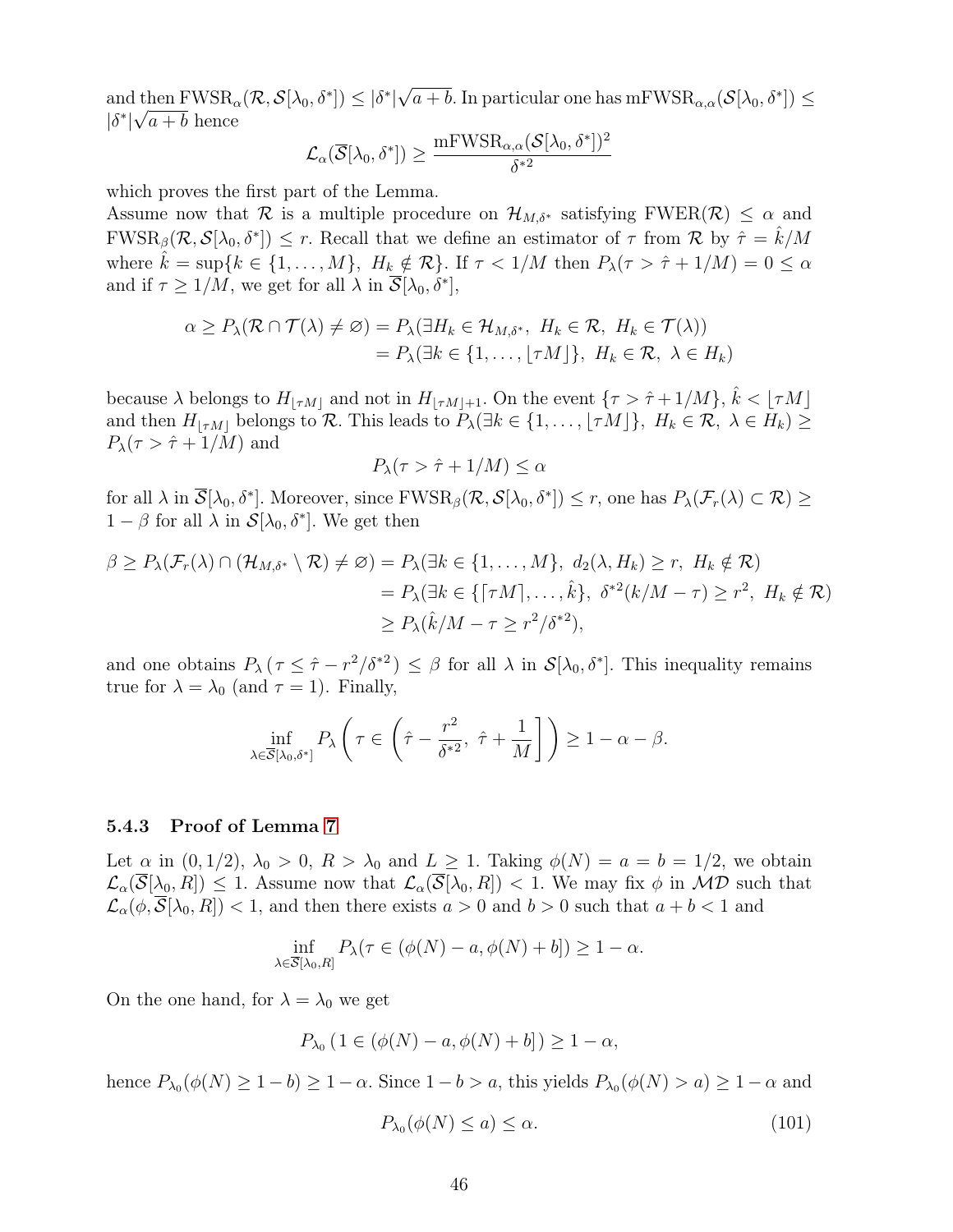and then  $FWSR_{\alpha}(\mathcal{R}, \mathcal{S}[\lambda_0, \delta^*]) \leq |\delta^*|$ √  $\text{diam } \text{FWSR}_{\alpha}(\mathcal{R}, \mathcal{S}[\lambda_0, \delta^*]) \leq |\delta^*| \sqrt{a+b}$ . In particular one has  $\text{mFWSR}_{\alpha,\alpha}(\mathcal{S}[\lambda_0, \delta^*]) \leq$  $|\delta^*|\sqrt{a+b}$  hence

$$
\mathcal{L}_{\alpha}(\overline{\mathcal{S}}[\lambda_0,\delta^*])\geq \frac{{\rm mFWSR}_{\alpha,\alpha}(\mathcal{S}[\lambda_0,\delta^*])^2}{\delta^{*2}}
$$

which proves the first part of the Lemma.

Assume now that R is a multiple procedure on  $\mathcal{H}_{M,\delta^*}$  satisfying FWER(R)  $\leq \alpha$  and  $FWSR_{\beta}(\mathcal{R}, \mathcal{S}[\lambda_0, \delta^*]) \leq r$ . Recall that we define an estimator of  $\tau$  from  $\mathcal{R}$  by  $\hat{\tau} = \hat{k}/M$ where  $\hat{k} = \sup\{k \in \{1, ..., M\}, H_k \notin \mathcal{R}\}\$ . If  $\tau < 1/M$  then  $P_\lambda(\tau > \hat{\tau} + 1/M) = 0 \leq \alpha$ and if  $\tau \geq 1/M$ , we get for all  $\lambda$  in  $\overline{\mathcal{S}}[\lambda_0, \delta^*]$ ,

$$
\alpha \ge P_{\lambda}(\mathcal{R} \cap \mathcal{T}(\lambda) \neq \emptyset) = P_{\lambda}(\exists H_k \in \mathcal{H}_{M,\delta^*}, H_k \in \mathcal{R}, H_k \in \mathcal{T}(\lambda))
$$
  
=  $P_{\lambda}(\exists k \in \{1, ..., \lfloor \tau M \rfloor\}, H_k \in \mathcal{R}, \lambda \in H_k)$ 

because  $\lambda$  belongs to  $H_{|\tau M|}$  and not in  $H_{|\tau M|+1}$ . On the event  ${\tau > \hat{\tau} + 1/M}$ ,  $\hat{k} < {\tau M}$ and then  $H_{|\tau M|}$  belongs to R. This leads to  $P_{\lambda}(\exists k \in \{1, ..., \lfloor \tau M \rfloor\}, H_k \in \mathcal{R}, \lambda \in H_k) \geq$  $P_{\lambda}(\tau > \hat{\tau} + 1/M)$  and

$$
P_{\lambda}(\tau > \hat{\tau} + 1/M) \le \alpha
$$

for all  $\lambda$  in  $\overline{\mathcal{S}}[\lambda_0, \delta^*]$ . Moreover, since  $\text{FWSR}_{\beta}(\mathcal{R}, \mathcal{S}[\lambda_0, \delta^*]) \leq r$ , one has  $P_{\lambda}(\mathcal{F}_r(\lambda) \subset \mathcal{R}) \geq$  $1 - \beta$  for all  $\lambda$  in  $\mathcal{S}[\lambda_0, \delta^*]$ . We get then

$$
\beta \ge P_{\lambda}(\mathcal{F}_r(\lambda) \cap (\mathcal{H}_{M,\delta^*} \setminus \mathcal{R}) \neq \varnothing) = P_{\lambda}(\exists k \in \{1, ..., M\}, d_2(\lambda, H_k) \ge r, H_k \notin \mathcal{R})
$$
  
=  $P_{\lambda}(\exists k \in \{\lceil \tau M \rceil, ..., \hat{k}\}, \delta^{*2}(k/M - \tau) \ge r^2, H_k \notin \mathcal{R})$   
 $\ge P_{\lambda}(\hat{k}/M - \tau \ge r^2/\delta^{*2}),$ 

and one obtains  $P_{\lambda}(\tau \leq \hat{\tau} - r^2/\delta^{*2}) \leq \beta$  for all  $\lambda$  in  $\mathcal{S}[\lambda_0, \delta^*]$ . This inequality remains true for  $\lambda = \lambda_0$  (and  $\tau = 1$ ). Finally,

$$
\inf_{\lambda \in \overline{\mathcal{S}}[\lambda_0, \delta^*]} P_{\lambda} \left( \tau \in \left( \hat{\tau} - \frac{r^2}{\delta^{*2}}, \ \hat{\tau} + \frac{1}{M} \right] \right) \ge 1 - \alpha - \beta.
$$

#### 5.4.3 Proof of Lemma 7

Let  $\alpha$  in  $(0, 1/2)$ ,  $\lambda_0 > 0$ ,  $R > \lambda_0$  and  $L \geq 1$ . Taking  $\phi(N) = a = b = 1/2$ , we obtain  $\mathcal{L}_{\alpha}(\overline{\mathcal{S}}[\lambda_0, R]) \leq 1$ . Assume now that  $\mathcal{L}_{\alpha}(\overline{\mathcal{S}}[\lambda_0, R]) < 1$ . We may fix  $\phi$  in MD such that  $\mathcal{L}_{\alpha}(\phi, \mathcal{S}[\lambda_0, R]) < 1$ , and then there exists  $a > 0$  and  $b > 0$  such that  $a + b < 1$  and

$$
\inf_{\lambda \in \overline{\mathcal{S}}[\lambda_0, R]} P_{\lambda}(\tau \in (\phi(N) - a, \phi(N) + b]) \ge 1 - \alpha.
$$

On the one hand, for  $\lambda = \lambda_0$  we get

$$
P_{\lambda_0}
$$
  $(1 \in (\phi(N) - a, \phi(N) + b]) \ge 1 - \alpha,$ 

hence  $P_{\lambda_0}(\phi(N) \geq 1 - b) \geq 1 - \alpha$ . Since  $1 - b > a$ , this yields  $P_{\lambda_0}(\phi(N) > a) \geq 1 - \alpha$  and

$$
P_{\lambda_0}(\phi(N) \le a) \le \alpha. \tag{101}
$$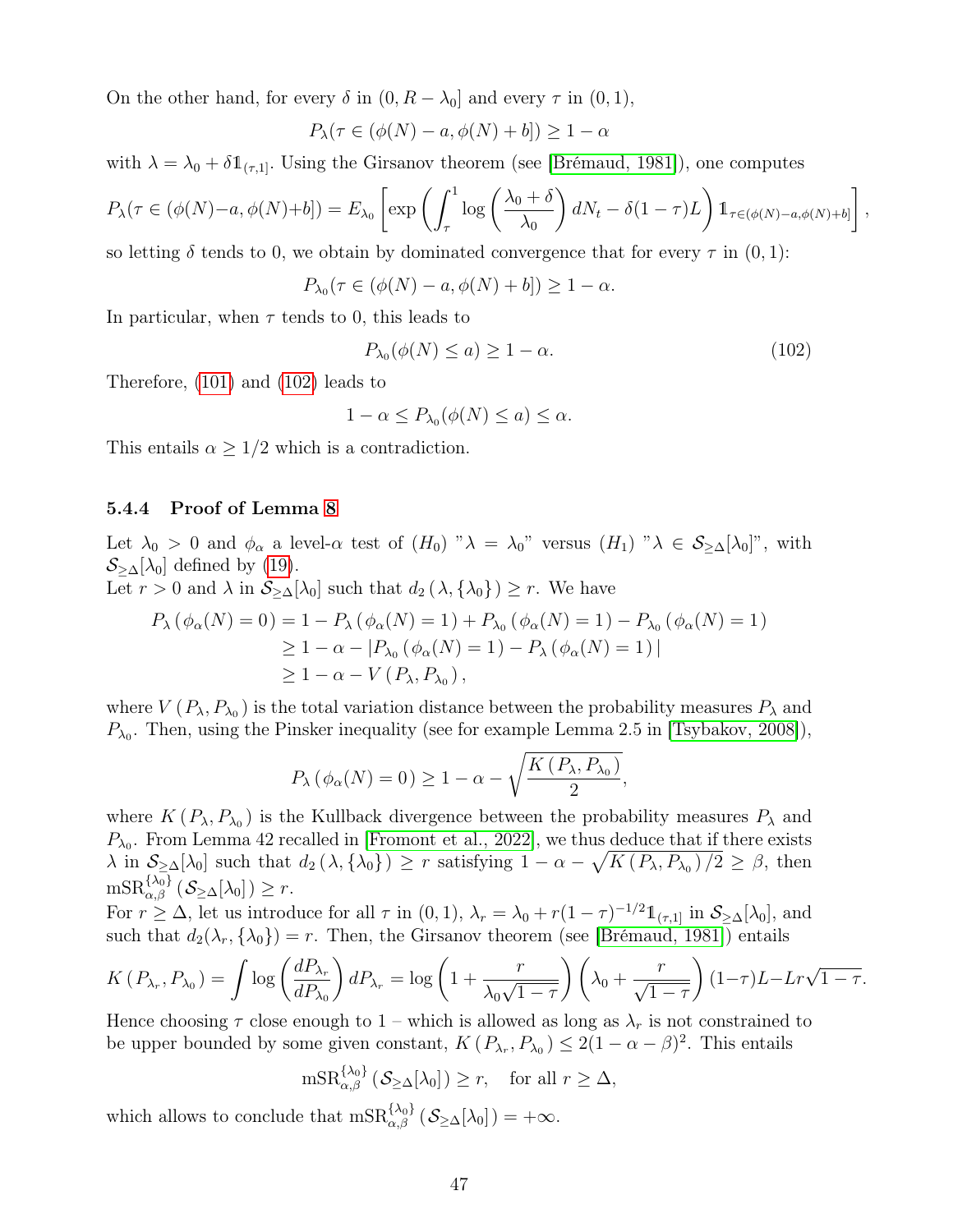On the other hand, for every  $\delta$  in  $(0, R - \lambda_0]$  and every  $\tau$  in  $(0, 1)$ ,

$$
P_{\lambda}(\tau \in (\phi(N) - a, \phi(N) + b]) \ge 1 - \alpha
$$

with  $\lambda = \lambda_0 + \delta \mathbb{1}_{(\tau,1]}$ . Using the Girsanov theorem (see [Brémaud, 1981]), one computes

$$
P_{\lambda}(\tau \in (\phi(N) - a, \phi(N) + b]) = E_{\lambda_0} \left[ \exp \left( \int_{\tau}^1 \log \left( \frac{\lambda_0 + \delta}{\lambda_0} \right) dN_t - \delta (1 - \tau) L \right) \mathbb{1}_{\tau \in (\phi(N) - a, \phi(N) + b]} \right],
$$

so letting  $\delta$  tends to 0, we obtain by dominated convergence that for every  $\tau$  in  $(0, 1)$ :

$$
P_{\lambda_0}(\tau \in (\phi(N) - a, \phi(N) + b]) \ge 1 - \alpha.
$$

In particular, when  $\tau$  tends to 0, this leads to

$$
P_{\lambda_0}(\phi(N) \le a) \ge 1 - \alpha. \tag{102}
$$

Therefore, (101) and (102) leads to

$$
1 - \alpha \le P_{\lambda_0}(\phi(N) \le a) \le \alpha.
$$

This entails  $\alpha \geq 1/2$  which is a contradiction.

#### 5.4.4 Proof of Lemma 8

Let  $\lambda_0 > 0$  and  $\phi_\alpha$  a level- $\alpha$  test of  $(H_0)$  " $\lambda = \lambda_0$ " versus  $(H_1)$  " $\lambda \in S_{\geq \Delta}[\lambda_0]$ ", with  $S_{\geq \Delta}[\lambda_0]$  defined by (19).

Let  $r > 0$  and  $\lambda$  in  $\mathcal{S}_{\geq \Delta}[\lambda_0]$  such that  $d_2(\lambda, {\lambda_0}) \geq r$ . We have

$$
P_{\lambda} (\phi_{\alpha}(N) = 0) = 1 - P_{\lambda} (\phi_{\alpha}(N) = 1) + P_{\lambda_0} (\phi_{\alpha}(N) = 1) - P_{\lambda_0} (\phi_{\alpha}(N) = 1)
$$
  
\n
$$
\geq 1 - \alpha - |P_{\lambda_0} (\phi_{\alpha}(N) = 1) - P_{\lambda} (\phi_{\alpha}(N) = 1)|
$$
  
\n
$$
\geq 1 - \alpha - V (P_{\lambda}, P_{\lambda_0}),
$$

where  $V(P_\lambda, P_{\lambda_0})$  is the total variation distance between the probability measures  $P_\lambda$  and  $P_{\lambda_0}$ . Then, using the Pinsker inequality (see for example Lemma 2.5 in [Tsybakov, 2008]),

$$
P_{\lambda}(\phi_{\alpha}(N)=0) \ge 1 - \alpha - \sqrt{\frac{K(P_{\lambda}, P_{\lambda_0})}{2}},
$$

where  $K(P_{\lambda}, P_{\lambda_0})$  is the Kullback divergence between the probability measures  $P_{\lambda}$  and  $P_{\lambda_0}$ . From Lemma 42 recalled in [Fromont et al., 2022], we thus deduce that if there exists  $\lambda$  in  $\mathcal{S}_{\geq \Delta}[\lambda_0]$  such that  $d_2(\lambda, {\{\lambda_0\}}) \geq r$  satisfying  $1 - \alpha - \sqrt{K(P_\lambda, P_{\lambda_0})/2} \geq \beta$ , then  $\textup{mSR}_{\alpha,\beta}^{\{\lambda_0\}}\left(\mathcal{S}_{\geq \Delta}[\lambda_0]\right) \geq r.$ 

For  $r \geq \Delta$ , let us introduce for all  $\tau$  in  $(0, 1)$ ,  $\lambda_r = \lambda_0 + r(1 - \tau)^{-1/2} \mathbb{1}_{(\tau, 1]}$  in  $\mathcal{S}_{\geq \Delta}[\lambda_0]$ , and such that  $d_2(\lambda_r, {\lambda_0}) = r$ . Then, the Girsanov theorem (see [Brémaud, 1981]) entails

$$
K(P_{\lambda_r}, P_{\lambda_0}) = \int \log \left(\frac{dP_{\lambda_r}}{dP_{\lambda_0}}\right) dP_{\lambda_r} = \log \left(1 + \frac{r}{\lambda_0 \sqrt{1-\tau}}\right) \left(\lambda_0 + \frac{r}{\sqrt{1-\tau}}\right) (1-\tau)L - Lr\sqrt{1-\tau}.
$$

Hence choosing  $\tau$  close enough to 1 – which is allowed as long as  $\lambda_r$  is not constrained to be upper bounded by some given constant,  $K(P_{\lambda_r}, P_{\lambda_0}) \leq 2(1 - \alpha - \beta)^2$ . This entails

$$
\mathrm{mSR}_{\alpha,\beta}^{\{\lambda_0\}}\left(\mathcal{S}_{\geq \Delta}[\lambda_0]\right) \geq r, \quad \text{for all } r \geq \Delta,
$$

which allows to conclude that  $mSR_{\alpha,\beta}^{\{\lambda_0\}}(\mathcal{S}_{\geq \Delta}[\lambda_0]) = +\infty$ .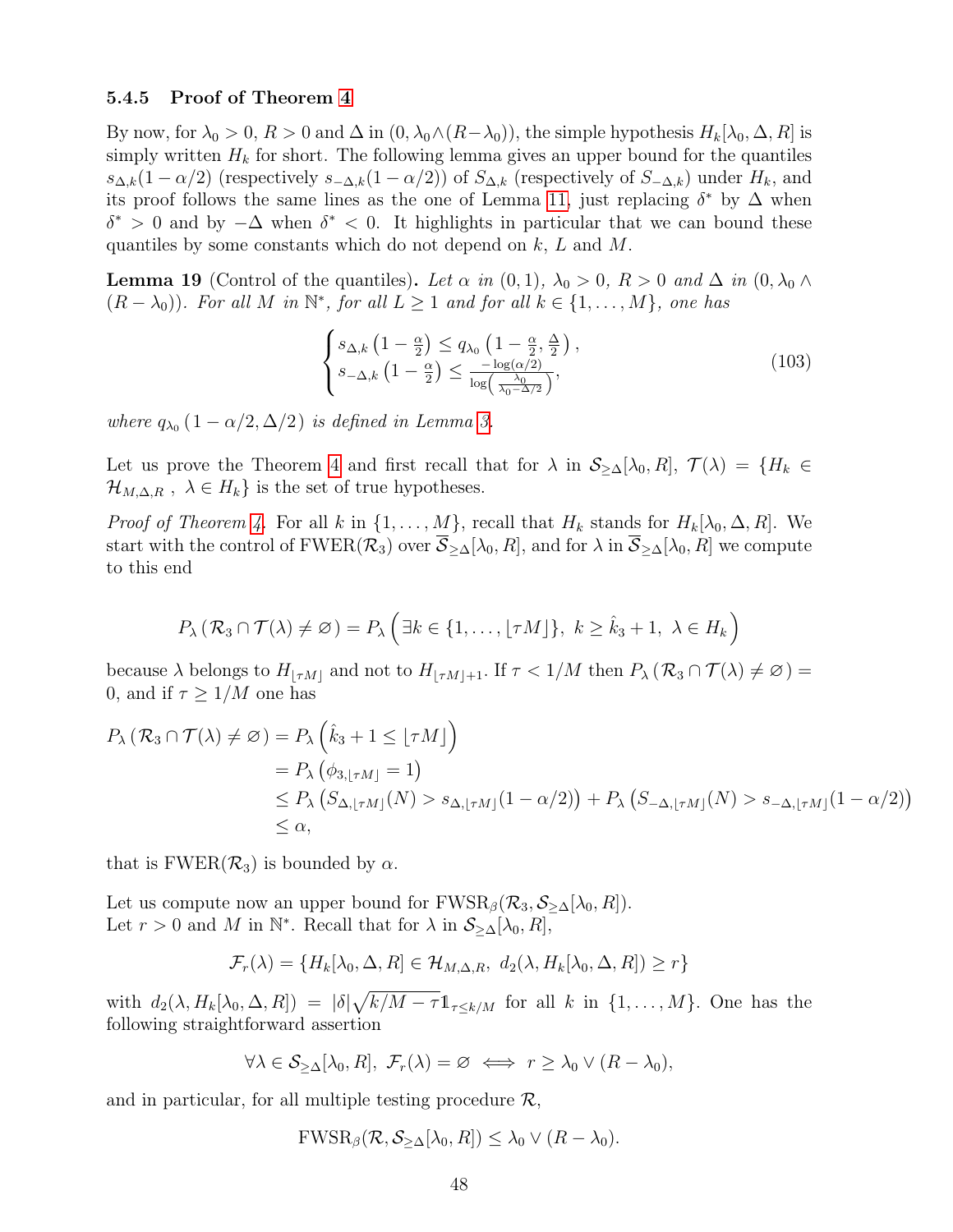#### 5.4.5 Proof of Theorem 4

By now, for  $\lambda_0 > 0$ ,  $R > 0$  and  $\Delta$  in  $(0, \lambda_0 \wedge (R-\lambda_0))$ , the simple hypothesis  $H_k[\lambda_0, \Delta, R]$  is simply written  $H_k$  for short. The following lemma gives an upper bound for the quantiles  $s_{\Delta,k}(1-\alpha/2)$  (respectively  $s_{-\Delta,k}(1-\alpha/2)$ ) of  $S_{\Delta,k}$  (respectively of  $S_{-\Delta,k}$ ) under  $H_k$ , and its proof follows the same lines as the one of Lemma 11, just replacing  $\delta^*$  by  $\Delta$  when  $\delta^* > 0$  and by  $-\Delta$  when  $\delta^* < 0$ . It highlights in particular that we can bound these quantiles by some constants which do not depend on  $k, L$  and  $M$ .

**Lemma 19** (Control of the quantiles). Let  $\alpha$  in  $(0,1)$ ,  $\lambda_0 > 0$ ,  $R > 0$  and  $\Delta$  in  $(0, \lambda_0 \wedge$  $(R - \lambda_0)$ ). For all M in  $\mathbb{N}^*$ , for all  $L \geq 1$  and for all  $k \in \{1, ..., M\}$ , one has

$$
\begin{cases}\ns_{\Delta,k} \left(1 - \frac{\alpha}{2}\right) \le q_{\lambda_0} \left(1 - \frac{\alpha}{2}, \frac{\Delta}{2}\right), \\
s_{-\Delta,k} \left(1 - \frac{\alpha}{2}\right) \le \frac{-\log(\alpha/2)}{\log\left(\frac{\lambda_0}{\lambda_0 - \Delta/2}\right)},\n\end{cases} \tag{103}
$$

where  $q_{\lambda_0}$   $(1 - \alpha/2, \Delta/2)$  is defined in Lemma 3.

Let us prove the Theorem 4 and first recall that for  $\lambda$  in  $\mathcal{S}_{\geq \Delta}[\lambda_0, R], \mathcal{T}(\lambda) = \{H_k \in$  $\mathcal{H}_{M,\Delta,R}$ ,  $\lambda \in H_k$  is the set of true hypotheses.

*Proof of Theorem 4.* For all k in  $\{1, \ldots, M\}$ , recall that  $H_k$  stands for  $H_k[\lambda_0, \Delta, R]$ . We start with the control of FWER( $\mathcal{R}_3$ ) over  $\mathcal{S}_{\geq \Delta}[\lambda_0, R]$ , and for  $\lambda$  in  $\mathcal{S}_{\geq \Delta}[\lambda_0, R]$  we compute to this end

$$
P_{\lambda}(\mathcal{R}_3 \cap \mathcal{T}(\lambda) \neq \emptyset) = P_{\lambda} \left( \exists k \in \{1, \ldots, \lfloor \tau M \rfloor\}, k \geq \hat{k}_3 + 1, \lambda \in H_k \right)
$$

because  $\lambda$  belongs to  $H_{\lfloor \tau M\rfloor}$  and not to  $H_{\lfloor \tau M\rfloor+1}$ . If  $\tau < 1/M$  then  $P_{\lambda} (\mathcal{R}_3 \cap \mathcal{T}(\lambda) \neq \emptyset)$  = 0, and if  $\tau > 1/M$  one has

$$
P_{\lambda} (\mathcal{R}_{3} \cap \mathcal{T}(\lambda) \neq \emptyset) = P_{\lambda} (\hat{k}_{3} + 1 \leq \lfloor \tau M \rfloor)
$$
  
=  $P_{\lambda} (\phi_{3, \lfloor \tau M \rfloor} = 1)$   
 $\leq P_{\lambda} (S_{\Delta, \lfloor \tau M \rfloor}(N) > s_{\Delta, \lfloor \tau M \rfloor} (1 - \alpha/2)) + P_{\lambda} (S_{-\Delta, \lfloor \tau M \rfloor}(N) > s_{-\Delta, \lfloor \tau M \rfloor} (1 - \alpha/2))$   
 $\leq \alpha,$ 

that is  $FWER(\mathcal{R}_3)$  is bounded by  $\alpha$ .

Let us compute now an upper bound for  $FWSR_{\beta}(\mathcal{R}_3, \mathcal{S}_{\geq \Delta}[\lambda_0, R])$ . Let  $r > 0$  and M in  $\mathbb{N}^*$ . Recall that for  $\lambda$  in  $\mathcal{S}_{\geq \Delta}[\lambda_0, R]$ ,

$$
\mathcal{F}_r(\lambda) = \{H_k[\lambda_0, \Delta, R] \in \mathcal{H}_{M, \Delta, R}, \ d_2(\lambda, H_k[\lambda_0, \Delta, R]) \ge r\}
$$

with  $d_2(\lambda, H_k[\lambda_0, \Delta, R]) = |\delta| \sqrt{k/M - \tau} \mathbb{1}_{\tau \leq k/M}$  for all k in  $\{1, \ldots, M\}$ . One has the following straightforward assertion

$$
\forall \lambda \in \mathcal{S}_{\geq \Delta}[\lambda_0, R], \ \mathcal{F}_r(\lambda) = \varnothing \iff r \geq \lambda_0 \vee (R - \lambda_0),
$$

and in particular, for all multiple testing procedure  $\mathcal{R}$ ,

$$
\text{FWSR}_{\beta}(\mathcal{R},\mathcal{S}_{\geq \Delta}[\lambda_0,R]) \leq \lambda_0 \vee (R-\lambda_0).
$$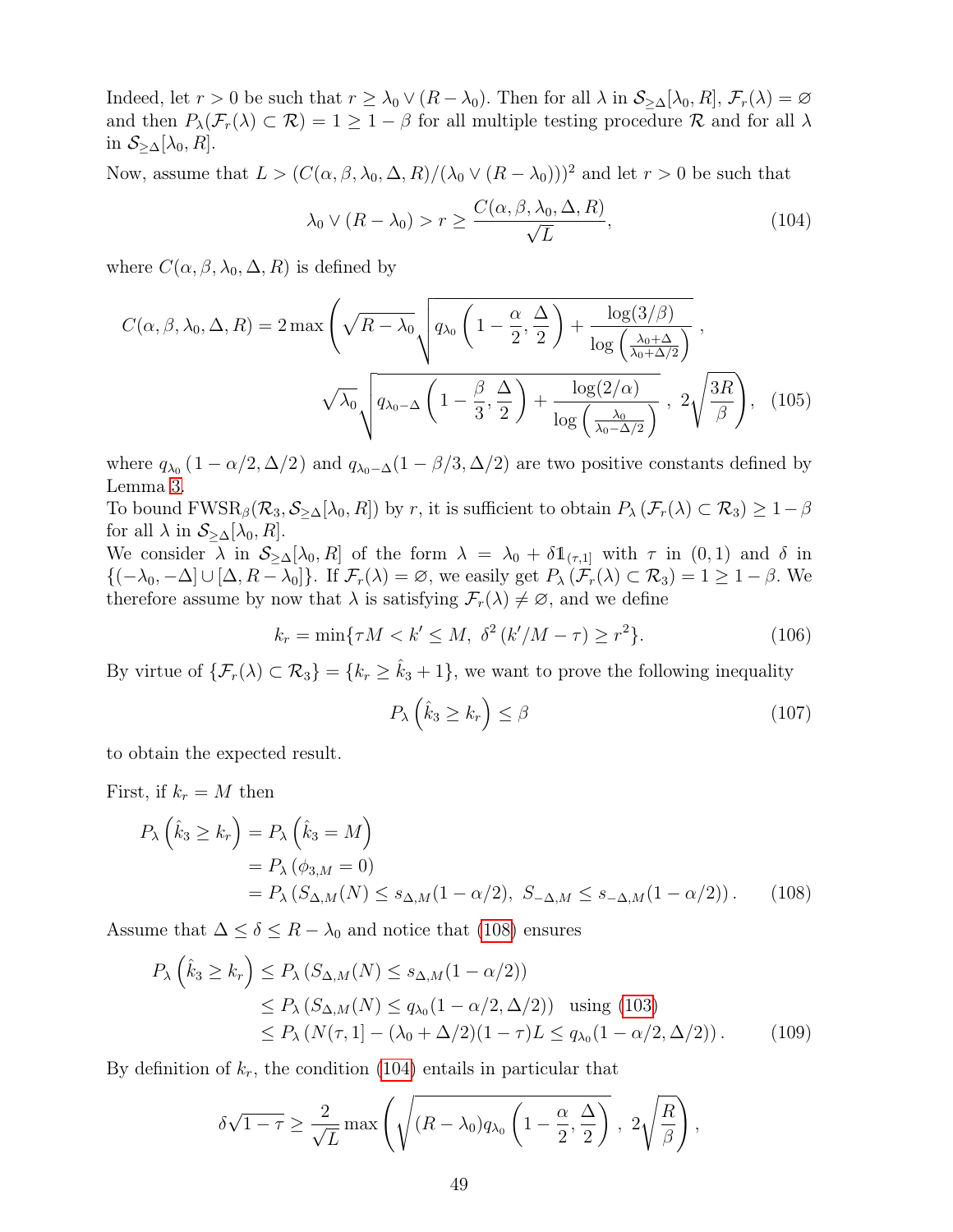Indeed, let  $r > 0$  be such that  $r \geq \lambda_0 \vee (R - \lambda_0)$ . Then for all  $\lambda$  in  $\mathcal{S}_{\geq \Delta}[\lambda_0, R], \mathcal{F}_r(\lambda) = \varnothing$ and then  $P_{\lambda}(\mathcal{F}_r(\lambda) \subset \mathcal{R}) = 1 \geq 1 - \beta$  for all multiple testing procedure  $\mathcal R$  and for all  $\lambda$ in  $S_{\geq \Delta}[\lambda_0, R]$ .

Now, assume that  $L > (C(\alpha, \beta, \lambda_0, \Delta, R)/(\lambda_0 \vee (R - \lambda_0)))^2$  and let  $r > 0$  be such that

$$
\lambda_0 \vee (R - \lambda_0) > r \ge \frac{C(\alpha, \beta, \lambda_0, \Delta, R)}{\sqrt{L}},\tag{104}
$$

where  $C(\alpha, \beta, \lambda_0, \Delta, R)$  is defined by

$$
C(\alpha, \beta, \lambda_0, \Delta, R) = 2 \max \left( \sqrt{R - \lambda_0} \sqrt{q_{\lambda_0} \left( 1 - \frac{\alpha}{2}, \frac{\Delta}{2} \right) + \frac{\log(3/\beta)}{\log\left(\frac{\lambda_0 + \Delta}{\lambda_0 + \Delta/2}\right)}} \right),
$$

$$
\sqrt{\lambda_0} \sqrt{q_{\lambda_0 - \Delta} \left( 1 - \frac{\beta}{3}, \frac{\Delta}{2} \right) + \frac{\log(2/\alpha)}{\log\left(\frac{\lambda_0}{\lambda_0 - \Delta/2}\right)}}, 2 \sqrt{\frac{3R}{\beta}} \right), \quad (105)
$$

where  $q_{\lambda_0}$  (1 –  $\alpha/2$ ,  $\Delta/2$ ) and  $q_{\lambda_0-\Delta}(1-\beta/3,\Delta/2)$  are two positive constants defined by Lemma 3.

To bound  $FWSR_{\beta}(\mathcal{R}_3, \mathcal{S}_{\geq \Delta}[\lambda_0, R])$  by r, it is sufficient to obtain  $P_{\lambda}(\mathcal{F}_r(\lambda) \subset \mathcal{R}_3) \geq 1-\beta$ for all  $\lambda$  in  $S_{\geq \Delta}[\lambda_0, R]$ .

We consider  $\lambda$  in  $S_{\geq \Delta}[\lambda_0, R]$  of the form  $\lambda = \lambda_0 + \delta 1_{(\tau,1]}$  with  $\tau$  in  $(0,1)$  and  $\delta$  in  ${(-\lambda_0, -\Delta] \cup [\Delta, R - \lambda_0]}$ . If  $\mathcal{F}_r(\lambda) = \varnothing$ , we easily get  $P_\lambda(\mathcal{F}_r(\lambda) \subset \mathcal{R}_3) = 1 \geq 1 - \beta$ . We therefore assume by now that  $\lambda$  is satisfying  $\mathcal{F}_r(\lambda) \neq \emptyset$ , and we define

$$
k_r = \min\{\tau M < k' \le M, \ \delta^2 \left(\frac{k'}{M - \tau}\right) \ge r^2\}.\tag{106}
$$

By virtue of  $\{\mathcal{F}_r(\lambda) \subset \mathcal{R}_3\} = \{k_r \geq \hat{k}_3 + 1\}$ , we want to prove the following inequality

$$
P_{\lambda}\left(\hat{k}_3 \ge k_r\right) \le \beta \tag{107}
$$

to obtain the expected result.

First, if  $k_r = M$  then

$$
P_{\lambda}\left(\hat{k}_3 \ge k_r\right) = P_{\lambda}\left(\hat{k}_3 = M\right)
$$
  
=  $P_{\lambda}\left(\phi_{3,M} = 0\right)$   
=  $P_{\lambda}\left(S_{\Delta,M}(N) \le s_{\Delta,M}(1 - \alpha/2), S_{-\Delta,M} \le s_{-\Delta,M}(1 - \alpha/2)\right).$  (108)

Assume that  $\Delta \leq \delta \leq R - \lambda_0$  and notice that (108) ensures

$$
P_{\lambda}\left(\hat{k}_3 \ge k_r\right) \le P_{\lambda}\left(S_{\Delta,M}(N) \le s_{\Delta,M}(1-\alpha/2)\right)
$$
  
\n
$$
\le P_{\lambda}\left(S_{\Delta,M}(N) \le q_{\lambda_0}(1-\alpha/2,\Delta/2)\right) \text{ using (103)}
$$
  
\n
$$
\le P_{\lambda}\left(N(\tau,1) - (\lambda_0 + \Delta/2)(1-\tau)L \le q_{\lambda_0}(1-\alpha/2,\Delta/2)\right).
$$
 (109)

By definition of  $k_r$ , the condition (104) entails in particular that

$$
\delta\sqrt{1-\tau} \ge \frac{2}{\sqrt{L}} \max\left(\sqrt{(R-\lambda_0)q_{\lambda_0}\left(1-\frac{\alpha}{2},\frac{\Delta}{2}\right)}, 2\sqrt{\frac{R}{\beta}}\right),
$$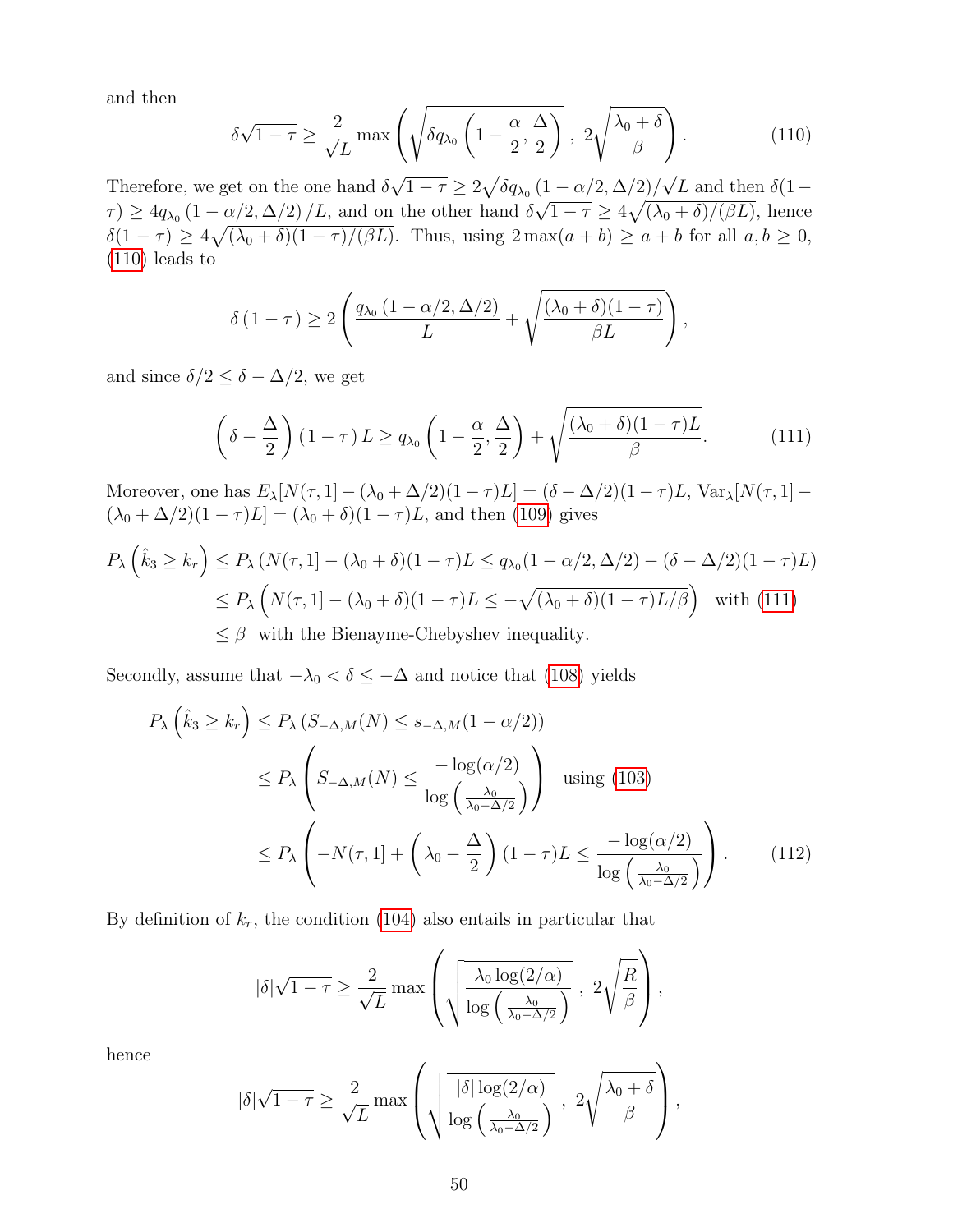and then

$$
\delta\sqrt{1-\tau} \ge \frac{2}{\sqrt{L}} \max\left(\sqrt{\delta q_{\lambda_0} \left(1-\frac{\alpha}{2}, \frac{\Delta}{2}\right)} \right), \ 2\sqrt{\frac{\lambda_0+\delta}{\beta}}\right). \tag{110}
$$

Therefore, we get on the one hand  $\delta$  $\overline{1-\tau}\geq 2\sqrt{\delta q_{\lambda_0}\left(1-\alpha/2,\Delta/2\right)}/$ L and then  $\delta(1-\alpha)$  $\tau$ )  $\geq 4q_{\lambda_0} (1 - \alpha/2, \Delta/2) / L$ , and on the other hand  $\delta$  $\binom{1}{1}$  $\overline{1-\tau} \geq 4\sqrt{(\lambda_0+\delta)/(\beta L)}$ , hence  $\delta(1-\tau) \geq 4\sqrt{(\lambda_0+\delta)(1-\tau)/(\beta L)}$ . Thus, using  $2\max(a+b) \geq a+b$  for all  $a,b \geq 0$ , (110) leads to

$$
\delta(1-\tau) \ge 2\left(\frac{q_{\lambda_0}(1-\alpha/2,\Delta/2)}{L} + \sqrt{\frac{(\lambda_0+\delta)(1-\tau)}{\beta L}}\right),\,
$$

and since  $\delta/2 \leq \delta - \Delta/2$ , we get

$$
\left(\delta - \frac{\Delta}{2}\right)(1-\tau)L \ge q_{\lambda_0}\left(1 - \frac{\alpha}{2}, \frac{\Delta}{2}\right) + \sqrt{\frac{(\lambda_0 + \delta)(1-\tau)L}{\beta}}.\tag{111}
$$

Moreover, one has  $E_{\lambda}[N(\tau, 1] - (\lambda_0 + \Delta/2)(1 - \tau)L] = (\delta - \Delta/2)(1 - \tau)L$ , Var $_{\lambda}[N(\tau, 1] (\lambda_0 + \Delta/2)(1 - \tau)L] = (\lambda_0 + \delta)(1 - \tau)L$ , and then (109) gives

$$
P_{\lambda}\left(\hat{k}_3 \ge k_r\right) \le P_{\lambda}\left(N(\tau, 1] - (\lambda_0 + \delta)(1 - \tau)L \le q_{\lambda_0}(1 - \alpha/2, \Delta/2) - (\delta - \Delta/2)(1 - \tau)L\right)
$$
  
\n
$$
\le P_{\lambda}\left(N(\tau, 1] - (\lambda_0 + \delta)(1 - \tau)L \le -\sqrt{(\lambda_0 + \delta)(1 - \tau)L/\beta}\right) \text{ with (111)}
$$
  
\n
$$
\le \beta \text{ with the Bienayme-Chebyshev inequality.}
$$

Secondly, assume that  $-\lambda_0 < \delta \leq -\Delta$  and notice that (108) yields

$$
P_{\lambda}\left(\hat{k}_{3} \geq k_{r}\right) \leq P_{\lambda}\left(S_{-\Delta,M}(N) \leq s_{-\Delta,M}(1-\alpha/2)\right)
$$
  
\n
$$
\leq P_{\lambda}\left(S_{-\Delta,M}(N) \leq \frac{-\log(\alpha/2)}{\log\left(\frac{\lambda_{0}}{\lambda_{0}-\Delta/2}\right)}\right) \text{ using (103)}
$$
  
\n
$$
\leq P_{\lambda}\left(-N(\tau,1)+\left(\lambda_{0}-\frac{\Delta}{2}\right)(1-\tau)L \leq \frac{-\log(\alpha/2)}{\log\left(\frac{\lambda_{0}}{\lambda_{0}-\Delta/2}\right)}\right).
$$
 (112)

By definition of  $k_r$ , the condition (104) also entails in particular that

$$
|\delta|\sqrt{1-\tau} \ge \frac{2}{\sqrt{L}} \max\left(\sqrt{\frac{\lambda_0 \log(2/\alpha)}{\log\left(\frac{\lambda_0}{\lambda_0-\Delta/2}\right)}}, 2\sqrt{\frac{R}{\beta}}\right),
$$

hence

$$
|\delta|\sqrt{1-\tau} \ge \frac{2}{\sqrt{L}} \max\left(\sqrt{\frac{|\delta|\log(2/\alpha)}{\log\left(\frac{\lambda_0}{\lambda_0-\Delta/2}\right)}}, 2\sqrt{\frac{\lambda_0+\delta}{\beta}}\right),
$$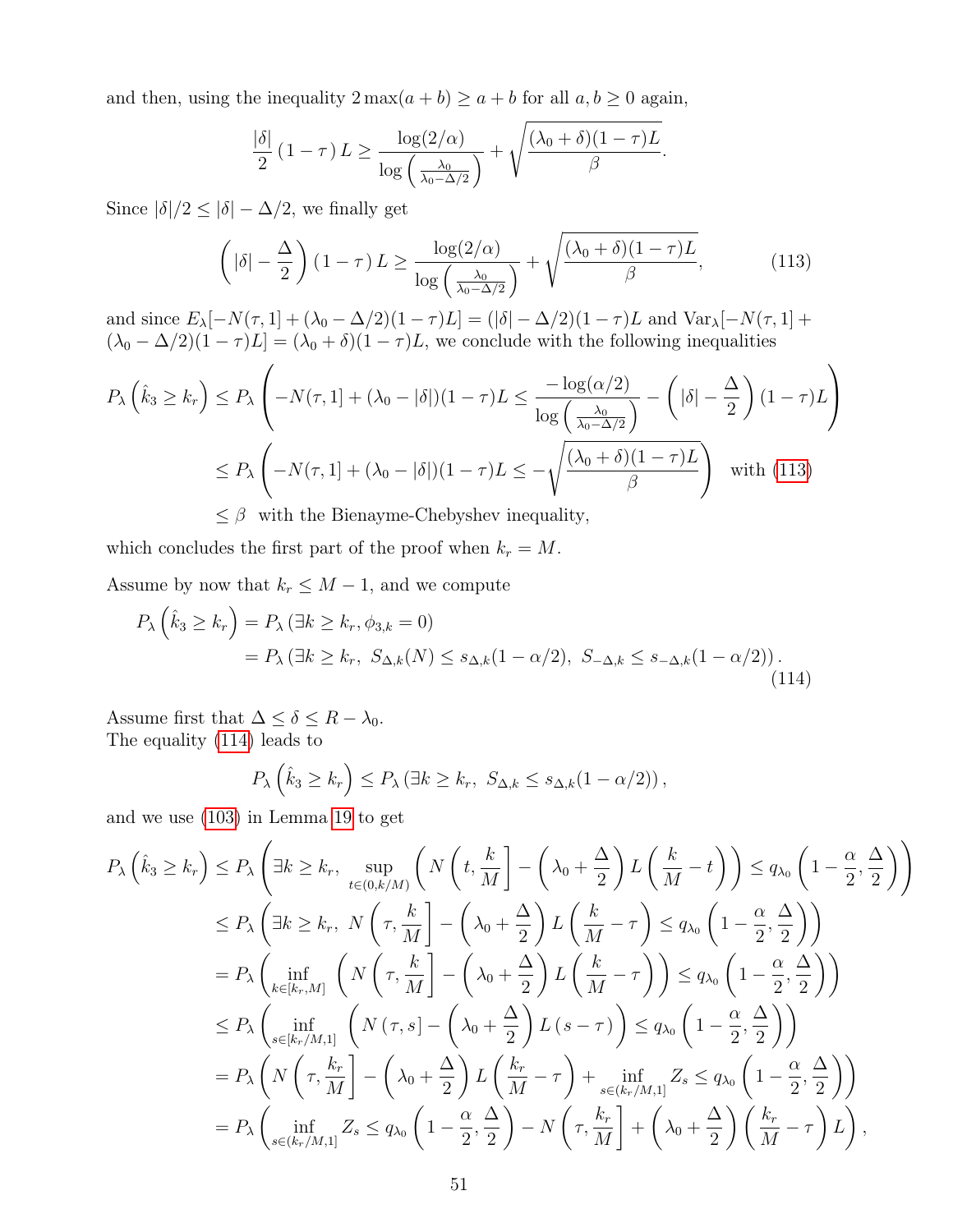and then, using the inequality  $2 \max(a + b) \ge a + b$  for all  $a, b \ge 0$  again,

$$
\frac{|\delta|}{2} (1-\tau) L \ge \frac{\log(2/\alpha)}{\log\left(\frac{\lambda_0}{\lambda_0 - \Delta/2}\right)} + \sqrt{\frac{(\lambda_0 + \delta)(1-\tau)L}{\beta}}.
$$

Since  $|\delta|/2 \le |\delta| - \Delta/2$ , we finally get

$$
\left( |\delta| - \frac{\Delta}{2} \right) (1 - \tau) L \ge \frac{\log(2/\alpha)}{\log \left( \frac{\lambda_0}{\lambda_0 - \Delta/2} \right)} + \sqrt{\frac{(\lambda_0 + \delta)(1 - \tau)L}{\beta}},\tag{113}
$$

and since  $E_{\lambda}[-N(\tau,1] + (\lambda_0 - \Delta/2)(1 - \tau)L] = (|\delta| - \Delta/2)(1 - \tau)L$  and  $Var_{\lambda}[-N(\tau,1] +$  $(\lambda_0 - \Delta/2)(1 - \tau)L] = (\lambda_0 + \delta)(1 - \tau)L$ , we conclude with the following inequalities

$$
P_{\lambda}\left(\hat{k}_{3} \geq k_{r}\right) \leq P_{\lambda}\left(-N(\tau,1) + (\lambda_{0} - |\delta|)(1-\tau)L \leq \frac{-\log(\alpha/2)}{\log\left(\frac{\lambda_{0}}{\lambda_{0}-\Delta/2}\right)} - \left(|\delta| - \frac{\Delta}{2}\right)(1-\tau)L\right)
$$

$$
\leq P_{\lambda}\left(-N(\tau,1) + (\lambda_{0} - |\delta|)(1-\tau)L \leq -\sqrt{\frac{(\lambda_{0} + \delta)(1-\tau)L}{\beta}}\right) \text{ with (113)}
$$

 $\leq \beta$  with the Bienayme-Chebyshev inequality,

which concludes the first part of the proof when  $k_r = M$ .

Assume by now that  $k_r \leq M - 1$ , and we compute

$$
P_{\lambda}\left(\hat{k}_3 \ge k_r\right) = P_{\lambda}\left(\exists k \ge k_r, \phi_{3,k} = 0\right)
$$
  
= 
$$
P_{\lambda}\left(\exists k \ge k_r, S_{\Delta,k}(N) \le s_{\Delta,k}(1 - \alpha/2), S_{-\Delta,k} \le s_{-\Delta,k}(1 - \alpha/2)\right).
$$
 (114)

Assume first that  $\Delta \leq \delta \leq R - \lambda_0$ . The equality (114) leads to

$$
P_{\lambda}\left(\hat{k}_3 \geq k_r\right) \leq P_{\lambda}\left(\exists k \geq k_r, \ S_{\Delta,k} \leq s_{\Delta,k}(1-\alpha/2)\right),\,
$$

and we use (103) in Lemma 19 to get

$$
P_{\lambda}\left(\hat{k}_{3} \geq k_{r}\right) \leq P_{\lambda}\left(\exists k \geq k_{r}, \sup_{t \in (0,k/M)} \left(N\left(t, \frac{k}{M}\right] - \left(\lambda_{0} + \frac{\Delta}{2}\right)L\left(\frac{k}{M} - t\right)\right) \leq q_{\lambda_{0}}\left(1 - \frac{\alpha}{2}, \frac{\Delta}{2}\right)\right)
$$
  
\n
$$
\leq P_{\lambda}\left(\exists k \geq k_{r}, N\left(\tau, \frac{k}{M}\right] - \left(\lambda_{0} + \frac{\Delta}{2}\right)L\left(\frac{k}{M} - \tau\right) \leq q_{\lambda_{0}}\left(1 - \frac{\alpha}{2}, \frac{\Delta}{2}\right)\right)
$$
  
\n
$$
= P_{\lambda}\left(\inf_{k \in [k_{r}, M]} \left(N\left(\tau, \frac{k}{M}\right] - \left(\lambda_{0} + \frac{\Delta}{2}\right)L\left(\frac{k}{M} - \tau\right)\right) \leq q_{\lambda_{0}}\left(1 - \frac{\alpha}{2}, \frac{\Delta}{2}\right)\right)
$$
  
\n
$$
\leq P_{\lambda}\left(\inf_{s \in [k_{r}/M, 1]} \left(N\left(\tau, s\right) - \left(\lambda_{0} + \frac{\Delta}{2}\right)L\left(s - \tau\right)\right) \leq q_{\lambda_{0}}\left(1 - \frac{\alpha}{2}, \frac{\Delta}{2}\right)\right)
$$
  
\n
$$
= P_{\lambda}\left(N\left(\tau, \frac{k_{r}}{M}\right] - \left(\lambda_{0} + \frac{\Delta}{2}\right)L\left(\frac{k_{r}}{M} - \tau\right) + \inf_{s \in (k_{r}/M, 1]} Z_{s} \leq q_{\lambda_{0}}\left(1 - \frac{\alpha}{2}, \frac{\Delta}{2}\right)\right)
$$
  
\n
$$
= P_{\lambda}\left(\inf_{s \in (k_{r}/M, 1]} Z_{s} \leq q_{\lambda_{0}}\left(1 - \frac{\alpha}{2}, \frac{\Delta}{2}\right) - N\left(\tau, \frac{k_{r}}{M}\right] + \left(\lambda_{0} + \frac{\Delta}{2}\right)\left(\frac{k_{r}}{M} - \tau\right)L\right),
$$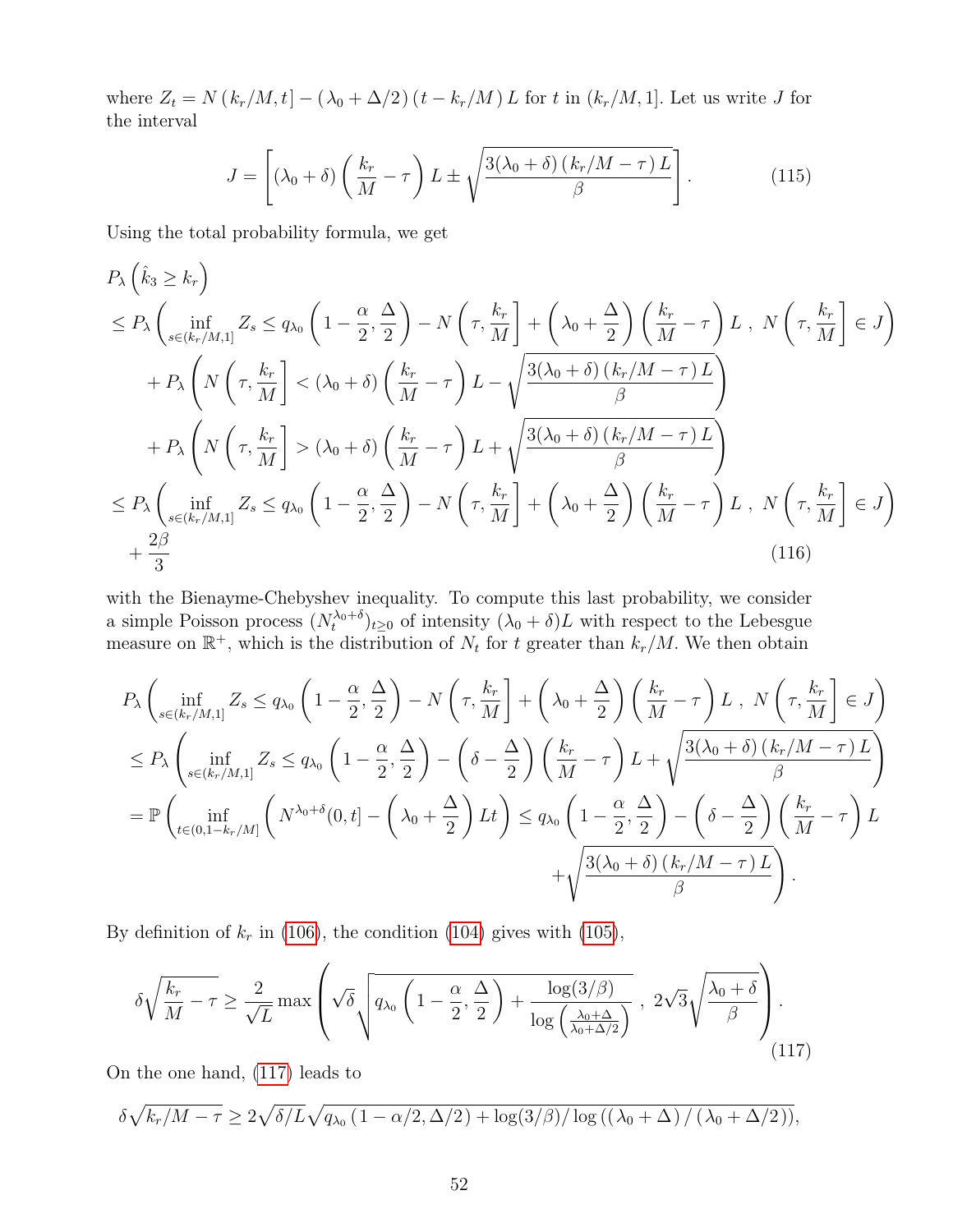where  $Z_t = N(k_r/M, t] - (\lambda_0 + \Delta/2) (t - k_r/M) L$  for t in  $(k_r/M, 1]$ . Let us write J for the interval

$$
J = \left[ (\lambda_0 + \delta) \left( \frac{k_r}{M} - \tau \right) L \pm \sqrt{\frac{3(\lambda_0 + \delta) \left( k_r/M - \tau \right) L}{\beta}} \right].
$$
 (115)

Using the total probability formula, we get

$$
P_{\lambda} \left( \hat{k}_{3} \geq k_{r} \right)
$$
\n
$$
\leq P_{\lambda} \left( \inf_{s \in (k_{r}/M,1]} Z_{s} \leq q_{\lambda_{0}} \left( 1 - \frac{\alpha}{2}, \frac{\Delta}{2} \right) - N \left( \tau, \frac{k_{r}}{M} \right] + \left( \lambda_{0} + \frac{\Delta}{2} \right) \left( \frac{k_{r}}{M} - \tau \right) L \, , \, N \left( \tau, \frac{k_{r}}{M} \right] \in J \right)
$$
\n
$$
+ P_{\lambda} \left( N \left( \tau, \frac{k_{r}}{M} \right) < (\lambda_{0} + \delta) \left( \frac{k_{r}}{M} - \tau \right) L - \sqrt{\frac{3(\lambda_{0} + \delta) \left( k_{r}/M - \tau \right) L}{\beta}} \right)
$$
\n
$$
+ P_{\lambda} \left( N \left( \tau, \frac{k_{r}}{M} \right) > (\lambda_{0} + \delta) \left( \frac{k_{r}}{M} - \tau \right) L + \sqrt{\frac{3(\lambda_{0} + \delta) \left( k_{r}/M - \tau \right) L}{\beta}} \right)
$$
\n
$$
\leq P_{\lambda} \left( \inf_{s \in (k_{r}/M,1]} Z_{s} \leq q_{\lambda_{0}} \left( 1 - \frac{\alpha}{2}, \frac{\Delta}{2} \right) - N \left( \tau, \frac{k_{r}}{M} \right] + \left( \lambda_{0} + \frac{\Delta}{2} \right) \left( \frac{k_{r}}{M} - \tau \right) L \, , \, N \left( \tau, \frac{k_{r}}{M} \right] \in J \right)
$$
\n
$$
+ \frac{2\beta}{3} \tag{116}
$$

with the Bienayme-Chebyshev inequality. To compute this last probability, we consider a simple Poisson process  $(N_t^{\lambda_0+\delta})_{t\geq 0}$  of intensity  $(\lambda_0+\delta)L$  with respect to the Lebesgue measure on  $\mathbb{R}^+$ , which is the distribution of  $N_t$  for t greater than  $k_r/M$ . We then obtain

$$
P_{\lambda} \left( \inf_{s \in (k_r/M,1]} Z_s \le q_{\lambda_0} \left( 1 - \frac{\alpha}{2}, \frac{\Delta}{2} \right) - N \left( \tau, \frac{k_r}{M} \right] + \left( \lambda_0 + \frac{\Delta}{2} \right) \left( \frac{k_r}{M} - \tau \right) L, N \left( \tau, \frac{k_r}{M} \right] \in J \right)
$$
  
\n
$$
\le P_{\lambda} \left( \inf_{s \in (k_r/M,1]} Z_s \le q_{\lambda_0} \left( 1 - \frac{\alpha}{2}, \frac{\Delta}{2} \right) - \left( \delta - \frac{\Delta}{2} \right) \left( \frac{k_r}{M} - \tau \right) L + \sqrt{\frac{3(\lambda_0 + \delta)(k_r/M - \tau)L}{\beta}} \right)
$$
  
\n
$$
= \mathbb{P} \left( \inf_{t \in (0,1-k_r/M]} \left( N^{\lambda_0 + \delta}(0, t) - \left( \lambda_0 + \frac{\Delta}{2} \right) Lt \right) \le q_{\lambda_0} \left( 1 - \frac{\alpha}{2}, \frac{\Delta}{2} \right) - \left( \delta - \frac{\Delta}{2} \right) \left( \frac{k_r}{M} - \tau \right) L + \sqrt{\frac{3(\lambda_0 + \delta)(k_r/M - \tau)L}{\beta}} \right)
$$
  
\n
$$
+ \sqrt{\frac{3(\lambda_0 + \delta)(k_r/M - \tau)L}{\beta}}.
$$

By definition of  $k_r$  in (106), the condition (104) gives with (105),

$$
\delta\sqrt{\frac{k_r}{M} - \tau} \ge \frac{2}{\sqrt{L}} \max\left(\sqrt{\delta} \sqrt{q_{\lambda_0} \left(1 - \frac{\alpha}{2}, \frac{\Delta}{2}\right) + \frac{\log(3/\beta)}{\log\left(\frac{\lambda_0 + \Delta}{\lambda_0 + \Delta/2}\right)}}\right), \ 2\sqrt{3}\sqrt{\frac{\lambda_0 + \delta}{\beta}}\right).
$$
\n(117)

On the one hand, (117) leads to

$$
\delta\sqrt{k_r/M-\tau}\geq 2\sqrt{\delta/L}\sqrt{q_{\lambda_0}\left(1-\alpha/2,\Delta/2\right)+\log(3/\beta)/\log\left(\left(\lambda_0+\Delta\right)/\left(\lambda_0+\Delta/2\right)\right)},
$$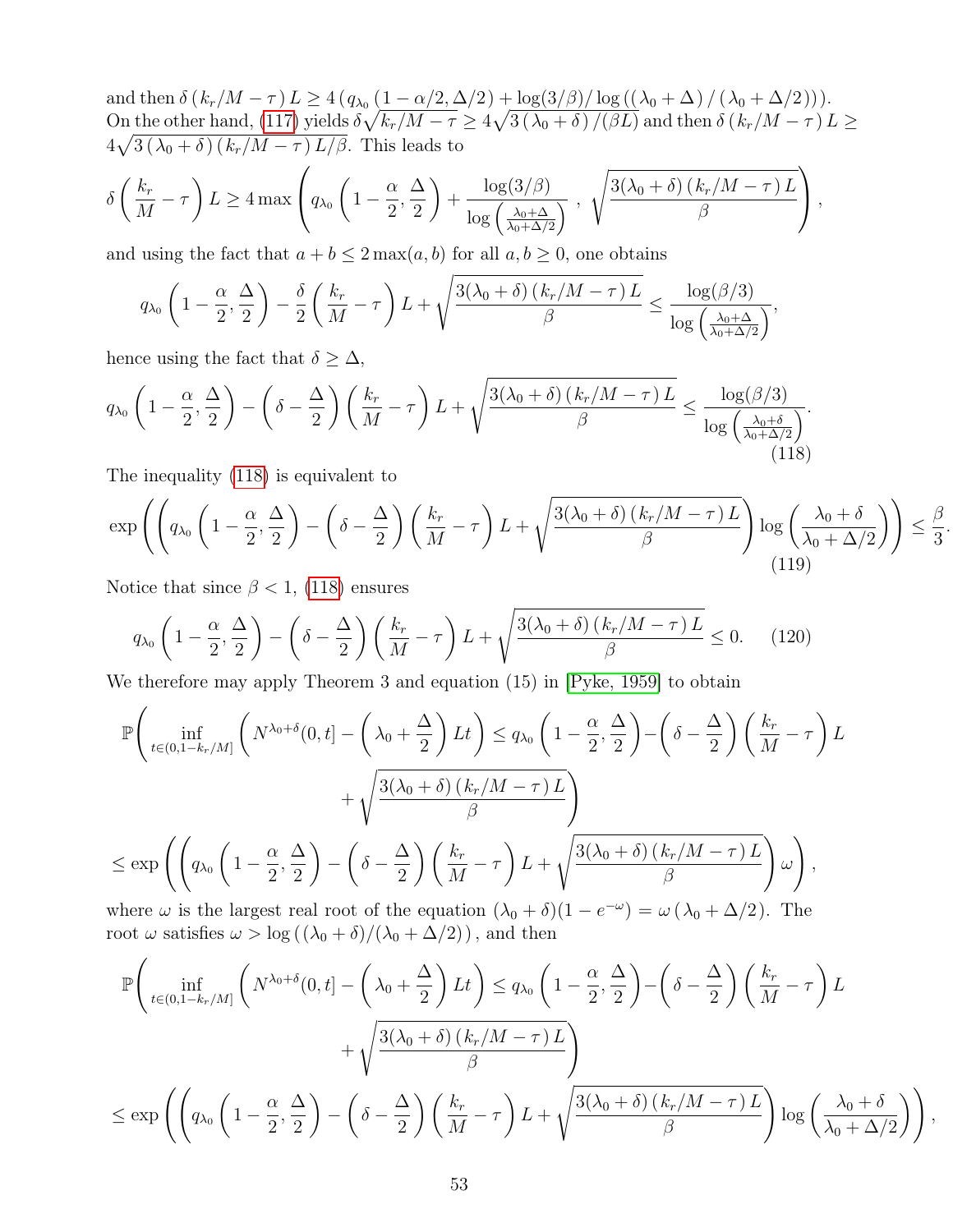and then  $\delta(k_r/M-\tau) L \geq 4 (q_{\lambda_0} (1-\alpha/2, \Delta/2) + \log(3/\beta)/\log((\lambda_0 + \Delta)/(\lambda_0 + \Delta/2))).$ On the other hand, (117) yields  $\delta\sqrt{k_r/M-\tau}\geq 4\sqrt{3\left(\lambda_0+\delta\right)/(\beta L)}$  and then  $\delta\left(k_r/M-\tau\right)L\geq 0$  $4\sqrt{3(\lambda_0+\delta)(k_r/M-\tau)L/\beta}$ . This leads to  $\left( k_{r} \right)$  $\sqrt{2}$  $\int_{-1}^{\infty} \alpha \Delta \begin{pmatrix} 3/\beta \end{pmatrix}$   $\sqrt{3(\lambda_0 + \delta)(k_r/M - \tau)L}$  $\sqrt{1 + \sqrt{1 + \frac{2}{\sqrt{1 + \frac{2}{\sqrt{1 + \frac{2}{\sqrt{1 + \frac{2}{\sqrt{1 + \frac{2}{\sqrt{1 + \frac{2}{\sqrt{1 + \frac{2}{\sqrt{1 + \frac{2}{\sqrt{1 + \frac{2}{\sqrt{1 + \frac{2}{\sqrt{1 + \frac{2}{\sqrt{1 + \frac{2}{\sqrt{1 + \frac{2}{\sqrt{1 + \frac{2}{\sqrt{1 + \frac{2}{\sqrt{1 + \frac{2}{\sqrt{1 + \frac{2}{\sqrt{1 + \frac{2}{\sqrt{1 + \frac{2}{\sqrt{1 + \frac{2}{\sqrt{1 + \frac{2}{\sqrt{1 +$ 

$$
\delta\left(\frac{k_r}{M}-\tau\right)L \ge 4\max\left(q_{\lambda_0}\left(1-\frac{\alpha}{2},\frac{\Delta}{2}\right)+\frac{\log(3/\beta)}{\log\left(\frac{\lambda_0+\Delta}{\lambda_0+\Delta/2}\right)}\right),\ \sqrt{\frac{3(\lambda_0+\delta)(k_r/M-\tau)L}{\beta}}\right),
$$

and using the fact that  $a + b \leq 2 \max(a, b)$  for all  $a, b \geq 0$ , one obtains

$$
q_{\lambda_0} \left(1 - \frac{\alpha}{2}, \frac{\Delta}{2}\right) - \frac{\delta}{2} \left(\frac{k_r}{M} - \tau\right) L + \sqrt{\frac{3(\lambda_0 + \delta) \left(k_r/M - \tau\right) L}{\beta}} \le \frac{\log(\beta/3)}{\log\left(\frac{\lambda_0 + \Delta}{\lambda_0 + \Delta/2}\right)},
$$

hence using the fact that  $\delta \geq \Delta$ ,

$$
q_{\lambda_0} \left(1 - \frac{\alpha}{2}, \frac{\Delta}{2}\right) - \left(\delta - \frac{\Delta}{2}\right) \left(\frac{k_r}{M} - \tau\right) L + \sqrt{\frac{3(\lambda_0 + \delta)\left(k_r/M - \tau\right)L}{\beta}} \le \frac{\log(\beta/3)}{\log\left(\frac{\lambda_0 + \delta}{\lambda_0 + \Delta/2}\right)}.\tag{118}
$$

The inequality (118) is equivalent to

$$
\exp\left(\left(q_{\lambda_0}\left(1-\frac{\alpha}{2},\frac{\Delta}{2}\right)-\left(\delta-\frac{\Delta}{2}\right)\left(\frac{k_r}{M}-\tau\right)L+\sqrt{\frac{3(\lambda_0+\delta)\left(k_r/M-\tau\right)L}{\beta}}\right)\log\left(\frac{\lambda_0+\delta}{\lambda_0+\Delta/2}\right)\right)\leq\frac{\beta}{3}
$$
\n(119)

.

,

Notice that since  $\beta$  < 1, (118) ensures

$$
q_{\lambda_0} \left( 1 - \frac{\alpha}{2}, \frac{\Delta}{2} \right) - \left( \delta - \frac{\Delta}{2} \right) \left( \frac{k_r}{M} - \tau \right) L + \sqrt{\frac{3(\lambda_0 + \delta)(k_r/M - \tau)L}{\beta}} \le 0. \tag{120}
$$

We therefore may apply Theorem 3 and equation (15) in [Pyke, 1959] to obtain

$$
\mathbb{P}\left(\inf_{t\in(0,1-k_r/M]}\left(N^{\lambda_0+\delta}(0,t)-\left(\lambda_0+\frac{\Delta}{2}\right)Lt\right)\leq q_{\lambda_0}\left(1-\frac{\alpha}{2},\frac{\Delta}{2}\right)-\left(\delta-\frac{\Delta}{2}\right)\left(\frac{k_r}{M}-\tau\right)Lt\right)+\sqrt{\frac{3(\lambda_0+\delta)(k_r/M-\tau)L}{\beta}}\right)
$$

$$
\leq \exp\left(\left(q_{\lambda_0}\left(1-\frac{\alpha}{2},\frac{\Delta}{2}\right)-\left(\delta-\frac{\Delta}{2}\right)\left(\frac{k_r}{M}-\tau\right)L+\sqrt{\frac{3(\lambda_0+\delta)(k_r/M-\tau)L}{\beta}}\right)\omega\right),
$$

where  $\omega$  is the largest real root of the equation  $(\lambda_0 + \delta)(1 - e^{-\omega}) = \omega (\lambda_0 + \Delta/2)$ . The root  $\omega$  satisfies  $\omega > \log((\lambda_0 + \delta)/(\lambda_0 + \Delta/2))$ , and then

$$
\mathbb{P}\left(\inf_{t\in(0,1-k_r/M]}\left(N^{\lambda_0+\delta}(0,t)-\left(\lambda_0+\frac{\Delta}{2}\right)Lt\right)\leq q_{\lambda_0}\left(1-\frac{\alpha}{2},\frac{\Delta}{2}\right)-\left(\delta-\frac{\Delta}{2}\right)\left(\frac{k_r}{M}-\tau\right)L+\sqrt{\frac{3(\lambda_0+\delta)\left(k_r/M-\tau\right)L}{\beta}}\right) + \sqrt{\frac{3(\lambda_0+\delta)\left(k_r/M-\tau\right)L}{\beta}}\right)
$$
\n
$$
\leq \exp\left(\left(q_{\lambda_0}\left(1-\frac{\alpha}{2},\frac{\Delta}{2}\right)-\left(\delta-\frac{\Delta}{2}\right)\left(\frac{k_r}{M}-\tau\right)L+\sqrt{\frac{3(\lambda_0+\delta)\left(k_r/M-\tau\right)L}{\beta}}\right)\log\left(\frac{\lambda_0+\delta}{\lambda_0+\Delta/2}\right)\right)
$$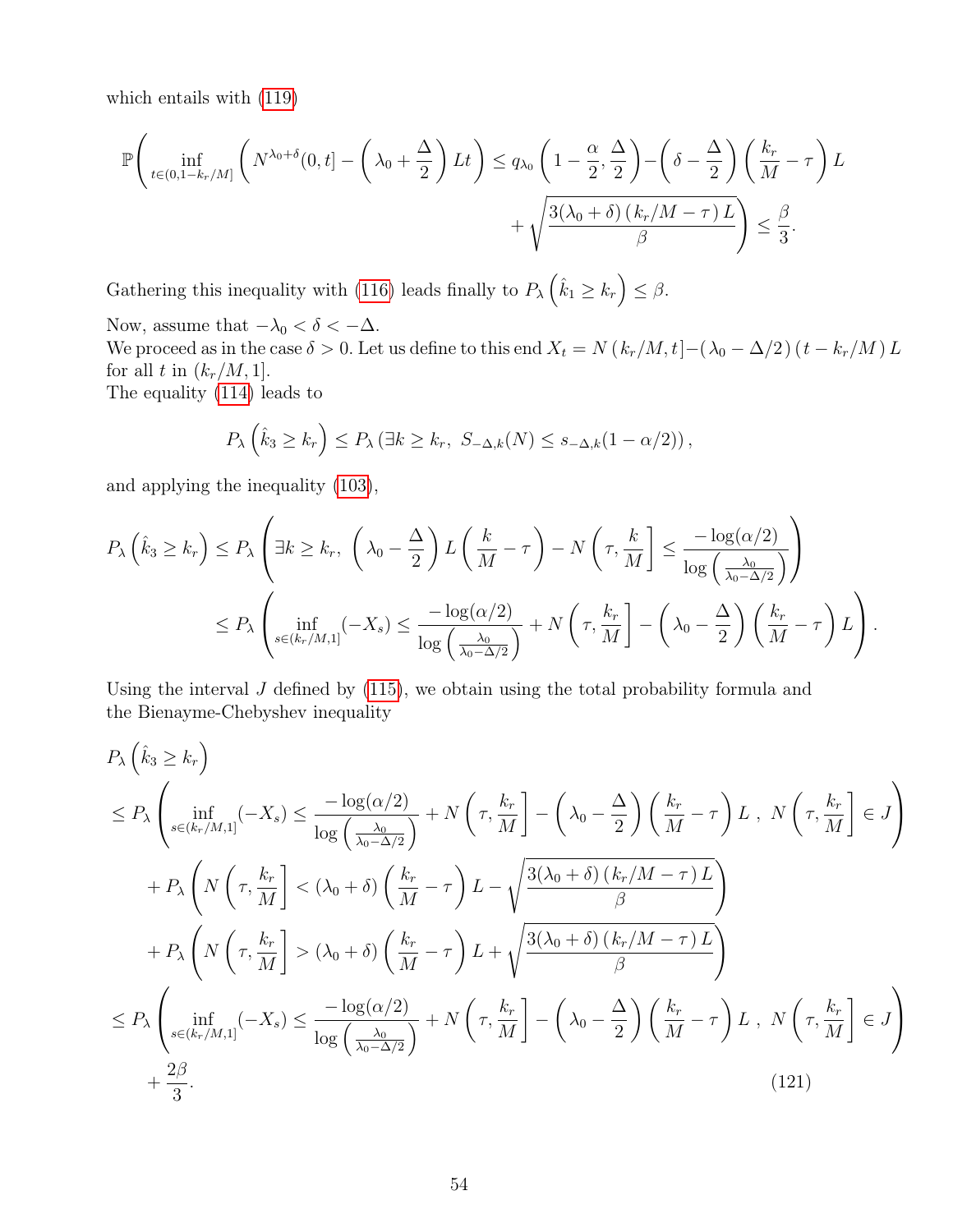which entails with (119)

$$
\mathbb{P}\left(\inf_{t\in(0,1-k_r/M]}\left(N^{\lambda_0+\delta}(0,t)-\left(\lambda_0+\frac{\Delta}{2}\right)Lt\right)\leq q_{\lambda_0}\left(1-\frac{\alpha}{2},\frac{\Delta}{2}\right)-\left(\delta-\frac{\Delta}{2}\right)\left(\frac{k_r}{M}-\tau\right)L+\sqrt{\frac{3(\lambda_0+\delta)(k_r/M-\tau)L}{\beta}}\right)\leq \frac{\beta}{3}.
$$

Gathering this inequality with (116) leads finally to  $P_{\lambda}(\hat{k}_1 \geq k_r) \leq \beta$ .

Now, assume that  $-\lambda_0 < \delta < -\Delta$ .

We proceed as in the case  $\delta > 0$ . Let us define to this end  $X_t = N(k_r/M, t) - (\lambda_0 - \Delta/2) (t - k_r/M) L$ for all t in  $(k_r/M, 1]$ . The equality (114) leads to

$$
P_{\lambda}\left(\hat{k}_3 \geq k_r\right) \leq P_{\lambda}\left(\exists k \geq k_r, \ S_{-\Delta,k}(N) \leq s_{-\Delta,k}(1-\alpha/2)\right),
$$

and applying the inequality (103),

$$
P_{\lambda}\left(\hat{k}_{3} \geq k_{r}\right) \leq P_{\lambda}\left(\exists k \geq k_{r}, \left(\lambda_{0} - \frac{\Delta}{2}\right) L\left(\frac{k}{M} - \tau\right) - N\left(\tau, \frac{k}{M}\right] \leq \frac{-\log(\alpha/2)}{\log\left(\frac{\lambda_{0}}{\lambda_{0} - \Delta/2}\right)}\right)
$$
  

$$
\leq P_{\lambda}\left(\inf_{s \in (k_{r}/M,1]}(-X_{s}) \leq \frac{-\log(\alpha/2)}{\log\left(\frac{\lambda_{0}}{\lambda_{0} - \Delta/2}\right)} + N\left(\tau, \frac{k_{r}}{M}\right] - \left(\lambda_{0} - \frac{\Delta}{2}\right)\left(\frac{k_{r}}{M} - \tau\right)L\right).
$$

Using the interval  $J$  defined by  $(115)$ , we obtain using the total probability formula and the Bienayme-Chebyshev inequality

$$
P_{\lambda}\left(\hat{k}_{3} \geq k_{r}\right)
$$
\n
$$
\leq P_{\lambda}\left(\inf_{s \in (k_{r}/M,1]}(-X_{s}) \leq \frac{-\log(\alpha/2)}{\log\left(\frac{\lambda_{0}}{\lambda_{0}-\Delta/2}\right)} + N\left(\tau, \frac{k_{r}}{M}\right) - \left(\lambda_{0} - \frac{\Delta}{2}\right)\left(\frac{k_{r}}{M} - \tau\right)L, N\left(\tau, \frac{k_{r}}{M}\right] \in J\right)
$$
\n
$$
+ P_{\lambda}\left(N\left(\tau, \frac{k_{r}}{M}\right) < (\lambda_{0} + \delta)\left(\frac{k_{r}}{M} - \tau\right)L - \sqrt{\frac{3(\lambda_{0} + \delta)\left(k_{r}/M - \tau\right)L}{\beta}}\right)
$$
\n
$$
+ P_{\lambda}\left(N\left(\tau, \frac{k_{r}}{M}\right) > (\lambda_{0} + \delta)\left(\frac{k_{r}}{M} - \tau\right)L + \sqrt{\frac{3(\lambda_{0} + \delta)\left(k_{r}/M - \tau\right)L}{\beta}}\right)
$$
\n
$$
\leq P_{\lambda}\left(\inf_{s \in (k_{r}/M,1]}(-X_{s}) \leq \frac{-\log(\alpha/2)}{\log\left(\frac{\lambda_{0}}{\lambda_{0}-\Delta/2}\right)} + N\left(\tau, \frac{k_{r}}{M}\right) - \left(\lambda_{0} - \frac{\Delta}{2}\right)\left(\frac{k_{r}}{M} - \tau\right)L, N\left(\tau, \frac{k_{r}}{M}\right] \in J\right)
$$
\n
$$
+ \frac{2\beta}{3}.
$$
\n(121)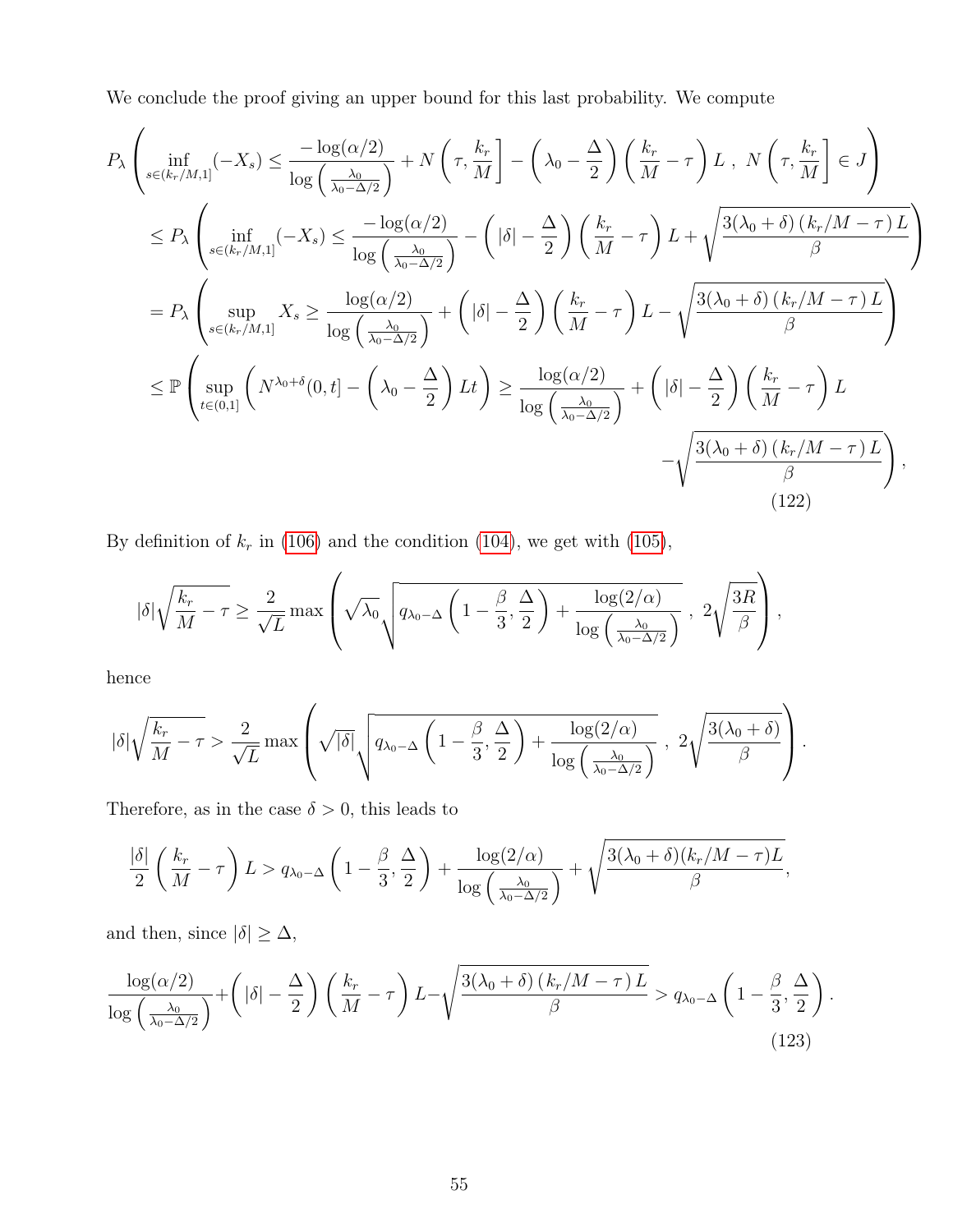We conclude the proof giving an upper bound for this last probability. We compute

$$
P_{\lambda} \left( \inf_{s \in (k_r/M,1]} (-X_s) \leq \frac{-\log(\alpha/2)}{\log\left(\frac{\lambda_0}{\lambda_0 - \Delta/2}\right)} + N\left(\tau, \frac{k_r}{M}\right] - \left(\lambda_0 - \frac{\Delta}{2}\right) \left(\frac{k_r}{M} - \tau\right) L, N\left(\tau, \frac{k_r}{M}\right] \in J \right)
$$
  
\n
$$
\leq P_{\lambda} \left( \inf_{s \in (k_r/M,1]} (-X_s) \leq \frac{-\log(\alpha/2)}{\log\left(\frac{\lambda_0}{\lambda_0 - \Delta/2}\right)} - \left(|\delta| - \frac{\Delta}{2}\right) \left(\frac{k_r}{M} - \tau\right) L + \sqrt{\frac{3(\lambda_0 + \delta)\left(k_r/M - \tau\right)L}{\beta}} \right)
$$
  
\n
$$
= P_{\lambda} \left( \sup_{s \in (k_r/M,1]} X_s \geq \frac{\log(\alpha/2)}{\log\left(\frac{\lambda_0}{\lambda_0 - \Delta/2}\right)} + \left(|\delta| - \frac{\Delta}{2}\right) \left(\frac{k_r}{M} - \tau\right) L - \sqrt{\frac{3(\lambda_0 + \delta)\left(k_r/M - \tau\right)L}{\beta}} \right)
$$
  
\n
$$
\leq \mathbb{P} \left( \sup_{t \in (0,1]} \left( N^{\lambda_0 + \delta}(0, t) - \left(\lambda_0 - \frac{\Delta}{2}\right) Lt\right) \geq \frac{\log(\alpha/2)}{\log\left(\frac{\lambda_0}{\lambda_0 - \Delta/2}\right)} + \left(|\delta| - \frac{\Delta}{2}\right) \left(\frac{k_r}{M} - \tau\right) L - \sqrt{\frac{3(\lambda_0 + \delta)\left(k_r/M - \tau\right)L}{\beta}} \right),
$$
  
\n(122)

By definition of  $k_r$  in (106) and the condition (104), we get with (105),

$$
|\delta| \sqrt{\frac{k_r}{M} - \tau} \ge \frac{2}{\sqrt{L}} \max \left( \sqrt{\lambda_0} \sqrt{q_{\lambda_0 - \Delta} \left( 1 - \frac{\beta}{3}, \frac{\Delta}{2} \right) + \frac{\log(2/\alpha)}{\log \left( \frac{\lambda_0}{\lambda_0 - \Delta/2} \right)}} \right), \quad 2 \sqrt{\frac{3R}{\beta}} \right),
$$

hence

$$
|\delta|\sqrt{\frac{k_r}{M}-\tau} > \frac{2}{\sqrt{L}}\max\left(\sqrt{|\delta|}\sqrt{q_{\lambda_0-\Delta}\left(1-\frac{\beta}{3},\frac{\Delta}{2}\right)+\frac{\log(2/\alpha)}{\log\left(\frac{\lambda_0}{\lambda_0-\Delta/2}\right)}}\;,\;2\sqrt{\frac{3(\lambda_0+\delta)}{\beta}}\right).
$$

Therefore, as in the case  $\delta>0,$  this leads to

$$
\frac{|\delta|}{2}\left(\frac{k_r}{M}-\tau\right)L > q_{\lambda_0-\Delta}\left(1-\frac{\beta}{3},\frac{\Delta}{2}\right)+\frac{\log(2/\alpha)}{\log\left(\frac{\lambda_0}{\lambda_0-\Delta/2}\right)}+\sqrt{\frac{3(\lambda_0+\delta)(k_r/M-\tau)L}{\beta}},
$$

and then, since  $|\delta| \geq \Delta,$ 

$$
\frac{\log(\alpha/2)}{\log\left(\frac{\lambda_0}{\lambda_0-\Delta/2}\right)} + \left(|\delta|-\frac{\Delta}{2}\right)\left(\frac{k_r}{M}-\tau\right)L - \sqrt{\frac{3(\lambda_0+\delta)\left(k_r/M-\tau\right)L}{\beta}} > q_{\lambda_0-\Delta}\left(1-\frac{\beta}{3},\frac{\Delta}{2}\right). \tag{123}
$$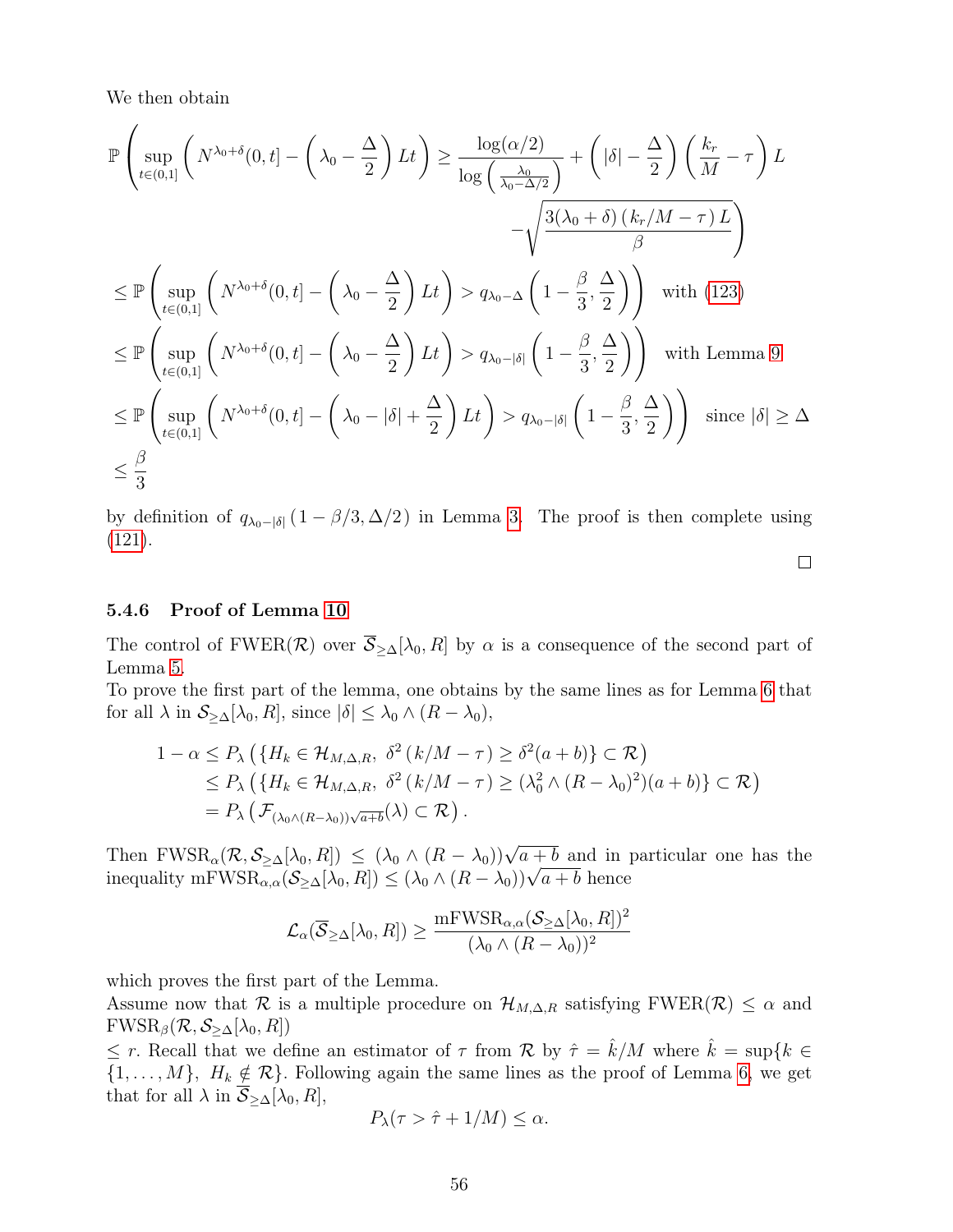We then obtain

$$
\mathbb{P}\left\{\sup_{t\in(0,1]}\left(N^{\lambda_0+\delta}(0,t)-\left(\lambda_0-\frac{\Delta}{2}\right)Lt\right)\geq\frac{\log(\alpha/2)}{\log\left(\frac{\lambda_0}{\lambda_0-\Delta/2}\right)}+\left(|\delta|-\frac{\Delta}{2}\right)\left(\frac{k_r}{M}-\tau\right)L-\sqrt{\frac{3(\lambda_0+\delta)(k_r/M-\tau)L}{\beta}}\right)-\sqrt{\frac{3(\lambda_0+\delta)(k_r/M-\tau)L}{\beta}}\right)\leq \mathbb{P}\left\{\sup_{t\in(0,1]}\left(N^{\lambda_0+\delta}(0,t)-\left(\lambda_0-\frac{\Delta}{2}\right)Lt\right)>q_{\lambda_0-\Delta}\left(1-\frac{\beta}{3},\frac{\Delta}{2}\right)\right) \text{ with (123)}\leq \mathbb{P}\left\{\sup_{t\in(0,1]}\left(N^{\lambda_0+\delta}(0,t)-\left(\lambda_0-\frac{\Delta}{2}\right)Lt\right)>q_{\lambda_0-\delta}\left(1-\frac{\beta}{3},\frac{\Delta}{2}\right)\right) \text{ with Lemma 9}\leq \mathbb{P}\left\{\sup_{t\in(0,1]}\left(N^{\lambda_0+\delta}(0,t)-\left(\lambda_0-|\delta|+\frac{\Delta}{2}\right)Lt\right)>q_{\lambda_0-\delta}\left(1-\frac{\beta}{3},\frac{\Delta}{2}\right)\right) \text{ since } |\delta|\geq\Delta\leq \frac{\beta}{3}
$$

by definition of  $q_{\lambda_0-|\delta|}(1-\beta/3,\Delta/2)$  in Lemma 3. The proof is then complete using (121).

 $\Box$ 

#### 5.4.6 Proof of Lemma 10

The control of FWER( $\mathcal{R}$ ) over  $\overline{\mathcal{S}}_{\geq \Delta}[\lambda_0, R]$  by  $\alpha$  is a consequence of the second part of Lemma 5.

To prove the first part of the lemma, one obtains by the same lines as for Lemma 6 that for all  $\lambda$  in  $S_{\geq \Delta}[\lambda_0, R]$ , since  $|\delta| \leq \lambda_0 \wedge (R - \lambda_0)$ ,

$$
1 - \alpha \le P_{\lambda} \left( \{ H_k \in \mathcal{H}_{M,\Delta,R}, \ \delta^2 \left( k/M - \tau \right) \ge \delta^2 (a+b) \} \subset \mathcal{R} \right)
$$
  
\$\le P\_{\lambda} \left( \{ H\_k \in \mathcal{H}\_{M,\Delta,R}, \ \delta^2 \left( k/M - \tau \right) \ge (\lambda\_0^2 \wedge (R - \lambda\_0)^2)(a+b) \} \subset \mathcal{R} \right)\$  
=  $P_{\lambda} \left( \mathcal{F}_{(\lambda_0 \wedge (R-\lambda_0))\sqrt{a+b}}(\lambda) \subset \mathcal{R} \right).$ 

Then FWSR<sub> $\alpha$ </sub> $(\mathcal{R}, \mathcal{S}_{\geq \Delta}[\lambda_0, R]) \leq (\lambda_0 \wedge (R - \lambda_0))\sqrt{a+b}$  and in particular one has the inequality mFWSR<sub> $\alpha_{\alpha}(\mathcal{K}, \mathcal{S}_{\geq \Delta}[\lambda_0, R]) \leq (\lambda_0 \wedge (R - \lambda_0))\sqrt{a+b}$  hence</sub>

$$
\mathcal{L}_{\alpha}(\overline{\mathcal{S}}_{\geq \Delta}[\lambda_0, R]) \geq \frac{\mathrm{mFWSR}_{\alpha, \alpha}(\mathcal{S}_{\geq \Delta}[\lambda_0, R])^2}{(\lambda_0 \wedge (R - \lambda_0))^2}
$$

which proves the first part of the Lemma.

Assume now that R is a multiple procedure on  $\mathcal{H}_{M,\Delta,R}$  satisfying FWER(R)  $\leq \alpha$  and  $FWSR_{\beta}(\mathcal{R},\mathcal{S}_{>\Delta}[\lambda_0,R])$ 

 $\leq r$ . Recall that we define an estimator of  $\tau$  from  $\mathcal R$  by  $\hat{\tau} = \hat{k}/M$  where  $\hat{k} = \sup\{k \in \mathcal R\}$  $\{1,\ldots,M\}, H_k \notin \mathcal{R}\}.$  Following again the same lines as the proof of Lemma 6, we get that for all  $\lambda$  in  $\overline{S}_{\geq \Delta}[\lambda_0, R],$ 

$$
P_{\lambda}(\tau > \hat{\tau} + 1/M) \leq \alpha.
$$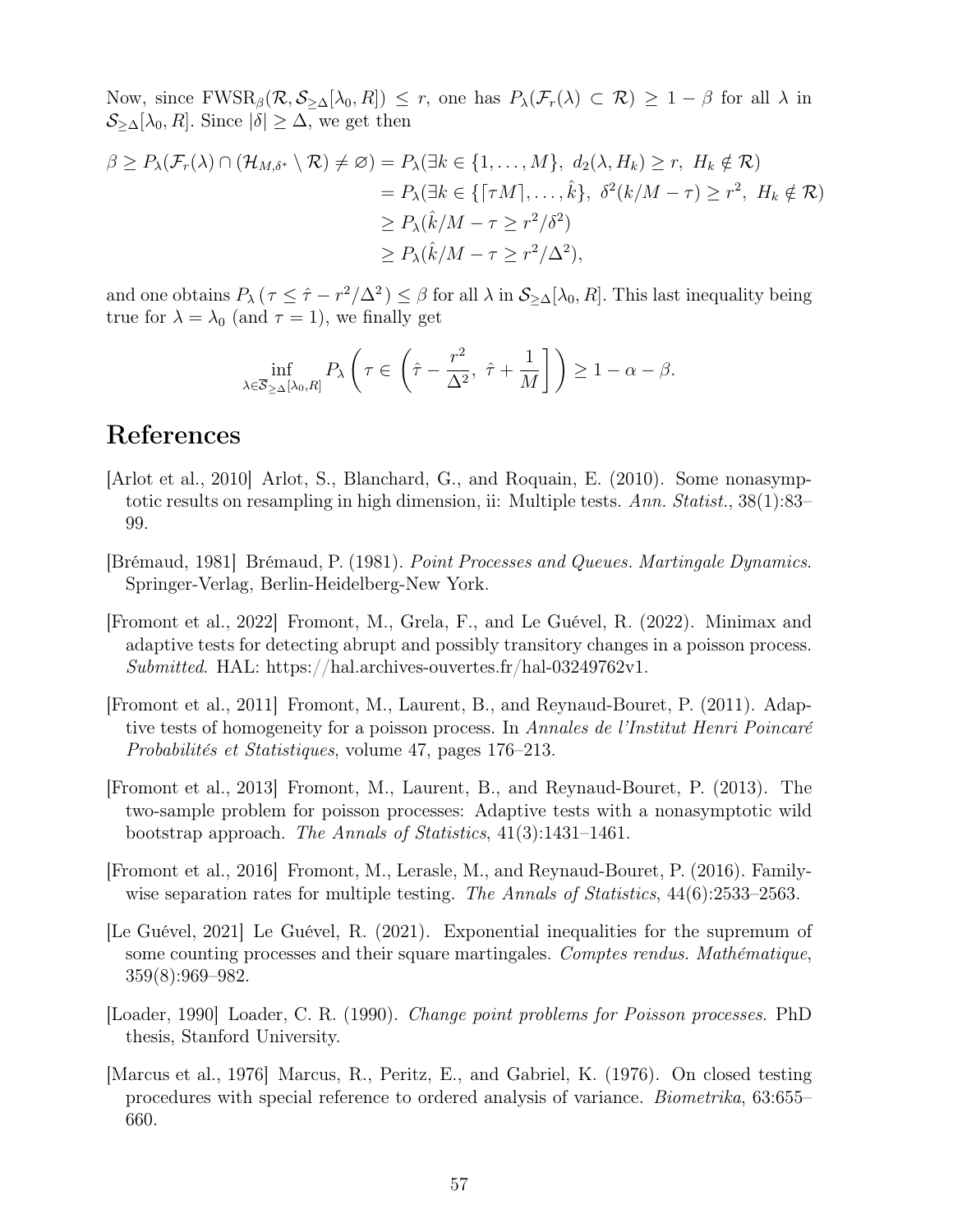Now, since  $FWSR_{\beta}(\mathcal{R},\mathcal{S}_{\geq \Delta}[\lambda_0, R]) \leq r$ , one has  $P_{\lambda}(\mathcal{F}_r(\lambda) \subset \mathcal{R}) \geq 1 - \beta$  for all  $\lambda$  in  $\mathcal{S}_{\geq \Delta}[\lambda_0, R]$ . Since  $|\delta| \geq \Delta$ , we get then

$$
\beta \ge P_{\lambda}(\mathcal{F}_{r}(\lambda) \cap (\mathcal{H}_{M,\delta^{*}} \setminus \mathcal{R}) \neq \varnothing) = P_{\lambda}(\exists k \in \{1, ..., M\}, d_{2}(\lambda, H_{k}) \ge r, H_{k} \notin \mathcal{R})
$$
  
\n
$$
= P_{\lambda}(\exists k \in \{\lceil \tau M \rceil, ..., \hat{k}\}, \delta^{2}(k/M - \tau) \ge r^{2}, H_{k} \notin \mathcal{R})
$$
  
\n
$$
\ge P_{\lambda}(\hat{k}/M - \tau \ge r^{2}/\delta^{2})
$$
  
\n
$$
\ge P_{\lambda}(\hat{k}/M - \tau \ge r^{2}/\Delta^{2}),
$$

and one obtains  $P_\lambda$  ( $\tau \leq \hat{\tau} - r^2/\Delta^2$ )  $\leq \beta$  for all  $\lambda$  in  $\mathcal{S}_{\geq \Delta}[\lambda_0, R]$ . This last inequality being true for  $\lambda = \lambda_0$  (and  $\tau = 1$ ), we finally get

$$
\inf_{\lambda \in \overline{\mathcal{S}}_{\geq \Delta}[\lambda_0, R]} P_{\lambda} \left( \tau \in \left( \hat{\tau} - \frac{r^2}{\Delta^2}, \ \hat{\tau} + \frac{1}{M} \right] \right) \geq 1 - \alpha - \beta.
$$

## References

- [Arlot et al., 2010] Arlot, S., Blanchard, G., and Roquain, E. (2010). Some nonasymptotic results on resampling in high dimension, ii: Multiple tests. Ann. Statist., 38(1):83– 99.
- [Brémaud, 1981] Brémaud, P. (1981). Point Processes and Queues. Martingale Dynamics. Springer-Verlag, Berlin-Heidelberg-New York.
- [Fromont et al., 2022] Fromont, M., Grela, F., and Le Guével, R. (2022). Minimax and adaptive tests for detecting abrupt and possibly transitory changes in a poisson process. Submitted. HAL: https://hal.archives-ouvertes.fr/hal-03249762v1.
- [Fromont et al., 2011] Fromont, M., Laurent, B., and Reynaud-Bouret, P. (2011). Adaptive tests of homogeneity for a poisson process. In Annales de l'Institut Henri Poincaré Probabilités et Statistiques, volume 47, pages 176–213.
- [Fromont et al., 2013] Fromont, M., Laurent, B., and Reynaud-Bouret, P. (2013). The two-sample problem for poisson processes: Adaptive tests with a nonasymptotic wild bootstrap approach. The Annals of Statistics, 41(3):1431–1461.
- [Fromont et al., 2016] Fromont, M., Lerasle, M., and Reynaud-Bouret, P. (2016). Familywise separation rates for multiple testing. The Annals of Statistics, 44(6):2533–2563.
- [Le Guével, 2021] Le Guével, R. (2021). Exponential inequalities for the supremum of some counting processes and their square martingales. Comptes rendus. Mathématique, 359(8):969–982.
- [Loader, 1990] Loader, C. R. (1990). Change point problems for Poisson processes. PhD thesis, Stanford University.
- [Marcus et al., 1976] Marcus, R., Peritz, E., and Gabriel, K. (1976). On closed testing procedures with special reference to ordered analysis of variance. Biometrika, 63:655– 660.